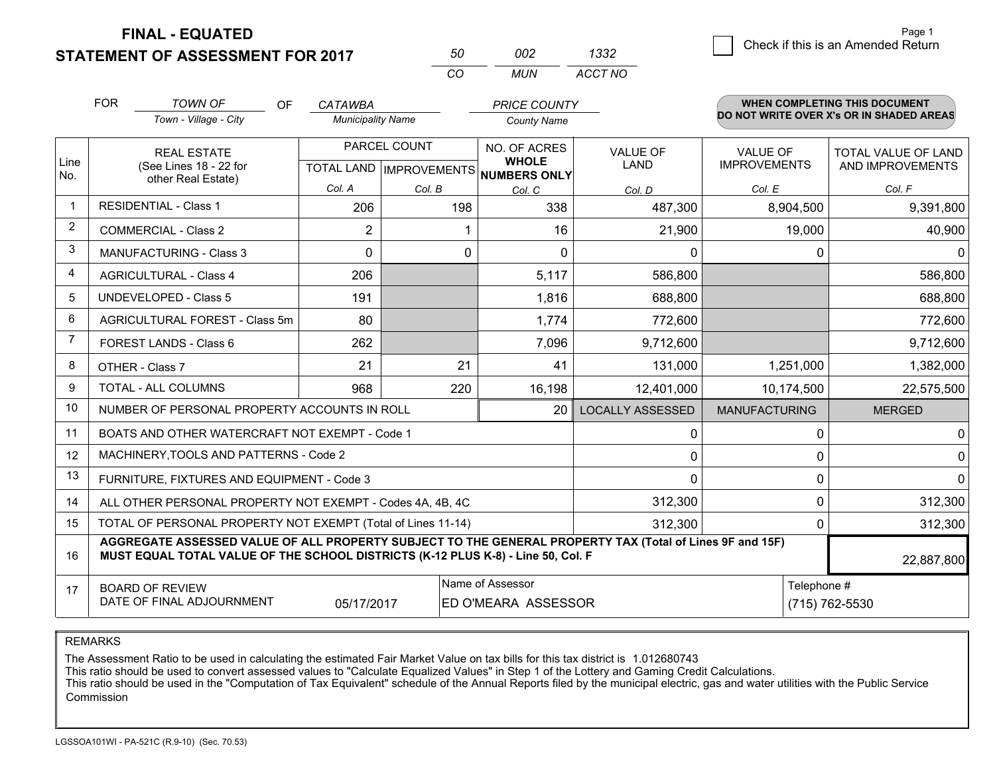**STATEMENT OF ASSESSMENT FOR 2017** 

| 50  | nn2   | 1332    |
|-----|-------|---------|
| CO. | MI IN | ACCT NO |

|                | <b>FOR</b>                     | <b>TOWN OF</b><br><b>OF</b>                                                                                                                                                                  | <b>CATAWBA</b>           |              | <b>PRICE COUNTY</b>                                  |                         |                      | <b>WHEN COMPLETING THIS DOCUMENT</b><br>DO NOT WRITE OVER X's OR IN SHADED AREAS |
|----------------|--------------------------------|----------------------------------------------------------------------------------------------------------------------------------------------------------------------------------------------|--------------------------|--------------|------------------------------------------------------|-------------------------|----------------------|----------------------------------------------------------------------------------|
|                |                                | Town - Village - City                                                                                                                                                                        | <b>Municipality Name</b> |              | <b>County Name</b>                                   |                         |                      |                                                                                  |
|                |                                | <b>REAL ESTATE</b>                                                                                                                                                                           |                          | PARCEL COUNT | NO. OF ACRES                                         | <b>VALUE OF</b>         | <b>VALUE OF</b>      | <b>TOTAL VALUE OF LAND</b>                                                       |
| Line<br>No.    |                                | (See Lines 18 - 22 for<br>other Real Estate)                                                                                                                                                 |                          |              | <b>WHOLE</b><br>TOTAL LAND IMPROVEMENTS NUMBERS ONLY | LAND                    | <b>IMPROVEMENTS</b>  | AND IMPROVEMENTS                                                                 |
|                |                                |                                                                                                                                                                                              | Col. A                   | Col. B       | Col. C                                               | Col. D                  | Col. E               | Col. F                                                                           |
| $\mathbf 1$    |                                | <b>RESIDENTIAL - Class 1</b>                                                                                                                                                                 | 206                      | 198          | 338                                                  | 487,300                 | 8,904,500            | 9,391,800                                                                        |
| $\overline{2}$ |                                | <b>COMMERCIAL - Class 2</b>                                                                                                                                                                  | 2                        |              | 16                                                   | 21,900                  | 19,000               | 40,900                                                                           |
| 3              |                                | <b>MANUFACTURING - Class 3</b>                                                                                                                                                               | $\Omega$                 | $\mathbf 0$  | $\Omega$                                             | 0                       |                      | $\Omega$<br>$\Omega$                                                             |
| 4              |                                | <b>AGRICULTURAL - Class 4</b>                                                                                                                                                                | 206                      |              | 5,117                                                | 586,800                 |                      | 586,800                                                                          |
| 5              |                                | UNDEVELOPED - Class 5                                                                                                                                                                        | 191                      |              | 1,816                                                | 688,800                 |                      | 688,800                                                                          |
| 6              | AGRICULTURAL FOREST - Class 5m |                                                                                                                                                                                              | 80                       |              | 1,774                                                | 772,600                 |                      | 772,600                                                                          |
| 7              | FOREST LANDS - Class 6         |                                                                                                                                                                                              | 262                      |              | 7,096                                                | 9,712,600               |                      | 9,712,600                                                                        |
| 8              |                                | OTHER - Class 7                                                                                                                                                                              | 21                       | 21           | 41                                                   | 131,000                 | 1,251,000            | 1,382,000                                                                        |
| 9              |                                | TOTAL - ALL COLUMNS                                                                                                                                                                          | 968                      | 220          | 16,198                                               | 12,401,000              | 10,174,500           | 22,575,500                                                                       |
| 10             |                                | NUMBER OF PERSONAL PROPERTY ACCOUNTS IN ROLL                                                                                                                                                 |                          |              | 20                                                   | <b>LOCALLY ASSESSED</b> | <b>MANUFACTURING</b> | <b>MERGED</b>                                                                    |
| 11             |                                | BOATS AND OTHER WATERCRAFT NOT EXEMPT - Code 1                                                                                                                                               |                          |              |                                                      | 0                       |                      | $\Omega$<br>0                                                                    |
| 12             |                                | MACHINERY, TOOLS AND PATTERNS - Code 2                                                                                                                                                       |                          |              |                                                      | 0                       |                      | $\mathbf 0$<br>$\Omega$                                                          |
| 13             |                                | FURNITURE, FIXTURES AND EQUIPMENT - Code 3                                                                                                                                                   |                          |              |                                                      | 0                       |                      | $\Omega$<br>0                                                                    |
| 14             |                                | ALL OTHER PERSONAL PROPERTY NOT EXEMPT - Codes 4A, 4B, 4C                                                                                                                                    |                          |              |                                                      | 312,300                 |                      | $\Omega$<br>312,300                                                              |
| 15             |                                | TOTAL OF PERSONAL PROPERTY NOT EXEMPT (Total of Lines 11-14)                                                                                                                                 |                          |              |                                                      | 312,300                 |                      | 312,300<br>0                                                                     |
| 16             |                                | AGGREGATE ASSESSED VALUE OF ALL PROPERTY SUBJECT TO THE GENERAL PROPERTY TAX (Total of Lines 9F and 15F)<br>MUST EQUAL TOTAL VALUE OF THE SCHOOL DISTRICTS (K-12 PLUS K-8) - Line 50, Col. F |                          |              |                                                      |                         |                      | 22,887,800                                                                       |
| 17             |                                | <b>BOARD OF REVIEW</b>                                                                                                                                                                       |                          |              | Name of Assessor                                     |                         |                      | Telephone #                                                                      |
|                |                                | DATE OF FINAL ADJOURNMENT                                                                                                                                                                    | 05/17/2017               |              | (715) 762-5530<br>ED O'MEARA ASSESSOR                |                         |                      |                                                                                  |

#### REMARKS

The Assessment Ratio to be used in calculating the estimated Fair Market Value on tax bills for this tax district is 1.012680743<br>This ratio should be used to convert assessed values to "Calculate Equalized Values" in Step Commission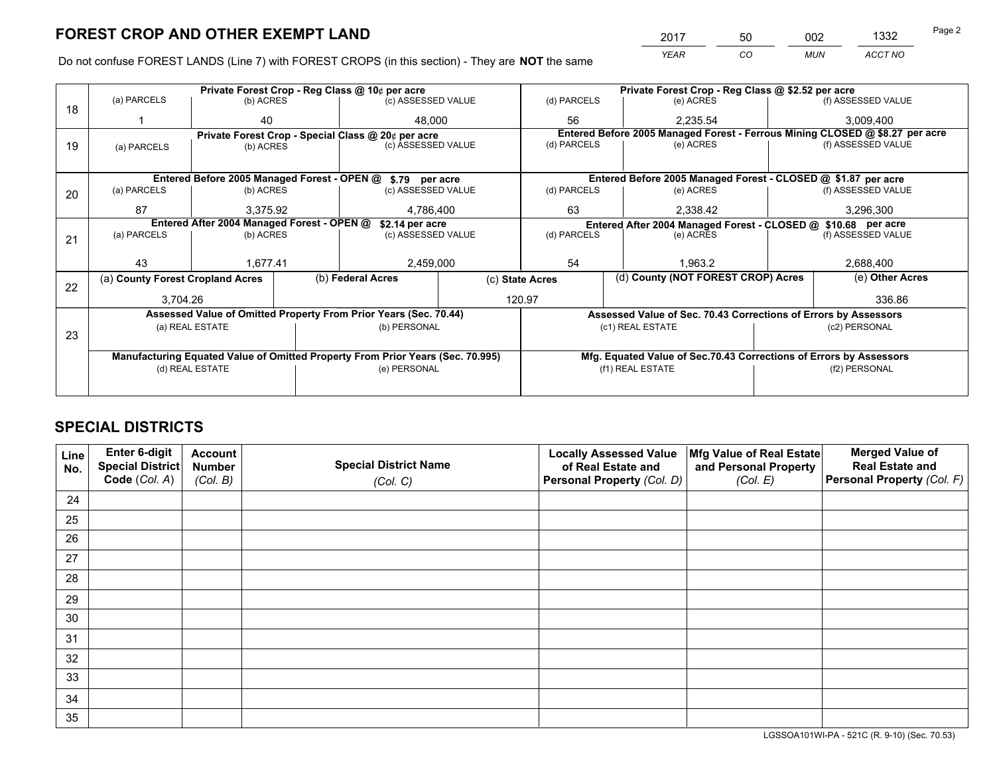*YEAR CO MUN ACCT NO* 2017 50 002 1332 Page 2

Do not confuse FOREST LANDS (Line 7) with FOREST CROPS (in this section) - They are **NOT** the same

|    |                                                               |                 |  | Private Forest Crop - Reg Class @ 10¢ per acre                                 |                 | Private Forest Crop - Reg Class @ \$2.52 per acre |                                    |                    |               |                                                                              |
|----|---------------------------------------------------------------|-----------------|--|--------------------------------------------------------------------------------|-----------------|---------------------------------------------------|------------------------------------|--------------------|---------------|------------------------------------------------------------------------------|
| 18 | (a) PARCELS                                                   | (b) ACRES       |  | (c) ASSESSED VALUE                                                             |                 | (d) PARCELS                                       | (e) ACRES                          |                    |               | (f) ASSESSED VALUE                                                           |
|    |                                                               | 40              |  | 48.000                                                                         |                 | 56                                                |                                    | 2,235.54           |               | 3,009,400                                                                    |
|    |                                                               |                 |  | Private Forest Crop - Special Class @ 20¢ per acre                             |                 |                                                   |                                    |                    |               | Entered Before 2005 Managed Forest - Ferrous Mining CLOSED @ \$8.27 per acre |
| 19 | (a) PARCELS                                                   | (b) ACRES       |  | (c) ASSESSED VALUE                                                             |                 | (d) PARCELS                                       | (e) ACRES                          |                    |               | (f) ASSESSED VALUE                                                           |
|    |                                                               |                 |  |                                                                                |                 |                                                   |                                    |                    |               |                                                                              |
|    |                                                               |                 |  | Entered Before 2005 Managed Forest - OPEN @ \$.79 per acre                     |                 |                                                   |                                    |                    |               | Entered Before 2005 Managed Forest - CLOSED @ \$1.87 per acre                |
| 20 | (a) PARCELS                                                   | (b) ACRES       |  | (c) ASSESSED VALUE                                                             |                 | (d) PARCELS                                       |                                    | (e) ACRES          |               | (f) ASSESSED VALUE                                                           |
|    | 87                                                            | 3.375.92        |  | 4,786,400                                                                      | 63              | 2.338.42                                          |                                    | 3,296,300          |               |                                                                              |
|    | Entered After 2004 Managed Forest - OPEN @<br>\$2.14 per acre |                 |  |                                                                                |                 |                                                   |                                    |                    |               | Entered After 2004 Managed Forest - CLOSED @ \$10.68 per acre                |
| 21 | (a) PARCELS                                                   | (b) ACRES       |  | (c) ASSESSED VALUE                                                             |                 | (d) PARCELS<br>(e) ACRES                          |                                    | (f) ASSESSED VALUE |               |                                                                              |
|    |                                                               |                 |  |                                                                                |                 |                                                   |                                    |                    |               |                                                                              |
|    | 43                                                            | 1,677.41        |  | 2,459,000                                                                      | 54              |                                                   |                                    | 1.963.2            |               | 2,688,400                                                                    |
| 22 | (a) County Forest Cropland Acres                              |                 |  | (b) Federal Acres                                                              | (c) State Acres |                                                   | (d) County (NOT FOREST CROP) Acres |                    |               | (e) Other Acres                                                              |
|    | 3,704.26                                                      |                 |  |                                                                                |                 | 120.97                                            |                                    |                    |               | 336.86                                                                       |
|    |                                                               |                 |  | Assessed Value of Omitted Property From Prior Years (Sec. 70.44)               |                 |                                                   |                                    |                    |               | Assessed Value of Sec. 70.43 Corrections of Errors by Assessors              |
|    |                                                               | (a) REAL ESTATE |  | (b) PERSONAL                                                                   |                 |                                                   | (c1) REAL ESTATE                   |                    |               | (c2) PERSONAL                                                                |
| 23 |                                                               |                 |  |                                                                                |                 |                                                   |                                    |                    |               |                                                                              |
|    |                                                               |                 |  | Manufacturing Equated Value of Omitted Property From Prior Years (Sec. 70.995) |                 |                                                   |                                    |                    |               | Mfg. Equated Value of Sec.70.43 Corrections of Errors by Assessors           |
|    |                                                               | (d) REAL ESTATE |  | (e) PERSONAL                                                                   |                 | (f1) REAL ESTATE                                  |                                    |                    | (f2) PERSONAL |                                                                              |
|    |                                                               |                 |  |                                                                                |                 |                                                   |                                    |                    |               |                                                                              |

## **SPECIAL DISTRICTS**

| Line<br>No. | Enter 6-digit<br>Special District<br>Code (Col. A) | <b>Account</b><br><b>Number</b><br>(Col. B) | <b>Special District Name</b><br>(Col. C) | <b>Locally Assessed Value</b><br>of Real Estate and<br>Personal Property (Col. D) | Mfg Value of Real Estate<br>and Personal Property<br>(Col. E) | <b>Merged Value of</b><br><b>Real Estate and</b><br>Personal Property (Col. F) |
|-------------|----------------------------------------------------|---------------------------------------------|------------------------------------------|-----------------------------------------------------------------------------------|---------------------------------------------------------------|--------------------------------------------------------------------------------|
| 24          |                                                    |                                             |                                          |                                                                                   |                                                               |                                                                                |
| 25          |                                                    |                                             |                                          |                                                                                   |                                                               |                                                                                |
| 26          |                                                    |                                             |                                          |                                                                                   |                                                               |                                                                                |
| 27          |                                                    |                                             |                                          |                                                                                   |                                                               |                                                                                |
| 28          |                                                    |                                             |                                          |                                                                                   |                                                               |                                                                                |
| 29          |                                                    |                                             |                                          |                                                                                   |                                                               |                                                                                |
| 30          |                                                    |                                             |                                          |                                                                                   |                                                               |                                                                                |
| 31          |                                                    |                                             |                                          |                                                                                   |                                                               |                                                                                |
| 32          |                                                    |                                             |                                          |                                                                                   |                                                               |                                                                                |
| 33          |                                                    |                                             |                                          |                                                                                   |                                                               |                                                                                |
| 34          |                                                    |                                             |                                          |                                                                                   |                                                               |                                                                                |
| 35          |                                                    |                                             |                                          |                                                                                   |                                                               |                                                                                |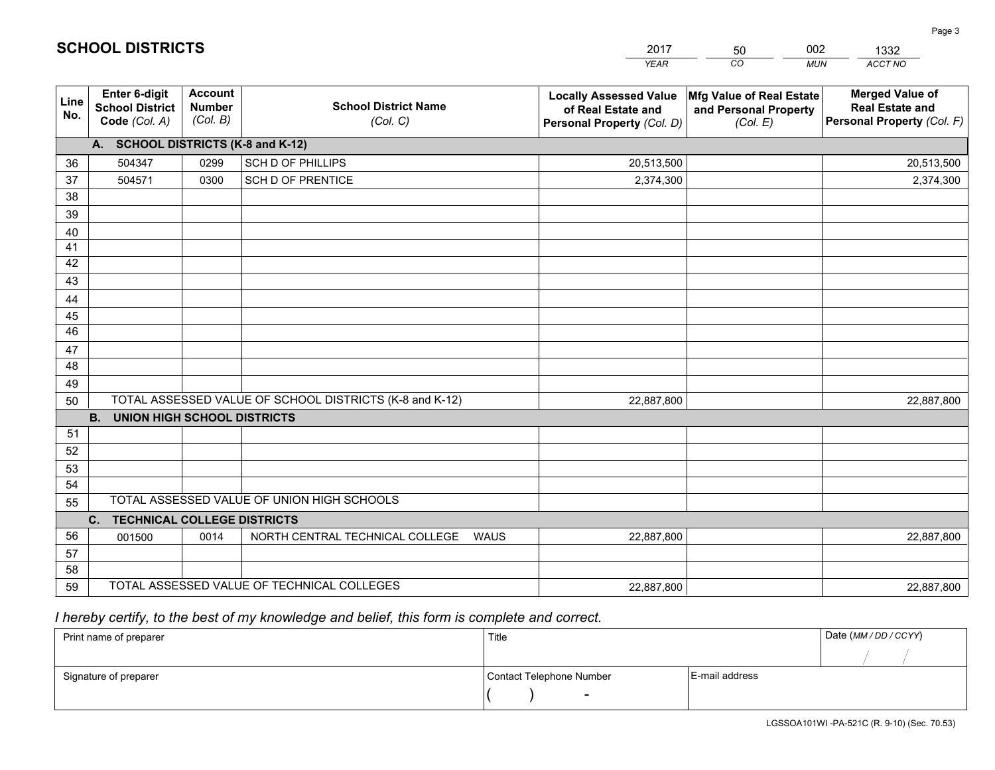|                       |                                                          |                                             |                                                         | <b>YEAR</b>                                                                       | CO<br><b>MUN</b>                                              | ACCT NO                                                                        |
|-----------------------|----------------------------------------------------------|---------------------------------------------|---------------------------------------------------------|-----------------------------------------------------------------------------------|---------------------------------------------------------------|--------------------------------------------------------------------------------|
| Line<br>No.           | Enter 6-digit<br><b>School District</b><br>Code (Col. A) | <b>Account</b><br><b>Number</b><br>(Col. B) | <b>School District Name</b><br>(Col. C)                 | <b>Locally Assessed Value</b><br>of Real Estate and<br>Personal Property (Col. D) | Mfg Value of Real Estate<br>and Personal Property<br>(Col. E) | <b>Merged Value of</b><br><b>Real Estate and</b><br>Personal Property (Col. F) |
|                       | A. SCHOOL DISTRICTS (K-8 and K-12)                       |                                             |                                                         |                                                                                   |                                                               |                                                                                |
| 36                    | 504347                                                   | 0299                                        | <b>SCH D OF PHILLIPS</b>                                | 20,513,500                                                                        |                                                               | 20,513,500                                                                     |
| 37                    | 504571                                                   | 0300                                        | <b>SCH D OF PRENTICE</b>                                | 2,374,300                                                                         |                                                               | 2,374,300                                                                      |
| 38                    |                                                          |                                             |                                                         |                                                                                   |                                                               |                                                                                |
| 39                    |                                                          |                                             |                                                         |                                                                                   |                                                               |                                                                                |
| 40                    |                                                          |                                             |                                                         |                                                                                   |                                                               |                                                                                |
| 41                    |                                                          |                                             |                                                         |                                                                                   |                                                               |                                                                                |
| 42                    |                                                          |                                             |                                                         |                                                                                   |                                                               |                                                                                |
| 43                    |                                                          |                                             |                                                         |                                                                                   |                                                               |                                                                                |
| 44                    |                                                          |                                             |                                                         |                                                                                   |                                                               |                                                                                |
| 45<br>$\overline{46}$ |                                                          |                                             |                                                         |                                                                                   |                                                               |                                                                                |
|                       |                                                          |                                             |                                                         |                                                                                   |                                                               |                                                                                |
| 47<br>48              |                                                          |                                             |                                                         |                                                                                   |                                                               |                                                                                |
| 49                    |                                                          |                                             |                                                         |                                                                                   |                                                               |                                                                                |
| 50                    |                                                          |                                             | TOTAL ASSESSED VALUE OF SCHOOL DISTRICTS (K-8 and K-12) | 22,887,800                                                                        |                                                               | 22,887,800                                                                     |
|                       | <b>B.</b><br><b>UNION HIGH SCHOOL DISTRICTS</b>          |                                             |                                                         |                                                                                   |                                                               |                                                                                |
| 51                    |                                                          |                                             |                                                         |                                                                                   |                                                               |                                                                                |
| 52                    |                                                          |                                             |                                                         |                                                                                   |                                                               |                                                                                |
| 53                    |                                                          |                                             |                                                         |                                                                                   |                                                               |                                                                                |
| 54                    |                                                          |                                             |                                                         |                                                                                   |                                                               |                                                                                |
| 55                    |                                                          |                                             | TOTAL ASSESSED VALUE OF UNION HIGH SCHOOLS              |                                                                                   |                                                               |                                                                                |
|                       | C.<br><b>TECHNICAL COLLEGE DISTRICTS</b>                 |                                             |                                                         |                                                                                   |                                                               |                                                                                |
| 56                    | 001500                                                   | 0014                                        | NORTH CENTRAL TECHNICAL COLLEGE<br><b>WAUS</b>          | 22,887,800                                                                        |                                                               | 22,887,800                                                                     |
| 57                    |                                                          |                                             |                                                         |                                                                                   |                                                               |                                                                                |
| 58                    |                                                          |                                             |                                                         |                                                                                   |                                                               |                                                                                |
| 59                    |                                                          |                                             | TOTAL ASSESSED VALUE OF TECHNICAL COLLEGES              | 22,887,800                                                                        |                                                               | 22,887,800                                                                     |

50

002

 *I hereby certify, to the best of my knowledge and belief, this form is complete and correct.*

**SCHOOL DISTRICTS**

| Print name of preparer | Title                    |                | Date (MM / DD / CCYY) |
|------------------------|--------------------------|----------------|-----------------------|
|                        |                          |                |                       |
| Signature of preparer  | Contact Telephone Number | E-mail address |                       |
|                        | $\sim$                   |                |                       |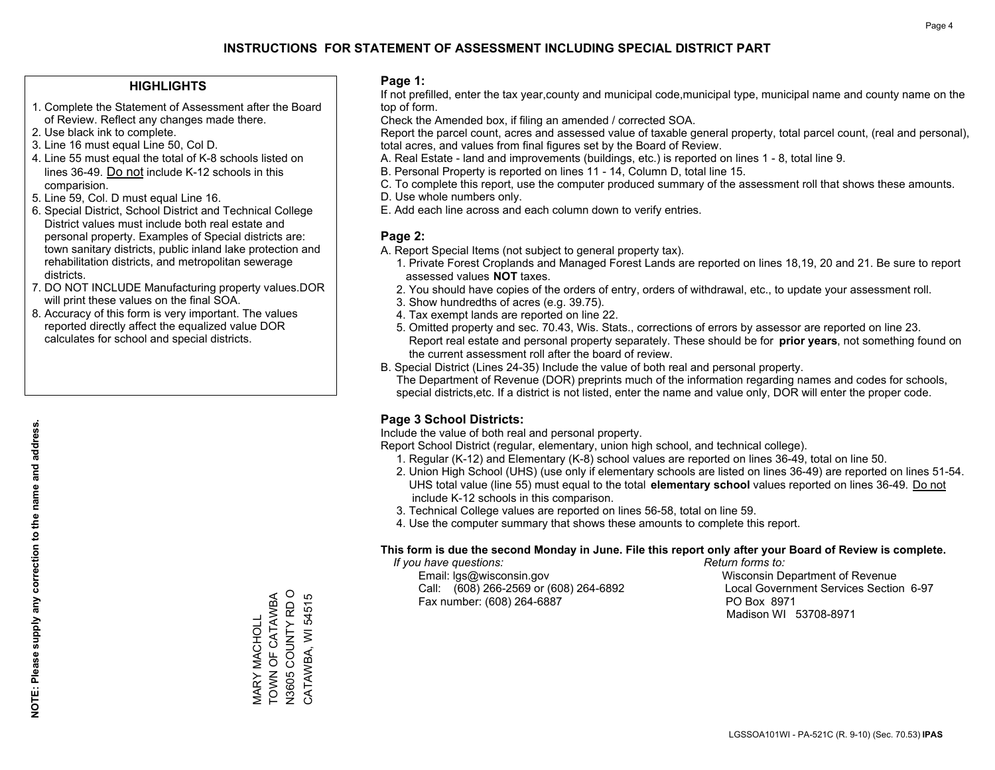### **HIGHLIGHTS**

- 1. Complete the Statement of Assessment after the Board of Review. Reflect any changes made there.
- 2. Use black ink to complete.
- 3. Line 16 must equal Line 50, Col D.
- 4. Line 55 must equal the total of K-8 schools listed on lines 36-49. Do not include K-12 schools in this comparision.
- 5. Line 59, Col. D must equal Line 16.
- 6. Special District, School District and Technical College District values must include both real estate and personal property. Examples of Special districts are: town sanitary districts, public inland lake protection and rehabilitation districts, and metropolitan sewerage districts.
- 7. DO NOT INCLUDE Manufacturing property values.DOR will print these values on the final SOA.

MARY MACHOLL TOWN OF CATAWBA N3605 COUNTY RD O CATAWBA, WI 54515

N3605 COUNTY RD O MARY MACHOLL<br>TOWN OF CATAWBA

CATAWBA, WI 54515

 8. Accuracy of this form is very important. The values reported directly affect the equalized value DOR calculates for school and special districts.

#### **Page 1:**

 If not prefilled, enter the tax year,county and municipal code,municipal type, municipal name and county name on the top of form.

Check the Amended box, if filing an amended / corrected SOA.

 Report the parcel count, acres and assessed value of taxable general property, total parcel count, (real and personal), total acres, and values from final figures set by the Board of Review.

- A. Real Estate land and improvements (buildings, etc.) is reported on lines 1 8, total line 9.
- B. Personal Property is reported on lines 11 14, Column D, total line 15.
- C. To complete this report, use the computer produced summary of the assessment roll that shows these amounts.
- D. Use whole numbers only.
- E. Add each line across and each column down to verify entries.

### **Page 2:**

- A. Report Special Items (not subject to general property tax).
- 1. Private Forest Croplands and Managed Forest Lands are reported on lines 18,19, 20 and 21. Be sure to report assessed values **NOT** taxes.
- 2. You should have copies of the orders of entry, orders of withdrawal, etc., to update your assessment roll.
	- 3. Show hundredths of acres (e.g. 39.75).
- 4. Tax exempt lands are reported on line 22.
- 5. Omitted property and sec. 70.43, Wis. Stats., corrections of errors by assessor are reported on line 23. Report real estate and personal property separately. These should be for **prior years**, not something found on the current assessment roll after the board of review.
- B. Special District (Lines 24-35) Include the value of both real and personal property.

 The Department of Revenue (DOR) preprints much of the information regarding names and codes for schools, special districts,etc. If a district is not listed, enter the name and value only, DOR will enter the proper code.

## **Page 3 School Districts:**

Include the value of both real and personal property.

Report School District (regular, elementary, union high school, and technical college).

- 1. Regular (K-12) and Elementary (K-8) school values are reported on lines 36-49, total on line 50.
- 2. Union High School (UHS) (use only if elementary schools are listed on lines 36-49) are reported on lines 51-54. UHS total value (line 55) must equal to the total **elementary school** values reported on lines 36-49. Do notinclude K-12 schools in this comparison.
- 3. Technical College values are reported on lines 56-58, total on line 59.
- 4. Use the computer summary that shows these amounts to complete this report.

#### **This form is due the second Monday in June. File this report only after your Board of Review is complete.**

 *If you have questions: Return forms to:*

 Email: lgs@wisconsin.gov Wisconsin Department of RevenueCall:  $(608)$  266-2569 or  $(608)$  264-6892 Fax number: (608) 264-6887 PO Box 8971

Local Government Services Section 6-97 Madison WI 53708-8971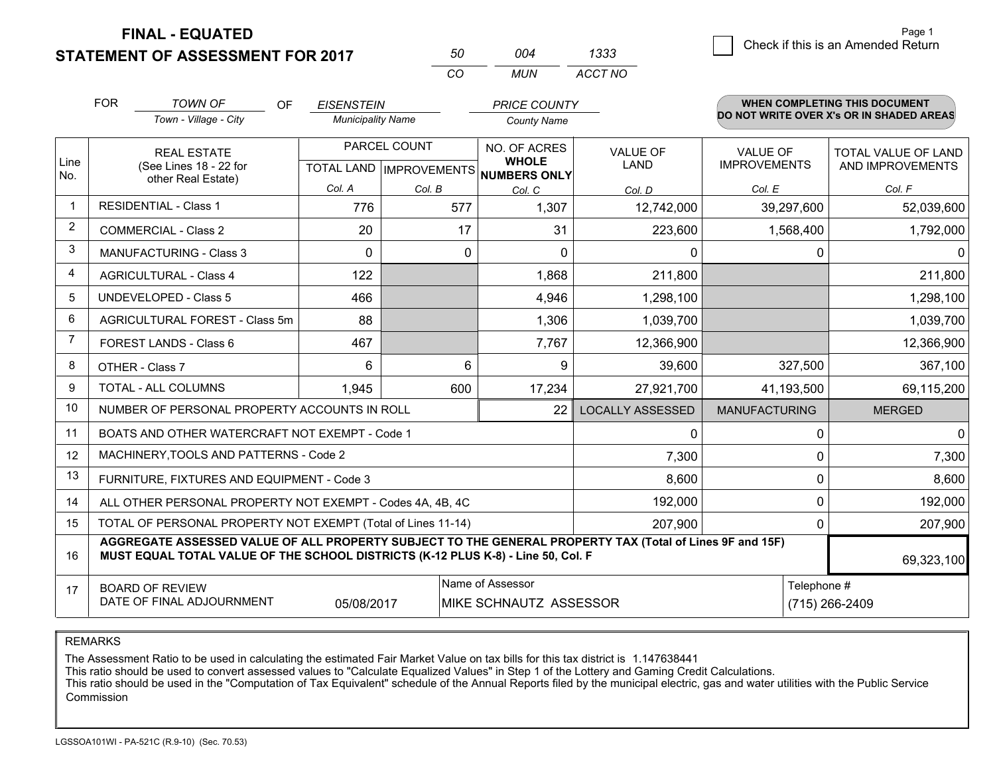**STATEMENT OF ASSESSMENT FOR 2017** 

| 50  | ∩∩4 | 1333    |
|-----|-----|---------|
| CO. | MUN | ACCT NO |

|             | <b>FOR</b>                                                                                                                                                                                   | TOWN OF<br>OF                                                | <b>EISENSTEIN</b>        |              | <b>PRICE COUNTY</b>                  |                         |                      | <b>WHEN COMPLETING THIS DOCUMENT</b>     |
|-------------|----------------------------------------------------------------------------------------------------------------------------------------------------------------------------------------------|--------------------------------------------------------------|--------------------------|--------------|--------------------------------------|-------------------------|----------------------|------------------------------------------|
|             |                                                                                                                                                                                              | Town - Village - City                                        | <b>Municipality Name</b> |              | <b>County Name</b>                   |                         |                      | DO NOT WRITE OVER X's OR IN SHADED AREAS |
| Line        |                                                                                                                                                                                              | <b>REAL ESTATE</b>                                           |                          | PARCEL COUNT | NO. OF ACRES<br><b>WHOLE</b>         | <b>VALUE OF</b>         | <b>VALUE OF</b>      | TOTAL VALUE OF LAND                      |
| No.         |                                                                                                                                                                                              | (See Lines 18 - 22 for<br>other Real Estate)                 |                          |              | TOTAL LAND IMPROVEMENTS NUMBERS ONLY | <b>LAND</b>             | <b>IMPROVEMENTS</b>  | AND IMPROVEMENTS                         |
|             |                                                                                                                                                                                              |                                                              | Col. A                   | Col. B       | Col. C                               | Col. D                  | Col. E               | Col. F                                   |
| $\mathbf 1$ | <b>RESIDENTIAL - Class 1</b>                                                                                                                                                                 |                                                              | 776                      | 577          | 1,307                                | 12,742,000              | 39,297,600           | 52,039,600                               |
| 2           |                                                                                                                                                                                              | <b>COMMERCIAL - Class 2</b>                                  | 20                       | 17           | 31                                   | 223,600                 | 1,568,400            | 1,792,000                                |
| 3           |                                                                                                                                                                                              | <b>MANUFACTURING - Class 3</b>                               | $\mathbf 0$              | 0            | $\Omega$                             | 0                       |                      | 0<br>$\mathbf 0$                         |
| 4           |                                                                                                                                                                                              | <b>AGRICULTURAL - Class 4</b>                                | 122                      |              | 1,868                                | 211,800                 |                      | 211,800                                  |
| 5           |                                                                                                                                                                                              | <b>UNDEVELOPED - Class 5</b>                                 | 466                      |              | 4,946                                | 1,298,100               |                      | 1,298,100                                |
| 6           | AGRICULTURAL FOREST - Class 5m                                                                                                                                                               |                                                              | 88                       |              | 1,306                                | 1,039,700               |                      | 1,039,700                                |
| 7           | FOREST LANDS - Class 6                                                                                                                                                                       |                                                              | 467                      |              | 7,767                                | 12,366,900              |                      | 12,366,900                               |
| 8           |                                                                                                                                                                                              | OTHER - Class 7                                              | 6                        |              | 6<br>9                               | 39,600                  | 327,500              | 367,100                                  |
| 9           |                                                                                                                                                                                              | TOTAL - ALL COLUMNS                                          | 1,945                    | 600          | 17,234                               | 27,921,700              | 41,193,500           | 69,115,200                               |
| 10          |                                                                                                                                                                                              | NUMBER OF PERSONAL PROPERTY ACCOUNTS IN ROLL                 |                          |              | 22                                   | <b>LOCALLY ASSESSED</b> | <b>MANUFACTURING</b> | <b>MERGED</b>                            |
| 11          |                                                                                                                                                                                              | BOATS AND OTHER WATERCRAFT NOT EXEMPT - Code 1               |                          |              |                                      | 0                       |                      | $\mathbf{0}$<br>0                        |
| 12          |                                                                                                                                                                                              | MACHINERY, TOOLS AND PATTERNS - Code 2                       |                          |              |                                      | 7,300                   |                      | 7,300<br>$\Omega$                        |
| 13          |                                                                                                                                                                                              | FURNITURE, FIXTURES AND EQUIPMENT - Code 3                   |                          |              |                                      | 8,600                   |                      | 0<br>8,600                               |
| 14          |                                                                                                                                                                                              | ALL OTHER PERSONAL PROPERTY NOT EXEMPT - Codes 4A, 4B, 4C    |                          |              |                                      | 192,000                 |                      | 0<br>192,000                             |
| 15          |                                                                                                                                                                                              | TOTAL OF PERSONAL PROPERTY NOT EXEMPT (Total of Lines 11-14) |                          |              |                                      | 207,900                 |                      | 207,900<br>0                             |
| 16          | AGGREGATE ASSESSED VALUE OF ALL PROPERTY SUBJECT TO THE GENERAL PROPERTY TAX (Total of Lines 9F and 15F)<br>MUST EQUAL TOTAL VALUE OF THE SCHOOL DISTRICTS (K-12 PLUS K-8) - Line 50, Col. F |                                                              |                          |              |                                      |                         | 69,323,100           |                                          |
| 17          |                                                                                                                                                                                              | <b>BOARD OF REVIEW</b>                                       |                          |              | Name of Assessor                     |                         |                      | Telephone #                              |
|             | DATE OF FINAL ADJOURNMENT<br>(715) 266-2409<br>05/08/2017<br>MIKE SCHNAUTZ ASSESSOR                                                                                                          |                                                              |                          |              |                                      |                         |                      |                                          |

REMARKS

The Assessment Ratio to be used in calculating the estimated Fair Market Value on tax bills for this tax district is 1.147638441<br>This ratio should be used to convert assessed values to "Calculate Equalized Values" in Step Commission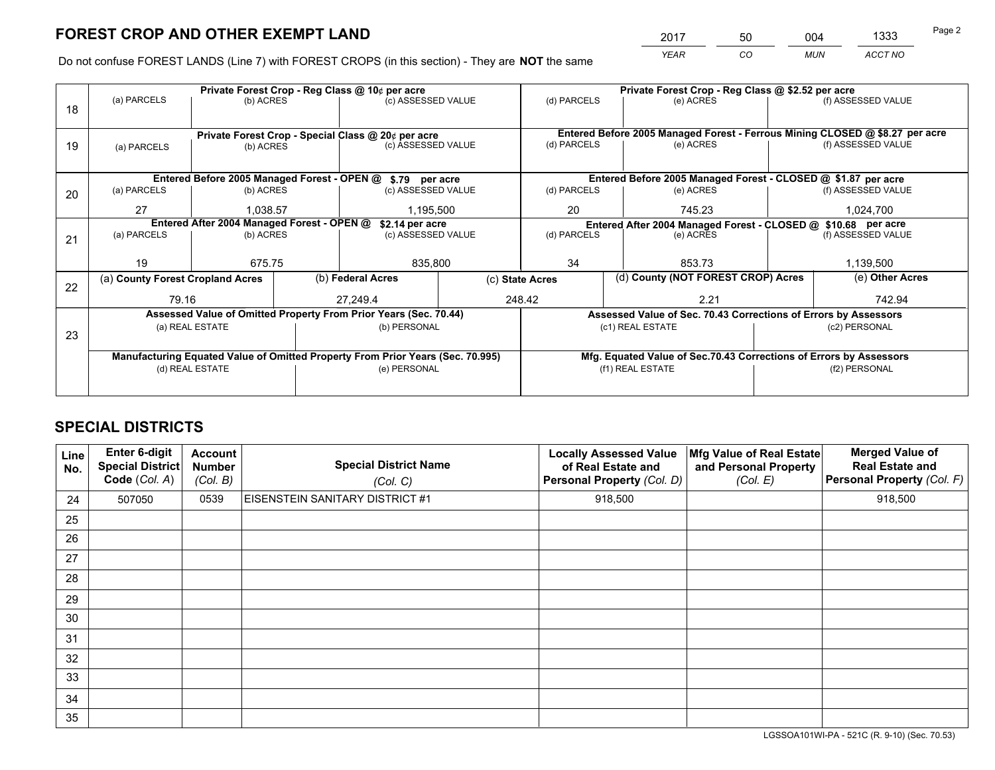*YEAR CO MUN ACCT NO* 2017 50 004 1333<br>2017 - <del>1990 1004</del>

Do not confuse FOREST LANDS (Line 7) with FOREST CROPS (in this section) - They are **NOT** the same

|    |                                                                                |                 |  | Private Forest Crop - Reg Class @ 10¢ per acre                   |                 | Private Forest Crop - Reg Class @ \$2.52 per acre                            |                                                               |                                                                    |                    |                    |
|----|--------------------------------------------------------------------------------|-----------------|--|------------------------------------------------------------------|-----------------|------------------------------------------------------------------------------|---------------------------------------------------------------|--------------------------------------------------------------------|--------------------|--------------------|
| 18 | (a) PARCELS                                                                    | (b) ACRES       |  | (c) ASSESSED VALUE                                               |                 | (d) PARCELS                                                                  |                                                               | (e) ACRES                                                          |                    | (f) ASSESSED VALUE |
|    |                                                                                |                 |  |                                                                  |                 |                                                                              |                                                               |                                                                    |                    |                    |
|    | Private Forest Crop - Special Class @ 20¢ per acre                             |                 |  |                                                                  |                 | Entered Before 2005 Managed Forest - Ferrous Mining CLOSED @ \$8.27 per acre |                                                               |                                                                    |                    |                    |
| 19 | (a) PARCELS                                                                    | (b) ACRES       |  | (c) ASSESSED VALUE                                               |                 | (d) PARCELS                                                                  |                                                               | (e) ACRES                                                          |                    | (f) ASSESSED VALUE |
|    |                                                                                |                 |  |                                                                  |                 |                                                                              |                                                               |                                                                    |                    |                    |
|    |                                                                                |                 |  | Entered Before 2005 Managed Forest - OPEN @ \$.79 per acre       |                 |                                                                              |                                                               | Entered Before 2005 Managed Forest - CLOSED @ \$1.87 per acre      |                    |                    |
| 20 | (a) PARCELS                                                                    | (b) ACRES       |  | (c) ASSESSED VALUE                                               |                 | (d) PARCELS                                                                  |                                                               | (e) ACRES                                                          |                    | (f) ASSESSED VALUE |
|    | 27                                                                             | 1.038.57        |  |                                                                  | 1,195,500       |                                                                              | 20<br>745.23                                                  |                                                                    |                    | 1,024,700          |
|    | Entered After 2004 Managed Forest - OPEN @<br>\$2.14 per acre                  |                 |  |                                                                  |                 |                                                                              | Entered After 2004 Managed Forest - CLOSED @ \$10.68 per acre |                                                                    |                    |                    |
| 21 | (a) PARCELS                                                                    | (b) ACRES       |  | (c) ASSESSED VALUE                                               |                 | (d) PARCELS                                                                  |                                                               | (e) ACRES                                                          | (f) ASSESSED VALUE |                    |
|    |                                                                                |                 |  |                                                                  |                 |                                                                              |                                                               |                                                                    |                    |                    |
|    | 19                                                                             | 675.75          |  | 835,800                                                          |                 | 34                                                                           |                                                               | 853.73                                                             |                    | 1,139,500          |
| 22 | (a) County Forest Cropland Acres                                               |                 |  | (b) Federal Acres                                                | (c) State Acres |                                                                              |                                                               | (d) County (NOT FOREST CROP) Acres                                 |                    | (e) Other Acres    |
|    | 79.16                                                                          |                 |  | 27,249.4                                                         |                 | 248.42<br>2.21                                                               |                                                               |                                                                    |                    | 742.94             |
|    |                                                                                |                 |  | Assessed Value of Omitted Property From Prior Years (Sec. 70.44) |                 |                                                                              |                                                               | Assessed Value of Sec. 70.43 Corrections of Errors by Assessors    |                    |                    |
| 23 |                                                                                | (a) REAL ESTATE |  | (b) PERSONAL                                                     |                 |                                                                              |                                                               | (c1) REAL ESTATE                                                   |                    | (c2) PERSONAL      |
|    |                                                                                |                 |  |                                                                  |                 |                                                                              |                                                               |                                                                    |                    |                    |
|    | Manufacturing Equated Value of Omitted Property From Prior Years (Sec. 70.995) |                 |  |                                                                  |                 |                                                                              |                                                               | Mfg. Equated Value of Sec.70.43 Corrections of Errors by Assessors |                    |                    |
|    | (d) REAL ESTATE                                                                |                 |  | (e) PERSONAL                                                     |                 | (f1) REAL ESTATE                                                             |                                                               |                                                                    | (f2) PERSONAL      |                    |
|    |                                                                                |                 |  |                                                                  |                 |                                                                              |                                                               |                                                                    |                    |                    |

## **SPECIAL DISTRICTS**

| <b>Line</b><br>No. | Enter 6-digit<br><b>Special District</b><br>Code (Col. A) | <b>Account</b><br><b>Number</b><br>(Col. B) | <b>Special District Name</b><br>(Col. C) | <b>Locally Assessed Value</b><br>of Real Estate and<br>Personal Property (Col. D) | Mfg Value of Real Estate<br>and Personal Property<br>(Col. E) | <b>Merged Value of</b><br><b>Real Estate and</b><br>Personal Property (Col. F) |
|--------------------|-----------------------------------------------------------|---------------------------------------------|------------------------------------------|-----------------------------------------------------------------------------------|---------------------------------------------------------------|--------------------------------------------------------------------------------|
| 24                 | 507050                                                    | 0539                                        | EISENSTEIN SANITARY DISTRICT #1          | 918,500                                                                           |                                                               | 918,500                                                                        |
| 25                 |                                                           |                                             |                                          |                                                                                   |                                                               |                                                                                |
| 26                 |                                                           |                                             |                                          |                                                                                   |                                                               |                                                                                |
| 27                 |                                                           |                                             |                                          |                                                                                   |                                                               |                                                                                |
| 28                 |                                                           |                                             |                                          |                                                                                   |                                                               |                                                                                |
| 29                 |                                                           |                                             |                                          |                                                                                   |                                                               |                                                                                |
| 30                 |                                                           |                                             |                                          |                                                                                   |                                                               |                                                                                |
| 31                 |                                                           |                                             |                                          |                                                                                   |                                                               |                                                                                |
| 32                 |                                                           |                                             |                                          |                                                                                   |                                                               |                                                                                |
| 33                 |                                                           |                                             |                                          |                                                                                   |                                                               |                                                                                |
| 34                 |                                                           |                                             |                                          |                                                                                   |                                                               |                                                                                |
| 35                 |                                                           |                                             |                                          |                                                                                   |                                                               |                                                                                |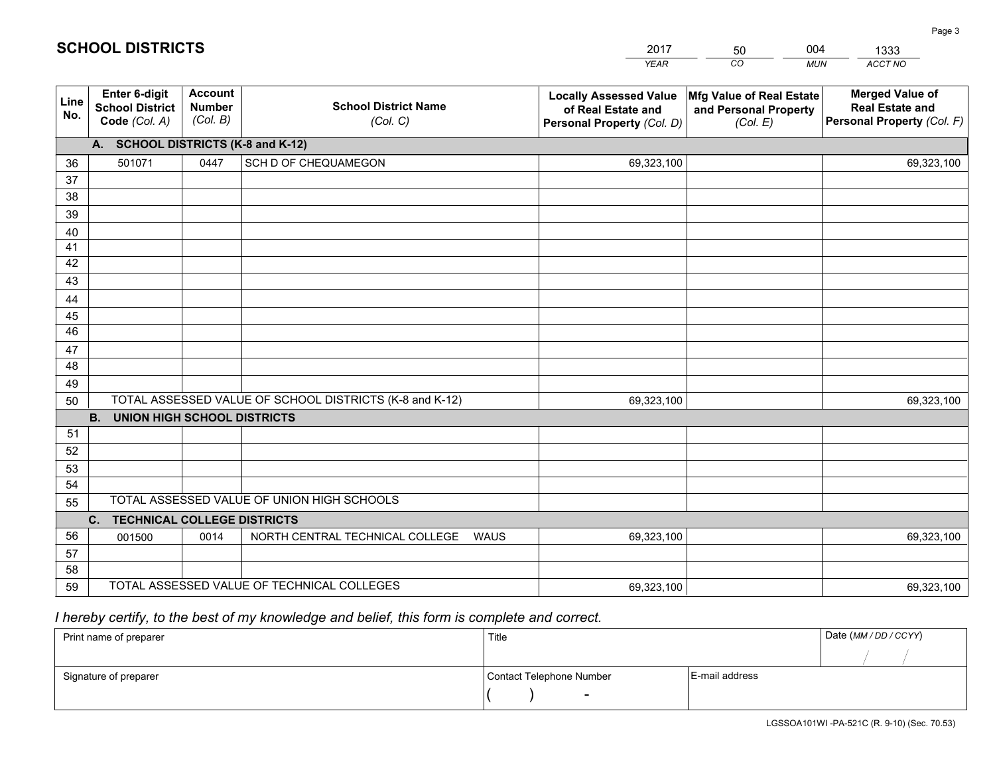|             |                                                          |                                             |                                                         | <b>YEAR</b>                                                                       | CO<br><b>MUN</b>                                              | ACCT NO                                                                        |
|-------------|----------------------------------------------------------|---------------------------------------------|---------------------------------------------------------|-----------------------------------------------------------------------------------|---------------------------------------------------------------|--------------------------------------------------------------------------------|
| Line<br>No. | Enter 6-digit<br><b>School District</b><br>Code (Col. A) | <b>Account</b><br><b>Number</b><br>(Col. B) | <b>School District Name</b><br>(Col. C)                 | <b>Locally Assessed Value</b><br>of Real Estate and<br>Personal Property (Col. D) | Mfg Value of Real Estate<br>and Personal Property<br>(Col. E) | <b>Merged Value of</b><br><b>Real Estate and</b><br>Personal Property (Col. F) |
|             | A. SCHOOL DISTRICTS (K-8 and K-12)                       |                                             |                                                         |                                                                                   |                                                               |                                                                                |
| 36          | 501071                                                   | 0447                                        | SCH D OF CHEQUAMEGON                                    | 69,323,100                                                                        |                                                               | 69,323,100                                                                     |
| 37          |                                                          |                                             |                                                         |                                                                                   |                                                               |                                                                                |
| 38          |                                                          |                                             |                                                         |                                                                                   |                                                               |                                                                                |
| 39          |                                                          |                                             |                                                         |                                                                                   |                                                               |                                                                                |
| 40          |                                                          |                                             |                                                         |                                                                                   |                                                               |                                                                                |
| 41          |                                                          |                                             |                                                         |                                                                                   |                                                               |                                                                                |
| 42          |                                                          |                                             |                                                         |                                                                                   |                                                               |                                                                                |
| 43          |                                                          |                                             |                                                         |                                                                                   |                                                               |                                                                                |
| 44          |                                                          |                                             |                                                         |                                                                                   |                                                               |                                                                                |
| 45<br>46    |                                                          |                                             |                                                         |                                                                                   |                                                               |                                                                                |
|             |                                                          |                                             |                                                         |                                                                                   |                                                               |                                                                                |
| 47<br>48    |                                                          |                                             |                                                         |                                                                                   |                                                               |                                                                                |
| 49          |                                                          |                                             |                                                         |                                                                                   |                                                               |                                                                                |
| 50          |                                                          |                                             | TOTAL ASSESSED VALUE OF SCHOOL DISTRICTS (K-8 and K-12) | 69,323,100                                                                        |                                                               | 69,323,100                                                                     |
|             | <b>B.</b><br><b>UNION HIGH SCHOOL DISTRICTS</b>          |                                             |                                                         |                                                                                   |                                                               |                                                                                |
| 51          |                                                          |                                             |                                                         |                                                                                   |                                                               |                                                                                |
| 52          |                                                          |                                             |                                                         |                                                                                   |                                                               |                                                                                |
| 53          |                                                          |                                             |                                                         |                                                                                   |                                                               |                                                                                |
| 54          |                                                          |                                             |                                                         |                                                                                   |                                                               |                                                                                |
| 55          |                                                          |                                             | TOTAL ASSESSED VALUE OF UNION HIGH SCHOOLS              |                                                                                   |                                                               |                                                                                |
|             | C.<br><b>TECHNICAL COLLEGE DISTRICTS</b>                 |                                             |                                                         |                                                                                   |                                                               |                                                                                |
| 56          | 001500                                                   | 0014                                        | NORTH CENTRAL TECHNICAL COLLEGE<br><b>WAUS</b>          | 69,323,100                                                                        |                                                               | 69,323,100                                                                     |
| 57          |                                                          |                                             |                                                         |                                                                                   |                                                               |                                                                                |
| 58          |                                                          |                                             |                                                         |                                                                                   |                                                               |                                                                                |
| 59          |                                                          |                                             | TOTAL ASSESSED VALUE OF TECHNICAL COLLEGES              | 69,323,100                                                                        |                                                               | 69,323,100                                                                     |

50

004

## *I hereby certify, to the best of my knowledge and belief, this form is complete and correct.*

**SCHOOL DISTRICTS**

| Print name of preparer | Title                    |                | Date (MM / DD / CCYY) |
|------------------------|--------------------------|----------------|-----------------------|
|                        |                          |                |                       |
| Signature of preparer  | Contact Telephone Number | E-mail address |                       |
|                        | $\overline{\phantom{0}}$ |                |                       |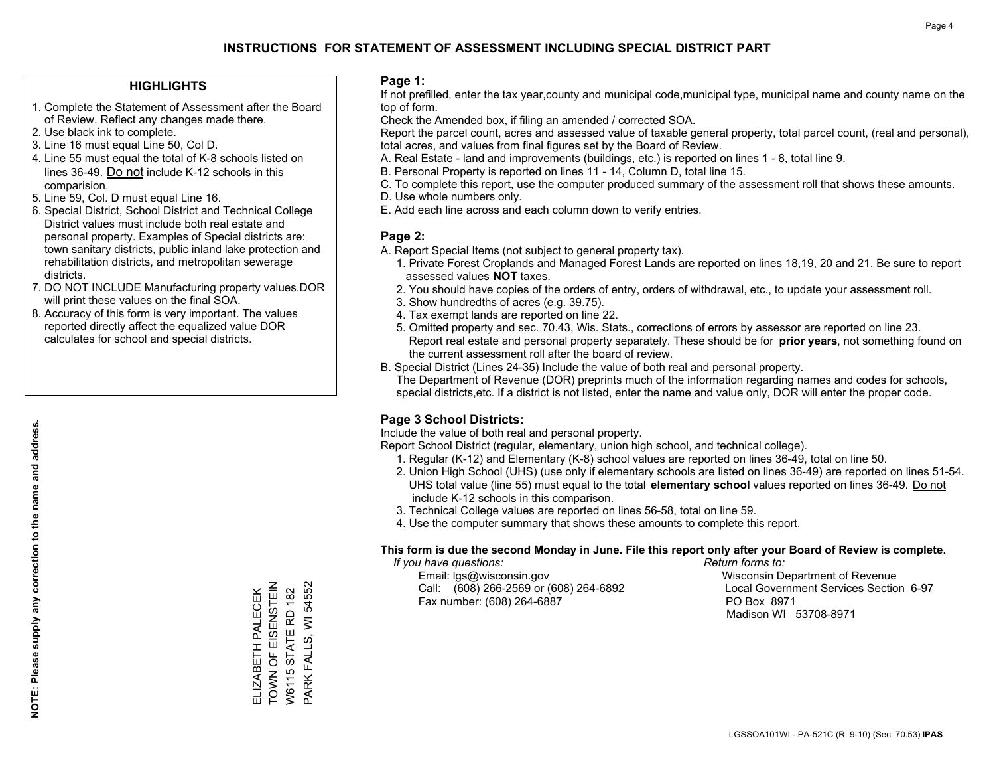### **HIGHLIGHTS**

- 1. Complete the Statement of Assessment after the Board of Review. Reflect any changes made there.
- 2. Use black ink to complete.
- 3. Line 16 must equal Line 50, Col D.
- 4. Line 55 must equal the total of K-8 schools listed on lines 36-49. Do not include K-12 schools in this comparision.
- 5. Line 59, Col. D must equal Line 16.
- 6. Special District, School District and Technical College District values must include both real estate and personal property. Examples of Special districts are: town sanitary districts, public inland lake protection and rehabilitation districts, and metropolitan sewerage districts.
- 7. DO NOT INCLUDE Manufacturing property values.DOR will print these values on the final SOA.

ELIZABETH PALECEK TOWN OF EISENSTEIN W6115 STATE RD 182 PARK FALLS, WI 54552

ELIZABETH PALECEK<br>TOWN OF EISENSTEIN<br>W6115 STATE RD 182

PARK FALLS, WI 54552

 8. Accuracy of this form is very important. The values reported directly affect the equalized value DOR calculates for school and special districts.

#### **Page 1:**

 If not prefilled, enter the tax year,county and municipal code,municipal type, municipal name and county name on the top of form.

Check the Amended box, if filing an amended / corrected SOA.

 Report the parcel count, acres and assessed value of taxable general property, total parcel count, (real and personal), total acres, and values from final figures set by the Board of Review.

- A. Real Estate land and improvements (buildings, etc.) is reported on lines 1 8, total line 9.
- B. Personal Property is reported on lines 11 14, Column D, total line 15.
- C. To complete this report, use the computer produced summary of the assessment roll that shows these amounts.
- D. Use whole numbers only.
- E. Add each line across and each column down to verify entries.

## **Page 2:**

- A. Report Special Items (not subject to general property tax).
- 1. Private Forest Croplands and Managed Forest Lands are reported on lines 18,19, 20 and 21. Be sure to report assessed values **NOT** taxes.
- 2. You should have copies of the orders of entry, orders of withdrawal, etc., to update your assessment roll.
	- 3. Show hundredths of acres (e.g. 39.75).
- 4. Tax exempt lands are reported on line 22.
- 5. Omitted property and sec. 70.43, Wis. Stats., corrections of errors by assessor are reported on line 23. Report real estate and personal property separately. These should be for **prior years**, not something found on the current assessment roll after the board of review.
- B. Special District (Lines 24-35) Include the value of both real and personal property.

 The Department of Revenue (DOR) preprints much of the information regarding names and codes for schools, special districts,etc. If a district is not listed, enter the name and value only, DOR will enter the proper code.

## **Page 3 School Districts:**

Include the value of both real and personal property.

Report School District (regular, elementary, union high school, and technical college).

- 1. Regular (K-12) and Elementary (K-8) school values are reported on lines 36-49, total on line 50.
- 2. Union High School (UHS) (use only if elementary schools are listed on lines 36-49) are reported on lines 51-54. UHS total value (line 55) must equal to the total **elementary school** values reported on lines 36-49. Do notinclude K-12 schools in this comparison.
- 3. Technical College values are reported on lines 56-58, total on line 59.
- 4. Use the computer summary that shows these amounts to complete this report.

#### **This form is due the second Monday in June. File this report only after your Board of Review is complete.**

 *If you have questions: Return forms to:*

 Email: lgs@wisconsin.gov Wisconsin Department of RevenueCall:  $(608)$  266-2569 or  $(608)$  264-6892 Fax number: (608) 264-6887 PO Box 8971

Local Government Services Section 6-97 Madison WI 53708-8971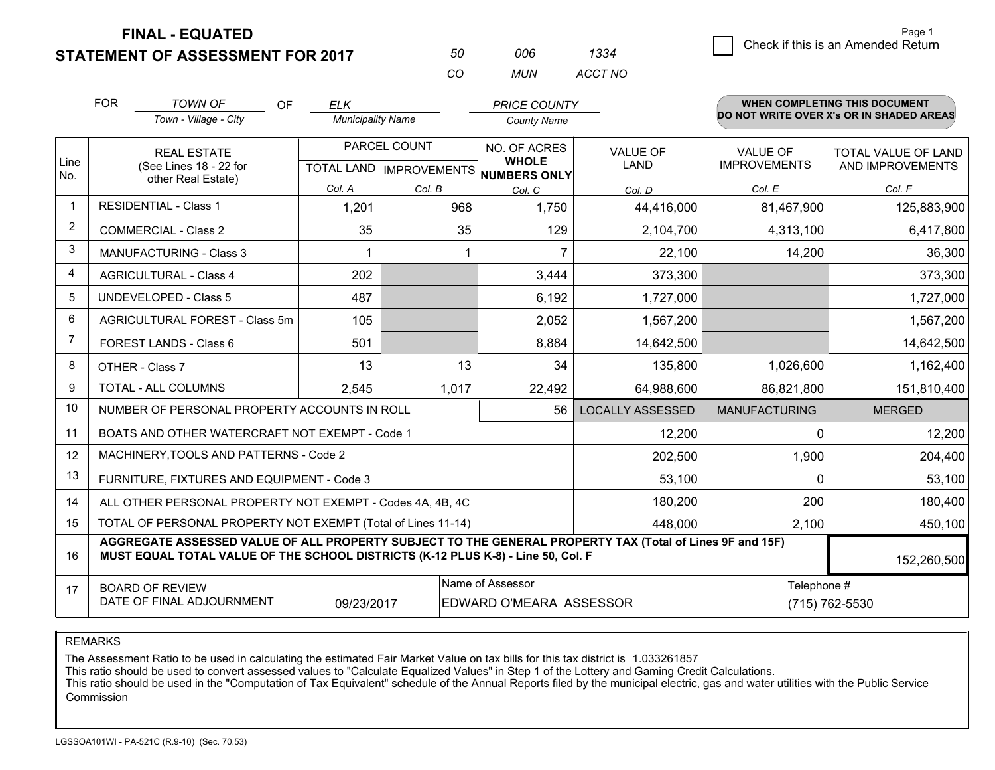**STATEMENT OF ASSESSMENT FOR 2017** 

| 50  | ററഞ  | 1334    |
|-----|------|---------|
| CO. | MUN. | ACCT NO |

|                | <b>FOR</b>                                                                                                                                                                                                  | <b>TOWN OF</b><br><b>OF</b>                               | <b>ELK</b>               |              | <b>PRICE COUNTY</b>                                  |                         |                      | <b>WHEN COMPLETING THIS DOCUMENT</b>     |
|----------------|-------------------------------------------------------------------------------------------------------------------------------------------------------------------------------------------------------------|-----------------------------------------------------------|--------------------------|--------------|------------------------------------------------------|-------------------------|----------------------|------------------------------------------|
|                |                                                                                                                                                                                                             | Town - Village - City                                     | <b>Municipality Name</b> |              | <b>County Name</b>                                   |                         |                      | DO NOT WRITE OVER X's OR IN SHADED AREAS |
|                |                                                                                                                                                                                                             | <b>REAL ESTATE</b>                                        |                          | PARCEL COUNT | NO. OF ACRES                                         | <b>VALUE OF</b>         | <b>VALUE OF</b>      | <b>TOTAL VALUE OF LAND</b>               |
| Line<br>No.    |                                                                                                                                                                                                             | (See Lines 18 - 22 for<br>other Real Estate)              |                          |              | <b>WHOLE</b><br>TOTAL LAND IMPROVEMENTS NUMBERS ONLY | <b>LAND</b>             | <b>IMPROVEMENTS</b>  | AND IMPROVEMENTS                         |
|                |                                                                                                                                                                                                             |                                                           | Col. A                   | Col. B       | Col. C                                               | Col. D                  | Col. E               | Col. F                                   |
| $\mathbf 1$    |                                                                                                                                                                                                             | <b>RESIDENTIAL - Class 1</b>                              | 1,201                    | 968          | 1,750                                                | 44,416,000              | 81,467,900           | 125,883,900                              |
| 2              |                                                                                                                                                                                                             | <b>COMMERCIAL - Class 2</b>                               | 35                       | 35           | 129                                                  | 2,104,700               | 4,313,100            | 6,417,800                                |
| 3              |                                                                                                                                                                                                             | <b>MANUFACTURING - Class 3</b>                            |                          |              | 7                                                    | 22,100                  | 14,200               | 36,300                                   |
| 4              |                                                                                                                                                                                                             | <b>AGRICULTURAL - Class 4</b>                             | 202                      |              | 3,444                                                | 373,300                 |                      | 373,300                                  |
| 5              |                                                                                                                                                                                                             | <b>UNDEVELOPED - Class 5</b>                              | 487                      |              | 6,192                                                | 1,727,000               |                      | 1,727,000                                |
| 6              |                                                                                                                                                                                                             | AGRICULTURAL FOREST - Class 5m                            | 105                      |              | 2,052                                                | 1,567,200               |                      | 1,567,200                                |
| $\overline{7}$ | FOREST LANDS - Class 6                                                                                                                                                                                      |                                                           | 501                      |              | 8,884                                                | 14,642,500              |                      | 14,642,500                               |
| 8              |                                                                                                                                                                                                             | OTHER - Class 7                                           | 13                       | 13           | 34                                                   | 135,800                 | 1,026,600            | 1,162,400                                |
| 9              |                                                                                                                                                                                                             | TOTAL - ALL COLUMNS                                       | 2,545                    | 1,017        | 22,492                                               | 64,988,600              | 86,821,800           | 151,810,400                              |
| 10             |                                                                                                                                                                                                             | NUMBER OF PERSONAL PROPERTY ACCOUNTS IN ROLL              |                          |              | 56                                                   | <b>LOCALLY ASSESSED</b> | <b>MANUFACTURING</b> | <b>MERGED</b>                            |
| 11             |                                                                                                                                                                                                             | BOATS AND OTHER WATERCRAFT NOT EXEMPT - Code 1            |                          |              |                                                      | 12,200                  | $\Omega$             | 12,200                                   |
| 12             |                                                                                                                                                                                                             | MACHINERY, TOOLS AND PATTERNS - Code 2                    |                          |              |                                                      | 202,500                 | 1,900                | 204,400                                  |
| 13             |                                                                                                                                                                                                             | FURNITURE, FIXTURES AND EQUIPMENT - Code 3                |                          |              |                                                      | 53,100                  | $\Omega$             | 53,100                                   |
| 14             |                                                                                                                                                                                                             | ALL OTHER PERSONAL PROPERTY NOT EXEMPT - Codes 4A, 4B, 4C |                          |              |                                                      | 180,200                 | 200                  | 180,400                                  |
| 15             | TOTAL OF PERSONAL PROPERTY NOT EXEMPT (Total of Lines 11-14)<br>448,000                                                                                                                                     |                                                           |                          |              |                                                      |                         | 2,100                | 450,100                                  |
| 16             | AGGREGATE ASSESSED VALUE OF ALL PROPERTY SUBJECT TO THE GENERAL PROPERTY TAX (Total of Lines 9F and 15F)<br>MUST EQUAL TOTAL VALUE OF THE SCHOOL DISTRICTS (K-12 PLUS K-8) - Line 50, Col. F<br>152,260,500 |                                                           |                          |              |                                                      |                         |                      |                                          |
| 17             | Name of Assessor<br>Telephone #<br><b>BOARD OF REVIEW</b><br>DATE OF FINAL ADJOURNMENT<br>09/23/2017<br><b>EDWARD O'MEARA ASSESSOR</b>                                                                      |                                                           |                          |              |                                                      |                         |                      | (715) 762-5530                           |

REMARKS

The Assessment Ratio to be used in calculating the estimated Fair Market Value on tax bills for this tax district is 1.033261857

This ratio should be used to convert assessed values to "Calculate Equalized Values" in Step 1 of the Lottery and Gaming Credit Calculations.<br>This ratio should be used in the "Computation of Tax Equivalent" schedule of the Commission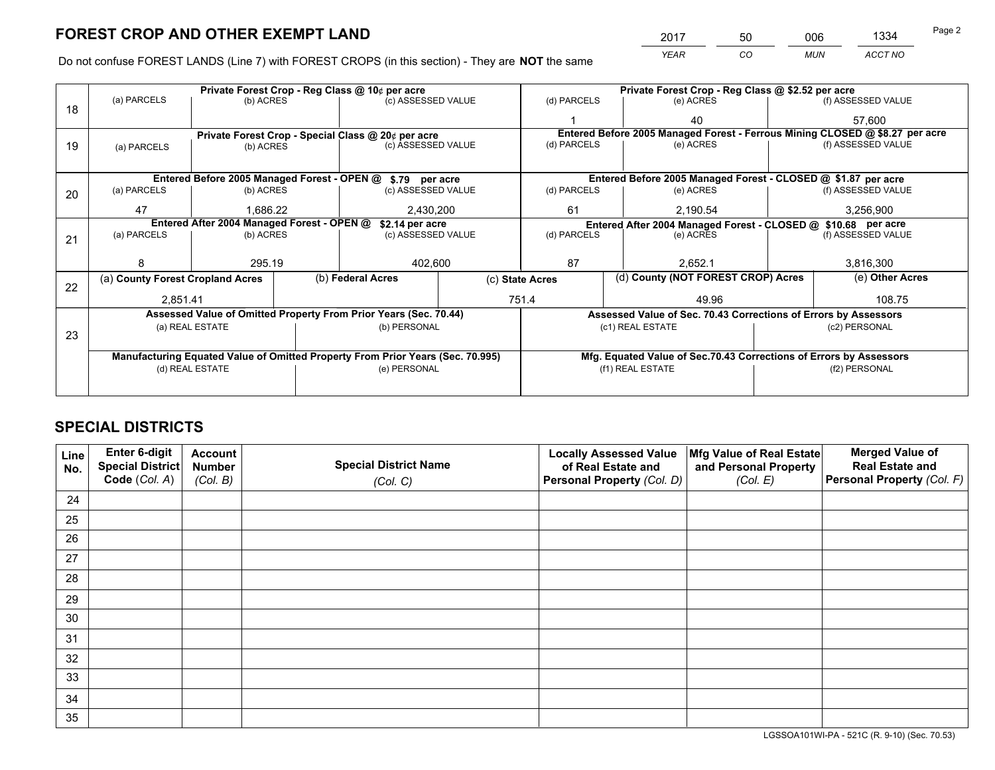*YEAR CO MUN ACCT NO* 2017 50 006 1334

Do not confuse FOREST LANDS (Line 7) with FOREST CROPS (in this section) - They are **NOT** the same

| (f) ASSESSED VALUE<br>57,600<br>Entered Before 2005 Managed Forest - Ferrous Mining CLOSED @ \$8.27 per acre<br>(f) ASSESSED VALUE<br>Entered Before 2005 Managed Forest - CLOSED @ \$1.87 per acre<br>(f) ASSESSED VALUE |  |  |  |  |
|---------------------------------------------------------------------------------------------------------------------------------------------------------------------------------------------------------------------------|--|--|--|--|
|                                                                                                                                                                                                                           |  |  |  |  |
|                                                                                                                                                                                                                           |  |  |  |  |
|                                                                                                                                                                                                                           |  |  |  |  |
|                                                                                                                                                                                                                           |  |  |  |  |
|                                                                                                                                                                                                                           |  |  |  |  |
|                                                                                                                                                                                                                           |  |  |  |  |
|                                                                                                                                                                                                                           |  |  |  |  |
| 3,256,900                                                                                                                                                                                                                 |  |  |  |  |
| Entered After 2004 Managed Forest - CLOSED @ \$10.68 per acre                                                                                                                                                             |  |  |  |  |
| (f) ASSESSED VALUE                                                                                                                                                                                                        |  |  |  |  |
|                                                                                                                                                                                                                           |  |  |  |  |
| 3,816,300                                                                                                                                                                                                                 |  |  |  |  |
| (e) Other Acres                                                                                                                                                                                                           |  |  |  |  |
| 108.75                                                                                                                                                                                                                    |  |  |  |  |
| Assessed Value of Sec. 70.43 Corrections of Errors by Assessors                                                                                                                                                           |  |  |  |  |
| (c2) PERSONAL                                                                                                                                                                                                             |  |  |  |  |
|                                                                                                                                                                                                                           |  |  |  |  |
| Mfg. Equated Value of Sec.70.43 Corrections of Errors by Assessors                                                                                                                                                        |  |  |  |  |
| (f2) PERSONAL                                                                                                                                                                                                             |  |  |  |  |
|                                                                                                                                                                                                                           |  |  |  |  |
|                                                                                                                                                                                                                           |  |  |  |  |

## **SPECIAL DISTRICTS**

| Line<br>No. | Enter 6-digit<br>Special District<br>Code (Col. A) | <b>Account</b><br><b>Number</b><br>(Col. B) | <b>Special District Name</b><br>(Col. C) | <b>Locally Assessed Value</b><br>of Real Estate and<br>Personal Property (Col. D) | Mfg Value of Real Estate<br>and Personal Property<br>(Col. E) | <b>Merged Value of</b><br><b>Real Estate and</b><br>Personal Property (Col. F) |
|-------------|----------------------------------------------------|---------------------------------------------|------------------------------------------|-----------------------------------------------------------------------------------|---------------------------------------------------------------|--------------------------------------------------------------------------------|
| 24          |                                                    |                                             |                                          |                                                                                   |                                                               |                                                                                |
| 25          |                                                    |                                             |                                          |                                                                                   |                                                               |                                                                                |
| 26          |                                                    |                                             |                                          |                                                                                   |                                                               |                                                                                |
| 27          |                                                    |                                             |                                          |                                                                                   |                                                               |                                                                                |
| 28          |                                                    |                                             |                                          |                                                                                   |                                                               |                                                                                |
| 29          |                                                    |                                             |                                          |                                                                                   |                                                               |                                                                                |
| 30          |                                                    |                                             |                                          |                                                                                   |                                                               |                                                                                |
| 31          |                                                    |                                             |                                          |                                                                                   |                                                               |                                                                                |
| 32          |                                                    |                                             |                                          |                                                                                   |                                                               |                                                                                |
| 33          |                                                    |                                             |                                          |                                                                                   |                                                               |                                                                                |
| 34          |                                                    |                                             |                                          |                                                                                   |                                                               |                                                                                |
| 35          |                                                    |                                             |                                          |                                                                                   |                                                               |                                                                                |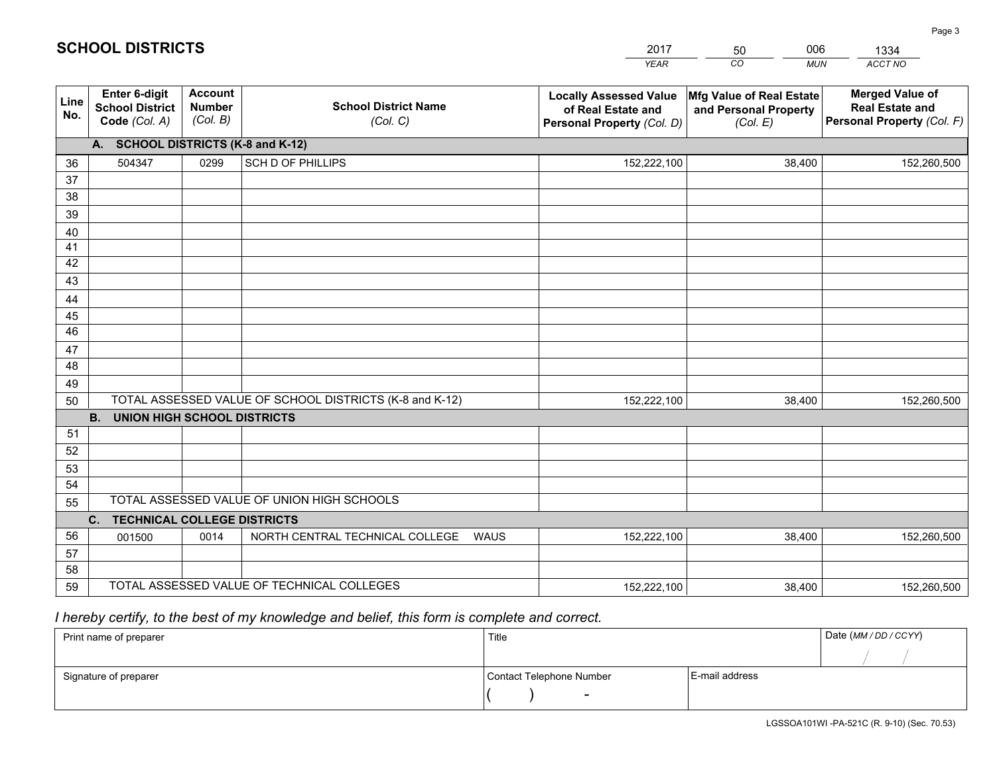|             |                                                                 |                                             |                                                         | <b>YEAR</b>                                                                       | CO<br><b>MUN</b>                                              | ACCT NO                                                                        |
|-------------|-----------------------------------------------------------------|---------------------------------------------|---------------------------------------------------------|-----------------------------------------------------------------------------------|---------------------------------------------------------------|--------------------------------------------------------------------------------|
| Line<br>No. | <b>Enter 6-digit</b><br><b>School District</b><br>Code (Col. A) | <b>Account</b><br><b>Number</b><br>(Col. B) | <b>School District Name</b><br>(Col. C)                 | <b>Locally Assessed Value</b><br>of Real Estate and<br>Personal Property (Col. D) | Mfg Value of Real Estate<br>and Personal Property<br>(Col. E) | <b>Merged Value of</b><br><b>Real Estate and</b><br>Personal Property (Col. F) |
|             | A. SCHOOL DISTRICTS (K-8 and K-12)                              |                                             |                                                         |                                                                                   |                                                               |                                                                                |
| 36          | 504347                                                          | 0299                                        | SCH D OF PHILLIPS                                       | 152,222,100                                                                       | 38,400                                                        | 152,260,500                                                                    |
| 37          |                                                                 |                                             |                                                         |                                                                                   |                                                               |                                                                                |
| 38          |                                                                 |                                             |                                                         |                                                                                   |                                                               |                                                                                |
| 39          |                                                                 |                                             |                                                         |                                                                                   |                                                               |                                                                                |
| 40          |                                                                 |                                             |                                                         |                                                                                   |                                                               |                                                                                |
| 41          |                                                                 |                                             |                                                         |                                                                                   |                                                               |                                                                                |
| 42          |                                                                 |                                             |                                                         |                                                                                   |                                                               |                                                                                |
| 43          |                                                                 |                                             |                                                         |                                                                                   |                                                               |                                                                                |
| 44<br>45    |                                                                 |                                             |                                                         |                                                                                   |                                                               |                                                                                |
| 46          |                                                                 |                                             |                                                         |                                                                                   |                                                               |                                                                                |
| 47          |                                                                 |                                             |                                                         |                                                                                   |                                                               |                                                                                |
| 48          |                                                                 |                                             |                                                         |                                                                                   |                                                               |                                                                                |
| 49          |                                                                 |                                             |                                                         |                                                                                   |                                                               |                                                                                |
| 50          |                                                                 |                                             | TOTAL ASSESSED VALUE OF SCHOOL DISTRICTS (K-8 and K-12) | 152,222,100                                                                       | 38,400                                                        | 152,260,500                                                                    |
|             | <b>B. UNION HIGH SCHOOL DISTRICTS</b>                           |                                             |                                                         |                                                                                   |                                                               |                                                                                |
| 51          |                                                                 |                                             |                                                         |                                                                                   |                                                               |                                                                                |
| 52          |                                                                 |                                             |                                                         |                                                                                   |                                                               |                                                                                |
| 53          |                                                                 |                                             |                                                         |                                                                                   |                                                               |                                                                                |
| 54          |                                                                 |                                             |                                                         |                                                                                   |                                                               |                                                                                |
| 55          |                                                                 |                                             | TOTAL ASSESSED VALUE OF UNION HIGH SCHOOLS              |                                                                                   |                                                               |                                                                                |
|             | C.<br><b>TECHNICAL COLLEGE DISTRICTS</b>                        |                                             |                                                         |                                                                                   |                                                               |                                                                                |
| 56          | 001500                                                          | 0014                                        | NORTH CENTRAL TECHNICAL COLLEGE<br><b>WAUS</b>          | 152,222,100                                                                       | 38,400                                                        | 152,260,500                                                                    |
| 57<br>58    |                                                                 |                                             |                                                         |                                                                                   |                                                               |                                                                                |
| 59          |                                                                 |                                             | TOTAL ASSESSED VALUE OF TECHNICAL COLLEGES              | 152,222,100                                                                       | 38,400                                                        | 152,260,500                                                                    |
|             |                                                                 |                                             |                                                         |                                                                                   |                                                               |                                                                                |

50

006

 *I hereby certify, to the best of my knowledge and belief, this form is complete and correct.*

**SCHOOL DISTRICTS**

| Print name of preparer | Title                    |                | Date (MM / DD / CCYY) |
|------------------------|--------------------------|----------------|-----------------------|
|                        |                          |                |                       |
| Signature of preparer  | Contact Telephone Number | E-mail address |                       |
|                        | $\sim$                   |                |                       |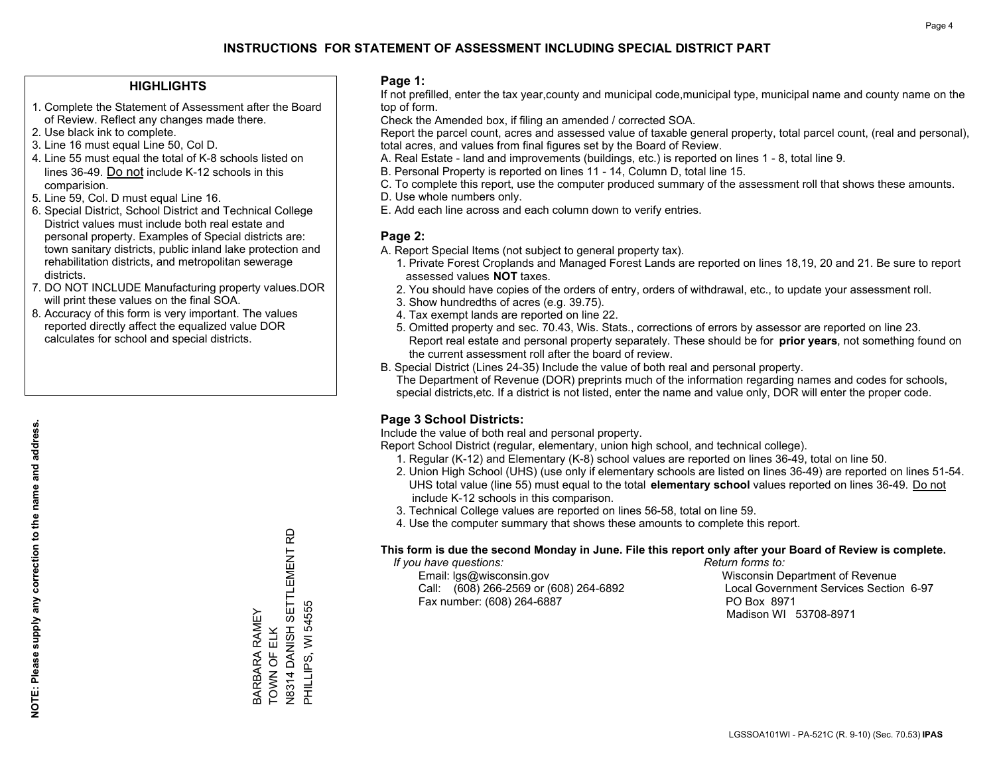### **HIGHLIGHTS**

- 1. Complete the Statement of Assessment after the Board of Review. Reflect any changes made there.
- 2. Use black ink to complete.
- 3. Line 16 must equal Line 50, Col D.
- 4. Line 55 must equal the total of K-8 schools listed on lines 36-49. Do not include K-12 schools in this comparision.
- 5. Line 59, Col. D must equal Line 16.
- 6. Special District, School District and Technical College District values must include both real estate and personal property. Examples of Special districts are: town sanitary districts, public inland lake protection and rehabilitation districts, and metropolitan sewerage districts.
- 7. DO NOT INCLUDE Manufacturing property values.DOR will print these values on the final SOA.
- 8. Accuracy of this form is very important. The values reported directly affect the equalized value DOR calculates for school and special districts.

#### **Page 1:**

 If not prefilled, enter the tax year,county and municipal code,municipal type, municipal name and county name on the top of form.

Check the Amended box, if filing an amended / corrected SOA.

 Report the parcel count, acres and assessed value of taxable general property, total parcel count, (real and personal), total acres, and values from final figures set by the Board of Review.

- A. Real Estate land and improvements (buildings, etc.) is reported on lines 1 8, total line 9.
- B. Personal Property is reported on lines 11 14, Column D, total line 15.
- C. To complete this report, use the computer produced summary of the assessment roll that shows these amounts.
- D. Use whole numbers only.
- E. Add each line across and each column down to verify entries.

#### **Page 2:**

- A. Report Special Items (not subject to general property tax).
- 1. Private Forest Croplands and Managed Forest Lands are reported on lines 18,19, 20 and 21. Be sure to report assessed values **NOT** taxes.
- 2. You should have copies of the orders of entry, orders of withdrawal, etc., to update your assessment roll.
	- 3. Show hundredths of acres (e.g. 39.75).
- 4. Tax exempt lands are reported on line 22.
- 5. Omitted property and sec. 70.43, Wis. Stats., corrections of errors by assessor are reported on line 23. Report real estate and personal property separately. These should be for **prior years**, not something found on the current assessment roll after the board of review.
- B. Special District (Lines 24-35) Include the value of both real and personal property.
- The Department of Revenue (DOR) preprints much of the information regarding names and codes for schools, special districts,etc. If a district is not listed, enter the name and value only, DOR will enter the proper code.

## **Page 3 School Districts:**

Include the value of both real and personal property.

Report School District (regular, elementary, union high school, and technical college).

- 1. Regular (K-12) and Elementary (K-8) school values are reported on lines 36-49, total on line 50.
- 2. Union High School (UHS) (use only if elementary schools are listed on lines 36-49) are reported on lines 51-54. UHS total value (line 55) must equal to the total **elementary school** values reported on lines 36-49. Do notinclude K-12 schools in this comparison.
- 3. Technical College values are reported on lines 56-58, total on line 59.
- 4. Use the computer summary that shows these amounts to complete this report.

#### **This form is due the second Monday in June. File this report only after your Board of Review is complete.**

 *If you have questions: Return forms to:*

 Email: lgs@wisconsin.gov Wisconsin Department of RevenueCall:  $(608)$  266-2569 or  $(608)$  264-6892 Fax number: (608) 264-6887 PO Box 8971

Local Government Services Section 6-97 Madison WI 53708-8971

N8314 DANISH SETTLEMENT RD<br>PHILLIPS, WI 54555 N8314 DANISH SETTLEMENT RD PHILLIPS, WI 54555 BARBARA RAMEY<br>TOWN OF ELK BARBARA RAMEY TOWN OF ELK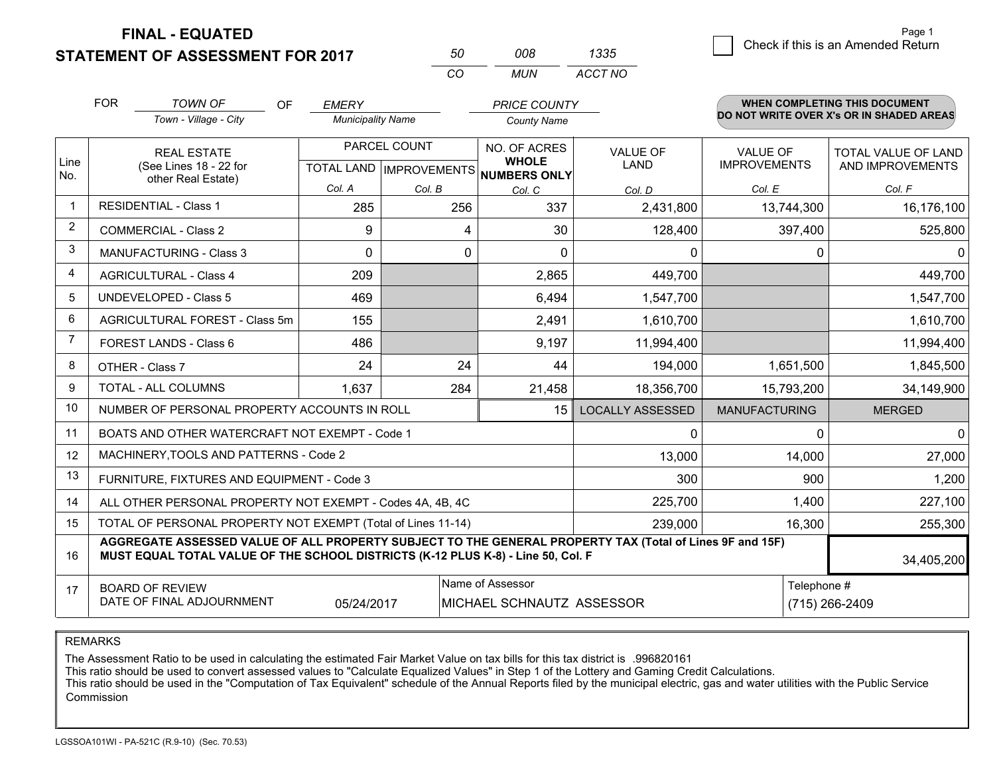**STATEMENT OF ASSESSMENT FOR 2017** 

| 50. | nnr | 1335    |
|-----|-----|---------|
| CO. | MUN | ACCT NO |

|             | <b>FOR</b>                                                                                                                                                                                   | <b>TOWN OF</b><br>OF<br>Town - Village - City                | <b>EMERY</b><br><b>Municipality Name</b>  |        | <b>PRICE COUNTY</b><br><b>County Name</b>           |                                |                                        | <b>WHEN COMPLETING THIS DOCUMENT</b><br>DO NOT WRITE OVER X's OR IN SHADED AREAS |
|-------------|----------------------------------------------------------------------------------------------------------------------------------------------------------------------------------------------|--------------------------------------------------------------|-------------------------------------------|--------|-----------------------------------------------------|--------------------------------|----------------------------------------|----------------------------------------------------------------------------------|
| Line<br>No. | <b>REAL ESTATE</b><br>(See Lines 18 - 22 for                                                                                                                                                 |                                                              | PARCEL COUNT<br>TOTAL LAND   IMPROVEMENTS |        | NO. OF ACRES<br><b>WHOLE</b><br><b>NUMBERS ONLY</b> | <b>VALUE OF</b><br><b>LAND</b> | <b>VALUE OF</b><br><b>IMPROVEMENTS</b> | TOTAL VALUE OF LAND<br>AND IMPROVEMENTS                                          |
|             |                                                                                                                                                                                              | other Real Estate)                                           | Col. A                                    | Col. B | Col. C                                              | Col. D                         | Col. E                                 | Col. F                                                                           |
|             |                                                                                                                                                                                              | <b>RESIDENTIAL - Class 1</b>                                 | 285                                       | 256    | 337                                                 | 2,431,800                      | 13,744,300                             | 16,176,100                                                                       |
| 2           |                                                                                                                                                                                              | <b>COMMERCIAL - Class 2</b>                                  | 9                                         | 4      | 30                                                  | 128,400                        | 397,400                                | 525,800                                                                          |
| 3           |                                                                                                                                                                                              | <b>MANUFACTURING - Class 3</b>                               | $\Omega$                                  | 0      | $\Omega$                                            | 0                              | $\Omega$                               | $\mathbf{0}$                                                                     |
| 4           |                                                                                                                                                                                              | <b>AGRICULTURAL - Class 4</b>                                | 209                                       |        | 2,865                                               | 449,700                        |                                        | 449,700                                                                          |
| 5           |                                                                                                                                                                                              | UNDEVELOPED - Class 5                                        | 469                                       |        | 6,494                                               | 1,547,700                      |                                        | 1,547,700                                                                        |
| 6           |                                                                                                                                                                                              | AGRICULTURAL FOREST - Class 5m                               | 155                                       |        | 2,491                                               | 1,610,700                      |                                        | 1,610,700                                                                        |
| 7           |                                                                                                                                                                                              | FOREST LANDS - Class 6                                       | 486                                       |        | 9,197                                               | 11,994,400                     |                                        | 11,994,400                                                                       |
| 8           |                                                                                                                                                                                              | OTHER - Class 7                                              | 24                                        | 24     | 44                                                  | 194,000                        | 1,651,500                              | 1,845,500                                                                        |
| 9           |                                                                                                                                                                                              | TOTAL - ALL COLUMNS                                          | 1,637                                     | 284    | 21,458                                              | 18,356,700                     | 15,793,200                             | 34,149,900                                                                       |
| 10          |                                                                                                                                                                                              | NUMBER OF PERSONAL PROPERTY ACCOUNTS IN ROLL                 |                                           |        | 15                                                  | <b>LOCALLY ASSESSED</b>        | <b>MANUFACTURING</b>                   | <b>MERGED</b>                                                                    |
| 11          |                                                                                                                                                                                              | BOATS AND OTHER WATERCRAFT NOT EXEMPT - Code 1               |                                           |        |                                                     | 0                              | 0                                      | $\mathbf 0$                                                                      |
| 12          |                                                                                                                                                                                              | MACHINERY, TOOLS AND PATTERNS - Code 2                       |                                           |        |                                                     | 13,000                         | 14,000                                 | 27,000                                                                           |
| 13          |                                                                                                                                                                                              | FURNITURE, FIXTURES AND EQUIPMENT - Code 3                   |                                           |        |                                                     | 300                            | 900                                    | 1,200                                                                            |
| 14          |                                                                                                                                                                                              | ALL OTHER PERSONAL PROPERTY NOT EXEMPT - Codes 4A, 4B, 4C    |                                           |        |                                                     | 225,700                        | 1,400                                  | 227,100                                                                          |
| 15          |                                                                                                                                                                                              | TOTAL OF PERSONAL PROPERTY NOT EXEMPT (Total of Lines 11-14) | 239,000                                   | 16,300 | 255,300                                             |                                |                                        |                                                                                  |
| 16          | AGGREGATE ASSESSED VALUE OF ALL PROPERTY SUBJECT TO THE GENERAL PROPERTY TAX (Total of Lines 9F and 15F)<br>MUST EQUAL TOTAL VALUE OF THE SCHOOL DISTRICTS (K-12 PLUS K-8) - Line 50, Col. F |                                                              |                                           |        |                                                     |                                |                                        | 34,405,200                                                                       |
| 17          | Name of Assessor<br><b>BOARD OF REVIEW</b><br>DATE OF FINAL ADJOURNMENT<br>05/24/2017<br>MICHAEL SCHNAUTZ ASSESSOR                                                                           |                                                              |                                           |        |                                                     |                                | Telephone #                            | (715) 266-2409                                                                   |

REMARKS

The Assessment Ratio to be used in calculating the estimated Fair Market Value on tax bills for this tax district is .996820161

This ratio should be used to convert assessed values to "Calculate Equalized Values" in Step 1 of the Lottery and Gaming Credit Calculations.<br>This ratio should be used in the "Computation of Tax Equivalent" schedule of the Commission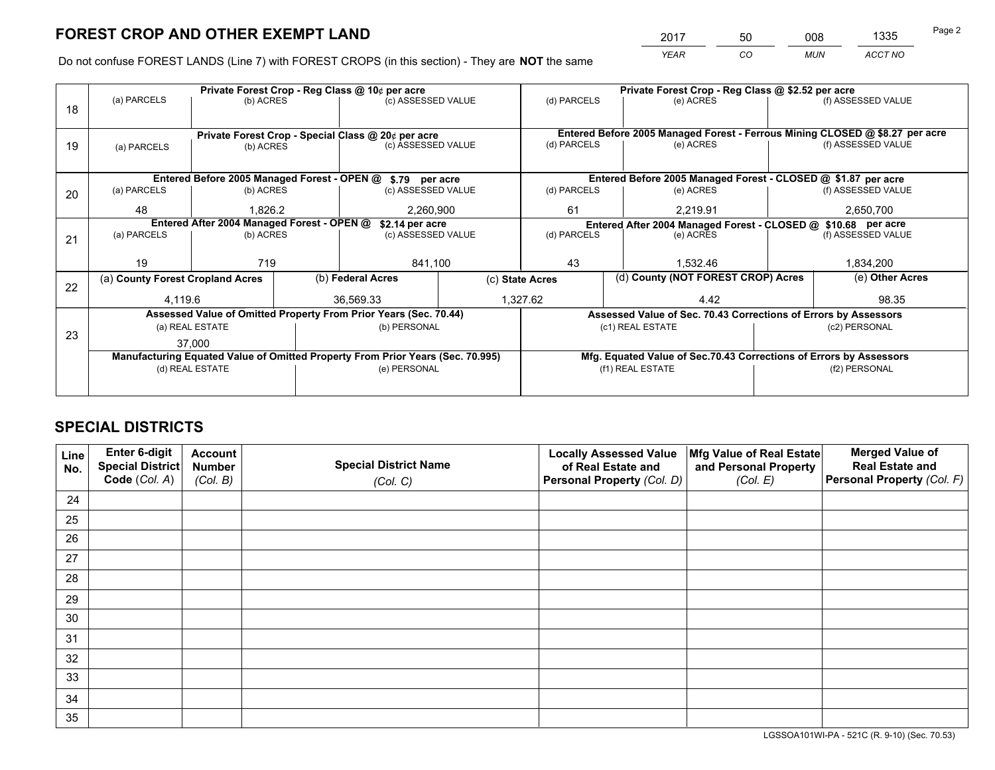*YEAR CO MUN ACCT NO* 2017 50 008 1335

Do not confuse FOREST LANDS (Line 7) with FOREST CROPS (in this section) - They are **NOT** the same

|    | Private Forest Crop - Reg Class @ 10¢ per acre                                 |                 |  |                                                                  |                    |                                                                              | Private Forest Crop - Reg Class @ \$2.52 per acre |                                                                    |               |                                                                              |
|----|--------------------------------------------------------------------------------|-----------------|--|------------------------------------------------------------------|--------------------|------------------------------------------------------------------------------|---------------------------------------------------|--------------------------------------------------------------------|---------------|------------------------------------------------------------------------------|
| 18 | (a) PARCELS                                                                    | (b) ACRES       |  | (c) ASSESSED VALUE                                               |                    | (d) PARCELS                                                                  |                                                   | (e) ACRES                                                          |               | (f) ASSESSED VALUE                                                           |
|    |                                                                                |                 |  |                                                                  |                    |                                                                              |                                                   |                                                                    |               |                                                                              |
|    |                                                                                |                 |  | Private Forest Crop - Special Class @ 20¢ per acre               |                    |                                                                              |                                                   |                                                                    |               | Entered Before 2005 Managed Forest - Ferrous Mining CLOSED @ \$8.27 per acre |
| 19 | (a) PARCELS                                                                    | (b) ACRES       |  | (c) ASSESSED VALUE                                               |                    | (d) PARCELS                                                                  |                                                   | (e) ACRES                                                          |               | (f) ASSESSED VALUE                                                           |
|    |                                                                                |                 |  |                                                                  |                    |                                                                              |                                                   |                                                                    |               |                                                                              |
|    |                                                                                |                 |  | Entered Before 2005 Managed Forest - OPEN @ \$.79 per acre       |                    |                                                                              |                                                   | Entered Before 2005 Managed Forest - CLOSED @ \$1.87 per acre      |               |                                                                              |
| 20 | (a) PARCELS                                                                    | (b) ACRES       |  | (c) ASSESSED VALUE                                               |                    | (d) PARCELS                                                                  |                                                   | (e) ACRES                                                          |               | (f) ASSESSED VALUE                                                           |
|    | 48                                                                             | 1.826.2         |  | 2,260,900                                                        |                    | 61                                                                           |                                                   | 2.219.91                                                           |               | 2,650,700                                                                    |
|    | Entered After 2004 Managed Forest - OPEN @<br>\$2.14 per acre                  |                 |  |                                                                  |                    | Entered After 2004 Managed Forest - CLOSED @ \$10.68 per acre<br>(d) PARCELS |                                                   |                                                                    |               |                                                                              |
| 21 | (a) PARCELS                                                                    | (b) ACRES       |  |                                                                  | (c) ASSESSED VALUE |                                                                              |                                                   | (e) ACRES                                                          |               | (f) ASSESSED VALUE                                                           |
|    |                                                                                |                 |  |                                                                  |                    |                                                                              |                                                   |                                                                    |               |                                                                              |
|    | 19                                                                             | 719             |  | 841,100                                                          |                    | 43                                                                           |                                                   | 1.532.46                                                           |               | 1,834,200                                                                    |
| 22 | (a) County Forest Cropland Acres                                               |                 |  | (b) Federal Acres                                                |                    | (c) State Acres                                                              |                                                   | (d) County (NOT FOREST CROP) Acres                                 |               | (e) Other Acres                                                              |
|    | 4,119.6                                                                        |                 |  | 36,569.33                                                        |                    | 1,327.62<br>4.42                                                             |                                                   |                                                                    | 98.35         |                                                                              |
|    |                                                                                |                 |  | Assessed Value of Omitted Property From Prior Years (Sec. 70.44) |                    |                                                                              |                                                   | Assessed Value of Sec. 70.43 Corrections of Errors by Assessors    |               |                                                                              |
| 23 |                                                                                | (a) REAL ESTATE |  | (b) PERSONAL                                                     |                    | (c1) REAL ESTATE                                                             |                                                   |                                                                    | (c2) PERSONAL |                                                                              |
|    |                                                                                | 37.000          |  |                                                                  |                    |                                                                              |                                                   |                                                                    |               |                                                                              |
|    | Manufacturing Equated Value of Omitted Property From Prior Years (Sec. 70.995) |                 |  |                                                                  |                    |                                                                              |                                                   | Mfg. Equated Value of Sec.70.43 Corrections of Errors by Assessors |               |                                                                              |
|    |                                                                                | (d) REAL ESTATE |  | (e) PERSONAL                                                     |                    |                                                                              |                                                   | (f1) REAL ESTATE                                                   | (f2) PERSONAL |                                                                              |
|    |                                                                                |                 |  |                                                                  |                    |                                                                              |                                                   |                                                                    |               |                                                                              |

## **SPECIAL DISTRICTS**

| Line<br>No. | Enter 6-digit<br><b>Special District</b> | <b>Account</b><br><b>Number</b> | <b>Special District Name</b> | <b>Locally Assessed Value</b><br>of Real Estate and | Mfg Value of Real Estate<br>and Personal Property | <b>Merged Value of</b><br><b>Real Estate and</b> |
|-------------|------------------------------------------|---------------------------------|------------------------------|-----------------------------------------------------|---------------------------------------------------|--------------------------------------------------|
|             | Code (Col. A)                            | (Col. B)                        | (Col. C)                     | Personal Property (Col. D)                          | (Col. E)                                          | Personal Property (Col. F)                       |
| 24          |                                          |                                 |                              |                                                     |                                                   |                                                  |
| 25          |                                          |                                 |                              |                                                     |                                                   |                                                  |
| 26          |                                          |                                 |                              |                                                     |                                                   |                                                  |
| 27          |                                          |                                 |                              |                                                     |                                                   |                                                  |
| 28          |                                          |                                 |                              |                                                     |                                                   |                                                  |
| 29          |                                          |                                 |                              |                                                     |                                                   |                                                  |
| 30          |                                          |                                 |                              |                                                     |                                                   |                                                  |
| 31          |                                          |                                 |                              |                                                     |                                                   |                                                  |
| 32          |                                          |                                 |                              |                                                     |                                                   |                                                  |
| 33          |                                          |                                 |                              |                                                     |                                                   |                                                  |
| 34          |                                          |                                 |                              |                                                     |                                                   |                                                  |
| 35          |                                          |                                 |                              |                                                     |                                                   |                                                  |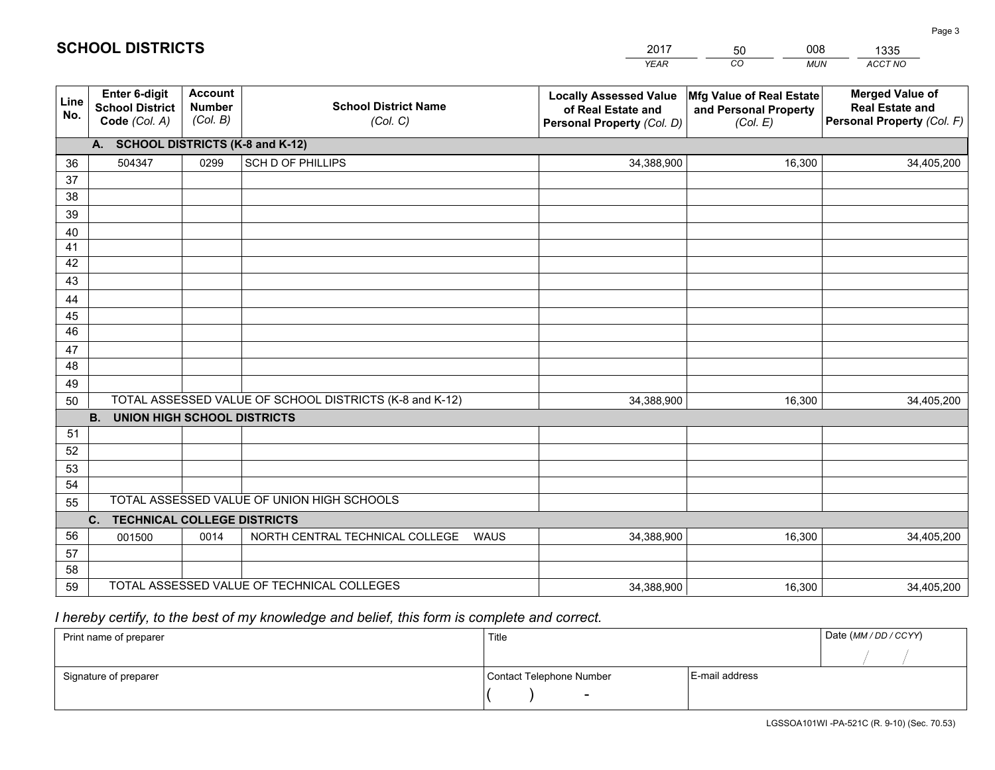|             |                                                                 |                                             |                                                         | <b>YEAR</b>                                                                       | CO<br><b>MUN</b>                                              | ACCT NO                                                                        |
|-------------|-----------------------------------------------------------------|---------------------------------------------|---------------------------------------------------------|-----------------------------------------------------------------------------------|---------------------------------------------------------------|--------------------------------------------------------------------------------|
| Line<br>No. | <b>Enter 6-digit</b><br><b>School District</b><br>Code (Col. A) | <b>Account</b><br><b>Number</b><br>(Col. B) | <b>School District Name</b><br>(Col. C)                 | <b>Locally Assessed Value</b><br>of Real Estate and<br>Personal Property (Col. D) | Mfg Value of Real Estate<br>and Personal Property<br>(Col. E) | <b>Merged Value of</b><br><b>Real Estate and</b><br>Personal Property (Col. F) |
|             | A. SCHOOL DISTRICTS (K-8 and K-12)                              |                                             |                                                         |                                                                                   |                                                               |                                                                                |
| 36          | 504347                                                          | 0299                                        | SCH D OF PHILLIPS                                       | 34,388,900                                                                        | 16,300                                                        | 34,405,200                                                                     |
| 37          |                                                                 |                                             |                                                         |                                                                                   |                                                               |                                                                                |
| 38          |                                                                 |                                             |                                                         |                                                                                   |                                                               |                                                                                |
| 39          |                                                                 |                                             |                                                         |                                                                                   |                                                               |                                                                                |
| 40          |                                                                 |                                             |                                                         |                                                                                   |                                                               |                                                                                |
| 41<br>42    |                                                                 |                                             |                                                         |                                                                                   |                                                               |                                                                                |
| 43          |                                                                 |                                             |                                                         |                                                                                   |                                                               |                                                                                |
| 44          |                                                                 |                                             |                                                         |                                                                                   |                                                               |                                                                                |
| 45          |                                                                 |                                             |                                                         |                                                                                   |                                                               |                                                                                |
| 46          |                                                                 |                                             |                                                         |                                                                                   |                                                               |                                                                                |
| 47          |                                                                 |                                             |                                                         |                                                                                   |                                                               |                                                                                |
| 48          |                                                                 |                                             |                                                         |                                                                                   |                                                               |                                                                                |
| 49          |                                                                 |                                             |                                                         |                                                                                   |                                                               |                                                                                |
| 50          |                                                                 |                                             | TOTAL ASSESSED VALUE OF SCHOOL DISTRICTS (K-8 and K-12) | 34,388,900                                                                        | 16,300                                                        | 34,405,200                                                                     |
|             | <b>B. UNION HIGH SCHOOL DISTRICTS</b>                           |                                             |                                                         |                                                                                   |                                                               |                                                                                |
| 51<br>52    |                                                                 |                                             |                                                         |                                                                                   |                                                               |                                                                                |
| 53          |                                                                 |                                             |                                                         |                                                                                   |                                                               |                                                                                |
| 54          |                                                                 |                                             |                                                         |                                                                                   |                                                               |                                                                                |
| 55          |                                                                 |                                             | TOTAL ASSESSED VALUE OF UNION HIGH SCHOOLS              |                                                                                   |                                                               |                                                                                |
|             | C.<br><b>TECHNICAL COLLEGE DISTRICTS</b>                        |                                             |                                                         |                                                                                   |                                                               |                                                                                |
| 56          | 001500                                                          | 0014                                        | NORTH CENTRAL TECHNICAL COLLEGE<br><b>WAUS</b>          | 34,388,900                                                                        | 16,300                                                        | 34,405,200                                                                     |
| 57          |                                                                 |                                             |                                                         |                                                                                   |                                                               |                                                                                |
| 58          |                                                                 |                                             |                                                         |                                                                                   |                                                               |                                                                                |
| 59          |                                                                 |                                             | TOTAL ASSESSED VALUE OF TECHNICAL COLLEGES              | 34,388,900                                                                        | 16,300                                                        | 34,405,200                                                                     |

50

008

 *I hereby certify, to the best of my knowledge and belief, this form is complete and correct.*

**SCHOOL DISTRICTS**

| Print name of preparer | Title                    |                | Date (MM/DD/CCYY) |
|------------------------|--------------------------|----------------|-------------------|
|                        |                          |                |                   |
| Signature of preparer  | Contact Telephone Number | E-mail address |                   |
|                        | $\overline{\phantom{0}}$ |                |                   |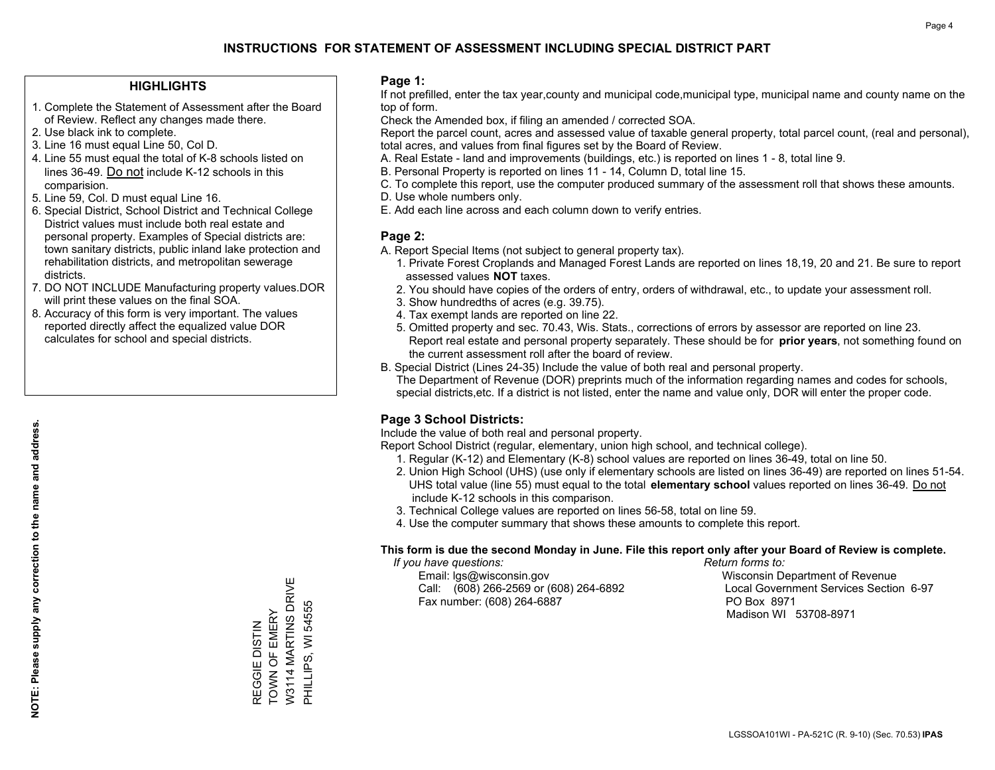### **HIGHLIGHTS**

- 1. Complete the Statement of Assessment after the Board of Review. Reflect any changes made there.
- 2. Use black ink to complete.
- 3. Line 16 must equal Line 50, Col D.
- 4. Line 55 must equal the total of K-8 schools listed on lines 36-49. Do not include K-12 schools in this comparision.
- 5. Line 59, Col. D must equal Line 16.
- 6. Special District, School District and Technical College District values must include both real estate and personal property. Examples of Special districts are: town sanitary districts, public inland lake protection and rehabilitation districts, and metropolitan sewerage districts.
- 7. DO NOT INCLUDE Manufacturing property values.DOR will print these values on the final SOA.

REGGIE DISTIN TOWN OF EMERY W3114 MARTINS DRIVE PHILLIPS, WI 54555

REGGIE DISTIN<br>TOWN OF EMERY<br>W3114 MARTINS DRIVE

PHILLIPS, WI 54555

 8. Accuracy of this form is very important. The values reported directly affect the equalized value DOR calculates for school and special districts.

#### **Page 1:**

 If not prefilled, enter the tax year,county and municipal code,municipal type, municipal name and county name on the top of form.

Check the Amended box, if filing an amended / corrected SOA.

 Report the parcel count, acres and assessed value of taxable general property, total parcel count, (real and personal), total acres, and values from final figures set by the Board of Review.

- A. Real Estate land and improvements (buildings, etc.) is reported on lines 1 8, total line 9.
- B. Personal Property is reported on lines 11 14, Column D, total line 15.
- C. To complete this report, use the computer produced summary of the assessment roll that shows these amounts.
- D. Use whole numbers only.
- E. Add each line across and each column down to verify entries.

### **Page 2:**

- A. Report Special Items (not subject to general property tax).
- 1. Private Forest Croplands and Managed Forest Lands are reported on lines 18,19, 20 and 21. Be sure to report assessed values **NOT** taxes.
- 2. You should have copies of the orders of entry, orders of withdrawal, etc., to update your assessment roll.
	- 3. Show hundredths of acres (e.g. 39.75).
- 4. Tax exempt lands are reported on line 22.
- 5. Omitted property and sec. 70.43, Wis. Stats., corrections of errors by assessor are reported on line 23. Report real estate and personal property separately. These should be for **prior years**, not something found on the current assessment roll after the board of review.
- B. Special District (Lines 24-35) Include the value of both real and personal property.

 The Department of Revenue (DOR) preprints much of the information regarding names and codes for schools, special districts,etc. If a district is not listed, enter the name and value only, DOR will enter the proper code.

## **Page 3 School Districts:**

Include the value of both real and personal property.

Report School District (regular, elementary, union high school, and technical college).

- 1. Regular (K-12) and Elementary (K-8) school values are reported on lines 36-49, total on line 50.
- 2. Union High School (UHS) (use only if elementary schools are listed on lines 36-49) are reported on lines 51-54. UHS total value (line 55) must equal to the total **elementary school** values reported on lines 36-49. Do notinclude K-12 schools in this comparison.
- 3. Technical College values are reported on lines 56-58, total on line 59.
- 4. Use the computer summary that shows these amounts to complete this report.

#### **This form is due the second Monday in June. File this report only after your Board of Review is complete.**

 *If you have questions: Return forms to:*

 Email: lgs@wisconsin.gov Wisconsin Department of RevenueCall:  $(608)$  266-2569 or  $(608)$  264-6892 Fax number: (608) 264-6887 PO Box 8971

Local Government Services Section 6-97 Madison WI 53708-8971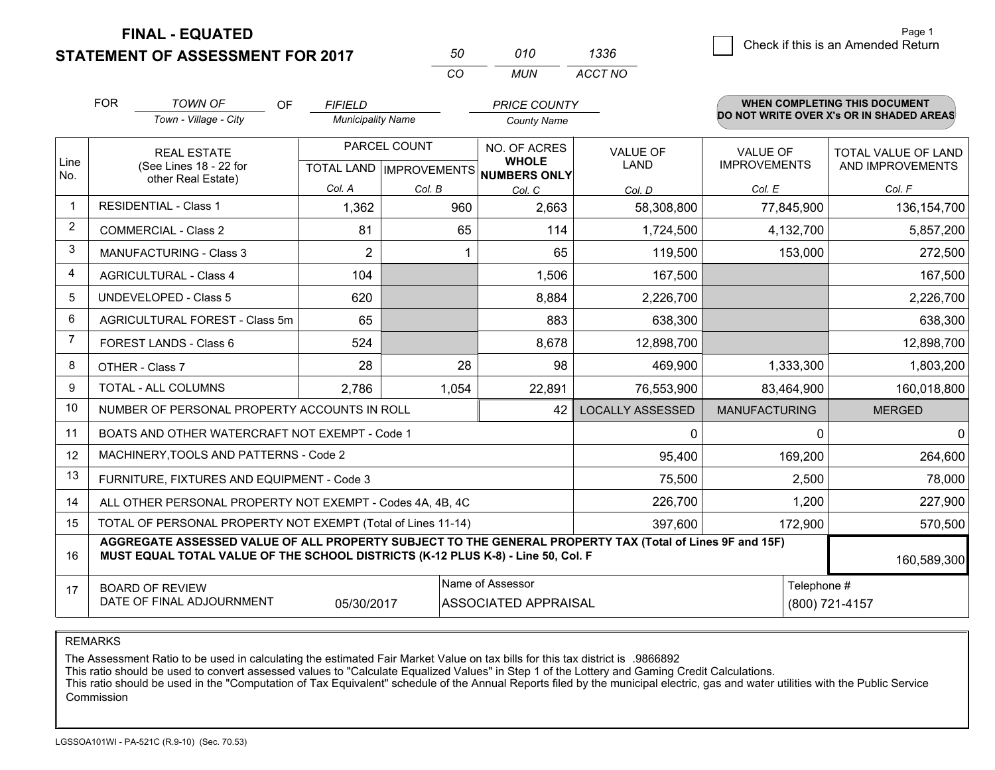**STATEMENT OF ASSESSMENT FOR 2017** 

| 571      | 010 | 1336    |
|----------|-----|---------|
| $\cdots$ | MUN | ACCT NO |

|                | <b>FOR</b>                                                                                                                                                                                                  | <b>TOWN OF</b><br><b>OF</b>                               | <b>FIFIELD</b>           |                           | <b>PRICE COUNTY</b>                 |                         |                      | <b>WHEN COMPLETING THIS DOCUMENT</b>     |
|----------------|-------------------------------------------------------------------------------------------------------------------------------------------------------------------------------------------------------------|-----------------------------------------------------------|--------------------------|---------------------------|-------------------------------------|-------------------------|----------------------|------------------------------------------|
|                |                                                                                                                                                                                                             | Town - Village - City                                     | <b>Municipality Name</b> |                           | <b>County Name</b>                  |                         |                      | DO NOT WRITE OVER X's OR IN SHADED AREAS |
|                |                                                                                                                                                                                                             | <b>REAL ESTATE</b>                                        |                          | PARCEL COUNT              | NO. OF ACRES                        | <b>VALUE OF</b>         | <b>VALUE OF</b>      | TOTAL VALUE OF LAND                      |
| Line<br>No.    |                                                                                                                                                                                                             | (See Lines 18 - 22 for<br>other Real Estate)              |                          | TOTAL LAND   IMPROVEMENTS | <b>WHOLE</b><br><b>NUMBERS ONLY</b> | <b>LAND</b>             | <b>IMPROVEMENTS</b>  | AND IMPROVEMENTS                         |
|                |                                                                                                                                                                                                             |                                                           | Col. A                   | Col. B                    | Col. C                              | Col. D                  | Col. E               | Col. F                                   |
| -1             |                                                                                                                                                                                                             | <b>RESIDENTIAL - Class 1</b>                              | 1,362                    | 960                       | 2,663                               | 58,308,800              | 77,845,900           | 136, 154, 700                            |
| 2              |                                                                                                                                                                                                             | <b>COMMERCIAL - Class 2</b>                               | 81                       | 65                        | 114                                 | 1,724,500               | 4,132,700            | 5,857,200                                |
| 3              |                                                                                                                                                                                                             | <b>MANUFACTURING - Class 3</b>                            | $\overline{2}$           |                           | 65                                  | 119,500                 | 153,000              | 272,500                                  |
| 4              |                                                                                                                                                                                                             | <b>AGRICULTURAL - Class 4</b>                             | 104                      |                           | 1,506                               | 167,500                 |                      | 167,500                                  |
| 5              |                                                                                                                                                                                                             | UNDEVELOPED - Class 5                                     | 620                      |                           | 8,884                               | 2,226,700               |                      | 2,226,700                                |
| 6              |                                                                                                                                                                                                             | AGRICULTURAL FOREST - Class 5m                            | 65                       |                           | 883                                 | 638,300                 |                      | 638,300                                  |
| $\overline{7}$ |                                                                                                                                                                                                             | FOREST LANDS - Class 6                                    | 524                      |                           | 8,678                               | 12,898,700              |                      | 12,898,700                               |
| 8              |                                                                                                                                                                                                             | OTHER - Class 7                                           | 28                       | 28                        | 98                                  | 469,900                 | 1,333,300            | 1,803,200                                |
| 9              |                                                                                                                                                                                                             | TOTAL - ALL COLUMNS                                       | 2,786                    | 1,054                     | 22,891                              | 76,553,900              | 83,464,900           | 160,018,800                              |
| 10             |                                                                                                                                                                                                             | NUMBER OF PERSONAL PROPERTY ACCOUNTS IN ROLL              |                          |                           | 42                                  | <b>LOCALLY ASSESSED</b> | <b>MANUFACTURING</b> | <b>MERGED</b>                            |
| 11             |                                                                                                                                                                                                             | BOATS AND OTHER WATERCRAFT NOT EXEMPT - Code 1            |                          |                           |                                     | 0                       | 0                    | $\overline{0}$                           |
| 12             |                                                                                                                                                                                                             | MACHINERY, TOOLS AND PATTERNS - Code 2                    |                          |                           |                                     | 95,400                  | 169,200              | 264,600                                  |
| 13             |                                                                                                                                                                                                             | FURNITURE, FIXTURES AND EQUIPMENT - Code 3                |                          |                           |                                     | 75,500                  | 2,500                | 78,000                                   |
| 14             |                                                                                                                                                                                                             | ALL OTHER PERSONAL PROPERTY NOT EXEMPT - Codes 4A, 4B, 4C |                          |                           | 226,700                             | 1,200                   | 227,900              |                                          |
| 15             | TOTAL OF PERSONAL PROPERTY NOT EXEMPT (Total of Lines 11-14)<br>397,600                                                                                                                                     |                                                           |                          |                           |                                     |                         | 172,900              | 570,500                                  |
| 16             | AGGREGATE ASSESSED VALUE OF ALL PROPERTY SUBJECT TO THE GENERAL PROPERTY TAX (Total of Lines 9F and 15F)<br>MUST EQUAL TOTAL VALUE OF THE SCHOOL DISTRICTS (K-12 PLUS K-8) - Line 50, Col. F<br>160,589,300 |                                                           |                          |                           |                                     |                         |                      |                                          |
| 17             |                                                                                                                                                                                                             | <b>BOARD OF REVIEW</b>                                    |                          |                           | Name of Assessor                    |                         | Telephone #          |                                          |
|                |                                                                                                                                                                                                             | DATE OF FINAL ADJOURNMENT                                 | 05/30/2017               |                           | ASSOCIATED APPRAISAL                |                         |                      | (800) 721-4157                           |

REMARKS

The Assessment Ratio to be used in calculating the estimated Fair Market Value on tax bills for this tax district is .9866892

This ratio should be used to convert assessed values to "Calculate Equalized Values" in Step 1 of the Lottery and Gaming Credit Calculations.<br>This ratio should be used in the "Computation of Tax Equivalent" schedule of the Commission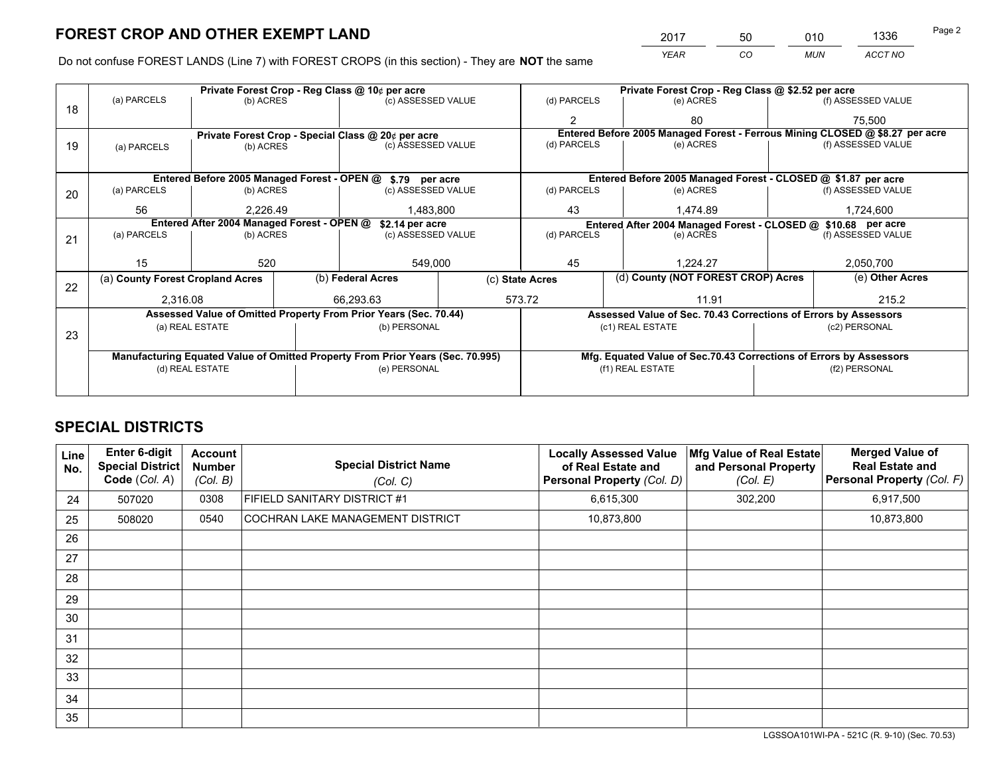*YEAR CO MUN ACCT NO* <sup>2017</sup> <sup>50</sup> <sup>010</sup> <sup>1336</sup>

Do not confuse FOREST LANDS (Line 7) with FOREST CROPS (in this section) - They are **NOT** the same

|    |                                                                                |                                            |  | Private Forest Crop - Reg Class @ 10¢ per acre                   |  |                                                               | Private Forest Crop - Reg Class @ \$2.52 per acre |                                                                    |       |                                                                              |
|----|--------------------------------------------------------------------------------|--------------------------------------------|--|------------------------------------------------------------------|--|---------------------------------------------------------------|---------------------------------------------------|--------------------------------------------------------------------|-------|------------------------------------------------------------------------------|
| 18 | (a) PARCELS<br>(b) ACRES                                                       |                                            |  | (c) ASSESSED VALUE                                               |  | (d) PARCELS                                                   |                                                   | (e) ACRES                                                          |       | (f) ASSESSED VALUE                                                           |
|    |                                                                                |                                            |  |                                                                  |  |                                                               |                                                   | 80                                                                 |       | 75,500                                                                       |
|    |                                                                                |                                            |  | Private Forest Crop - Special Class @ 20¢ per acre               |  |                                                               |                                                   |                                                                    |       | Entered Before 2005 Managed Forest - Ferrous Mining CLOSED @ \$8.27 per acre |
| 19 | (a) PARCELS                                                                    | (b) ACRES                                  |  | (c) ASSESSED VALUE                                               |  | (d) PARCELS                                                   |                                                   | (e) ACRES                                                          |       | (f) ASSESSED VALUE                                                           |
|    |                                                                                |                                            |  |                                                                  |  |                                                               |                                                   |                                                                    |       |                                                                              |
|    |                                                                                |                                            |  | Entered Before 2005 Managed Forest - OPEN @ \$.79 per acre       |  |                                                               |                                                   | Entered Before 2005 Managed Forest - CLOSED @ \$1.87 per acre      |       |                                                                              |
| 20 | (a) PARCELS                                                                    | (b) ACRES                                  |  | (c) ASSESSED VALUE                                               |  | (d) PARCELS                                                   |                                                   | (e) ACRES                                                          |       | (f) ASSESSED VALUE                                                           |
|    | 56                                                                             | 2,226.49                                   |  | 1,483,800                                                        |  | 43                                                            |                                                   | 1,474.89                                                           |       | 1,724,600                                                                    |
|    |                                                                                | Entered After 2004 Managed Forest - OPEN @ |  | \$2.14 per acre                                                  |  | Entered After 2004 Managed Forest - CLOSED @ \$10.68 per acre |                                                   |                                                                    |       |                                                                              |
| 21 | (a) PARCELS                                                                    | (b) ACRES                                  |  | (c) ASSESSED VALUE                                               |  | (d) PARCELS                                                   |                                                   | (e) ACRES                                                          |       | (f) ASSESSED VALUE                                                           |
|    |                                                                                |                                            |  |                                                                  |  |                                                               |                                                   |                                                                    |       |                                                                              |
|    | 15                                                                             | 520                                        |  | 549,000                                                          |  | 45                                                            |                                                   | 1.224.27                                                           |       | 2,050,700                                                                    |
|    | (a) County Forest Cropland Acres                                               |                                            |  | (b) Federal Acres                                                |  | (c) State Acres                                               |                                                   | (d) County (NOT FOREST CROP) Acres                                 |       | (e) Other Acres                                                              |
| 22 | 2.316.08                                                                       |                                            |  | 66.293.63                                                        |  | 573.72<br>11.91                                               |                                                   |                                                                    | 215.2 |                                                                              |
|    |                                                                                |                                            |  | Assessed Value of Omitted Property From Prior Years (Sec. 70.44) |  |                                                               |                                                   | Assessed Value of Sec. 70.43 Corrections of Errors by Assessors    |       |                                                                              |
|    |                                                                                | (a) REAL ESTATE                            |  | (b) PERSONAL                                                     |  |                                                               |                                                   | (c1) REAL ESTATE                                                   |       | (c2) PERSONAL                                                                |
| 23 |                                                                                |                                            |  |                                                                  |  |                                                               |                                                   |                                                                    |       |                                                                              |
|    | Manufacturing Equated Value of Omitted Property From Prior Years (Sec. 70.995) |                                            |  |                                                                  |  |                                                               |                                                   | Mfg. Equated Value of Sec.70.43 Corrections of Errors by Assessors |       |                                                                              |
|    | (d) REAL ESTATE                                                                |                                            |  | (e) PERSONAL                                                     |  |                                                               |                                                   | (f1) REAL ESTATE                                                   |       | (f2) PERSONAL                                                                |
|    |                                                                                |                                            |  |                                                                  |  |                                                               |                                                   |                                                                    |       |                                                                              |

## **SPECIAL DISTRICTS**

| Line<br>No. | Enter 6-digit<br>Special District<br>Code (Col. A) | <b>Account</b><br><b>Number</b><br>(Col. B) | <b>Special District Name</b><br>(Col. C) | <b>Locally Assessed Value</b><br>of Real Estate and<br><b>Personal Property (Col. D)</b> | Mfg Value of Real Estate<br>and Personal Property<br>(Col. E) | <b>Merged Value of</b><br><b>Real Estate and</b><br>Personal Property (Col. F) |
|-------------|----------------------------------------------------|---------------------------------------------|------------------------------------------|------------------------------------------------------------------------------------------|---------------------------------------------------------------|--------------------------------------------------------------------------------|
| 24          | 507020                                             | 0308                                        | FIFIELD SANITARY DISTRICT #1             | 6,615,300                                                                                | 302,200                                                       | 6,917,500                                                                      |
| 25          | 508020                                             | 0540                                        | <b>COCHRAN LAKE MANAGEMENT DISTRICT</b>  | 10,873,800                                                                               |                                                               | 10,873,800                                                                     |
| 26          |                                                    |                                             |                                          |                                                                                          |                                                               |                                                                                |
| 27          |                                                    |                                             |                                          |                                                                                          |                                                               |                                                                                |
| 28          |                                                    |                                             |                                          |                                                                                          |                                                               |                                                                                |
| 29          |                                                    |                                             |                                          |                                                                                          |                                                               |                                                                                |
| 30          |                                                    |                                             |                                          |                                                                                          |                                                               |                                                                                |
| 31          |                                                    |                                             |                                          |                                                                                          |                                                               |                                                                                |
| 32          |                                                    |                                             |                                          |                                                                                          |                                                               |                                                                                |
| 33          |                                                    |                                             |                                          |                                                                                          |                                                               |                                                                                |
| 34          |                                                    |                                             |                                          |                                                                                          |                                                               |                                                                                |
| 35          |                                                    |                                             |                                          |                                                                                          |                                                               |                                                                                |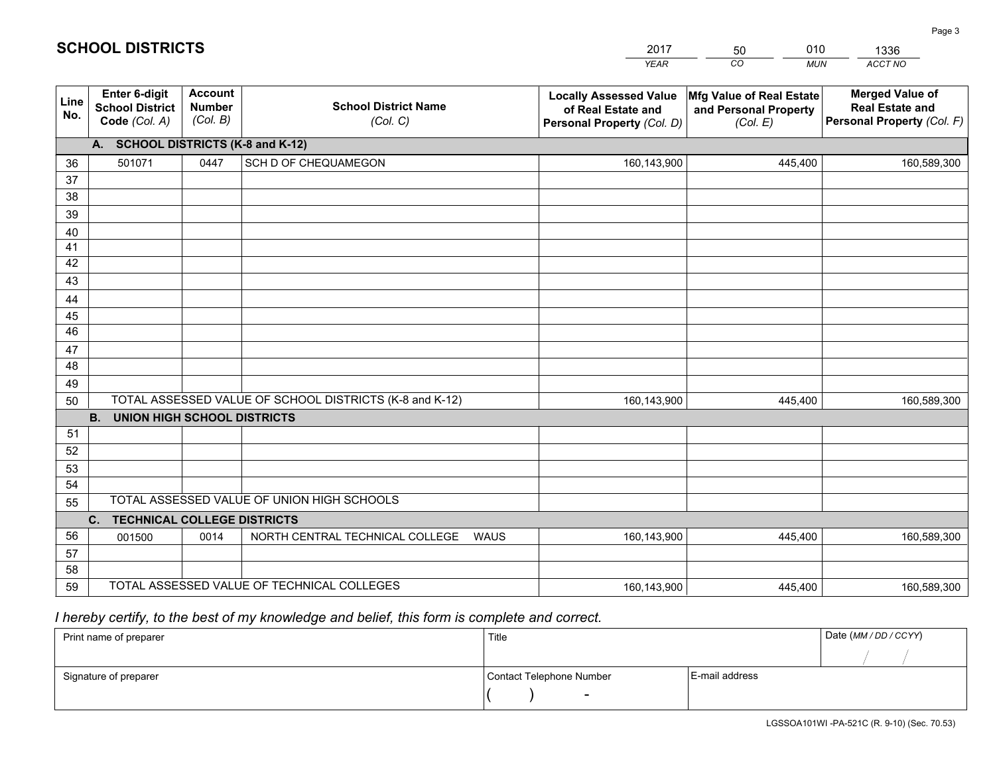|             |                                                          |                                             |                                                         | <b>YEAR</b>                                                                       | CO<br><b>MUN</b>                                              | ACCT NO                                                                        |
|-------------|----------------------------------------------------------|---------------------------------------------|---------------------------------------------------------|-----------------------------------------------------------------------------------|---------------------------------------------------------------|--------------------------------------------------------------------------------|
| Line<br>No. | Enter 6-digit<br><b>School District</b><br>Code (Col. A) | <b>Account</b><br><b>Number</b><br>(Col. B) | <b>School District Name</b><br>(Col. C)                 | <b>Locally Assessed Value</b><br>of Real Estate and<br>Personal Property (Col. D) | Mfg Value of Real Estate<br>and Personal Property<br>(Col. E) | <b>Merged Value of</b><br><b>Real Estate and</b><br>Personal Property (Col. F) |
|             | A. SCHOOL DISTRICTS (K-8 and K-12)                       |                                             |                                                         |                                                                                   |                                                               |                                                                                |
| 36          | 501071                                                   | 0447                                        | SCH D OF CHEQUAMEGON                                    | 160,143,900                                                                       | 445,400                                                       | 160,589,300                                                                    |
| 37          |                                                          |                                             |                                                         |                                                                                   |                                                               |                                                                                |
| 38          |                                                          |                                             |                                                         |                                                                                   |                                                               |                                                                                |
| 39          |                                                          |                                             |                                                         |                                                                                   |                                                               |                                                                                |
| 40          |                                                          |                                             |                                                         |                                                                                   |                                                               |                                                                                |
| 41<br>42    |                                                          |                                             |                                                         |                                                                                   |                                                               |                                                                                |
| 43          |                                                          |                                             |                                                         |                                                                                   |                                                               |                                                                                |
|             |                                                          |                                             |                                                         |                                                                                   |                                                               |                                                                                |
| 44<br>45    |                                                          |                                             |                                                         |                                                                                   |                                                               |                                                                                |
| 46          |                                                          |                                             |                                                         |                                                                                   |                                                               |                                                                                |
| 47          |                                                          |                                             |                                                         |                                                                                   |                                                               |                                                                                |
| 48          |                                                          |                                             |                                                         |                                                                                   |                                                               |                                                                                |
| 49          |                                                          |                                             |                                                         |                                                                                   |                                                               |                                                                                |
| 50          |                                                          |                                             | TOTAL ASSESSED VALUE OF SCHOOL DISTRICTS (K-8 and K-12) | 160,143,900                                                                       | 445,400                                                       | 160,589,300                                                                    |
|             | <b>B.</b><br><b>UNION HIGH SCHOOL DISTRICTS</b>          |                                             |                                                         |                                                                                   |                                                               |                                                                                |
| 51          |                                                          |                                             |                                                         |                                                                                   |                                                               |                                                                                |
| 52          |                                                          |                                             |                                                         |                                                                                   |                                                               |                                                                                |
| 53          |                                                          |                                             |                                                         |                                                                                   |                                                               |                                                                                |
| 54          |                                                          |                                             |                                                         |                                                                                   |                                                               |                                                                                |
| 55          |                                                          |                                             | TOTAL ASSESSED VALUE OF UNION HIGH SCHOOLS              |                                                                                   |                                                               |                                                                                |
|             | C.<br><b>TECHNICAL COLLEGE DISTRICTS</b>                 |                                             |                                                         |                                                                                   |                                                               |                                                                                |
| 56          | 001500                                                   | 0014                                        | NORTH CENTRAL TECHNICAL COLLEGE<br>WAUS                 | 160,143,900                                                                       | 445,400                                                       | 160,589,300                                                                    |
| 57<br>58    |                                                          |                                             |                                                         |                                                                                   |                                                               |                                                                                |
| 59          |                                                          |                                             | TOTAL ASSESSED VALUE OF TECHNICAL COLLEGES              | 160,143,900                                                                       | 445,400                                                       | 160,589,300                                                                    |
|             |                                                          |                                             |                                                         |                                                                                   |                                                               |                                                                                |

 *I hereby certify, to the best of my knowledge and belief, this form is complete and correct.*

| Print name of preparer | Title                    |                | Date (MM / DD / CCYY) |
|------------------------|--------------------------|----------------|-----------------------|
|                        |                          |                |                       |
| Signature of preparer  | Contact Telephone Number | E-mail address |                       |
|                        | $\sim$                   |                |                       |

Page 3

| 2017 | 50 | 010   | 1336           |
|------|----|-------|----------------|
| YEAR | CО | MI IN | <b>ACCT NO</b> |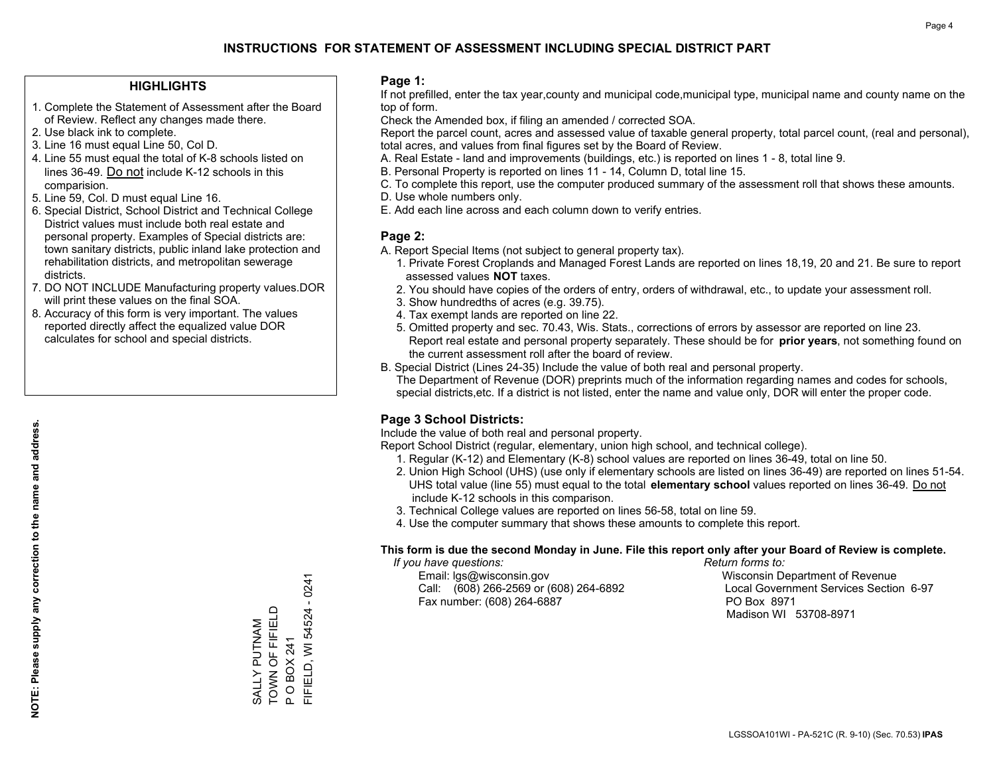### **HIGHLIGHTS**

- 1. Complete the Statement of Assessment after the Board of Review. Reflect any changes made there.
- 2. Use black ink to complete.
- 3. Line 16 must equal Line 50, Col D.
- 4. Line 55 must equal the total of K-8 schools listed on lines 36-49. Do not include K-12 schools in this comparision.
- 5. Line 59, Col. D must equal Line 16.
- 6. Special District, School District and Technical College District values must include both real estate and personal property. Examples of Special districts are: town sanitary districts, public inland lake protection and rehabilitation districts, and metropolitan sewerage districts.
- 7. DO NOT INCLUDE Manufacturing property values.DOR will print these values on the final SOA.

SALLY PUTNAM TOWN OF FIFIELD P O BOX 241

SALLY PUTNAM<br>TOWN OF FIFIELD

FIFIELD, WI 54524 - 0241

FIFIELD, WI 54524 O BOX 241

 $\mathbf{a}$ 

 $-0241$ 

 8. Accuracy of this form is very important. The values reported directly affect the equalized value DOR calculates for school and special districts.

#### **Page 1:**

 If not prefilled, enter the tax year,county and municipal code,municipal type, municipal name and county name on the top of form.

Check the Amended box, if filing an amended / corrected SOA.

 Report the parcel count, acres and assessed value of taxable general property, total parcel count, (real and personal), total acres, and values from final figures set by the Board of Review.

- A. Real Estate land and improvements (buildings, etc.) is reported on lines 1 8, total line 9.
- B. Personal Property is reported on lines 11 14, Column D, total line 15.
- C. To complete this report, use the computer produced summary of the assessment roll that shows these amounts.
- D. Use whole numbers only.
- E. Add each line across and each column down to verify entries.

### **Page 2:**

- A. Report Special Items (not subject to general property tax).
- 1. Private Forest Croplands and Managed Forest Lands are reported on lines 18,19, 20 and 21. Be sure to report assessed values **NOT** taxes.
- 2. You should have copies of the orders of entry, orders of withdrawal, etc., to update your assessment roll.
	- 3. Show hundredths of acres (e.g. 39.75).
- 4. Tax exempt lands are reported on line 22.
- 5. Omitted property and sec. 70.43, Wis. Stats., corrections of errors by assessor are reported on line 23. Report real estate and personal property separately. These should be for **prior years**, not something found on the current assessment roll after the board of review.
- B. Special District (Lines 24-35) Include the value of both real and personal property.

 The Department of Revenue (DOR) preprints much of the information regarding names and codes for schools, special districts,etc. If a district is not listed, enter the name and value only, DOR will enter the proper code.

## **Page 3 School Districts:**

Include the value of both real and personal property.

Report School District (regular, elementary, union high school, and technical college).

- 1. Regular (K-12) and Elementary (K-8) school values are reported on lines 36-49, total on line 50.
- 2. Union High School (UHS) (use only if elementary schools are listed on lines 36-49) are reported on lines 51-54. UHS total value (line 55) must equal to the total **elementary school** values reported on lines 36-49. Do notinclude K-12 schools in this comparison.
- 3. Technical College values are reported on lines 56-58, total on line 59.
- 4. Use the computer summary that shows these amounts to complete this report.

#### **This form is due the second Monday in June. File this report only after your Board of Review is complete.**

 *If you have questions: Return forms to:*

 Email: lgs@wisconsin.gov Wisconsin Department of RevenueCall:  $(608)$  266-2569 or  $(608)$  264-6892 Fax number: (608) 264-6887 PO Box 8971

Local Government Services Section 6-97 Madison WI 53708-8971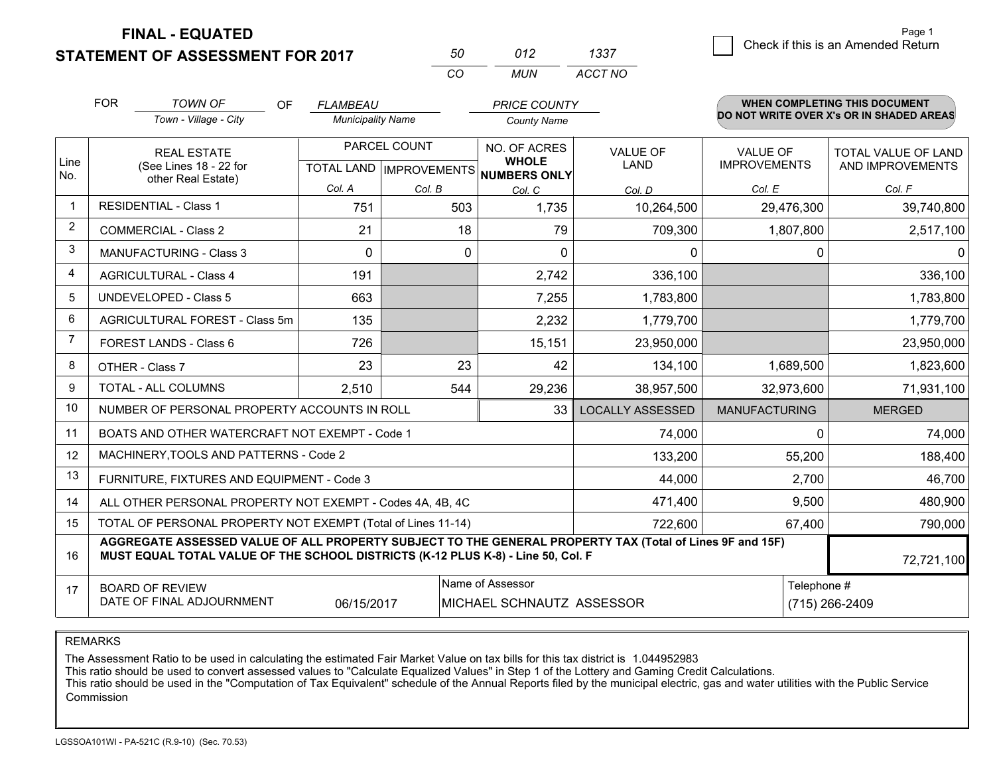**STATEMENT OF ASSESSMENT FOR 2017** 

| 50       | (112) | 1337    |
|----------|-------|---------|
| $\cdots$ | MUN   | ACCT NO |

|      | <b>FOR</b><br><b>TOWN OF</b><br><b>OF</b><br>Town - Village - City                                                                                                                                         | <b>FLAMBEAU</b><br><b>Municipality Name</b> |                | <b>PRICE COUNTY</b><br><b>County Name</b>                                       |                                |                                        | <b>WHEN COMPLETING THIS DOCUMENT</b><br>DO NOT WRITE OVER X's OR IN SHADED AREAS |  |
|------|------------------------------------------------------------------------------------------------------------------------------------------------------------------------------------------------------------|---------------------------------------------|----------------|---------------------------------------------------------------------------------|--------------------------------|----------------------------------------|----------------------------------------------------------------------------------|--|
| Line | <b>REAL ESTATE</b><br>(See Lines 18 - 22 for                                                                                                                                                               |                                             | PARCEL COUNT   | <b>NO. OF ACRES</b><br><b>WHOLE</b><br>TOTAL LAND   IMPROVEMENTS   NUMBERS ONLY | <b>VALUE OF</b><br><b>LAND</b> | <b>VALUE OF</b><br><b>IMPROVEMENTS</b> | TOTAL VALUE OF LAND<br>AND IMPROVEMENTS                                          |  |
| No.  | other Real Estate)                                                                                                                                                                                         | Col. A                                      | Col. B         | Col. C                                                                          | Col. D                         | Col. E                                 | Col. F                                                                           |  |
|      | <b>RESIDENTIAL - Class 1</b>                                                                                                                                                                               | 751                                         | 503            | 1,735                                                                           | 10,264,500                     | 29,476,300                             | 39,740,800                                                                       |  |
| 2    | <b>COMMERCIAL - Class 2</b>                                                                                                                                                                                | 21                                          | 18             | 79                                                                              | 709,300                        | 1,807,800                              | 2,517,100                                                                        |  |
| 3    | <b>MANUFACTURING - Class 3</b>                                                                                                                                                                             | $\Omega$                                    | 0              | $\Omega$                                                                        | $\mathbf{0}$                   | $\Omega$                               | $\Omega$                                                                         |  |
| 4    | <b>AGRICULTURAL - Class 4</b>                                                                                                                                                                              | 191                                         |                | 2,742                                                                           | 336,100                        |                                        | 336,100                                                                          |  |
| 5    | <b>UNDEVELOPED - Class 5</b>                                                                                                                                                                               | 663                                         |                | 7,255                                                                           | 1,783,800                      |                                        | 1,783,800                                                                        |  |
| 6    | AGRICULTURAL FOREST - Class 5m                                                                                                                                                                             | 135                                         |                | 2,232                                                                           | 1,779,700                      |                                        | 1,779,700                                                                        |  |
| 7    | FOREST LANDS - Class 6                                                                                                                                                                                     | 726                                         |                | 15,151                                                                          | 23,950,000                     |                                        | 23,950,000                                                                       |  |
| 8    | OTHER - Class 7                                                                                                                                                                                            | 23                                          | 23             | 42                                                                              | 134,100                        | 1,689,500                              | 1,823,600                                                                        |  |
| 9    | TOTAL - ALL COLUMNS                                                                                                                                                                                        | 2,510                                       | 544            | 29,236                                                                          | 38,957,500                     | 32,973,600                             | 71,931,100                                                                       |  |
| 10   | NUMBER OF PERSONAL PROPERTY ACCOUNTS IN ROLL                                                                                                                                                               |                                             |                | 33                                                                              | <b>LOCALLY ASSESSED</b>        | <b>MANUFACTURING</b>                   | <b>MERGED</b>                                                                    |  |
| 11   | BOATS AND OTHER WATERCRAFT NOT EXEMPT - Code 1                                                                                                                                                             |                                             |                |                                                                                 | 74,000                         | $\Omega$                               | 74,000                                                                           |  |
| 12   | MACHINERY, TOOLS AND PATTERNS - Code 2                                                                                                                                                                     |                                             |                |                                                                                 | 133,200                        | 55,200                                 | 188,400                                                                          |  |
| 13   | FURNITURE, FIXTURES AND EQUIPMENT - Code 3                                                                                                                                                                 |                                             |                |                                                                                 | 44,000                         | 2,700                                  | 46,700                                                                           |  |
| 14   | ALL OTHER PERSONAL PROPERTY NOT EXEMPT - Codes 4A, 4B, 4C                                                                                                                                                  |                                             |                |                                                                                 | 471,400                        | 9,500                                  | 480,900                                                                          |  |
| 15   | TOTAL OF PERSONAL PROPERTY NOT EXEMPT (Total of Lines 11-14)                                                                                                                                               | 67,400                                      | 790,000        |                                                                                 |                                |                                        |                                                                                  |  |
| 16   | AGGREGATE ASSESSED VALUE OF ALL PROPERTY SUBJECT TO THE GENERAL PROPERTY TAX (Total of Lines 9F and 15F)<br>MUST EQUAL TOTAL VALUE OF THE SCHOOL DISTRICTS (K-12 PLUS K-8) - Line 50, Col. F<br>72,721,100 |                                             |                |                                                                                 |                                |                                        |                                                                                  |  |
| 17   | <b>BOARD OF REVIEW</b><br>DATE OF FINAL ADJOURNMENT                                                                                                                                                        | Telephone #                                 | (715) 266-2409 |                                                                                 |                                |                                        |                                                                                  |  |

REMARKS

The Assessment Ratio to be used in calculating the estimated Fair Market Value on tax bills for this tax district is 1.044952983

This ratio should be used to convert assessed values to "Calculate Equalized Values" in Step 1 of the Lottery and Gaming Credit Calculations.<br>This ratio should be used in the "Computation of Tax Equivalent" schedule of the Commission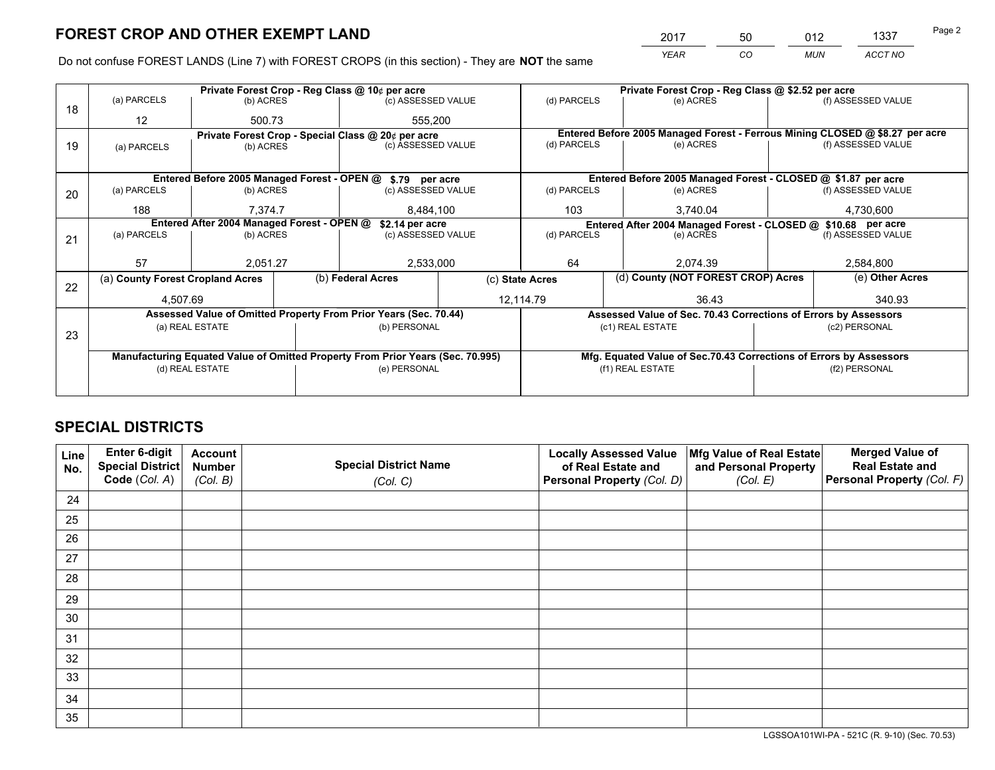*YEAR CO MUN ACCT NO* 2017 50 012 1337

Do not confuse FOREST LANDS (Line 7) with FOREST CROPS (in this section) - They are **NOT** the same

|    |                                                               |                 |  | Private Forest Crop - Reg Class @ 10¢ per acre                                 |                    |                                                                    | Private Forest Crop - Reg Class @ \$2.52 per acre                            |               |                    |  |
|----|---------------------------------------------------------------|-----------------|--|--------------------------------------------------------------------------------|--------------------|--------------------------------------------------------------------|------------------------------------------------------------------------------|---------------|--------------------|--|
| 18 | (a) PARCELS                                                   | (b) ACRES       |  | (c) ASSESSED VALUE                                                             |                    | (d) PARCELS                                                        | (e) ACRES                                                                    |               | (f) ASSESSED VALUE |  |
|    | 12                                                            | 500.73          |  | 555,200                                                                        |                    |                                                                    |                                                                              |               |                    |  |
|    |                                                               |                 |  | Private Forest Crop - Special Class @ 20¢ per acre                             |                    |                                                                    | Entered Before 2005 Managed Forest - Ferrous Mining CLOSED @ \$8.27 per acre |               |                    |  |
| 19 | (a) PARCELS                                                   | (b) ACRES       |  | (c) ASSESSED VALUE                                                             |                    | (d) PARCELS                                                        | (e) ACRES                                                                    |               | (f) ASSESSED VALUE |  |
|    |                                                               |                 |  |                                                                                |                    |                                                                    |                                                                              |               |                    |  |
|    |                                                               |                 |  | Entered Before 2005 Managed Forest - OPEN @ \$.79 per acre                     |                    |                                                                    | Entered Before 2005 Managed Forest - CLOSED @ \$1.87 per acre                |               |                    |  |
| 20 | (a) PARCELS                                                   | (b) ACRES       |  | (c) ASSESSED VALUE                                                             |                    | (d) PARCELS                                                        | (e) ACRES                                                                    |               | (f) ASSESSED VALUE |  |
|    | 188                                                           | 7.374.7         |  | 8,484,100                                                                      |                    | 103                                                                | 3.740.04                                                                     |               | 4,730,600          |  |
|    | Entered After 2004 Managed Forest - OPEN @<br>\$2.14 per acre |                 |  |                                                                                |                    | Entered After 2004 Managed Forest - CLOSED @ \$10.68 per acre      |                                                                              |               |                    |  |
| 21 | (a) PARCELS                                                   | (b) ACRES       |  |                                                                                | (c) ASSESSED VALUE |                                                                    | (e) ACRES                                                                    |               | (f) ASSESSED VALUE |  |
|    |                                                               |                 |  |                                                                                |                    |                                                                    |                                                                              |               |                    |  |
|    | 57                                                            | 2,051.27        |  | 2,533,000                                                                      |                    | 64                                                                 | 2.074.39                                                                     |               | 2,584,800          |  |
| 22 | (a) County Forest Cropland Acres                              |                 |  | (b) Federal Acres                                                              |                    | (c) State Acres                                                    | (d) County (NOT FOREST CROP) Acres                                           |               | (e) Other Acres    |  |
|    | 4,507.69                                                      |                 |  |                                                                                |                    | 12,114.79<br>36.43                                                 |                                                                              | 340.93        |                    |  |
|    |                                                               |                 |  | Assessed Value of Omitted Property From Prior Years (Sec. 70.44)               |                    |                                                                    | Assessed Value of Sec. 70.43 Corrections of Errors by Assessors              |               |                    |  |
| 23 |                                                               | (a) REAL ESTATE |  | (b) PERSONAL                                                                   |                    | (c1) REAL ESTATE                                                   |                                                                              | (c2) PERSONAL |                    |  |
|    |                                                               |                 |  |                                                                                |                    |                                                                    |                                                                              |               |                    |  |
|    |                                                               |                 |  | Manufacturing Equated Value of Omitted Property From Prior Years (Sec. 70.995) |                    | Mfg. Equated Value of Sec.70.43 Corrections of Errors by Assessors |                                                                              |               |                    |  |
|    | (d) REAL ESTATE                                               |                 |  | (e) PERSONAL                                                                   |                    |                                                                    | (f1) REAL ESTATE                                                             |               | (f2) PERSONAL      |  |
|    |                                                               |                 |  |                                                                                |                    |                                                                    |                                                                              |               |                    |  |

## **SPECIAL DISTRICTS**

| Line<br>No. | Enter 6-digit<br><b>Special District</b> | <b>Account</b><br><b>Number</b> | <b>Special District Name</b> | <b>Locally Assessed Value</b><br>of Real Estate and | Mfg Value of Real Estate<br>and Personal Property | <b>Merged Value of</b><br><b>Real Estate and</b> |
|-------------|------------------------------------------|---------------------------------|------------------------------|-----------------------------------------------------|---------------------------------------------------|--------------------------------------------------|
|             | Code (Col. A)                            | (Col. B)                        | (Col. C)                     | Personal Property (Col. D)                          | (Col. E)                                          | Personal Property (Col. F)                       |
| 24          |                                          |                                 |                              |                                                     |                                                   |                                                  |
| 25          |                                          |                                 |                              |                                                     |                                                   |                                                  |
| 26          |                                          |                                 |                              |                                                     |                                                   |                                                  |
| 27          |                                          |                                 |                              |                                                     |                                                   |                                                  |
| 28          |                                          |                                 |                              |                                                     |                                                   |                                                  |
| 29          |                                          |                                 |                              |                                                     |                                                   |                                                  |
| 30          |                                          |                                 |                              |                                                     |                                                   |                                                  |
| 31          |                                          |                                 |                              |                                                     |                                                   |                                                  |
| 32          |                                          |                                 |                              |                                                     |                                                   |                                                  |
| 33          |                                          |                                 |                              |                                                     |                                                   |                                                  |
| 34          |                                          |                                 |                              |                                                     |                                                   |                                                  |
| 35          |                                          |                                 |                              |                                                     |                                                   |                                                  |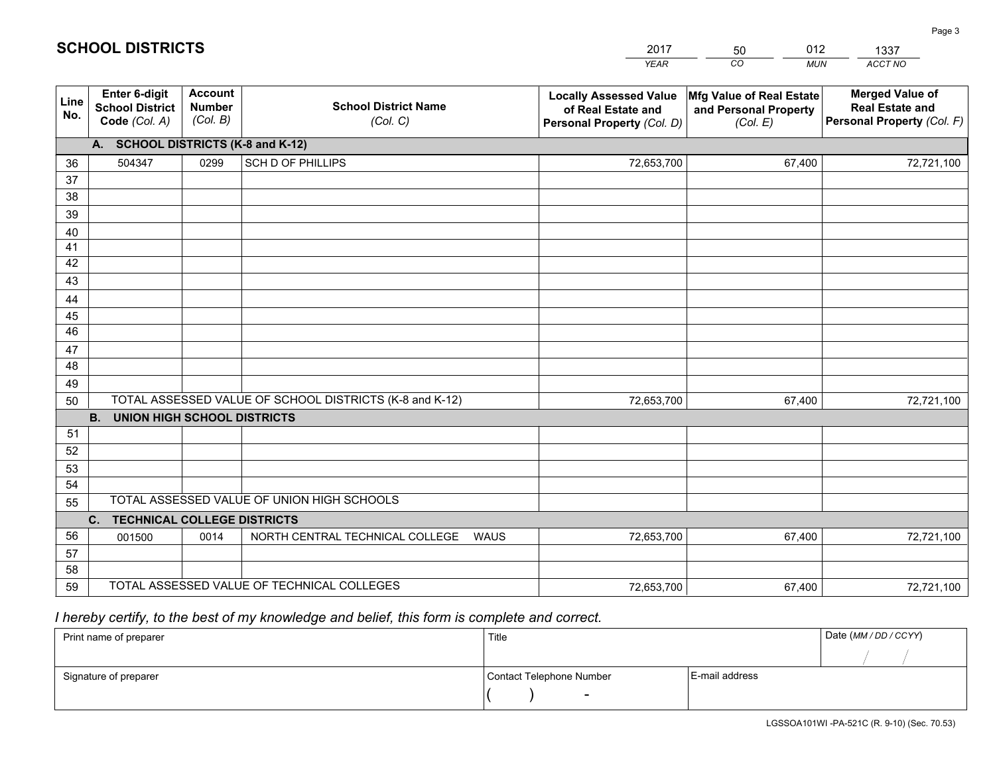|             |                                                                 |                                             |                                                         | <b>YEAR</b>                                                                       | CO<br><b>MUN</b>                                              | ACCT NO                                                                        |
|-------------|-----------------------------------------------------------------|---------------------------------------------|---------------------------------------------------------|-----------------------------------------------------------------------------------|---------------------------------------------------------------|--------------------------------------------------------------------------------|
| Line<br>No. | <b>Enter 6-digit</b><br><b>School District</b><br>Code (Col. A) | <b>Account</b><br><b>Number</b><br>(Col. B) | <b>School District Name</b><br>(Col. C)                 | <b>Locally Assessed Value</b><br>of Real Estate and<br>Personal Property (Col. D) | Mfg Value of Real Estate<br>and Personal Property<br>(Col. E) | <b>Merged Value of</b><br><b>Real Estate and</b><br>Personal Property (Col. F) |
|             | A. SCHOOL DISTRICTS (K-8 and K-12)                              |                                             |                                                         |                                                                                   |                                                               |                                                                                |
| 36          | 504347                                                          | 0299                                        | <b>SCH D OF PHILLIPS</b>                                | 72,653,700                                                                        | 67,400                                                        | 72,721,100                                                                     |
| 37          |                                                                 |                                             |                                                         |                                                                                   |                                                               |                                                                                |
| 38          |                                                                 |                                             |                                                         |                                                                                   |                                                               |                                                                                |
| 39          |                                                                 |                                             |                                                         |                                                                                   |                                                               |                                                                                |
| 40          |                                                                 |                                             |                                                         |                                                                                   |                                                               |                                                                                |
| 41<br>42    |                                                                 |                                             |                                                         |                                                                                   |                                                               |                                                                                |
| 43          |                                                                 |                                             |                                                         |                                                                                   |                                                               |                                                                                |
| 44          |                                                                 |                                             |                                                         |                                                                                   |                                                               |                                                                                |
| 45          |                                                                 |                                             |                                                         |                                                                                   |                                                               |                                                                                |
| 46          |                                                                 |                                             |                                                         |                                                                                   |                                                               |                                                                                |
| 47          |                                                                 |                                             |                                                         |                                                                                   |                                                               |                                                                                |
| 48          |                                                                 |                                             |                                                         |                                                                                   |                                                               |                                                                                |
| 49          |                                                                 |                                             |                                                         |                                                                                   |                                                               |                                                                                |
| 50          |                                                                 |                                             | TOTAL ASSESSED VALUE OF SCHOOL DISTRICTS (K-8 and K-12) | 72,653,700                                                                        | 67,400                                                        | 72,721,100                                                                     |
|             | <b>B. UNION HIGH SCHOOL DISTRICTS</b>                           |                                             |                                                         |                                                                                   |                                                               |                                                                                |
| 51<br>52    |                                                                 |                                             |                                                         |                                                                                   |                                                               |                                                                                |
| 53          |                                                                 |                                             |                                                         |                                                                                   |                                                               |                                                                                |
| 54          |                                                                 |                                             |                                                         |                                                                                   |                                                               |                                                                                |
| 55          |                                                                 |                                             | TOTAL ASSESSED VALUE OF UNION HIGH SCHOOLS              |                                                                                   |                                                               |                                                                                |
|             | C.<br><b>TECHNICAL COLLEGE DISTRICTS</b>                        |                                             |                                                         |                                                                                   |                                                               |                                                                                |
| 56          | 001500                                                          | 0014                                        | NORTH CENTRAL TECHNICAL COLLEGE<br><b>WAUS</b>          | 72,653,700                                                                        | 67,400                                                        | 72,721,100                                                                     |
| 57          |                                                                 |                                             |                                                         |                                                                                   |                                                               |                                                                                |
| 58          |                                                                 |                                             |                                                         |                                                                                   |                                                               |                                                                                |
| 59          |                                                                 |                                             | TOTAL ASSESSED VALUE OF TECHNICAL COLLEGES              | 72,653,700                                                                        | 67,400                                                        | 72,721,100                                                                     |

50

012

 *I hereby certify, to the best of my knowledge and belief, this form is complete and correct.*

**SCHOOL DISTRICTS**

| Print name of preparer | Title                    | Date (MM / DD / CCYY) |  |
|------------------------|--------------------------|-----------------------|--|
|                        |                          |                       |  |
| Signature of preparer  | Contact Telephone Number | E-mail address        |  |
|                        | $\sim$                   |                       |  |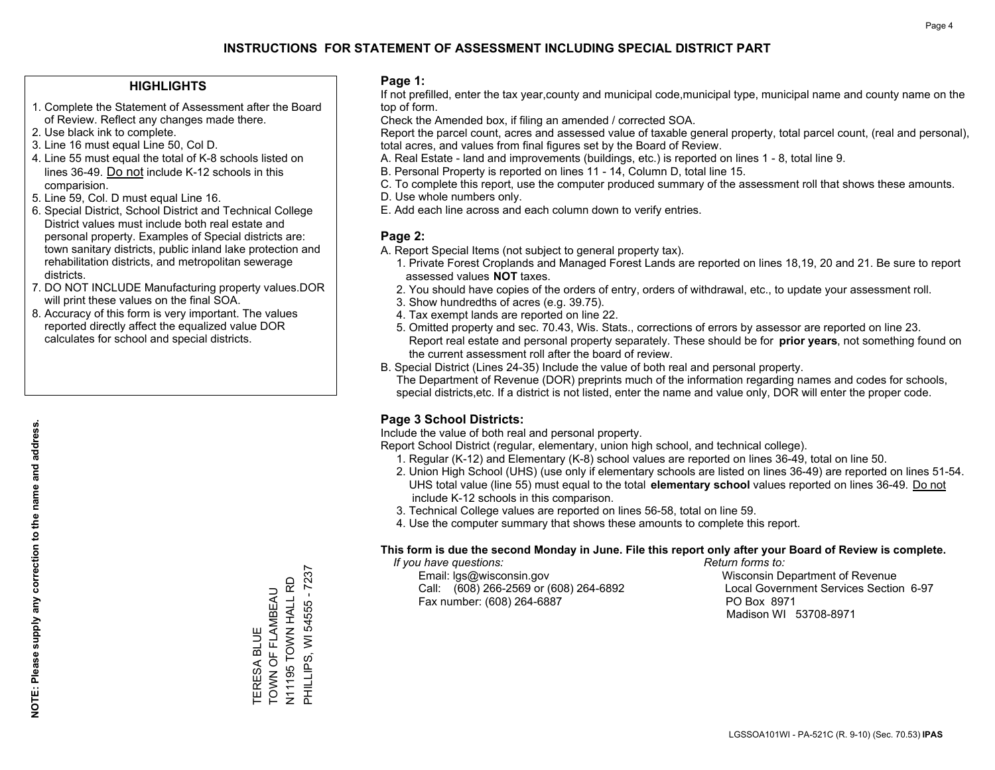### **HIGHLIGHTS**

- 1. Complete the Statement of Assessment after the Board of Review. Reflect any changes made there.
- 2. Use black ink to complete.
- 3. Line 16 must equal Line 50, Col D.
- 4. Line 55 must equal the total of K-8 schools listed on lines 36-49. Do not include K-12 schools in this comparision.
- 5. Line 59, Col. D must equal Line 16.
- 6. Special District, School District and Technical College District values must include both real estate and personal property. Examples of Special districts are: town sanitary districts, public inland lake protection and rehabilitation districts, and metropolitan sewerage districts.
- 7. DO NOT INCLUDE Manufacturing property values.DOR will print these values on the final SOA.
- 8. Accuracy of this form is very important. The values reported directly affect the equalized value DOR calculates for school and special districts.

#### **Page 1:**

 If not prefilled, enter the tax year,county and municipal code,municipal type, municipal name and county name on the top of form.

Check the Amended box, if filing an amended / corrected SOA.

 Report the parcel count, acres and assessed value of taxable general property, total parcel count, (real and personal), total acres, and values from final figures set by the Board of Review.

- A. Real Estate land and improvements (buildings, etc.) is reported on lines 1 8, total line 9.
- B. Personal Property is reported on lines 11 14, Column D, total line 15.
- C. To complete this report, use the computer produced summary of the assessment roll that shows these amounts.
- D. Use whole numbers only.
- E. Add each line across and each column down to verify entries.

## **Page 2:**

- A. Report Special Items (not subject to general property tax).
- 1. Private Forest Croplands and Managed Forest Lands are reported on lines 18,19, 20 and 21. Be sure to report assessed values **NOT** taxes.
- 2. You should have copies of the orders of entry, orders of withdrawal, etc., to update your assessment roll.
	- 3. Show hundredths of acres (e.g. 39.75).
- 4. Tax exempt lands are reported on line 22.
- 5. Omitted property and sec. 70.43, Wis. Stats., corrections of errors by assessor are reported on line 23. Report real estate and personal property separately. These should be for **prior years**, not something found on the current assessment roll after the board of review.
- B. Special District (Lines 24-35) Include the value of both real and personal property.

 The Department of Revenue (DOR) preprints much of the information regarding names and codes for schools, special districts,etc. If a district is not listed, enter the name and value only, DOR will enter the proper code.

## **Page 3 School Districts:**

Include the value of both real and personal property.

Report School District (regular, elementary, union high school, and technical college).

- 1. Regular (K-12) and Elementary (K-8) school values are reported on lines 36-49, total on line 50.
- 2. Union High School (UHS) (use only if elementary schools are listed on lines 36-49) are reported on lines 51-54. UHS total value (line 55) must equal to the total **elementary school** values reported on lines 36-49. Do notinclude K-12 schools in this comparison.
- 3. Technical College values are reported on lines 56-58, total on line 59.
- 4. Use the computer summary that shows these amounts to complete this report.

#### **This form is due the second Monday in June. File this report only after your Board of Review is complete.**

 *If you have questions: Return forms to:*

 Email: lgs@wisconsin.gov Wisconsin Department of RevenueCall:  $(608)$  266-2569 or  $(608)$  264-6892 Fax number: (608) 264-6887 PO Box 8971

Local Government Services Section 6-97 Madison WI 53708-8971

N11195 TOWN HALL RD<br>PHILLIPS, WI 54555 - 7237 PHILLIPS, WI 54555 - 7237 N11195 TOWN HALL RD TOWN OF FLAMBEAU TOWN OF FLAMBEAU TERESA BLUE TERESA BLUE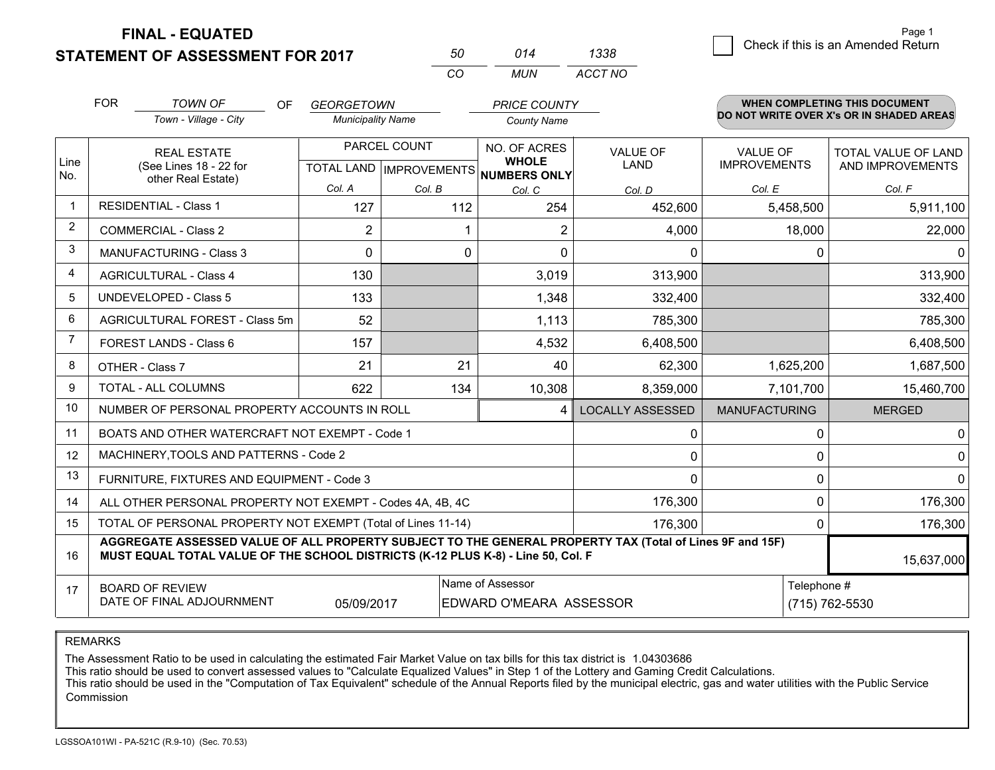**STATEMENT OF ASSESSMENT FOR 2017** 

**FINAL - EQUATED**

|      | raye i                             |
|------|------------------------------------|
| 1338 | Check if this is an Amended Return |

|                | <b>FOR</b><br><b>TOWN OF</b>                                                                                                                                                                 | <b>OF</b><br>GEORGETOWN<br><b>PRICE COUNTY</b> |                          |                           | <b>WHEN COMPLETING THIS DOCUMENT</b><br>DO NOT WRITE OVER X's OR IN SHADED AREAS |                    |                         |                      |                            |                  |
|----------------|----------------------------------------------------------------------------------------------------------------------------------------------------------------------------------------------|------------------------------------------------|--------------------------|---------------------------|----------------------------------------------------------------------------------|--------------------|-------------------------|----------------------|----------------------------|------------------|
|                | Town - Village - City                                                                                                                                                                        |                                                | <b>Municipality Name</b> |                           |                                                                                  | <b>County Name</b> |                         |                      |                            |                  |
|                | <b>REAL ESTATE</b>                                                                                                                                                                           | PARCEL COUNT                                   |                          |                           | NO. OF ACRES<br><b>WHOLE</b>                                                     | <b>VALUE OF</b>    | <b>VALUE OF</b>         |                      | <b>TOTAL VALUE OF LAND</b> |                  |
| Line<br>No.    | (See Lines 18 - 22 for<br>other Real Estate)                                                                                                                                                 |                                                |                          | TOTAL LAND   IMPROVEMENTS |                                                                                  | NUMBERS ONLY       | <b>LAND</b>             | <b>IMPROVEMENTS</b>  |                            | AND IMPROVEMENTS |
|                |                                                                                                                                                                                              |                                                | Col. A                   | Col. B                    |                                                                                  | Col. C             | Col. D                  | Col. E               |                            | Col. F           |
| 1              | <b>RESIDENTIAL - Class 1</b>                                                                                                                                                                 |                                                | 127                      |                           | 112                                                                              | 254                | 452,600                 |                      | 5,458,500                  | 5,911,100        |
| $\overline{2}$ | <b>COMMERCIAL - Class 2</b>                                                                                                                                                                  |                                                | $\overline{2}$           |                           |                                                                                  | 2                  | 4,000                   |                      | 18,000                     | 22,000           |
| 3              | <b>MANUFACTURING - Class 3</b>                                                                                                                                                               |                                                | $\Omega$                 |                           | 0                                                                                | 0                  | 0                       |                      | 0                          | $\Omega$         |
| 4              | <b>AGRICULTURAL - Class 4</b>                                                                                                                                                                |                                                | 130                      |                           |                                                                                  | 3,019              | 313,900                 |                      |                            | 313,900          |
| 5              | <b>UNDEVELOPED - Class 5</b>                                                                                                                                                                 |                                                | 133                      |                           |                                                                                  | 1,348              | 332,400                 |                      |                            | 332,400          |
| 6              | AGRICULTURAL FOREST - Class 5m                                                                                                                                                               |                                                | 52                       |                           |                                                                                  | 1,113              | 785,300                 |                      |                            | 785,300          |
| $\overline{7}$ | FOREST LANDS - Class 6                                                                                                                                                                       |                                                | 157                      |                           |                                                                                  | 4,532              | 6,408,500               |                      |                            | 6,408,500        |
| 8              | OTHER - Class 7                                                                                                                                                                              |                                                | 21                       |                           | 21                                                                               | 40                 | 62,300                  |                      | 1,625,200                  | 1,687,500        |
| 9              | <b>TOTAL - ALL COLUMNS</b>                                                                                                                                                                   |                                                | 622                      |                           | 134                                                                              | 10,308             | 8,359,000               |                      | 7,101,700                  | 15,460,700       |
| 10             | NUMBER OF PERSONAL PROPERTY ACCOUNTS IN ROLL                                                                                                                                                 |                                                |                          |                           |                                                                                  | 4                  | <b>LOCALLY ASSESSED</b> | <b>MANUFACTURING</b> |                            | <b>MERGED</b>    |
| 11             | BOATS AND OTHER WATERCRAFT NOT EXEMPT - Code 1                                                                                                                                               |                                                |                          |                           |                                                                                  |                    | 0                       |                      | $\Omega$                   | 0                |
| 12             | MACHINERY, TOOLS AND PATTERNS - Code 2                                                                                                                                                       |                                                |                          |                           |                                                                                  |                    | 0                       |                      | 0                          | $\mathbf 0$      |
| 13             | FURNITURE, FIXTURES AND EQUIPMENT - Code 3                                                                                                                                                   |                                                |                          |                           |                                                                                  |                    | $\mathbf{0}$            |                      | $\mathbf{0}$               | $\mathbf{0}$     |
| 14             | ALL OTHER PERSONAL PROPERTY NOT EXEMPT - Codes 4A, 4B, 4C                                                                                                                                    |                                                |                          |                           |                                                                                  |                    | 176,300                 |                      | $\Omega$                   | 176,300          |
| 15             | TOTAL OF PERSONAL PROPERTY NOT EXEMPT (Total of Lines 11-14)                                                                                                                                 |                                                |                          |                           |                                                                                  |                    | 176,300                 |                      | $\mathbf{0}$               | 176,300          |
| 16             | AGGREGATE ASSESSED VALUE OF ALL PROPERTY SUBJECT TO THE GENERAL PROPERTY TAX (Total of Lines 9F and 15F)<br>MUST EQUAL TOTAL VALUE OF THE SCHOOL DISTRICTS (K-12 PLUS K-8) - Line 50, Col. F |                                                |                          |                           |                                                                                  |                    |                         |                      |                            | 15,637,000       |
| 17             | <b>BOARD OF REVIEW</b>                                                                                                                                                                       |                                                |                          |                           |                                                                                  | Name of Assessor   |                         |                      | Telephone #                |                  |
|                | DATE OF FINAL ADJOURNMENT<br>(715) 762-5530<br>05/09/2017<br>EDWARD O'MEARA ASSESSOR                                                                                                         |                                                |                          |                           |                                                                                  |                    |                         |                      |                            |                  |

*CO*

*MUN*

*ACCT NO*

*<sup>50</sup> <sup>014</sup>*

REMARKS

The Assessment Ratio to be used in calculating the estimated Fair Market Value on tax bills for this tax district is 1.04303686<br>This ratio should be used to convert assessed values to "Calculate Equalized Values" in Step 1 Commission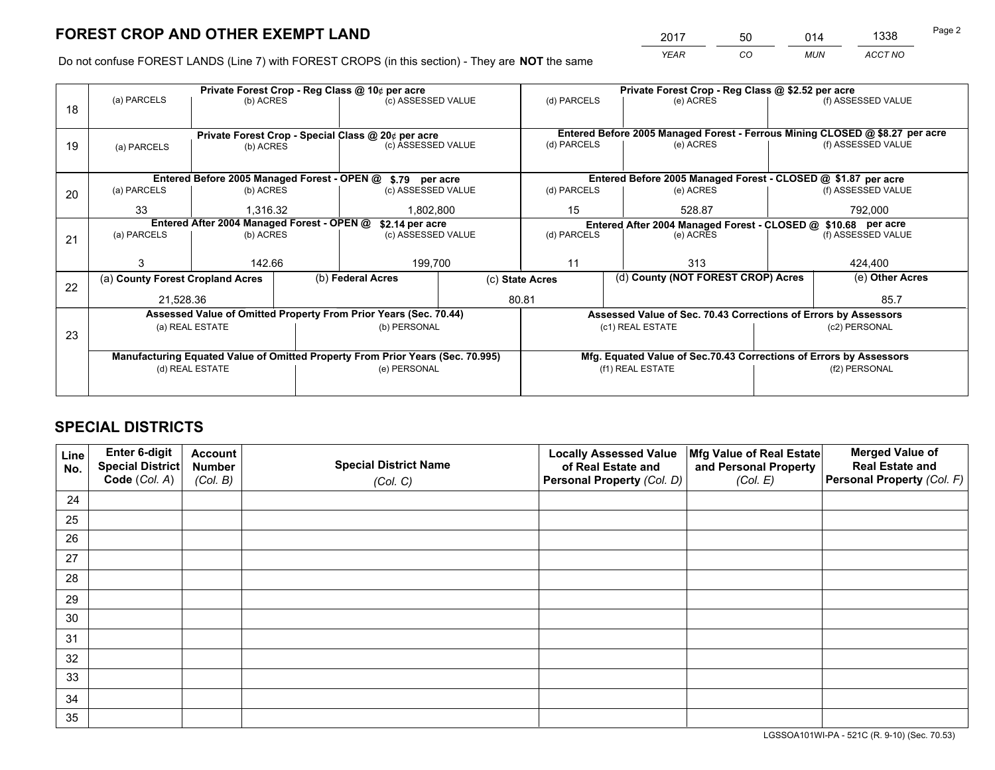*YEAR CO MUN ACCT NO* 2017 50 014 1338

Do not confuse FOREST LANDS (Line 7) with FOREST CROPS (in this section) - They are **NOT** the same

|                                                                                |             |                                                                  |                                               |                                                                                                                   | (d) PARCELS                                                                                                                                                                                                                                                                                                                                             | (e) ACRES                               |                                      | (f) ASSESSED VALUE                                                                                                                                                                                                                                                                                                                                                                                                                                 |
|--------------------------------------------------------------------------------|-------------|------------------------------------------------------------------|-----------------------------------------------|-------------------------------------------------------------------------------------------------------------------|---------------------------------------------------------------------------------------------------------------------------------------------------------------------------------------------------------------------------------------------------------------------------------------------------------------------------------------------------------|-----------------------------------------|--------------------------------------|----------------------------------------------------------------------------------------------------------------------------------------------------------------------------------------------------------------------------------------------------------------------------------------------------------------------------------------------------------------------------------------------------------------------------------------------------|
|                                                                                |             |                                                                  |                                               |                                                                                                                   |                                                                                                                                                                                                                                                                                                                                                         |                                         |                                      |                                                                                                                                                                                                                                                                                                                                                                                                                                                    |
|                                                                                |             |                                                                  |                                               |                                                                                                                   |                                                                                                                                                                                                                                                                                                                                                         |                                         |                                      |                                                                                                                                                                                                                                                                                                                                                                                                                                                    |
| (a) PARCELS                                                                    | (b) ACRES   |                                                                  |                                               |                                                                                                                   | (e) ACRES                                                                                                                                                                                                                                                                                                                                               |                                         | (f) ASSESSED VALUE                   |                                                                                                                                                                                                                                                                                                                                                                                                                                                    |
|                                                                                |             |                                                                  |                                               |                                                                                                                   |                                                                                                                                                                                                                                                                                                                                                         |                                         |                                      |                                                                                                                                                                                                                                                                                                                                                                                                                                                    |
|                                                                                |             |                                                                  |                                               |                                                                                                                   |                                                                                                                                                                                                                                                                                                                                                         |                                         |                                      |                                                                                                                                                                                                                                                                                                                                                                                                                                                    |
| (a) PARCELS                                                                    |             |                                                                  |                                               |                                                                                                                   | (d) PARCELS                                                                                                                                                                                                                                                                                                                                             | (e) ACRES                               |                                      | (f) ASSESSED VALUE                                                                                                                                                                                                                                                                                                                                                                                                                                 |
| 33                                                                             | 1.316.32    |                                                                  |                                               | 15                                                                                                                | 528.87                                                                                                                                                                                                                                                                                                                                                  |                                         | 792,000                              |                                                                                                                                                                                                                                                                                                                                                                                                                                                    |
|                                                                                |             |                                                                  |                                               |                                                                                                                   |                                                                                                                                                                                                                                                                                                                                                         |                                         |                                      |                                                                                                                                                                                                                                                                                                                                                                                                                                                    |
| (a) PARCELS                                                                    |             |                                                                  |                                               |                                                                                                                   | (d) PARCELS                                                                                                                                                                                                                                                                                                                                             | (e) ACRES                               |                                      | (f) ASSESSED VALUE                                                                                                                                                                                                                                                                                                                                                                                                                                 |
|                                                                                |             |                                                                  |                                               |                                                                                                                   |                                                                                                                                                                                                                                                                                                                                                         |                                         |                                      |                                                                                                                                                                                                                                                                                                                                                                                                                                                    |
| 3                                                                              |             |                                                                  |                                               |                                                                                                                   | 11                                                                                                                                                                                                                                                                                                                                                      | 313                                     |                                      | 424.400                                                                                                                                                                                                                                                                                                                                                                                                                                            |
|                                                                                |             |                                                                  |                                               |                                                                                                                   |                                                                                                                                                                                                                                                                                                                                                         |                                         |                                      | (e) Other Acres                                                                                                                                                                                                                                                                                                                                                                                                                                    |
|                                                                                |             |                                                                  |                                               |                                                                                                                   |                                                                                                                                                                                                                                                                                                                                                         |                                         |                                      | 85.7                                                                                                                                                                                                                                                                                                                                                                                                                                               |
|                                                                                |             |                                                                  |                                               |                                                                                                                   |                                                                                                                                                                                                                                                                                                                                                         |                                         |                                      |                                                                                                                                                                                                                                                                                                                                                                                                                                                    |
|                                                                                |             |                                                                  |                                               |                                                                                                                   |                                                                                                                                                                                                                                                                                                                                                         |                                         |                                      | (c2) PERSONAL                                                                                                                                                                                                                                                                                                                                                                                                                                      |
|                                                                                |             |                                                                  |                                               |                                                                                                                   |                                                                                                                                                                                                                                                                                                                                                         |                                         |                                      |                                                                                                                                                                                                                                                                                                                                                                                                                                                    |
| Manufacturing Equated Value of Omitted Property From Prior Years (Sec. 70.995) |             |                                                                  |                                               |                                                                                                                   |                                                                                                                                                                                                                                                                                                                                                         |                                         |                                      |                                                                                                                                                                                                                                                                                                                                                                                                                                                    |
| (d) REAL ESTATE                                                                |             |                                                                  |                                               |                                                                                                                   |                                                                                                                                                                                                                                                                                                                                                         |                                         |                                      | (f2) PERSONAL                                                                                                                                                                                                                                                                                                                                                                                                                                      |
|                                                                                |             |                                                                  |                                               |                                                                                                                   |                                                                                                                                                                                                                                                                                                                                                         |                                         |                                      |                                                                                                                                                                                                                                                                                                                                                                                                                                                    |
|                                                                                | (a) PARCELS | (a) County Forest Cropland Acres<br>21,528.36<br>(a) REAL ESTATE | (b) ACRES<br>(b) ACRES<br>(b) ACRES<br>142.66 | Private Forest Crop - Reg Class @ 10¢ per acre<br>Entered After 2004 Managed Forest - OPEN @<br>(b) Federal Acres | (c) ASSESSED VALUE<br>Private Forest Crop - Special Class @ 20¢ per acre<br>(c) ASSESSED VALUE<br>Entered Before 2005 Managed Forest - OPEN @ \$.79 per acre<br>(c) ASSESSED VALUE<br>1,802,800<br>\$2.14 per acre<br>(c) ASSESSED VALUE<br>199,700<br>Assessed Value of Omitted Property From Prior Years (Sec. 70.44)<br>(b) PERSONAL<br>(e) PERSONAL | (d) PARCELS<br>(c) State Acres<br>80.81 | (c1) REAL ESTATE<br>(f1) REAL ESTATE | Private Forest Crop - Reg Class @ \$2.52 per acre<br>Entered Before 2005 Managed Forest - Ferrous Mining CLOSED @ \$8.27 per acre<br>Entered Before 2005 Managed Forest - CLOSED @ \$1.87 per acre<br>Entered After 2004 Managed Forest - CLOSED @ \$10.68 per acre<br>(d) County (NOT FOREST CROP) Acres<br>Assessed Value of Sec. 70.43 Corrections of Errors by Assessors<br>Mfg. Equated Value of Sec.70.43 Corrections of Errors by Assessors |

## **SPECIAL DISTRICTS**

| Line<br>No. | Enter 6-digit<br><b>Special District</b> | <b>Account</b><br><b>Number</b> | <b>Special District Name</b> | <b>Locally Assessed Value</b><br>of Real Estate and | Mfg Value of Real Estate<br>and Personal Property | <b>Merged Value of</b><br><b>Real Estate and</b> |
|-------------|------------------------------------------|---------------------------------|------------------------------|-----------------------------------------------------|---------------------------------------------------|--------------------------------------------------|
|             | Code (Col. A)                            | (Col. B)                        | (Col. C)                     | Personal Property (Col. D)                          | (Col. E)                                          | Personal Property (Col. F)                       |
| 24          |                                          |                                 |                              |                                                     |                                                   |                                                  |
| 25          |                                          |                                 |                              |                                                     |                                                   |                                                  |
| 26          |                                          |                                 |                              |                                                     |                                                   |                                                  |
| 27          |                                          |                                 |                              |                                                     |                                                   |                                                  |
| 28          |                                          |                                 |                              |                                                     |                                                   |                                                  |
| 29          |                                          |                                 |                              |                                                     |                                                   |                                                  |
| 30          |                                          |                                 |                              |                                                     |                                                   |                                                  |
| 31          |                                          |                                 |                              |                                                     |                                                   |                                                  |
| 32          |                                          |                                 |                              |                                                     |                                                   |                                                  |
| 33          |                                          |                                 |                              |                                                     |                                                   |                                                  |
| 34          |                                          |                                 |                              |                                                     |                                                   |                                                  |
| 35          |                                          |                                 |                              |                                                     |                                                   |                                                  |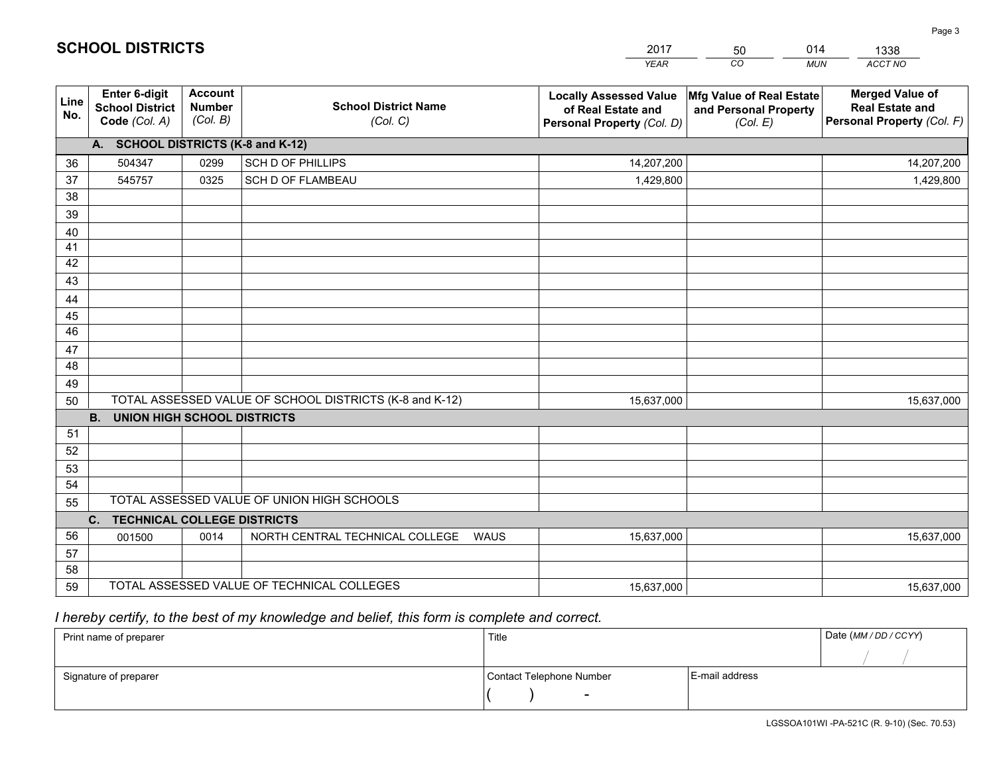|             |                                                          |                                             |                                                         | YEAR                                                                              | CO.<br><b>MUN</b>                                             | ACCT NO                                                                        |
|-------------|----------------------------------------------------------|---------------------------------------------|---------------------------------------------------------|-----------------------------------------------------------------------------------|---------------------------------------------------------------|--------------------------------------------------------------------------------|
| Line<br>No. | Enter 6-digit<br><b>School District</b><br>Code (Col. A) | <b>Account</b><br><b>Number</b><br>(Col. B) | <b>School District Name</b><br>(Col. C)                 | <b>Locally Assessed Value</b><br>of Real Estate and<br>Personal Property (Col. D) | Mfg Value of Real Estate<br>and Personal Property<br>(Col. E) | <b>Merged Value of</b><br><b>Real Estate and</b><br>Personal Property (Col. F) |
|             | A. SCHOOL DISTRICTS (K-8 and K-12)                       |                                             |                                                         |                                                                                   |                                                               |                                                                                |
| 36          | 504347                                                   | 0299                                        | <b>SCH D OF PHILLIPS</b>                                | 14,207,200                                                                        |                                                               | 14,207,200                                                                     |
| 37          | 545757                                                   | 0325                                        | SCH D OF FLAMBEAU                                       | 1,429,800                                                                         |                                                               | 1,429,800                                                                      |
| 38          |                                                          |                                             |                                                         |                                                                                   |                                                               |                                                                                |
| 39          |                                                          |                                             |                                                         |                                                                                   |                                                               |                                                                                |
| 40          |                                                          |                                             |                                                         |                                                                                   |                                                               |                                                                                |
| 41          |                                                          |                                             |                                                         |                                                                                   |                                                               |                                                                                |
| 42          |                                                          |                                             |                                                         |                                                                                   |                                                               |                                                                                |
| 43          |                                                          |                                             |                                                         |                                                                                   |                                                               |                                                                                |
| 44          |                                                          |                                             |                                                         |                                                                                   |                                                               |                                                                                |
| 45          |                                                          |                                             |                                                         |                                                                                   |                                                               |                                                                                |
| 46          |                                                          |                                             |                                                         |                                                                                   |                                                               |                                                                                |
| 47          |                                                          |                                             |                                                         |                                                                                   |                                                               |                                                                                |
| 48          |                                                          |                                             |                                                         |                                                                                   |                                                               |                                                                                |
| 49          |                                                          |                                             |                                                         |                                                                                   |                                                               |                                                                                |
| 50          | <b>B.</b><br><b>UNION HIGH SCHOOL DISTRICTS</b>          |                                             | TOTAL ASSESSED VALUE OF SCHOOL DISTRICTS (K-8 and K-12) | 15,637,000                                                                        |                                                               | 15,637,000                                                                     |
| 51          |                                                          |                                             |                                                         |                                                                                   |                                                               |                                                                                |
| 52          |                                                          |                                             |                                                         |                                                                                   |                                                               |                                                                                |
| 53          |                                                          |                                             |                                                         |                                                                                   |                                                               |                                                                                |
| 54          |                                                          |                                             |                                                         |                                                                                   |                                                               |                                                                                |
| 55          |                                                          |                                             | TOTAL ASSESSED VALUE OF UNION HIGH SCHOOLS              |                                                                                   |                                                               |                                                                                |
|             | C.<br><b>TECHNICAL COLLEGE DISTRICTS</b>                 |                                             |                                                         |                                                                                   |                                                               |                                                                                |
| 56          | 001500                                                   | 0014                                        | NORTH CENTRAL TECHNICAL COLLEGE<br><b>WAUS</b>          | 15,637,000                                                                        |                                                               | 15,637,000                                                                     |
| 57          |                                                          |                                             |                                                         |                                                                                   |                                                               |                                                                                |
| 58          |                                                          |                                             |                                                         |                                                                                   |                                                               |                                                                                |
| 59          |                                                          |                                             | TOTAL ASSESSED VALUE OF TECHNICAL COLLEGES              | 15,637,000                                                                        |                                                               | 15,637,000                                                                     |

50

014

 *I hereby certify, to the best of my knowledge and belief, this form is complete and correct.*

**SCHOOL DISTRICTS**

| Print name of preparer | Title                    |                | Date (MM / DD / CCYY) |
|------------------------|--------------------------|----------------|-----------------------|
|                        |                          |                |                       |
| Signature of preparer  | Contact Telephone Number | E-mail address |                       |
|                        |                          |                |                       |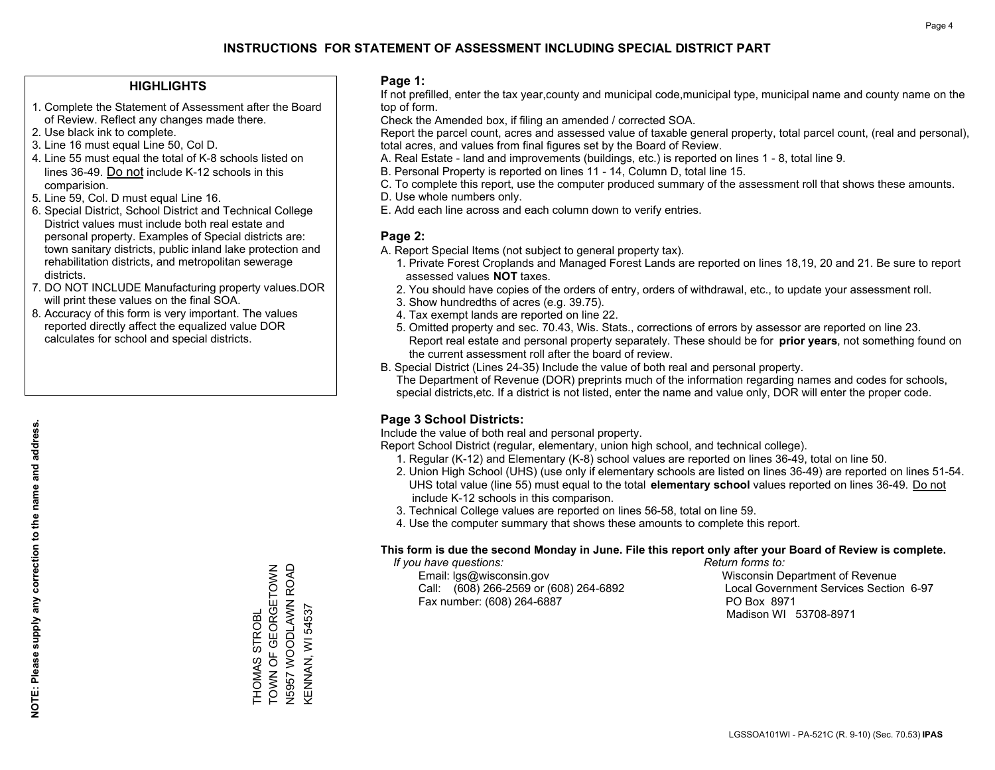### **HIGHLIGHTS**

- 1. Complete the Statement of Assessment after the Board of Review. Reflect any changes made there.
- 2. Use black ink to complete.
- 3. Line 16 must equal Line 50, Col D.
- 4. Line 55 must equal the total of K-8 schools listed on lines 36-49. Do not include K-12 schools in this comparision.
- 5. Line 59, Col. D must equal Line 16.
- 6. Special District, School District and Technical College District values must include both real estate and personal property. Examples of Special districts are: town sanitary districts, public inland lake protection and rehabilitation districts, and metropolitan sewerage districts.
- 7. DO NOT INCLUDE Manufacturing property values.DOR will print these values on the final SOA.
- 8. Accuracy of this form is very important. The values reported directly affect the equalized value DOR calculates for school and special districts.

#### **Page 1:**

 If not prefilled, enter the tax year,county and municipal code,municipal type, municipal name and county name on the top of form.

Check the Amended box, if filing an amended / corrected SOA.

 Report the parcel count, acres and assessed value of taxable general property, total parcel count, (real and personal), total acres, and values from final figures set by the Board of Review.

- A. Real Estate land and improvements (buildings, etc.) is reported on lines 1 8, total line 9.
- B. Personal Property is reported on lines 11 14, Column D, total line 15.
- C. To complete this report, use the computer produced summary of the assessment roll that shows these amounts.
- D. Use whole numbers only.
- E. Add each line across and each column down to verify entries.

## **Page 2:**

- A. Report Special Items (not subject to general property tax).
- 1. Private Forest Croplands and Managed Forest Lands are reported on lines 18,19, 20 and 21. Be sure to report assessed values **NOT** taxes.
- 2. You should have copies of the orders of entry, orders of withdrawal, etc., to update your assessment roll.
	- 3. Show hundredths of acres (e.g. 39.75).
- 4. Tax exempt lands are reported on line 22.
- 5. Omitted property and sec. 70.43, Wis. Stats., corrections of errors by assessor are reported on line 23. Report real estate and personal property separately. These should be for **prior years**, not something found on the current assessment roll after the board of review.
- B. Special District (Lines 24-35) Include the value of both real and personal property.
- The Department of Revenue (DOR) preprints much of the information regarding names and codes for schools, special districts,etc. If a district is not listed, enter the name and value only, DOR will enter the proper code.

## **Page 3 School Districts:**

Include the value of both real and personal property.

Report School District (regular, elementary, union high school, and technical college).

- 1. Regular (K-12) and Elementary (K-8) school values are reported on lines 36-49, total on line 50.
- 2. Union High School (UHS) (use only if elementary schools are listed on lines 36-49) are reported on lines 51-54. UHS total value (line 55) must equal to the total **elementary school** values reported on lines 36-49. Do notinclude K-12 schools in this comparison.
- 3. Technical College values are reported on lines 56-58, total on line 59.
- 4. Use the computer summary that shows these amounts to complete this report.

#### **This form is due the second Monday in June. File this report only after your Board of Review is complete.**

 *If you have questions: Return forms to:*

 Email: lgs@wisconsin.gov Wisconsin Department of RevenueCall:  $(608)$  266-2569 or  $(608)$  264-6892 Fax number: (608) 264-6887 PO Box 8971

Local Government Services Section 6-97 Madison WI 53708-8971

TOWN OF GEORGETOWN THOMAS STROBL<br>TOWN OF GEORGETOWN N5957 WOODLAWN ROAD KENNAN, WI 54537 KENNAN, WI 54537 THOMAS STROBL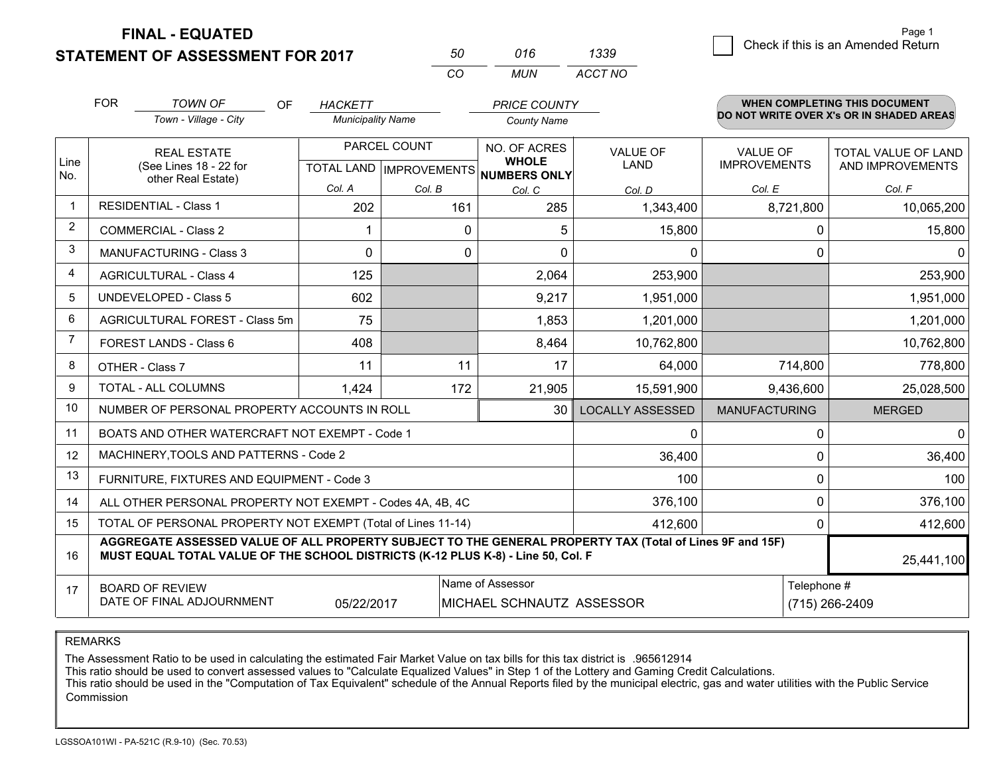**STATEMENT OF ASSESSMENT FOR 2017** 

| ווא      | 016 | 1339    |
|----------|-----|---------|
| $\cdots$ | MUN | ACCT NO |

|                | <b>FOR</b>                                                                                                                                                                                                 | <b>TOWN OF</b><br><b>OF</b><br>Town - Village - City         | <b>HACKETT</b><br><b>Municipality Name</b>          |          | <b>PRICE COUNTY</b><br><b>County Name</b> |                                |                                        | <b>WHEN COMPLETING THIS DOCUMENT</b><br>DO NOT WRITE OVER X's OR IN SHADED AREAS |
|----------------|------------------------------------------------------------------------------------------------------------------------------------------------------------------------------------------------------------|--------------------------------------------------------------|-----------------------------------------------------|----------|-------------------------------------------|--------------------------------|----------------------------------------|----------------------------------------------------------------------------------|
| Line<br>No.    | <b>REAL ESTATE</b><br>(See Lines 18 - 22 for                                                                                                                                                               |                                                              | PARCEL COUNT<br>TOTAL LAND MPROVEMENTS NUMBERS ONLY |          | NO. OF ACRES<br><b>WHOLE</b>              | <b>VALUE OF</b><br><b>LAND</b> | <b>VALUE OF</b><br><b>IMPROVEMENTS</b> | <b>TOTAL VALUE OF LAND</b><br>AND IMPROVEMENTS                                   |
|                |                                                                                                                                                                                                            | other Real Estate)                                           | Col. A                                              | Col. B   | Col. C                                    | Col. D                         | Col. E                                 | Col. F                                                                           |
| -1             |                                                                                                                                                                                                            | <b>RESIDENTIAL - Class 1</b>                                 | 202                                                 | 161      | 285                                       | 1,343,400                      | 8,721,800                              | 10,065,200                                                                       |
| 2              |                                                                                                                                                                                                            | <b>COMMERCIAL - Class 2</b>                                  |                                                     | $\Omega$ | 5                                         | 15,800                         | $\mathbf{0}$                           | 15,800                                                                           |
| 3              |                                                                                                                                                                                                            | <b>MANUFACTURING - Class 3</b>                               | $\Omega$                                            | $\Omega$ | $\Omega$                                  | $\mathbf{0}$                   | $\Omega$                               | $\Omega$                                                                         |
| 4              |                                                                                                                                                                                                            | <b>AGRICULTURAL - Class 4</b>                                | 125                                                 |          | 2,064                                     | 253,900                        |                                        | 253,900                                                                          |
| 5              |                                                                                                                                                                                                            | <b>UNDEVELOPED - Class 5</b>                                 | 602                                                 |          | 9,217                                     | 1,951,000                      |                                        | 1,951,000                                                                        |
| 6              | AGRICULTURAL FOREST - Class 5m                                                                                                                                                                             |                                                              | 75                                                  |          | 1,853                                     | 1,201,000                      |                                        | 1,201,000                                                                        |
| $\overline{7}$ | FOREST LANDS - Class 6                                                                                                                                                                                     |                                                              | 408                                                 |          | 8,464                                     | 10,762,800                     |                                        | 10,762,800                                                                       |
| 8              | OTHER - Class 7                                                                                                                                                                                            |                                                              | 11                                                  | 11       | 17                                        | 64,000                         | 714,800                                | 778,800                                                                          |
| 9              |                                                                                                                                                                                                            | <b>TOTAL - ALL COLUMNS</b>                                   | 1,424                                               | 172      | 21,905                                    | 15,591,900                     | 9,436,600                              | 25,028,500                                                                       |
| 10             |                                                                                                                                                                                                            | NUMBER OF PERSONAL PROPERTY ACCOUNTS IN ROLL                 |                                                     |          | 30                                        | <b>LOCALLY ASSESSED</b>        | <b>MANUFACTURING</b>                   | <b>MERGED</b>                                                                    |
| 11             |                                                                                                                                                                                                            | BOATS AND OTHER WATERCRAFT NOT EXEMPT - Code 1               |                                                     |          |                                           | 0                              | 0                                      | 0                                                                                |
| 12             |                                                                                                                                                                                                            | MACHINERY, TOOLS AND PATTERNS - Code 2                       |                                                     |          |                                           | 36,400                         | $\Omega$                               | 36,400                                                                           |
| 13             |                                                                                                                                                                                                            | FURNITURE, FIXTURES AND EQUIPMENT - Code 3                   |                                                     |          |                                           | 100                            | $\mathbf 0$                            | 100                                                                              |
| 14             |                                                                                                                                                                                                            | ALL OTHER PERSONAL PROPERTY NOT EXEMPT - Codes 4A, 4B, 4C    |                                                     |          |                                           | 376,100                        | $\mathbf 0$                            | 376,100                                                                          |
| 15             |                                                                                                                                                                                                            | TOTAL OF PERSONAL PROPERTY NOT EXEMPT (Total of Lines 11-14) |                                                     |          |                                           | 412,600                        | $\Omega$                               | 412,600                                                                          |
| 16             | AGGREGATE ASSESSED VALUE OF ALL PROPERTY SUBJECT TO THE GENERAL PROPERTY TAX (Total of Lines 9F and 15F)<br>MUST EQUAL TOTAL VALUE OF THE SCHOOL DISTRICTS (K-12 PLUS K-8) - Line 50, Col. F<br>25,441,100 |                                                              |                                                     |          |                                           |                                |                                        |                                                                                  |
| 17             | Name of Assessor<br><b>BOARD OF REVIEW</b><br>DATE OF FINAL ADJOURNMENT<br>05/22/2017<br>MICHAEL SCHNAUTZ ASSESSOR                                                                                         |                                                              |                                                     |          |                                           |                                | Telephone #                            | (715) 266-2409                                                                   |

REMARKS

The Assessment Ratio to be used in calculating the estimated Fair Market Value on tax bills for this tax district is .965612914<br>This ratio should be used to convert assessed values to "Calculate Equalized Values" in Step 1 Commission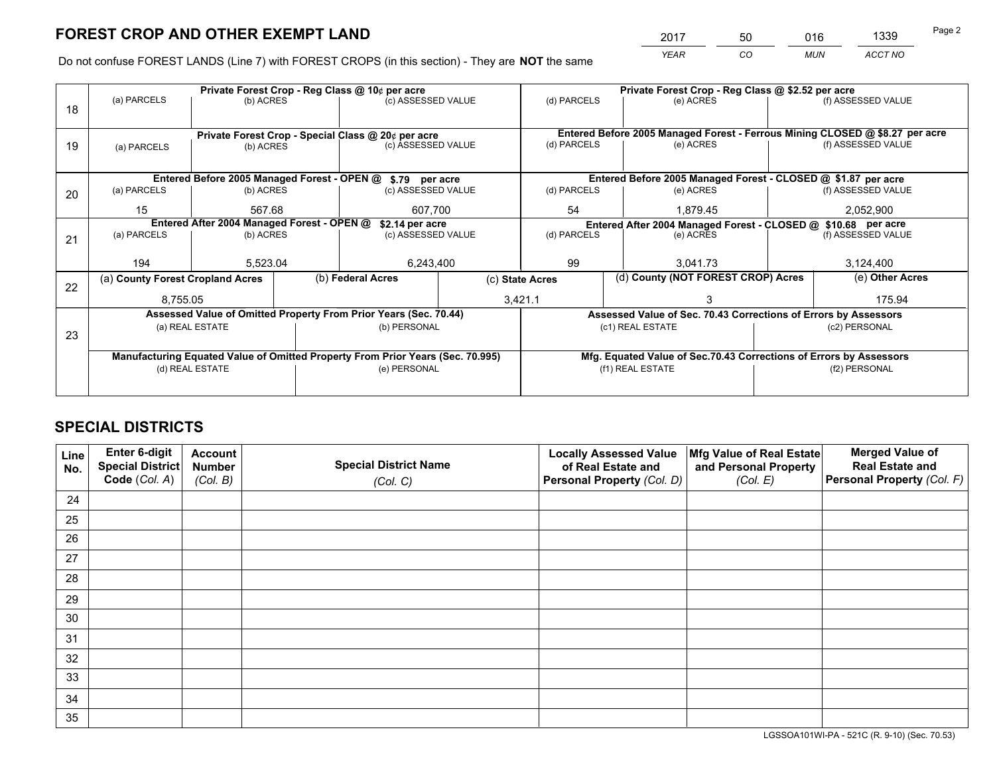*YEAR CO MUN ACCT NO* <sup>2017</sup> <sup>50</sup> <sup>016</sup> <sup>1339</sup>

Do not confuse FOREST LANDS (Line 7) with FOREST CROPS (in this section) - They are **NOT** the same

|    |                                                    |                                 |  | Private Forest Crop - Reg Class @ 10¢ per acre                                 |                                                               |           | Private Forest Crop - Reg Class @ \$2.52 per acre                            |                    |                    |
|----|----------------------------------------------------|---------------------------------|--|--------------------------------------------------------------------------------|---------------------------------------------------------------|-----------|------------------------------------------------------------------------------|--------------------|--------------------|
| 18 | (a) PARCELS                                        | (b) ACRES                       |  | (c) ASSESSED VALUE                                                             | (d) PARCELS                                                   |           | (e) ACRES                                                                    |                    | (f) ASSESSED VALUE |
|    |                                                    |                                 |  |                                                                                |                                                               |           |                                                                              |                    |                    |
|    | Private Forest Crop - Special Class @ 20¢ per acre |                                 |  |                                                                                |                                                               |           | Entered Before 2005 Managed Forest - Ferrous Mining CLOSED @ \$8.27 per acre |                    |                    |
| 19 | (a) PARCELS                                        | (c) ASSESSED VALUE<br>(b) ACRES |  | (d) PARCELS                                                                    |                                                               | (e) ACRES |                                                                              | (f) ASSESSED VALUE |                    |
|    |                                                    |                                 |  |                                                                                |                                                               |           |                                                                              |                    |                    |
|    |                                                    |                                 |  | Entered Before 2005 Managed Forest - OPEN @ \$.79 per acre                     |                                                               |           | Entered Before 2005 Managed Forest - CLOSED @ \$1.87 per acre                |                    |                    |
| 20 | (a) PARCELS                                        | (b) ACRES                       |  | (c) ASSESSED VALUE                                                             | (d) PARCELS                                                   |           | (e) ACRES                                                                    |                    | (f) ASSESSED VALUE |
|    | 15                                                 | 567.68<br>607,700               |  | 54<br>1,879.45                                                                 |                                                               |           | 2,052,900                                                                    |                    |                    |
|    | Entered After 2004 Managed Forest - OPEN @         | \$2.14 per acre                 |  |                                                                                | Entered After 2004 Managed Forest - CLOSED @ \$10.68 per acre |           |                                                                              |                    |                    |
| 21 | (a) PARCELS                                        | (b) ACRES                       |  | (c) ASSESSED VALUE                                                             | (d) PARCELS<br>(e) ACRES                                      |           | (f) ASSESSED VALUE                                                           |                    |                    |
|    |                                                    |                                 |  |                                                                                |                                                               |           |                                                                              |                    |                    |
|    | 194                                                | 5,523.04                        |  | 6,243,400                                                                      | 99                                                            |           | 3.041.73                                                                     |                    | 3,124,400          |
| 22 | (a) County Forest Cropland Acres                   |                                 |  | (b) Federal Acres                                                              | (c) State Acres                                               |           | (d) County (NOT FOREST CROP) Acres                                           |                    | (e) Other Acres    |
|    | 8,755.05                                           |                                 |  |                                                                                | 3,421.1                                                       |           | 175.94                                                                       |                    |                    |
|    |                                                    |                                 |  | Assessed Value of Omitted Property From Prior Years (Sec. 70.44)               |                                                               |           | Assessed Value of Sec. 70.43 Corrections of Errors by Assessors              |                    |                    |
| 23 |                                                    | (a) REAL ESTATE                 |  | (b) PERSONAL                                                                   |                                                               |           | (c1) REAL ESTATE                                                             |                    | (c2) PERSONAL      |
|    |                                                    |                                 |  |                                                                                |                                                               |           |                                                                              |                    |                    |
|    |                                                    |                                 |  | Manufacturing Equated Value of Omitted Property From Prior Years (Sec. 70.995) |                                                               |           | Mfg. Equated Value of Sec.70.43 Corrections of Errors by Assessors           |                    |                    |
|    | (d) REAL ESTATE                                    |                                 |  | (e) PERSONAL                                                                   |                                                               |           | (f1) REAL ESTATE                                                             |                    | (f2) PERSONAL      |
|    |                                                    |                                 |  |                                                                                |                                                               |           |                                                                              |                    |                    |

## **SPECIAL DISTRICTS**

| Line<br>No. | Enter 6-digit<br><b>Special District</b> | <b>Account</b><br><b>Number</b> | <b>Special District Name</b> | <b>Locally Assessed Value</b><br>of Real Estate and | Mfg Value of Real Estate<br>and Personal Property | <b>Merged Value of</b><br><b>Real Estate and</b> |
|-------------|------------------------------------------|---------------------------------|------------------------------|-----------------------------------------------------|---------------------------------------------------|--------------------------------------------------|
|             | Code (Col. A)                            | (Col. B)                        | (Col. C)                     | Personal Property (Col. D)                          | (Col. E)                                          | Personal Property (Col. F)                       |
| 24          |                                          |                                 |                              |                                                     |                                                   |                                                  |
| 25          |                                          |                                 |                              |                                                     |                                                   |                                                  |
| 26          |                                          |                                 |                              |                                                     |                                                   |                                                  |
| 27          |                                          |                                 |                              |                                                     |                                                   |                                                  |
| 28          |                                          |                                 |                              |                                                     |                                                   |                                                  |
| 29          |                                          |                                 |                              |                                                     |                                                   |                                                  |
| 30          |                                          |                                 |                              |                                                     |                                                   |                                                  |
| 31          |                                          |                                 |                              |                                                     |                                                   |                                                  |
| 32          |                                          |                                 |                              |                                                     |                                                   |                                                  |
| 33          |                                          |                                 |                              |                                                     |                                                   |                                                  |
| 34          |                                          |                                 |                              |                                                     |                                                   |                                                  |
| 35          |                                          |                                 |                              |                                                     |                                                   |                                                  |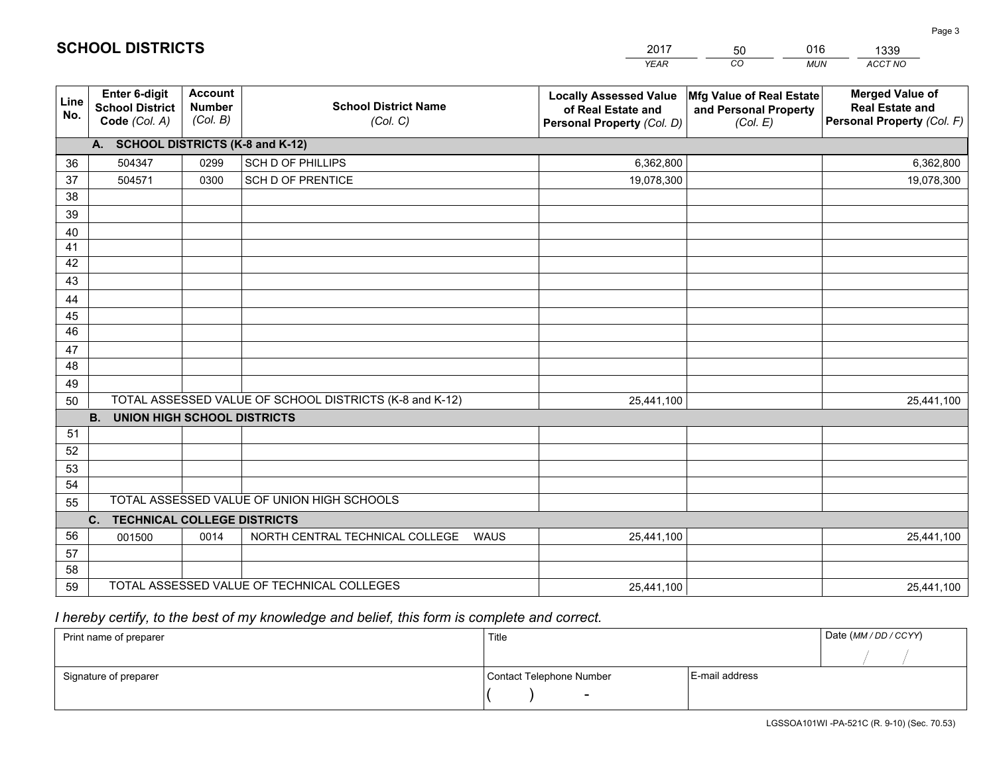|             |                                                          |                                             |                                                         | <b>YEAR</b>                                                                       | CO<br><b>MUN</b>                                                              | ACCT NO                                                                        |
|-------------|----------------------------------------------------------|---------------------------------------------|---------------------------------------------------------|-----------------------------------------------------------------------------------|-------------------------------------------------------------------------------|--------------------------------------------------------------------------------|
| Line<br>No. | Enter 6-digit<br><b>School District</b><br>Code (Col. A) | <b>Account</b><br><b>Number</b><br>(Col. B) | <b>School District Name</b><br>(Col. C)                 | <b>Locally Assessed Value</b><br>of Real Estate and<br>Personal Property (Col. D) | $ \mathsf{Mfg}$ Value of Real Estate $ $<br>and Personal Property<br>(Col. E) | <b>Merged Value of</b><br><b>Real Estate and</b><br>Personal Property (Col. F) |
|             | A. SCHOOL DISTRICTS (K-8 and K-12)                       |                                             |                                                         |                                                                                   |                                                                               |                                                                                |
| 36          | 504347                                                   | 0299                                        | SCH D OF PHILLIPS                                       | 6,362,800                                                                         |                                                                               | 6,362,800                                                                      |
| 37          | 504571                                                   | 0300                                        | <b>SCH D OF PRENTICE</b>                                | 19,078,300                                                                        |                                                                               | 19,078,300                                                                     |
| 38          |                                                          |                                             |                                                         |                                                                                   |                                                                               |                                                                                |
| 39          |                                                          |                                             |                                                         |                                                                                   |                                                                               |                                                                                |
| 40          |                                                          |                                             |                                                         |                                                                                   |                                                                               |                                                                                |
| 41          |                                                          |                                             |                                                         |                                                                                   |                                                                               |                                                                                |
| 42          |                                                          |                                             |                                                         |                                                                                   |                                                                               |                                                                                |
| 43          |                                                          |                                             |                                                         |                                                                                   |                                                                               |                                                                                |
| 44          |                                                          |                                             |                                                         |                                                                                   |                                                                               |                                                                                |
| 45          |                                                          |                                             |                                                         |                                                                                   |                                                                               |                                                                                |
| 46          |                                                          |                                             |                                                         |                                                                                   |                                                                               |                                                                                |
| 47          |                                                          |                                             |                                                         |                                                                                   |                                                                               |                                                                                |
| 48          |                                                          |                                             |                                                         |                                                                                   |                                                                               |                                                                                |
| 49          |                                                          |                                             |                                                         |                                                                                   |                                                                               |                                                                                |
| 50          | <b>B.</b><br><b>UNION HIGH SCHOOL DISTRICTS</b>          |                                             | TOTAL ASSESSED VALUE OF SCHOOL DISTRICTS (K-8 and K-12) | 25,441,100                                                                        |                                                                               | 25,441,100                                                                     |
| 51          |                                                          |                                             |                                                         |                                                                                   |                                                                               |                                                                                |
| 52          |                                                          |                                             |                                                         |                                                                                   |                                                                               |                                                                                |
| 53          |                                                          |                                             |                                                         |                                                                                   |                                                                               |                                                                                |
| 54          |                                                          |                                             |                                                         |                                                                                   |                                                                               |                                                                                |
| 55          |                                                          |                                             | TOTAL ASSESSED VALUE OF UNION HIGH SCHOOLS              |                                                                                   |                                                                               |                                                                                |
|             | C. TECHNICAL COLLEGE DISTRICTS                           |                                             |                                                         |                                                                                   |                                                                               |                                                                                |
| 56          | 001500                                                   | 0014                                        | NORTH CENTRAL TECHNICAL COLLEGE<br><b>WAUS</b>          | 25,441,100                                                                        |                                                                               | 25,441,100                                                                     |
| 57          |                                                          |                                             |                                                         |                                                                                   |                                                                               |                                                                                |
| 58          |                                                          |                                             |                                                         |                                                                                   |                                                                               |                                                                                |
| 59          |                                                          |                                             | TOTAL ASSESSED VALUE OF TECHNICAL COLLEGES              | 25,441,100                                                                        |                                                                               | 25,441,100                                                                     |

50

016

 *I hereby certify, to the best of my knowledge and belief, this form is complete and correct.*

**SCHOOL DISTRICTS**

| Print name of preparer | Title                    |                | Date (MM/DD/CCYY) |
|------------------------|--------------------------|----------------|-------------------|
|                        |                          |                |                   |
| Signature of preparer  | Contact Telephone Number | E-mail address |                   |
|                        | $\overline{\phantom{0}}$ |                |                   |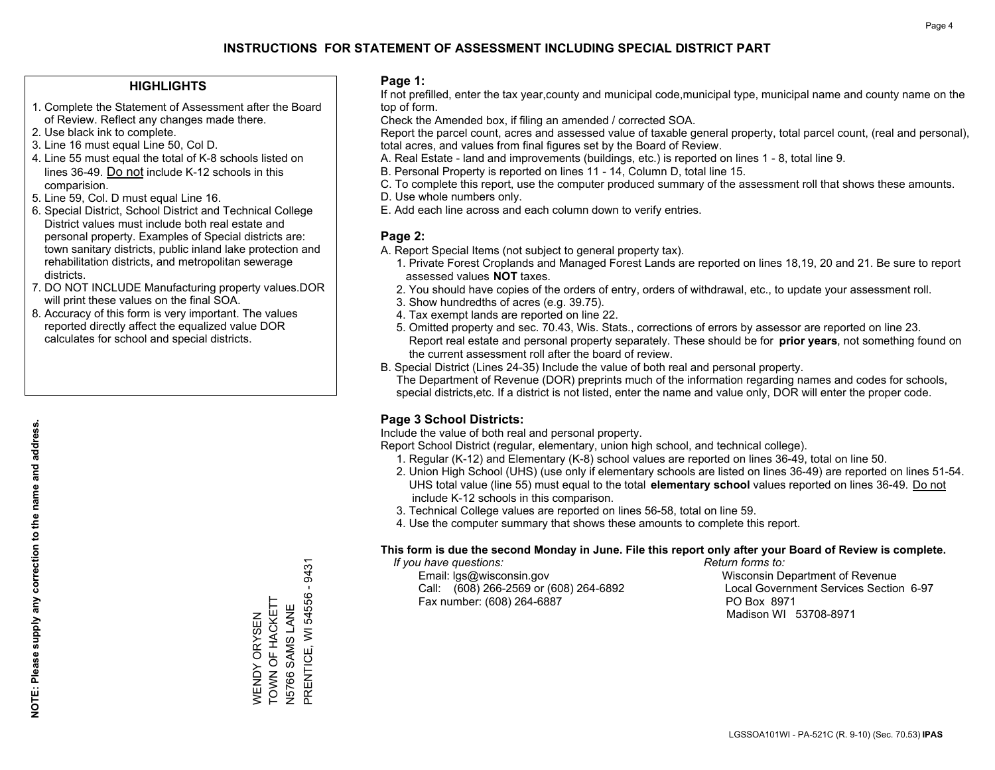### **HIGHLIGHTS**

- 1. Complete the Statement of Assessment after the Board of Review. Reflect any changes made there.
- 2. Use black ink to complete.
- 3. Line 16 must equal Line 50, Col D.
- 4. Line 55 must equal the total of K-8 schools listed on lines 36-49. Do not include K-12 schools in this comparision.
- 5. Line 59, Col. D must equal Line 16.
- 6. Special District, School District and Technical College District values must include both real estate and personal property. Examples of Special districts are: town sanitary districts, public inland lake protection and rehabilitation districts, and metropolitan sewerage districts.
- 7. DO NOT INCLUDE Manufacturing property values.DOR will print these values on the final SOA.
- 8. Accuracy of this form is very important. The values reported directly affect the equalized value DOR calculates for school and special districts.

#### **Page 1:**

 If not prefilled, enter the tax year,county and municipal code,municipal type, municipal name and county name on the top of form.

Check the Amended box, if filing an amended / corrected SOA.

 Report the parcel count, acres and assessed value of taxable general property, total parcel count, (real and personal), total acres, and values from final figures set by the Board of Review.

- A. Real Estate land and improvements (buildings, etc.) is reported on lines 1 8, total line 9.
- B. Personal Property is reported on lines 11 14, Column D, total line 15.
- C. To complete this report, use the computer produced summary of the assessment roll that shows these amounts.
- D. Use whole numbers only.
- E. Add each line across and each column down to verify entries.

## **Page 2:**

- A. Report Special Items (not subject to general property tax).
- 1. Private Forest Croplands and Managed Forest Lands are reported on lines 18,19, 20 and 21. Be sure to report assessed values **NOT** taxes.
- 2. You should have copies of the orders of entry, orders of withdrawal, etc., to update your assessment roll.
	- 3. Show hundredths of acres (e.g. 39.75).
- 4. Tax exempt lands are reported on line 22.
- 5. Omitted property and sec. 70.43, Wis. Stats., corrections of errors by assessor are reported on line 23. Report real estate and personal property separately. These should be for **prior years**, not something found on the current assessment roll after the board of review.
- B. Special District (Lines 24-35) Include the value of both real and personal property.

 The Department of Revenue (DOR) preprints much of the information regarding names and codes for schools, special districts,etc. If a district is not listed, enter the name and value only, DOR will enter the proper code.

## **Page 3 School Districts:**

Include the value of both real and personal property.

Report School District (regular, elementary, union high school, and technical college).

- 1. Regular (K-12) and Elementary (K-8) school values are reported on lines 36-49, total on line 50.
- 2. Union High School (UHS) (use only if elementary schools are listed on lines 36-49) are reported on lines 51-54. UHS total value (line 55) must equal to the total **elementary school** values reported on lines 36-49. Do notinclude K-12 schools in this comparison.
- 3. Technical College values are reported on lines 56-58, total on line 59.
- 4. Use the computer summary that shows these amounts to complete this report.

#### **This form is due the second Monday in June. File this report only after your Board of Review is complete.**

 *If you have questions: Return forms to:*

 Email: lgs@wisconsin.gov Wisconsin Department of RevenueCall:  $(608)$  266-2569 or  $(608)$  264-6892 Fax number: (608) 264-6887 PO Box 8971

Local Government Services Section 6-97 Madison WI 53708-8971

9431 PRENTICE, WI 54556 - 9431  $\mathbf{I}$ PRENTICE, WI 54556 TOWN OF HACKETT WENDY ORYSEN<br>TOWN OF HACKETT N5766 SAMS LANE WENDY ORYSEN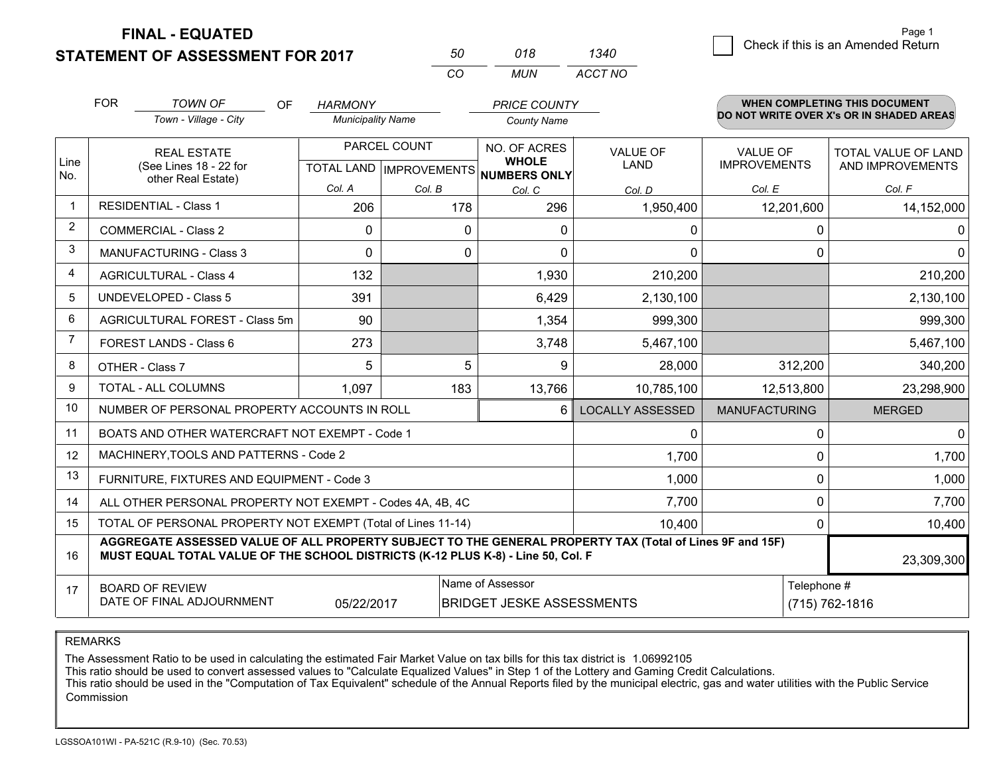**STATEMENT OF ASSESSMENT FOR 2017** 

| 50  | 018 | 1340    |
|-----|-----|---------|
| CO. | MUN | ACCT NO |

|                | <b>FOR</b>                                                                                                                                                                                                 | <b>TOWN OF</b><br>OF                           | <b>HARMONY</b>           |                           | <b>PRICE COUNTY</b>                 |                         |                                          | <b>WHEN COMPLETING THIS DOCUMENT</b> |  |
|----------------|------------------------------------------------------------------------------------------------------------------------------------------------------------------------------------------------------------|------------------------------------------------|--------------------------|---------------------------|-------------------------------------|-------------------------|------------------------------------------|--------------------------------------|--|
|                | Town - Village - City                                                                                                                                                                                      |                                                | <b>Municipality Name</b> |                           | <b>County Name</b>                  |                         | DO NOT WRITE OVER X's OR IN SHADED AREAS |                                      |  |
|                | <b>REAL ESTATE</b>                                                                                                                                                                                         |                                                |                          | PARCEL COUNT              | NO. OF ACRES                        | VALUE OF                | <b>VALUE OF</b>                          | <b>TOTAL VALUE OF LAND</b>           |  |
| Line<br>No.    |                                                                                                                                                                                                            | (See Lines 18 - 22 for<br>other Real Estate)   |                          | TOTAL LAND   IMPROVEMENTS | <b>WHOLE</b><br><b>NUMBERS ONLY</b> | LAND                    | <b>IMPROVEMENTS</b>                      | AND IMPROVEMENTS                     |  |
|                |                                                                                                                                                                                                            |                                                | Col. A                   | Col. B                    | Col. C                              | Col. D                  | Col. E                                   | Col. F                               |  |
| -1             |                                                                                                                                                                                                            | <b>RESIDENTIAL - Class 1</b>                   | 206                      | 178                       | 296                                 | 1,950,400               | 12,201,600                               | 14,152,000                           |  |
| $\overline{2}$ |                                                                                                                                                                                                            | <b>COMMERCIAL - Class 2</b>                    | $\mathbf{0}$             | 0                         | 0                                   | 0                       | 0                                        | 0                                    |  |
| 3              |                                                                                                                                                                                                            | <b>MANUFACTURING - Class 3</b>                 | $\Omega$                 | 0                         | $\Omega$                            | 0                       | 0                                        | $\Omega$                             |  |
| 4              |                                                                                                                                                                                                            | <b>AGRICULTURAL - Class 4</b>                  | 132                      |                           | 1,930                               | 210,200                 |                                          | 210,200                              |  |
| 5              |                                                                                                                                                                                                            | <b>UNDEVELOPED - Class 5</b>                   | 391                      |                           | 6,429                               | 2,130,100               |                                          | 2,130,100                            |  |
| 6              |                                                                                                                                                                                                            | AGRICULTURAL FOREST - Class 5m                 | 90                       |                           | 1,354                               | 999,300                 |                                          | 999,300                              |  |
| $\overline{7}$ | FOREST LANDS - Class 6                                                                                                                                                                                     |                                                | 273                      |                           | 3,748                               | 5,467,100               |                                          | 5,467,100                            |  |
| 8              | OTHER - Class 7                                                                                                                                                                                            |                                                | 5                        | 5                         | 9                                   | 28,000                  | 312,200                                  | 340,200                              |  |
| 9              | TOTAL - ALL COLUMNS                                                                                                                                                                                        |                                                | 1,097<br>183             |                           | 13,766                              | 10,785,100              | 12,513,800                               | 23,298,900                           |  |
| 10             |                                                                                                                                                                                                            | NUMBER OF PERSONAL PROPERTY ACCOUNTS IN ROLL   |                          |                           | 6                                   | <b>LOCALLY ASSESSED</b> | <b>MANUFACTURING</b>                     | <b>MERGED</b>                        |  |
| 11             |                                                                                                                                                                                                            | BOATS AND OTHER WATERCRAFT NOT EXEMPT - Code 1 |                          |                           |                                     | $\Omega$                | 0                                        | $\Omega$                             |  |
| 12             |                                                                                                                                                                                                            | MACHINERY, TOOLS AND PATTERNS - Code 2         |                          |                           |                                     | 1,700                   | 0                                        | 1,700                                |  |
| 13             |                                                                                                                                                                                                            | FURNITURE, FIXTURES AND EQUIPMENT - Code 3     |                          |                           |                                     | 1,000                   | 0                                        | 1,000                                |  |
| 14             | 7,700<br>ALL OTHER PERSONAL PROPERTY NOT EXEMPT - Codes 4A, 4B, 4C                                                                                                                                         |                                                |                          |                           |                                     |                         |                                          | 0<br>7,700                           |  |
| 15             | TOTAL OF PERSONAL PROPERTY NOT EXEMPT (Total of Lines 11-14)<br>10,400                                                                                                                                     |                                                |                          |                           |                                     |                         |                                          | 0<br>10,400                          |  |
| 16             | AGGREGATE ASSESSED VALUE OF ALL PROPERTY SUBJECT TO THE GENERAL PROPERTY TAX (Total of Lines 9F and 15F)<br>MUST EQUAL TOTAL VALUE OF THE SCHOOL DISTRICTS (K-12 PLUS K-8) - Line 50, Col. F<br>23,309,300 |                                                |                          |                           |                                     |                         |                                          |                                      |  |
| 17             |                                                                                                                                                                                                            | <b>BOARD OF REVIEW</b>                         |                          |                           | Name of Assessor                    |                         | Telephone #                              |                                      |  |
|                |                                                                                                                                                                                                            | DATE OF FINAL ADJOURNMENT                      | 05/22/2017               |                           | <b>BRIDGET JESKE ASSESSMENTS</b>    |                         |                                          | (715) 762-1816                       |  |

REMARKS

The Assessment Ratio to be used in calculating the estimated Fair Market Value on tax bills for this tax district is 1.06992105

This ratio should be used to convert assessed values to "Calculate Equalized Values" in Step 1 of the Lottery and Gaming Credit Calculations.<br>This ratio should be used in the "Computation of Tax Equivalent" schedule of the Commission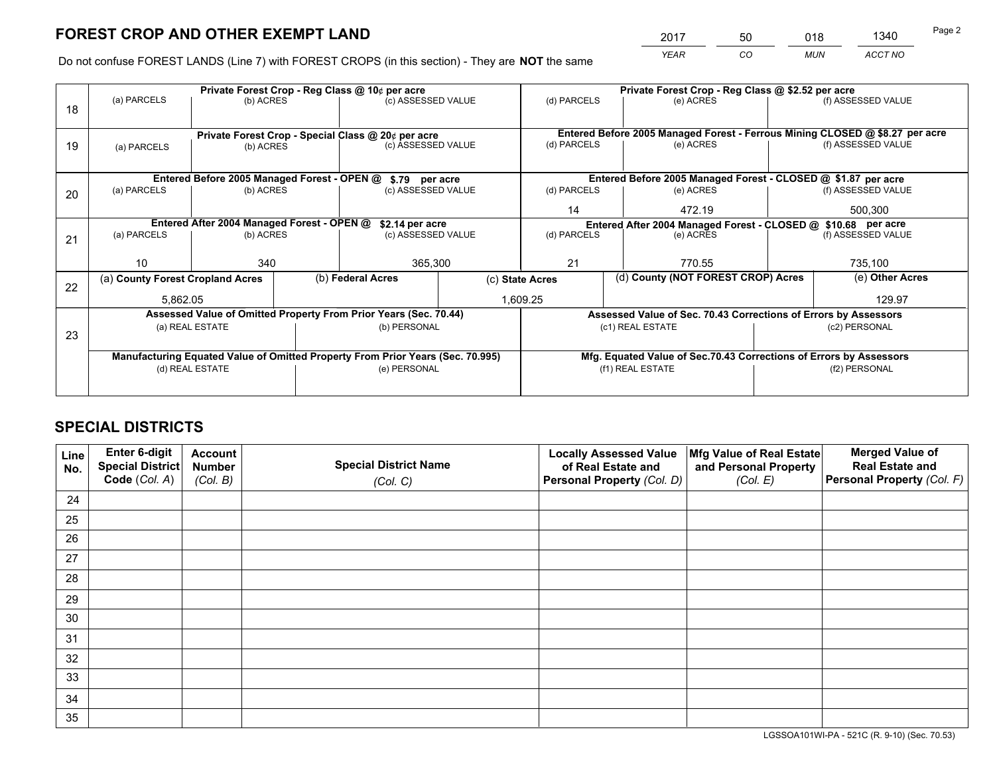*YEAR CO MUN ACCT NO* <sup>2017</sup> <sup>50</sup> <sup>018</sup> <sup>1340</sup>

Do not confuse FOREST LANDS (Line 7) with FOREST CROPS (in this section) - They are **NOT** the same

|    | Private Forest Crop - Reg Class @ 10¢ per acre                                 |           |                                                                    |                                                            |                                                                              |                                                                 | Private Forest Crop - Reg Class @ \$2.52 per acre |                                                               |                    |                    |
|----|--------------------------------------------------------------------------------|-----------|--------------------------------------------------------------------|------------------------------------------------------------|------------------------------------------------------------------------------|-----------------------------------------------------------------|---------------------------------------------------|---------------------------------------------------------------|--------------------|--------------------|
| 18 | (a) PARCELS<br>(b) ACRES                                                       |           |                                                                    | (c) ASSESSED VALUE                                         |                                                                              | (d) PARCELS                                                     |                                                   | (e) ACRES                                                     |                    | (f) ASSESSED VALUE |
|    |                                                                                |           |                                                                    |                                                            |                                                                              |                                                                 |                                                   |                                                               |                    |                    |
|    | Private Forest Crop - Special Class @ 20¢ per acre                             |           |                                                                    |                                                            | Entered Before 2005 Managed Forest - Ferrous Mining CLOSED @ \$8.27 per acre |                                                                 |                                                   |                                                               |                    |                    |
| 19 | (a) PARCELS                                                                    | (b) ACRES |                                                                    | (c) ASSESSED VALUE                                         |                                                                              | (d) PARCELS                                                     |                                                   | (e) ACRES                                                     |                    | (f) ASSESSED VALUE |
|    |                                                                                |           |                                                                    |                                                            |                                                                              |                                                                 |                                                   |                                                               |                    |                    |
|    |                                                                                |           |                                                                    | Entered Before 2005 Managed Forest - OPEN @ \$.79 per acre |                                                                              |                                                                 |                                                   | Entered Before 2005 Managed Forest - CLOSED @ \$1.87 per acre |                    |                    |
| 20 | (a) PARCELS                                                                    | (b) ACRES |                                                                    | (c) ASSESSED VALUE                                         |                                                                              | (d) PARCELS<br>(e) ACRES                                        |                                                   |                                                               |                    | (f) ASSESSED VALUE |
|    |                                                                                |           |                                                                    |                                                            |                                                                              | 14                                                              |                                                   | 472.19                                                        |                    | 500,300            |
|    | Entered After 2004 Managed Forest - OPEN @<br>\$2.14 per acre                  |           |                                                                    |                                                            |                                                                              | Entered After 2004 Managed Forest - CLOSED @ \$10.68 per acre   |                                                   |                                                               |                    |                    |
| 21 | (a) PARCELS                                                                    | (b) ACRES |                                                                    |                                                            | (c) ASSESSED VALUE                                                           |                                                                 | (d) PARCELS<br>(e) ACRES                          |                                                               | (f) ASSESSED VALUE |                    |
|    |                                                                                |           |                                                                    |                                                            |                                                                              |                                                                 |                                                   |                                                               |                    |                    |
|    | 10                                                                             | 340       |                                                                    | 365,300                                                    |                                                                              | 21                                                              |                                                   | 770.55                                                        |                    | 735,100            |
| 22 | (a) County Forest Cropland Acres                                               |           |                                                                    | (b) Federal Acres                                          | (c) State Acres                                                              |                                                                 |                                                   | (d) County (NOT FOREST CROP) Acres                            |                    | (e) Other Acres    |
|    | 5,862.05                                                                       |           |                                                                    |                                                            |                                                                              | 1,609.25                                                        |                                                   |                                                               | 129.97             |                    |
|    | Assessed Value of Omitted Property From Prior Years (Sec. 70.44)               |           |                                                                    |                                                            |                                                                              | Assessed Value of Sec. 70.43 Corrections of Errors by Assessors |                                                   |                                                               |                    |                    |
| 23 | (a) REAL ESTATE                                                                |           |                                                                    | (b) PERSONAL                                               |                                                                              | (c1) REAL ESTATE                                                |                                                   | (c2) PERSONAL                                                 |                    |                    |
|    |                                                                                |           |                                                                    |                                                            |                                                                              |                                                                 |                                                   |                                                               |                    |                    |
|    | Manufacturing Equated Value of Omitted Property From Prior Years (Sec. 70.995) |           | Mfg. Equated Value of Sec.70.43 Corrections of Errors by Assessors |                                                            |                                                                              |                                                                 |                                                   |                                                               |                    |                    |
|    | (d) REAL ESTATE                                                                |           |                                                                    | (e) PERSONAL                                               |                                                                              | (f1) REAL ESTATE                                                |                                                   |                                                               | (f2) PERSONAL      |                    |
|    |                                                                                |           |                                                                    |                                                            |                                                                              |                                                                 |                                                   |                                                               |                    |                    |

## **SPECIAL DISTRICTS**

| Line<br>No. | Enter 6-digit<br><b>Special District</b> | <b>Account</b><br><b>Number</b> | <b>Special District Name</b> | <b>Locally Assessed Value</b><br>of Real Estate and | Mfg Value of Real Estate<br>and Personal Property | <b>Merged Value of</b><br><b>Real Estate and</b> |
|-------------|------------------------------------------|---------------------------------|------------------------------|-----------------------------------------------------|---------------------------------------------------|--------------------------------------------------|
|             | Code (Col. A)                            | (Col. B)                        | (Col. C)                     | Personal Property (Col. D)                          | (Col. E)                                          | Personal Property (Col. F)                       |
| 24          |                                          |                                 |                              |                                                     |                                                   |                                                  |
| 25          |                                          |                                 |                              |                                                     |                                                   |                                                  |
| 26          |                                          |                                 |                              |                                                     |                                                   |                                                  |
| 27          |                                          |                                 |                              |                                                     |                                                   |                                                  |
| 28          |                                          |                                 |                              |                                                     |                                                   |                                                  |
| 29          |                                          |                                 |                              |                                                     |                                                   |                                                  |
| 30          |                                          |                                 |                              |                                                     |                                                   |                                                  |
| 31          |                                          |                                 |                              |                                                     |                                                   |                                                  |
| 32          |                                          |                                 |                              |                                                     |                                                   |                                                  |
| 33          |                                          |                                 |                              |                                                     |                                                   |                                                  |
| 34          |                                          |                                 |                              |                                                     |                                                   |                                                  |
| 35          |                                          |                                 |                              |                                                     |                                                   |                                                  |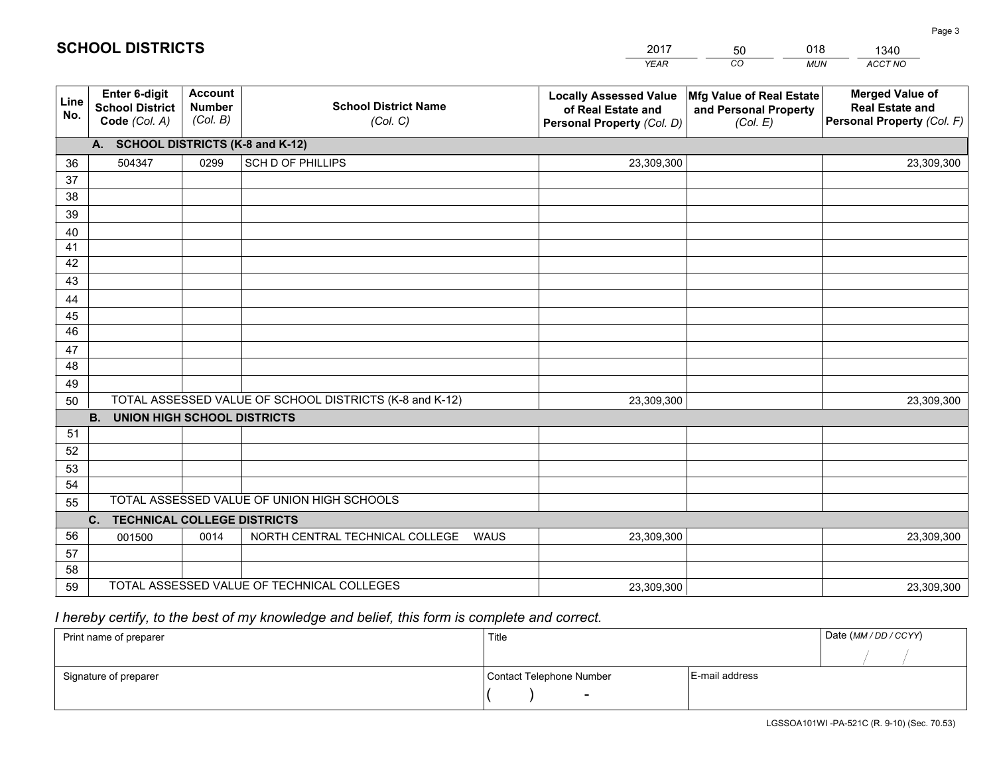|                 |                                                          |                                             |                                                         | <b>YEAR</b>                                                                       | CO<br><b>MUN</b>                                              | ACCT NO                                                                        |  |  |  |
|-----------------|----------------------------------------------------------|---------------------------------------------|---------------------------------------------------------|-----------------------------------------------------------------------------------|---------------------------------------------------------------|--------------------------------------------------------------------------------|--|--|--|
| Line<br>No.     | Enter 6-digit<br><b>School District</b><br>Code (Col. A) | <b>Account</b><br><b>Number</b><br>(Col. B) | <b>School District Name</b><br>(Col. C)                 | <b>Locally Assessed Value</b><br>of Real Estate and<br>Personal Property (Col. D) | Mfg Value of Real Estate<br>and Personal Property<br>(Col. E) | <b>Merged Value of</b><br><b>Real Estate and</b><br>Personal Property (Col. F) |  |  |  |
|                 | A. SCHOOL DISTRICTS (K-8 and K-12)                       |                                             |                                                         |                                                                                   |                                                               |                                                                                |  |  |  |
| 36              | 504347                                                   | 0299                                        | SCH D OF PHILLIPS                                       | 23,309,300                                                                        |                                                               | 23,309,300                                                                     |  |  |  |
| 37              |                                                          |                                             |                                                         |                                                                                   |                                                               |                                                                                |  |  |  |
| 38              |                                                          |                                             |                                                         |                                                                                   |                                                               |                                                                                |  |  |  |
| 39              |                                                          |                                             |                                                         |                                                                                   |                                                               |                                                                                |  |  |  |
| 40              |                                                          |                                             |                                                         |                                                                                   |                                                               |                                                                                |  |  |  |
| 41              |                                                          |                                             |                                                         |                                                                                   |                                                               |                                                                                |  |  |  |
| 42              |                                                          |                                             |                                                         |                                                                                   |                                                               |                                                                                |  |  |  |
| 43              |                                                          |                                             |                                                         |                                                                                   |                                                               |                                                                                |  |  |  |
| 44<br>45        |                                                          |                                             |                                                         |                                                                                   |                                                               |                                                                                |  |  |  |
| $\overline{46}$ |                                                          |                                             |                                                         |                                                                                   |                                                               |                                                                                |  |  |  |
| 47              |                                                          |                                             |                                                         |                                                                                   |                                                               |                                                                                |  |  |  |
| 48              |                                                          |                                             |                                                         |                                                                                   |                                                               |                                                                                |  |  |  |
| 49              |                                                          |                                             |                                                         |                                                                                   |                                                               |                                                                                |  |  |  |
| 50              |                                                          |                                             | TOTAL ASSESSED VALUE OF SCHOOL DISTRICTS (K-8 and K-12) | 23,309,300                                                                        |                                                               | 23,309,300                                                                     |  |  |  |
|                 | <b>B.</b><br><b>UNION HIGH SCHOOL DISTRICTS</b>          |                                             |                                                         |                                                                                   |                                                               |                                                                                |  |  |  |
| 51              |                                                          |                                             |                                                         |                                                                                   |                                                               |                                                                                |  |  |  |
| 52              |                                                          |                                             |                                                         |                                                                                   |                                                               |                                                                                |  |  |  |
| 53              |                                                          |                                             |                                                         |                                                                                   |                                                               |                                                                                |  |  |  |
| 54              |                                                          |                                             |                                                         |                                                                                   |                                                               |                                                                                |  |  |  |
| 55              | TOTAL ASSESSED VALUE OF UNION HIGH SCHOOLS               |                                             |                                                         |                                                                                   |                                                               |                                                                                |  |  |  |
|                 | C. TECHNICAL COLLEGE DISTRICTS                           |                                             |                                                         |                                                                                   |                                                               |                                                                                |  |  |  |
| 56              | 001500                                                   | 0014                                        | NORTH CENTRAL TECHNICAL COLLEGE<br><b>WAUS</b>          | 23,309,300                                                                        |                                                               | 23,309,300                                                                     |  |  |  |
| 57              |                                                          |                                             |                                                         |                                                                                   |                                                               |                                                                                |  |  |  |
| 58              |                                                          |                                             |                                                         |                                                                                   |                                                               |                                                                                |  |  |  |
| 59              |                                                          |                                             | TOTAL ASSESSED VALUE OF TECHNICAL COLLEGES              | 23,309,300                                                                        |                                                               | 23,309,300                                                                     |  |  |  |

50

018

 *I hereby certify, to the best of my knowledge and belief, this form is complete and correct.*

**SCHOOL DISTRICTS**

| Print name of preparer | Title                    |                | Date (MM/DD/CCYY) |
|------------------------|--------------------------|----------------|-------------------|
|                        |                          |                |                   |
| Signature of preparer  | Contact Telephone Number | E-mail address |                   |
|                        | $\overline{\phantom{0}}$ |                |                   |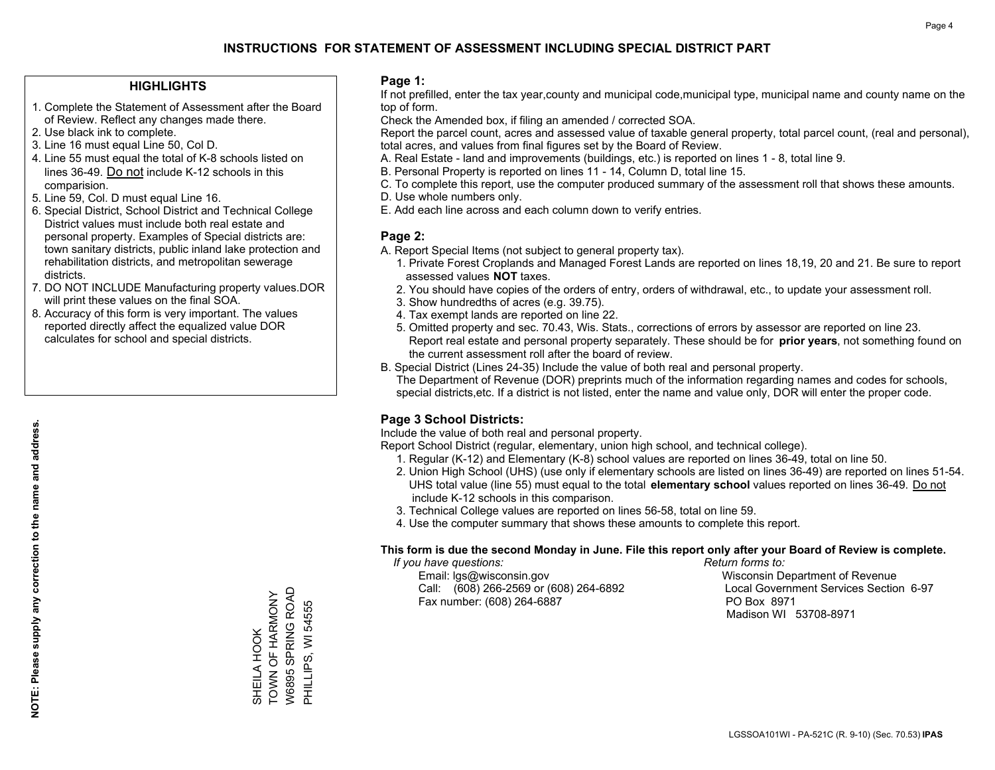### **HIGHLIGHTS**

- 1. Complete the Statement of Assessment after the Board of Review. Reflect any changes made there.
- 2. Use black ink to complete.
- 3. Line 16 must equal Line 50, Col D.
- 4. Line 55 must equal the total of K-8 schools listed on lines 36-49. Do not include K-12 schools in this comparision.
- 5. Line 59, Col. D must equal Line 16.
- 6. Special District, School District and Technical College District values must include both real estate and personal property. Examples of Special districts are: town sanitary districts, public inland lake protection and rehabilitation districts, and metropolitan sewerage districts.
- 7. DO NOT INCLUDE Manufacturing property values.DOR will print these values on the final SOA.
- 8. Accuracy of this form is very important. The values reported directly affect the equalized value DOR calculates for school and special districts.

#### **Page 1:**

 If not prefilled, enter the tax year,county and municipal code,municipal type, municipal name and county name on the top of form.

Check the Amended box, if filing an amended / corrected SOA.

 Report the parcel count, acres and assessed value of taxable general property, total parcel count, (real and personal), total acres, and values from final figures set by the Board of Review.

- A. Real Estate land and improvements (buildings, etc.) is reported on lines 1 8, total line 9.
- B. Personal Property is reported on lines 11 14, Column D, total line 15.
- C. To complete this report, use the computer produced summary of the assessment roll that shows these amounts.
- D. Use whole numbers only.
- E. Add each line across and each column down to verify entries.

## **Page 2:**

- A. Report Special Items (not subject to general property tax).
- 1. Private Forest Croplands and Managed Forest Lands are reported on lines 18,19, 20 and 21. Be sure to report assessed values **NOT** taxes.
- 2. You should have copies of the orders of entry, orders of withdrawal, etc., to update your assessment roll.
	- 3. Show hundredths of acres (e.g. 39.75).
- 4. Tax exempt lands are reported on line 22.
- 5. Omitted property and sec. 70.43, Wis. Stats., corrections of errors by assessor are reported on line 23. Report real estate and personal property separately. These should be for **prior years**, not something found on the current assessment roll after the board of review.
- B. Special District (Lines 24-35) Include the value of both real and personal property.

 The Department of Revenue (DOR) preprints much of the information regarding names and codes for schools, special districts,etc. If a district is not listed, enter the name and value only, DOR will enter the proper code.

## **Page 3 School Districts:**

Include the value of both real and personal property.

Report School District (regular, elementary, union high school, and technical college).

- 1. Regular (K-12) and Elementary (K-8) school values are reported on lines 36-49, total on line 50.
- 2. Union High School (UHS) (use only if elementary schools are listed on lines 36-49) are reported on lines 51-54. UHS total value (line 55) must equal to the total **elementary school** values reported on lines 36-49. Do notinclude K-12 schools in this comparison.
- 3. Technical College values are reported on lines 56-58, total on line 59.
- 4. Use the computer summary that shows these amounts to complete this report.

#### **This form is due the second Monday in June. File this report only after your Board of Review is complete.**

 *If you have questions: Return forms to:*

 Email: lgs@wisconsin.gov Wisconsin Department of RevenueCall:  $(608)$  266-2569 or  $(608)$  264-6892 Fax number: (608) 264-6887 PO Box 8971

Local Government Services Section 6-97 Madison WI 53708-8971

W6895 SPRING ROAD TOWN OF HARMONY W6895 SPRING ROAD TOWN OF HARMONY PHILLIPS, WI 54555 PHILLIPS, WI 54555 SHEILA HOOK SHEILA HOOK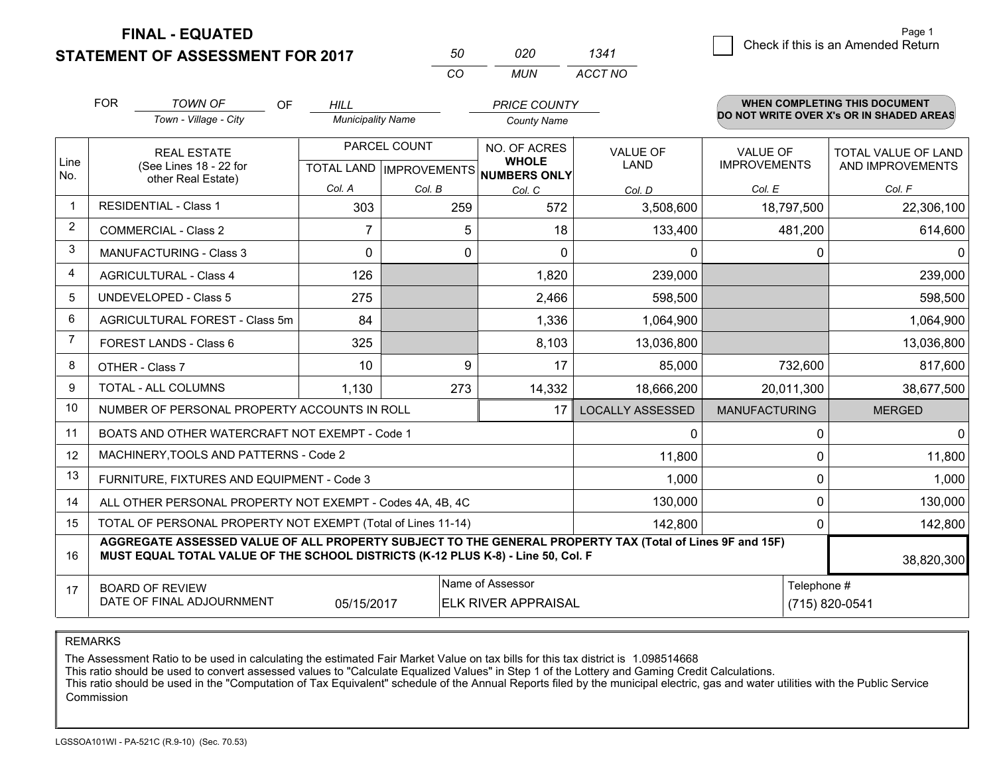**STATEMENT OF ASSESSMENT FOR 2017** 

| 50   | חכח | 1341    |
|------|-----|---------|
| ∫ ∩′ | MUN | ACCT NO |

|                | <b>FOR</b>                                                                                                                                                                                   | <b>TOWN OF</b><br><b>OF</b>                               | <b>HILL</b>              |          | <b>PRICE COUNTY</b>                                  |                         |                      | <b>WHEN COMPLETING THIS DOCUMENT</b>     |
|----------------|----------------------------------------------------------------------------------------------------------------------------------------------------------------------------------------------|-----------------------------------------------------------|--------------------------|----------|------------------------------------------------------|-------------------------|----------------------|------------------------------------------|
|                |                                                                                                                                                                                              | Town - Village - City                                     | <b>Municipality Name</b> |          | <b>County Name</b>                                   |                         |                      | DO NOT WRITE OVER X's OR IN SHADED AREAS |
|                |                                                                                                                                                                                              | PARCEL COUNT<br><b>REAL ESTATE</b>                        |                          |          | NO. OF ACRES                                         | <b>VALUE OF</b>         | <b>VALUE OF</b>      | <b>TOTAL VALUE OF LAND</b>               |
| Line<br>No.    | (See Lines 18 - 22 for<br>other Real Estate)                                                                                                                                                 |                                                           |                          |          | <b>WHOLE</b><br>TOTAL LAND IMPROVEMENTS NUMBERS ONLY | <b>LAND</b>             | <b>IMPROVEMENTS</b>  | AND IMPROVEMENTS                         |
|                |                                                                                                                                                                                              |                                                           | Col. A                   | Col. B   | Col. C                                               | Col. D                  | Col. E               | Col. F                                   |
|                |                                                                                                                                                                                              | <b>RESIDENTIAL - Class 1</b>                              | 303                      | 259      | 572                                                  | 3,508,600               | 18,797,500           | 22,306,100                               |
| $\overline{2}$ |                                                                                                                                                                                              | <b>COMMERCIAL - Class 2</b>                               | 7                        | 5        | 18                                                   | 133,400                 | 481,200              | 614,600                                  |
| 3              |                                                                                                                                                                                              | <b>MANUFACTURING - Class 3</b>                            | $\Omega$                 | $\Omega$ | $\Omega$                                             | $\Omega$                | 0                    |                                          |
| 4              |                                                                                                                                                                                              | <b>AGRICULTURAL - Class 4</b>                             | 126                      |          | 1,820                                                | 239,000                 |                      | 239,000                                  |
| 5              |                                                                                                                                                                                              | <b>UNDEVELOPED - Class 5</b>                              | 275                      |          | 2,466                                                | 598,500                 |                      | 598,500                                  |
| 6              | AGRICULTURAL FOREST - Class 5m                                                                                                                                                               |                                                           | 84                       |          | 1,336                                                | 1,064,900               |                      | 1,064,900                                |
| $\overline{7}$ | FOREST LANDS - Class 6                                                                                                                                                                       |                                                           | 325                      |          | 8,103                                                | 13,036,800              |                      | 13,036,800                               |
| 8              |                                                                                                                                                                                              | OTHER - Class 7                                           | 10                       | 9        | 17                                                   | 85,000                  | 732,600              | 817,600                                  |
| 9              |                                                                                                                                                                                              | <b>TOTAL - ALL COLUMNS</b>                                | 1,130                    | 273      | 14,332                                               | 18,666,200              | 20,011,300           | 38,677,500                               |
| 10             |                                                                                                                                                                                              | NUMBER OF PERSONAL PROPERTY ACCOUNTS IN ROLL              |                          |          | 17                                                   | <b>LOCALLY ASSESSED</b> | <b>MANUFACTURING</b> | <b>MERGED</b>                            |
| 11             |                                                                                                                                                                                              | BOATS AND OTHER WATERCRAFT NOT EXEMPT - Code 1            |                          |          |                                                      | $\Omega$                | 0                    | <sup>0</sup>                             |
| 12             |                                                                                                                                                                                              | MACHINERY, TOOLS AND PATTERNS - Code 2                    |                          |          |                                                      | 11,800                  | 0                    | 11,800                                   |
| 13             |                                                                                                                                                                                              | FURNITURE, FIXTURES AND EQUIPMENT - Code 3                |                          |          |                                                      | 1,000                   | 0                    | 1,000                                    |
| 14             |                                                                                                                                                                                              | ALL OTHER PERSONAL PROPERTY NOT EXEMPT - Codes 4A, 4B, 4C |                          |          |                                                      | 130,000                 | 0                    | 130,000                                  |
| 15             | TOTAL OF PERSONAL PROPERTY NOT EXEMPT (Total of Lines 11-14)<br>0<br>142,800                                                                                                                 |                                                           |                          |          |                                                      |                         | 142,800              |                                          |
| 16             | AGGREGATE ASSESSED VALUE OF ALL PROPERTY SUBJECT TO THE GENERAL PROPERTY TAX (Total of Lines 9F and 15F)<br>MUST EQUAL TOTAL VALUE OF THE SCHOOL DISTRICTS (K-12 PLUS K-8) - Line 50, Col. F |                                                           |                          |          |                                                      |                         | 38,820,300           |                                          |
| 17             | Name of Assessor<br><b>BOARD OF REVIEW</b>                                                                                                                                                   |                                                           |                          |          | Telephone #                                          |                         |                      |                                          |
|                |                                                                                                                                                                                              | DATE OF FINAL ADJOURNMENT                                 | 05/15/2017               |          | <b>ELK RIVER APPRAISAL</b>                           |                         |                      | (715) 820-0541                           |

REMARKS

The Assessment Ratio to be used in calculating the estimated Fair Market Value on tax bills for this tax district is 1.098514668

This ratio should be used to convert assessed values to "Calculate Equalized Values" in Step 1 of the Lottery and Gaming Credit Calculations.<br>This ratio should be used in the "Computation of Tax Equivalent" schedule of the Commission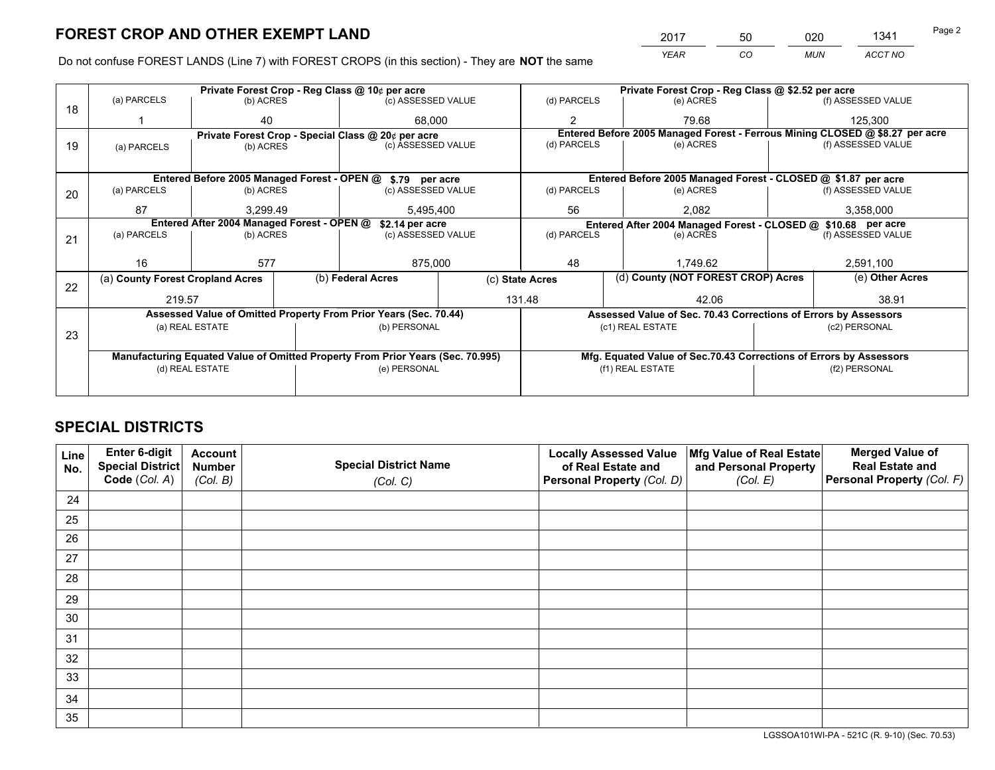*YEAR CO MUN ACCT NO* 2017 50 020 1341

Do not confuse FOREST LANDS (Line 7) with FOREST CROPS (in this section) - They are **NOT** the same

| (a) PARCELS |                       | Private Forest Crop - Reg Class @ 10¢ per acre                                   |                                            |                                                                                                                                                                                                                                                                                                                                                                                                       | Private Forest Crop - Reg Class @ \$2.52 per acre |                  |                                                                                                                                                                                                                                                                                                               |  |
|-------------|-----------------------|----------------------------------------------------------------------------------|--------------------------------------------|-------------------------------------------------------------------------------------------------------------------------------------------------------------------------------------------------------------------------------------------------------------------------------------------------------------------------------------------------------------------------------------------------------|---------------------------------------------------|------------------|---------------------------------------------------------------------------------------------------------------------------------------------------------------------------------------------------------------------------------------------------------------------------------------------------------------|--|
|             | (b) ACRES             | (c) ASSESSED VALUE                                                               |                                            | (d) PARCELS                                                                                                                                                                                                                                                                                                                                                                                           | (e) ACRES                                         |                  | (f) ASSESSED VALUE                                                                                                                                                                                                                                                                                            |  |
|             | 40                    |                                                                                  | $\mathfrak{p}$                             |                                                                                                                                                                                                                                                                                                                                                                                                       | 79.68                                             |                  | 125,300                                                                                                                                                                                                                                                                                                       |  |
|             |                       |                                                                                  |                                            | Entered Before 2005 Managed Forest - Ferrous Mining CLOSED @ \$8.27 per acre                                                                                                                                                                                                                                                                                                                          |                                                   |                  |                                                                                                                                                                                                                                                                                                               |  |
| (a) PARCELS | (b) ACRES             |                                                                                  |                                            |                                                                                                                                                                                                                                                                                                                                                                                                       | (e) ACRES                                         |                  | (f) ASSESSED VALUE                                                                                                                                                                                                                                                                                            |  |
|             |                       |                                                                                  |                                            |                                                                                                                                                                                                                                                                                                                                                                                                       |                                                   |                  |                                                                                                                                                                                                                                                                                                               |  |
|             |                       |                                                                                  |                                            |                                                                                                                                                                                                                                                                                                                                                                                                       |                                                   |                  |                                                                                                                                                                                                                                                                                                               |  |
| (a) PARCELS | (b) ACRES             |                                                                                  |                                            | (d) PARCELS                                                                                                                                                                                                                                                                                                                                                                                           | (e) ACRES                                         |                  | (f) ASSESSED VALUE                                                                                                                                                                                                                                                                                            |  |
| 87          | 3,299.49<br>5,495,400 |                                                                                  |                                            | 56<br>2,082                                                                                                                                                                                                                                                                                                                                                                                           |                                                   |                  | 3,358,000                                                                                                                                                                                                                                                                                                     |  |
|             |                       |                                                                                  |                                            |                                                                                                                                                                                                                                                                                                                                                                                                       |                                                   |                  |                                                                                                                                                                                                                                                                                                               |  |
| (a) PARCELS | (b) ACRES             |                                                                                  |                                            | (d) PARCELS<br>(e) ACRES                                                                                                                                                                                                                                                                                                                                                                              |                                                   |                  | (f) ASSESSED VALUE                                                                                                                                                                                                                                                                                            |  |
|             |                       |                                                                                  |                                            |                                                                                                                                                                                                                                                                                                                                                                                                       |                                                   |                  |                                                                                                                                                                                                                                                                                                               |  |
| 16          | 577                   |                                                                                  | 875,000                                    |                                                                                                                                                                                                                                                                                                                                                                                                       | 1.749.62                                          |                  | 2,591,100                                                                                                                                                                                                                                                                                                     |  |
|             |                       | (b) Federal Acres                                                                | (c) State Acres                            |                                                                                                                                                                                                                                                                                                                                                                                                       |                                                   |                  | (e) Other Acres                                                                                                                                                                                                                                                                                               |  |
|             |                       |                                                                                  |                                            |                                                                                                                                                                                                                                                                                                                                                                                                       | 42.06                                             |                  | 38.91                                                                                                                                                                                                                                                                                                         |  |
|             |                       |                                                                                  |                                            |                                                                                                                                                                                                                                                                                                                                                                                                       |                                                   |                  |                                                                                                                                                                                                                                                                                                               |  |
|             |                       |                                                                                  |                                            |                                                                                                                                                                                                                                                                                                                                                                                                       |                                                   |                  | (c2) PERSONAL                                                                                                                                                                                                                                                                                                 |  |
|             |                       |                                                                                  |                                            |                                                                                                                                                                                                                                                                                                                                                                                                       |                                                   |                  |                                                                                                                                                                                                                                                                                                               |  |
|             |                       |                                                                                  |                                            |                                                                                                                                                                                                                                                                                                                                                                                                       |                                                   |                  |                                                                                                                                                                                                                                                                                                               |  |
|             |                       |                                                                                  |                                            | (f1) REAL ESTATE                                                                                                                                                                                                                                                                                                                                                                                      |                                                   | (f2) PERSONAL    |                                                                                                                                                                                                                                                                                                               |  |
|             |                       |                                                                                  |                                            |                                                                                                                                                                                                                                                                                                                                                                                                       |                                                   |                  |                                                                                                                                                                                                                                                                                                               |  |
|             |                       | (a) County Forest Cropland Acres<br>219.57<br>(a) REAL ESTATE<br>(d) REAL ESTATE | Entered After 2004 Managed Forest - OPEN @ | 68.000<br>Private Forest Crop - Special Class @ 20¢ per acre<br>(c) ASSESSED VALUE<br>Entered Before 2005 Managed Forest - OPEN @ \$.79 per acre<br>(c) ASSESSED VALUE<br>\$2.14 per acre<br>(c) ASSESSED VALUE<br>Assessed Value of Omitted Property From Prior Years (Sec. 70.44)<br>(b) PERSONAL<br>Manufacturing Equated Value of Omitted Property From Prior Years (Sec. 70.995)<br>(e) PERSONAL | (d) PARCELS<br>48<br>131.48                       | (c1) REAL ESTATE | Entered Before 2005 Managed Forest - CLOSED @ \$1.87 per acre<br>Entered After 2004 Managed Forest - CLOSED @ \$10.68 per acre<br>(d) County (NOT FOREST CROP) Acres<br>Assessed Value of Sec. 70.43 Corrections of Errors by Assessors<br>Mfg. Equated Value of Sec.70.43 Corrections of Errors by Assessors |  |

## **SPECIAL DISTRICTS**

| Line<br>No. | Enter 6-digit<br>Special District<br>Code (Col. A) | <b>Account</b><br><b>Number</b><br>(Col. B) | <b>Special District Name</b><br>(Col. C) | <b>Locally Assessed Value</b><br>of Real Estate and<br>Personal Property (Col. D) | Mfg Value of Real Estate<br>and Personal Property<br>(Col. E) | <b>Merged Value of</b><br><b>Real Estate and</b><br>Personal Property (Col. F) |
|-------------|----------------------------------------------------|---------------------------------------------|------------------------------------------|-----------------------------------------------------------------------------------|---------------------------------------------------------------|--------------------------------------------------------------------------------|
| 24          |                                                    |                                             |                                          |                                                                                   |                                                               |                                                                                |
| 25          |                                                    |                                             |                                          |                                                                                   |                                                               |                                                                                |
| 26          |                                                    |                                             |                                          |                                                                                   |                                                               |                                                                                |
| 27          |                                                    |                                             |                                          |                                                                                   |                                                               |                                                                                |
| 28          |                                                    |                                             |                                          |                                                                                   |                                                               |                                                                                |
| 29          |                                                    |                                             |                                          |                                                                                   |                                                               |                                                                                |
| 30          |                                                    |                                             |                                          |                                                                                   |                                                               |                                                                                |
| 31          |                                                    |                                             |                                          |                                                                                   |                                                               |                                                                                |
| 32          |                                                    |                                             |                                          |                                                                                   |                                                               |                                                                                |
| 33          |                                                    |                                             |                                          |                                                                                   |                                                               |                                                                                |
| 34          |                                                    |                                             |                                          |                                                                                   |                                                               |                                                                                |
| 35          |                                                    |                                             |                                          |                                                                                   |                                                               |                                                                                |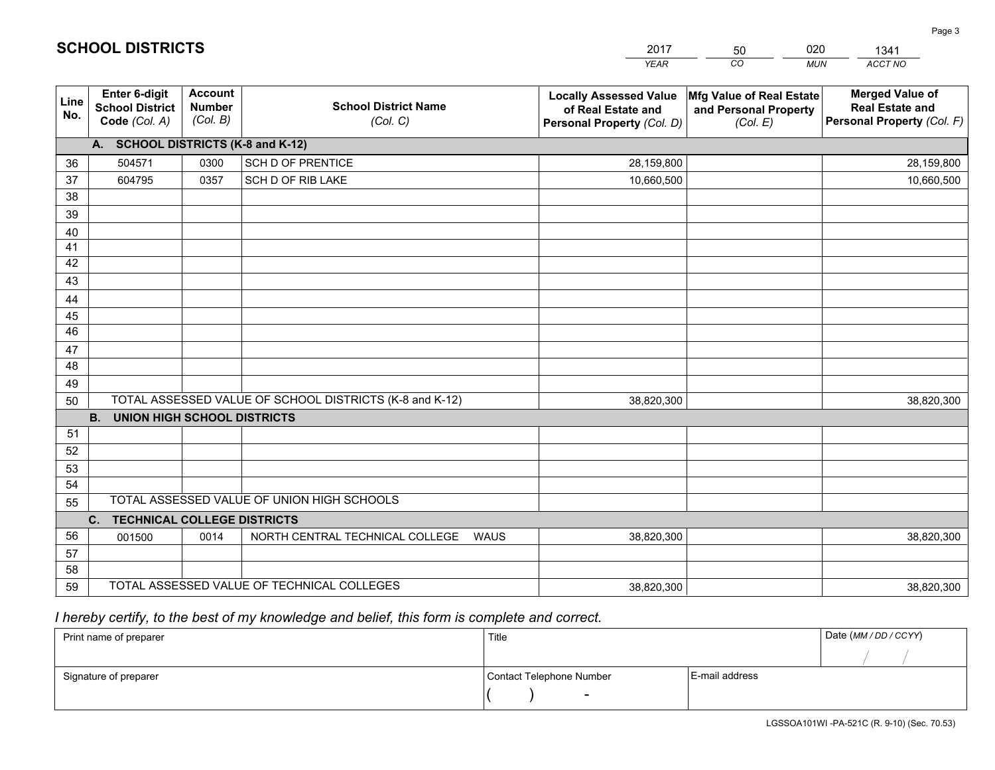|             |                                                          |                                             |                                                         | <b>YEAR</b>                                                                       | CO<br><b>MUN</b>                                              | ACCT NO                                                                        |
|-------------|----------------------------------------------------------|---------------------------------------------|---------------------------------------------------------|-----------------------------------------------------------------------------------|---------------------------------------------------------------|--------------------------------------------------------------------------------|
| Line<br>No. | Enter 6-digit<br><b>School District</b><br>Code (Col. A) | <b>Account</b><br><b>Number</b><br>(Col. B) | <b>School District Name</b><br>(Col. C)                 | <b>Locally Assessed Value</b><br>of Real Estate and<br>Personal Property (Col. D) | Mfg Value of Real Estate<br>and Personal Property<br>(Col. E) | <b>Merged Value of</b><br><b>Real Estate and</b><br>Personal Property (Col. F) |
|             | A. SCHOOL DISTRICTS (K-8 and K-12)                       |                                             |                                                         |                                                                                   |                                                               |                                                                                |
| 36          | 504571                                                   | 0300                                        | SCH D OF PRENTICE                                       | 28,159,800                                                                        |                                                               | 28,159,800                                                                     |
| 37          | 604795                                                   | 0357                                        | SCH D OF RIB LAKE                                       | 10,660,500                                                                        |                                                               | 10,660,500                                                                     |
| 38          |                                                          |                                             |                                                         |                                                                                   |                                                               |                                                                                |
| 39          |                                                          |                                             |                                                         |                                                                                   |                                                               |                                                                                |
| 40          |                                                          |                                             |                                                         |                                                                                   |                                                               |                                                                                |
| 41          |                                                          |                                             |                                                         |                                                                                   |                                                               |                                                                                |
| 42          |                                                          |                                             |                                                         |                                                                                   |                                                               |                                                                                |
| 43          |                                                          |                                             |                                                         |                                                                                   |                                                               |                                                                                |
| 44          |                                                          |                                             |                                                         |                                                                                   |                                                               |                                                                                |
| 45          |                                                          |                                             |                                                         |                                                                                   |                                                               |                                                                                |
| 46          |                                                          |                                             |                                                         |                                                                                   |                                                               |                                                                                |
| 47          |                                                          |                                             |                                                         |                                                                                   |                                                               |                                                                                |
| 48          |                                                          |                                             |                                                         |                                                                                   |                                                               |                                                                                |
| 49          |                                                          |                                             |                                                         |                                                                                   |                                                               |                                                                                |
| 50          | <b>B.</b><br><b>UNION HIGH SCHOOL DISTRICTS</b>          |                                             | TOTAL ASSESSED VALUE OF SCHOOL DISTRICTS (K-8 and K-12) | 38,820,300                                                                        |                                                               | 38,820,300                                                                     |
| 51          |                                                          |                                             |                                                         |                                                                                   |                                                               |                                                                                |
| 52          |                                                          |                                             |                                                         |                                                                                   |                                                               |                                                                                |
| 53          |                                                          |                                             |                                                         |                                                                                   |                                                               |                                                                                |
| 54          |                                                          |                                             |                                                         |                                                                                   |                                                               |                                                                                |
| 55          |                                                          |                                             | TOTAL ASSESSED VALUE OF UNION HIGH SCHOOLS              |                                                                                   |                                                               |                                                                                |
|             | C. TECHNICAL COLLEGE DISTRICTS                           |                                             |                                                         |                                                                                   |                                                               |                                                                                |
| 56          | 001500                                                   | 0014                                        | NORTH CENTRAL TECHNICAL COLLEGE<br><b>WAUS</b>          | 38,820,300                                                                        |                                                               | 38,820,300                                                                     |
| 57          |                                                          |                                             |                                                         |                                                                                   |                                                               |                                                                                |
| 58          |                                                          |                                             |                                                         |                                                                                   |                                                               |                                                                                |
| 59          |                                                          |                                             | TOTAL ASSESSED VALUE OF TECHNICAL COLLEGES              | 38,820,300                                                                        |                                                               | 38,820,300                                                                     |

2017

50

020

 *I hereby certify, to the best of my knowledge and belief, this form is complete and correct.*

**SCHOOL DISTRICTS**

| Print name of preparer | Title                    |                | Date (MM / DD / CCYY) |
|------------------------|--------------------------|----------------|-----------------------|
|                        |                          |                |                       |
| Signature of preparer  | Contact Telephone Number | E-mail address |                       |
|                        | $\sim$                   |                |                       |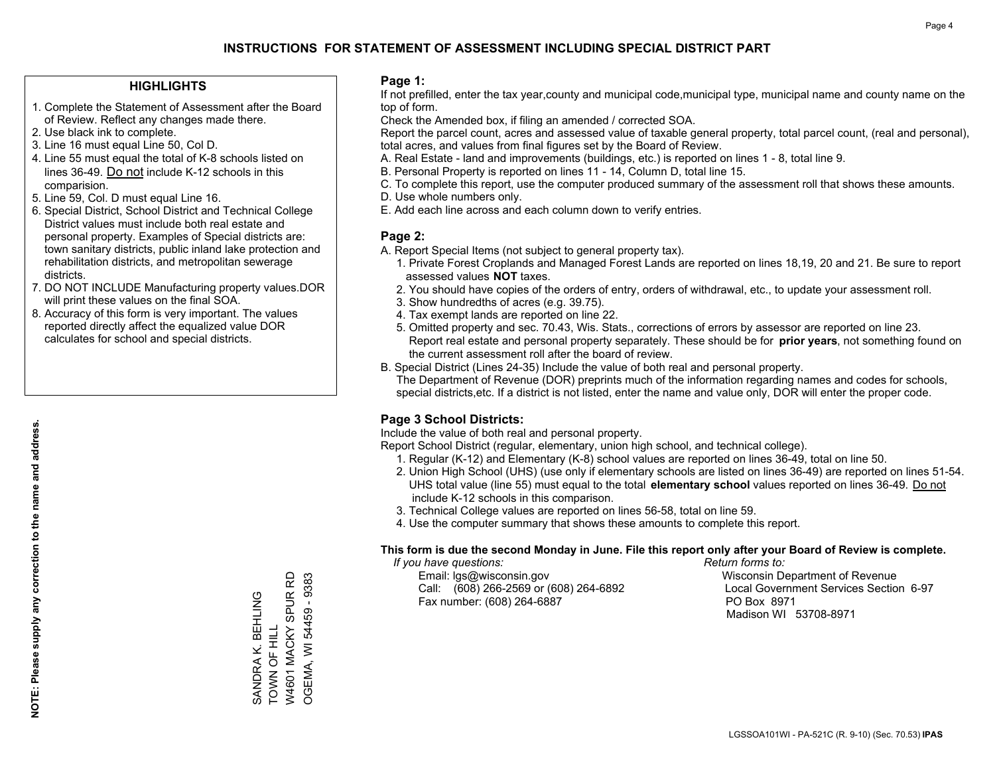#### **HIGHLIGHTS**

- 1. Complete the Statement of Assessment after the Board of Review. Reflect any changes made there.
- 2. Use black ink to complete.
- 3. Line 16 must equal Line 50, Col D.
- 4. Line 55 must equal the total of K-8 schools listed on lines 36-49. Do not include K-12 schools in this comparision.
- 5. Line 59, Col. D must equal Line 16.
- 6. Special District, School District and Technical College District values must include both real estate and personal property. Examples of Special districts are: town sanitary districts, public inland lake protection and rehabilitation districts, and metropolitan sewerage districts.
- 7. DO NOT INCLUDE Manufacturing property values.DOR will print these values on the final SOA.
- 8. Accuracy of this form is very important. The values reported directly affect the equalized value DOR calculates for school and special districts.

#### **Page 1:**

 If not prefilled, enter the tax year,county and municipal code,municipal type, municipal name and county name on the top of form.

Check the Amended box, if filing an amended / corrected SOA.

 Report the parcel count, acres and assessed value of taxable general property, total parcel count, (real and personal), total acres, and values from final figures set by the Board of Review.

- A. Real Estate land and improvements (buildings, etc.) is reported on lines 1 8, total line 9.
- B. Personal Property is reported on lines 11 14, Column D, total line 15.
- C. To complete this report, use the computer produced summary of the assessment roll that shows these amounts.
- D. Use whole numbers only.
- E. Add each line across and each column down to verify entries.

### **Page 2:**

- A. Report Special Items (not subject to general property tax).
- 1. Private Forest Croplands and Managed Forest Lands are reported on lines 18,19, 20 and 21. Be sure to report assessed values **NOT** taxes.
- 2. You should have copies of the orders of entry, orders of withdrawal, etc., to update your assessment roll.
	- 3. Show hundredths of acres (e.g. 39.75).
- 4. Tax exempt lands are reported on line 22.
- 5. Omitted property and sec. 70.43, Wis. Stats., corrections of errors by assessor are reported on line 23. Report real estate and personal property separately. These should be for **prior years**, not something found on the current assessment roll after the board of review.
- B. Special District (Lines 24-35) Include the value of both real and personal property.

 The Department of Revenue (DOR) preprints much of the information regarding names and codes for schools, special districts,etc. If a district is not listed, enter the name and value only, DOR will enter the proper code.

## **Page 3 School Districts:**

Include the value of both real and personal property.

Report School District (regular, elementary, union high school, and technical college).

- 1. Regular (K-12) and Elementary (K-8) school values are reported on lines 36-49, total on line 50.
- 2. Union High School (UHS) (use only if elementary schools are listed on lines 36-49) are reported on lines 51-54. UHS total value (line 55) must equal to the total **elementary school** values reported on lines 36-49. Do notinclude K-12 schools in this comparison.
- 3. Technical College values are reported on lines 56-58, total on line 59.
- 4. Use the computer summary that shows these amounts to complete this report.

#### **This form is due the second Monday in June. File this report only after your Board of Review is complete.**

 *If you have questions: Return forms to:*

 Email: lgs@wisconsin.gov Wisconsin Department of RevenueCall:  $(608)$  266-2569 or  $(608)$  264-6892 Fax number: (608) 264-6887 PO Box 8971

Local Government Services Section 6-97 Madison WI 53708-8971

**NOTE: Please supply any correction to the name and address.**

W4601 MACKY SPUR RD W4601 MACKY SPUR RD OGEMA, WI 54459 - 9383 OGEMA, WI 54459 - 9383 SANDRA K. BEHLING<br>TOWN OF HILL SANDRA K. BEHLING TOWN OF HILL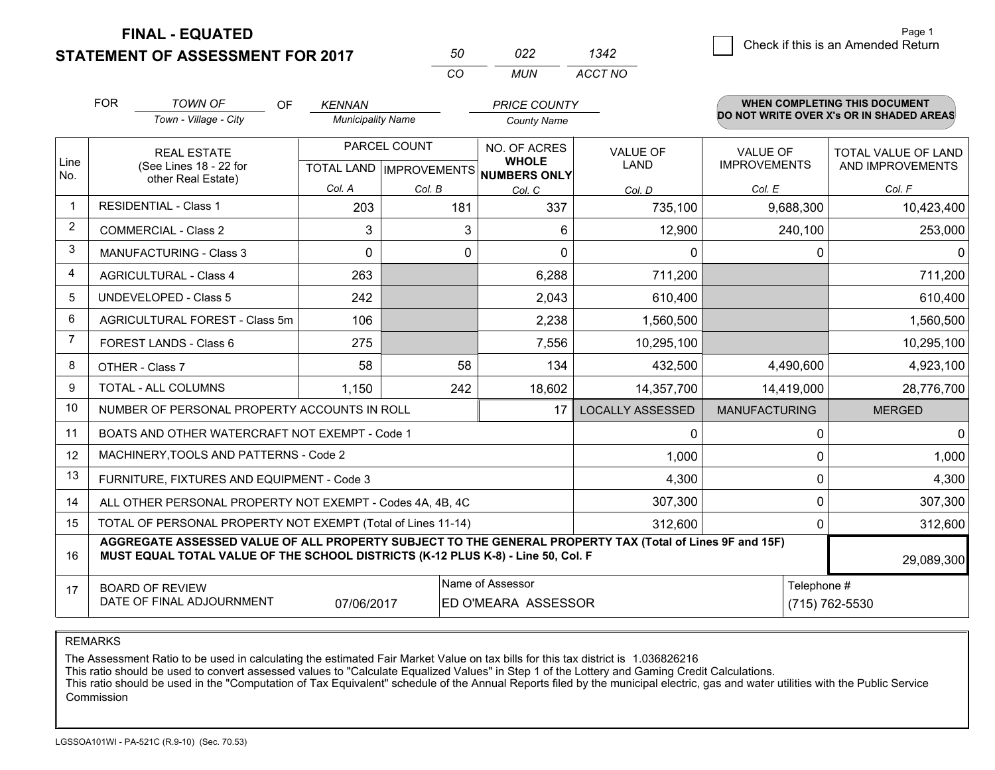**STATEMENT OF ASSESSMENT FOR 2017** 

| 50  | פכח  | 1342    |
|-----|------|---------|
| rn. | MUN. | ACCT NO |

|                | <b>FOR</b>                                                                                                                                                                                   | <b>TOWN OF</b><br>OF                                      | <b>KENNAN</b>                                            |        | <b>PRICE COUNTY</b>          |                                |                                        | <b>WHEN COMPLETING THIS DOCUMENT</b>           |
|----------------|----------------------------------------------------------------------------------------------------------------------------------------------------------------------------------------------|-----------------------------------------------------------|----------------------------------------------------------|--------|------------------------------|--------------------------------|----------------------------------------|------------------------------------------------|
|                |                                                                                                                                                                                              | Town - Village - City                                     | <b>Municipality Name</b>                                 |        | <b>County Name</b>           |                                |                                        | DO NOT WRITE OVER X's OR IN SHADED AREAS       |
| Line           |                                                                                                                                                                                              | <b>REAL ESTATE</b><br>(See Lines 18 - 22 for              | PARCEL COUNT<br>TOTAL LAND   IMPROVEMENTS   NUMBERS ONLY |        | NO. OF ACRES<br><b>WHOLE</b> | <b>VALUE OF</b><br><b>LAND</b> | <b>VALUE OF</b><br><b>IMPROVEMENTS</b> | <b>TOTAL VALUE OF LAND</b><br>AND IMPROVEMENTS |
| No.            |                                                                                                                                                                                              | other Real Estate)                                        | Col. A                                                   | Col. B | Col. C                       | Col. D                         | Col. E                                 | Col. F                                         |
| $\mathbf 1$    |                                                                                                                                                                                              | <b>RESIDENTIAL - Class 1</b>                              | 203                                                      | 181    | 337                          | 735,100                        | 9,688,300                              | 10,423,400                                     |
| 2              |                                                                                                                                                                                              | <b>COMMERCIAL - Class 2</b>                               | 3                                                        | 3      | 6                            | 12,900                         | 240,100                                | 253,000                                        |
| 3              |                                                                                                                                                                                              | <b>MANUFACTURING - Class 3</b>                            | 0                                                        | 0      | $\Omega$                     | $\mathbf 0$                    |                                        | 0<br>0                                         |
| 4              |                                                                                                                                                                                              | <b>AGRICULTURAL - Class 4</b>                             | 263                                                      |        | 6,288                        | 711,200                        |                                        | 711,200                                        |
| 5              |                                                                                                                                                                                              | <b>UNDEVELOPED - Class 5</b>                              | 242                                                      |        | 2,043                        | 610,400                        |                                        | 610,400                                        |
| 6              |                                                                                                                                                                                              | AGRICULTURAL FOREST - Class 5m                            | 106                                                      |        | 2,238                        | 1,560,500                      |                                        | 1,560,500                                      |
| $\overline{7}$ | FOREST LANDS - Class 6                                                                                                                                                                       |                                                           | 275                                                      |        | 7,556                        | 10,295,100                     |                                        | 10,295,100                                     |
| 8              |                                                                                                                                                                                              | OTHER - Class 7                                           | 58                                                       | 58     | 134                          | 432,500                        | 4,490,600                              | 4,923,100                                      |
| 9              |                                                                                                                                                                                              | TOTAL - ALL COLUMNS                                       | 1,150                                                    | 242    | 18,602                       | 14,357,700                     | 14,419,000                             | 28,776,700                                     |
| 10             |                                                                                                                                                                                              | NUMBER OF PERSONAL PROPERTY ACCOUNTS IN ROLL              |                                                          |        | 17                           | <b>LOCALLY ASSESSED</b>        | <b>MANUFACTURING</b>                   | <b>MERGED</b>                                  |
| 11             |                                                                                                                                                                                              | BOATS AND OTHER WATERCRAFT NOT EXEMPT - Code 1            |                                                          |        |                              | $\mathbf 0$                    |                                        | $\mathbf 0$<br>$\Omega$                        |
| 12             |                                                                                                                                                                                              | MACHINERY, TOOLS AND PATTERNS - Code 2                    |                                                          |        |                              | 1,000                          |                                        | 1,000<br>0                                     |
| 13             |                                                                                                                                                                                              | FURNITURE, FIXTURES AND EQUIPMENT - Code 3                |                                                          |        |                              | 4,300                          |                                        | 4,300<br>0                                     |
| 14             |                                                                                                                                                                                              | ALL OTHER PERSONAL PROPERTY NOT EXEMPT - Codes 4A, 4B, 4C |                                                          |        |                              | 307,300                        |                                        | $\Omega$<br>307,300                            |
| 15             | TOTAL OF PERSONAL PROPERTY NOT EXEMPT (Total of Lines 11-14)<br>312,600                                                                                                                      |                                                           |                                                          |        |                              |                                |                                        | 312,600<br>0                                   |
| 16             | AGGREGATE ASSESSED VALUE OF ALL PROPERTY SUBJECT TO THE GENERAL PROPERTY TAX (Total of Lines 9F and 15F)<br>MUST EQUAL TOTAL VALUE OF THE SCHOOL DISTRICTS (K-12 PLUS K-8) - Line 50, Col. F |                                                           |                                                          |        |                              |                                | 29,089,300                             |                                                |
| 17             | Name of Assessor<br>Telephone #<br><b>BOARD OF REVIEW</b><br>DATE OF FINAL ADJOURNMENT<br>ED O'MEARA ASSESSOR<br>(715) 762-5530<br>07/06/2017                                                |                                                           |                                                          |        |                              |                                |                                        |                                                |

REMARKS

The Assessment Ratio to be used in calculating the estimated Fair Market Value on tax bills for this tax district is 1.036826216<br>This ratio should be used to convert assessed values to "Calculate Equalized Values" in Step Commission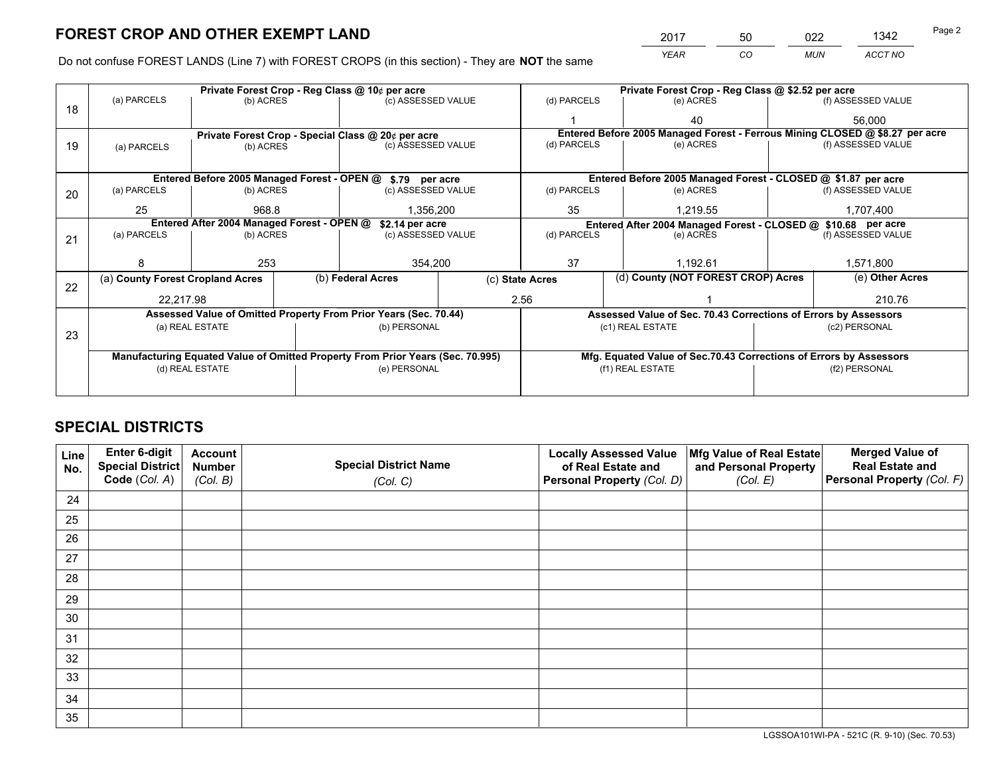*YEAR CO MUN ACCT NO* 2017 50 022 1342 Page 2

Do not confuse FOREST LANDS (Line 7) with FOREST CROPS (in this section) - They are **NOT** the same

|    |                                                                                |                                                    |  | Private Forest Crop - Reg Class @ 10¢ per acre                   |                                                               |                  | Private Forest Crop - Reg Class @ \$2.52 per acre                            |                                                                 |                                                                    |                    |
|----|--------------------------------------------------------------------------------|----------------------------------------------------|--|------------------------------------------------------------------|---------------------------------------------------------------|------------------|------------------------------------------------------------------------------|-----------------------------------------------------------------|--------------------------------------------------------------------|--------------------|
| 18 | (a) PARCELS                                                                    | (b) ACRES                                          |  | (c) ASSESSED VALUE                                               |                                                               | (d) PARCELS      |                                                                              | (e) ACRES                                                       |                                                                    | (f) ASSESSED VALUE |
|    |                                                                                |                                                    |  |                                                                  |                                                               |                  |                                                                              | 40                                                              |                                                                    | 56,000             |
|    |                                                                                | Private Forest Crop - Special Class @ 20¢ per acre |  |                                                                  |                                                               |                  | Entered Before 2005 Managed Forest - Ferrous Mining CLOSED @ \$8.27 per acre |                                                                 |                                                                    |                    |
| 19 | (a) PARCELS                                                                    | (b) ACRES                                          |  | (c) ASSESSED VALUE                                               |                                                               | (d) PARCELS      |                                                                              | (e) ACRES                                                       |                                                                    | (f) ASSESSED VALUE |
|    |                                                                                |                                                    |  |                                                                  |                                                               |                  |                                                                              |                                                                 |                                                                    |                    |
|    |                                                                                |                                                    |  | Entered Before 2005 Managed Forest - OPEN @ \$.79 per acre       |                                                               |                  |                                                                              | Entered Before 2005 Managed Forest - CLOSED @ \$1.87 per acre   |                                                                    |                    |
| 20 | (a) PARCELS                                                                    | (b) ACRES                                          |  | (c) ASSESSED VALUE                                               |                                                               | (d) PARCELS      |                                                                              | (e) ACRES                                                       |                                                                    | (f) ASSESSED VALUE |
|    | 25                                                                             | 968.8                                              |  | 1,356,200                                                        |                                                               | 35<br>1,219.55   |                                                                              |                                                                 | 1,707,400                                                          |                    |
|    | Entered After 2004 Managed Forest - OPEN @<br>\$2.14 per acre                  |                                                    |  |                                                                  | Entered After 2004 Managed Forest - CLOSED @ \$10.68 per acre |                  |                                                                              |                                                                 |                                                                    |                    |
| 21 | (a) PARCELS                                                                    | (b) ACRES                                          |  | (c) ASSESSED VALUE                                               |                                                               | (d) PARCELS      |                                                                              | (e) ACRES                                                       |                                                                    | (f) ASSESSED VALUE |
|    |                                                                                |                                                    |  |                                                                  |                                                               |                  |                                                                              |                                                                 |                                                                    |                    |
|    | я                                                                              | 253                                                |  | 354,200                                                          |                                                               | 37<br>1.192.61   |                                                                              |                                                                 | 1,571,800                                                          |                    |
| 22 | (a) County Forest Cropland Acres                                               |                                                    |  | (b) Federal Acres                                                |                                                               | (c) State Acres  |                                                                              | (d) County (NOT FOREST CROP) Acres                              |                                                                    | (e) Other Acres    |
|    | 22.217.98                                                                      |                                                    |  |                                                                  | 2.56                                                          |                  |                                                                              |                                                                 |                                                                    | 210.76             |
|    |                                                                                |                                                    |  | Assessed Value of Omitted Property From Prior Years (Sec. 70.44) |                                                               |                  |                                                                              | Assessed Value of Sec. 70.43 Corrections of Errors by Assessors |                                                                    |                    |
| 23 |                                                                                | (a) REAL ESTATE                                    |  | (b) PERSONAL                                                     |                                                               |                  | (c1) REAL ESTATE                                                             |                                                                 |                                                                    | (c2) PERSONAL      |
|    |                                                                                |                                                    |  |                                                                  |                                                               |                  |                                                                              |                                                                 |                                                                    |                    |
|    | Manufacturing Equated Value of Omitted Property From Prior Years (Sec. 70.995) |                                                    |  |                                                                  |                                                               |                  |                                                                              |                                                                 | Mfg. Equated Value of Sec.70.43 Corrections of Errors by Assessors |                    |
|    | (d) REAL ESTATE                                                                |                                                    |  | (e) PERSONAL                                                     |                                                               | (f1) REAL ESTATE |                                                                              |                                                                 | (f2) PERSONAL                                                      |                    |
|    |                                                                                |                                                    |  |                                                                  |                                                               |                  |                                                                              |                                                                 |                                                                    |                    |

## **SPECIAL DISTRICTS**

| Line<br>No. | Enter 6-digit<br>Special District<br>Code (Col. A) | <b>Account</b><br><b>Number</b><br>(Col. B) | <b>Special District Name</b><br>(Col. C) | <b>Locally Assessed Value</b><br>of Real Estate and<br>Personal Property (Col. D) | Mfg Value of Real Estate<br>and Personal Property<br>(Col. E) | <b>Merged Value of</b><br><b>Real Estate and</b><br>Personal Property (Col. F) |
|-------------|----------------------------------------------------|---------------------------------------------|------------------------------------------|-----------------------------------------------------------------------------------|---------------------------------------------------------------|--------------------------------------------------------------------------------|
| 24          |                                                    |                                             |                                          |                                                                                   |                                                               |                                                                                |
| 25          |                                                    |                                             |                                          |                                                                                   |                                                               |                                                                                |
| 26          |                                                    |                                             |                                          |                                                                                   |                                                               |                                                                                |
| 27          |                                                    |                                             |                                          |                                                                                   |                                                               |                                                                                |
| 28          |                                                    |                                             |                                          |                                                                                   |                                                               |                                                                                |
| 29          |                                                    |                                             |                                          |                                                                                   |                                                               |                                                                                |
| 30          |                                                    |                                             |                                          |                                                                                   |                                                               |                                                                                |
| 31          |                                                    |                                             |                                          |                                                                                   |                                                               |                                                                                |
| 32          |                                                    |                                             |                                          |                                                                                   |                                                               |                                                                                |
| 33          |                                                    |                                             |                                          |                                                                                   |                                                               |                                                                                |
| 34          |                                                    |                                             |                                          |                                                                                   |                                                               |                                                                                |
| 35          |                                                    |                                             |                                          |                                                                                   |                                                               |                                                                                |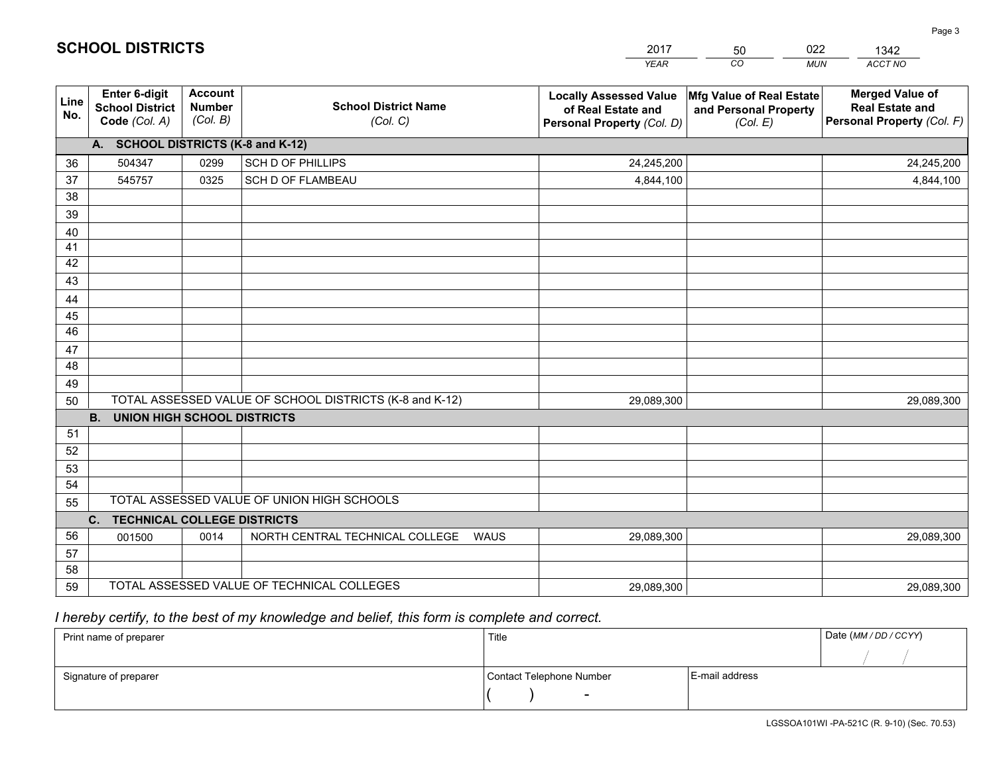|             |                                                          |                                             |                                                         | <b>YEAR</b>                                                                       | CO<br><b>MUN</b>                                              | ACCT NO                                                                        |
|-------------|----------------------------------------------------------|---------------------------------------------|---------------------------------------------------------|-----------------------------------------------------------------------------------|---------------------------------------------------------------|--------------------------------------------------------------------------------|
| Line<br>No. | Enter 6-digit<br><b>School District</b><br>Code (Col. A) | <b>Account</b><br><b>Number</b><br>(Col. B) | <b>School District Name</b><br>(Col. C)                 | <b>Locally Assessed Value</b><br>of Real Estate and<br>Personal Property (Col. D) | Mfg Value of Real Estate<br>and Personal Property<br>(Col. E) | <b>Merged Value of</b><br><b>Real Estate and</b><br>Personal Property (Col. F) |
|             | A. SCHOOL DISTRICTS (K-8 and K-12)                       |                                             |                                                         |                                                                                   |                                                               |                                                                                |
| 36          | 504347                                                   | 0299                                        | SCH D OF PHILLIPS                                       | 24,245,200                                                                        |                                                               | 24,245,200                                                                     |
| 37          | 545757                                                   | 0325                                        | SCH D OF FLAMBEAU                                       | 4,844,100                                                                         |                                                               | 4,844,100                                                                      |
| 38          |                                                          |                                             |                                                         |                                                                                   |                                                               |                                                                                |
| 39          |                                                          |                                             |                                                         |                                                                                   |                                                               |                                                                                |
| 40          |                                                          |                                             |                                                         |                                                                                   |                                                               |                                                                                |
| 41          |                                                          |                                             |                                                         |                                                                                   |                                                               |                                                                                |
| 42          |                                                          |                                             |                                                         |                                                                                   |                                                               |                                                                                |
| 43          |                                                          |                                             |                                                         |                                                                                   |                                                               |                                                                                |
| 44          |                                                          |                                             |                                                         |                                                                                   |                                                               |                                                                                |
| 45          |                                                          |                                             |                                                         |                                                                                   |                                                               |                                                                                |
| 46          |                                                          |                                             |                                                         |                                                                                   |                                                               |                                                                                |
| 47          |                                                          |                                             |                                                         |                                                                                   |                                                               |                                                                                |
| 48          |                                                          |                                             |                                                         |                                                                                   |                                                               |                                                                                |
| 49          |                                                          |                                             | TOTAL ASSESSED VALUE OF SCHOOL DISTRICTS (K-8 and K-12) |                                                                                   |                                                               |                                                                                |
| 50          | <b>B.</b><br><b>UNION HIGH SCHOOL DISTRICTS</b>          |                                             |                                                         | 29,089,300                                                                        |                                                               | 29,089,300                                                                     |
| 51          |                                                          |                                             |                                                         |                                                                                   |                                                               |                                                                                |
| 52          |                                                          |                                             |                                                         |                                                                                   |                                                               |                                                                                |
| 53          |                                                          |                                             |                                                         |                                                                                   |                                                               |                                                                                |
| 54          |                                                          |                                             |                                                         |                                                                                   |                                                               |                                                                                |
| 55          |                                                          |                                             | TOTAL ASSESSED VALUE OF UNION HIGH SCHOOLS              |                                                                                   |                                                               |                                                                                |
|             | C. TECHNICAL COLLEGE DISTRICTS                           |                                             |                                                         |                                                                                   |                                                               |                                                                                |
| 56          | 001500                                                   | 0014                                        | NORTH CENTRAL TECHNICAL COLLEGE<br><b>WAUS</b>          | 29,089,300                                                                        |                                                               | 29,089,300                                                                     |
| 57          |                                                          |                                             |                                                         |                                                                                   |                                                               |                                                                                |
| 58          |                                                          |                                             |                                                         |                                                                                   |                                                               |                                                                                |
| 59          |                                                          |                                             | TOTAL ASSESSED VALUE OF TECHNICAL COLLEGES              | 29,089,300                                                                        |                                                               | 29,089,300                                                                     |

 *I hereby certify, to the best of my knowledge and belief, this form is complete and correct.*

| Print name of preparer | Title                    |                | Date (MM / DD / CCYY) |
|------------------------|--------------------------|----------------|-----------------------|
|                        |                          |                |                       |
| Signature of preparer  | Contact Telephone Number | E-mail address |                       |
|                        | $\overline{\phantom{0}}$ |                |                       |

**SCHOOL DISTRICTS**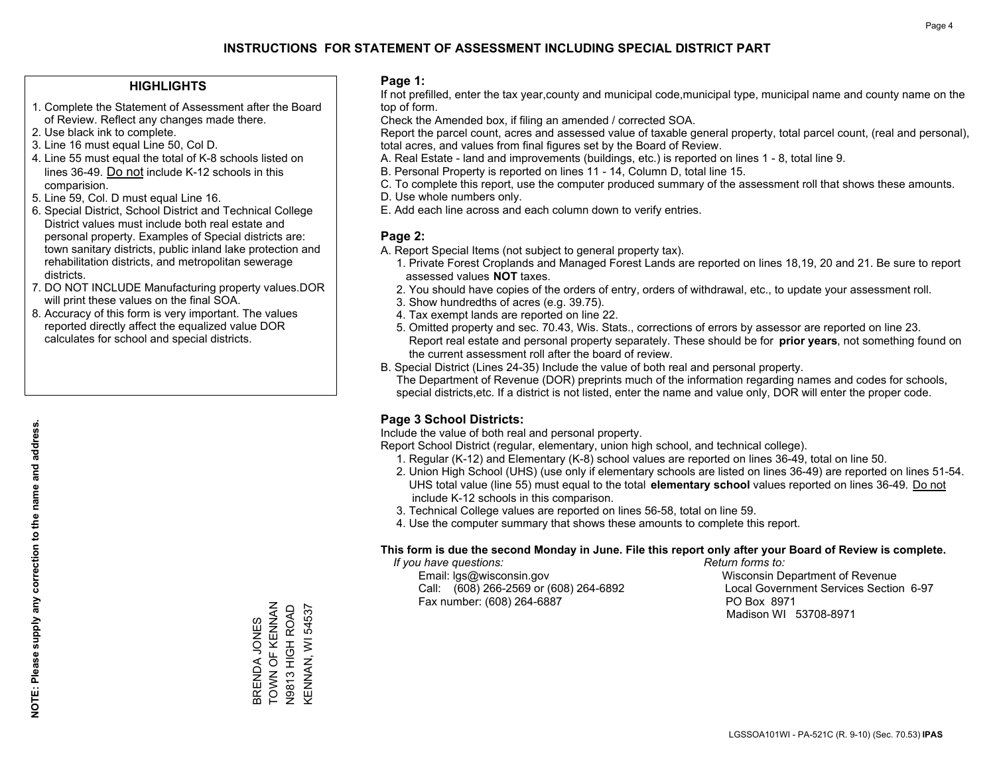#### **HIGHLIGHTS**

- 1. Complete the Statement of Assessment after the Board of Review. Reflect any changes made there.
- 2. Use black ink to complete.

**NOTE: Please supply any correction to the name and address.**

NOTE: Please supply any correction to the name and address.

- 3. Line 16 must equal Line 50, Col D.
- 4. Line 55 must equal the total of K-8 schools listed on lines 36-49. Do not include K-12 schools in this comparision.
- 5. Line 59, Col. D must equal Line 16.
- 6. Special District, School District and Technical College District values must include both real estate and personal property. Examples of Special districts are: town sanitary districts, public inland lake protection and rehabilitation districts, and metropolitan sewerage districts.
- 7. DO NOT INCLUDE Manufacturing property values.DOR will print these values on the final SOA.
- 8. Accuracy of this form is very important. The values reported directly affect the equalized value DOR calculates for school and special districts.

#### **Page 1:**

 If not prefilled, enter the tax year,county and municipal code,municipal type, municipal name and county name on the top of form.

Check the Amended box, if filing an amended / corrected SOA.

 Report the parcel count, acres and assessed value of taxable general property, total parcel count, (real and personal), total acres, and values from final figures set by the Board of Review.

- A. Real Estate land and improvements (buildings, etc.) is reported on lines 1 8, total line 9.
- B. Personal Property is reported on lines 11 14, Column D, total line 15.
- C. To complete this report, use the computer produced summary of the assessment roll that shows these amounts.
- D. Use whole numbers only.
- E. Add each line across and each column down to verify entries.

#### **Page 2:**

- A. Report Special Items (not subject to general property tax).
- 1. Private Forest Croplands and Managed Forest Lands are reported on lines 18,19, 20 and 21. Be sure to report assessed values **NOT** taxes.
- 2. You should have copies of the orders of entry, orders of withdrawal, etc., to update your assessment roll.
	- 3. Show hundredths of acres (e.g. 39.75).
- 4. Tax exempt lands are reported on line 22.
- 5. Omitted property and sec. 70.43, Wis. Stats., corrections of errors by assessor are reported on line 23. Report real estate and personal property separately. These should be for **prior years**, not something found on the current assessment roll after the board of review.
- B. Special District (Lines 24-35) Include the value of both real and personal property.

 The Department of Revenue (DOR) preprints much of the information regarding names and codes for schools, special districts,etc. If a district is not listed, enter the name and value only, DOR will enter the proper code.

## **Page 3 School Districts:**

Include the value of both real and personal property.

Report School District (regular, elementary, union high school, and technical college).

- 1. Regular (K-12) and Elementary (K-8) school values are reported on lines 36-49, total on line 50.
- 2. Union High School (UHS) (use only if elementary schools are listed on lines 36-49) are reported on lines 51-54. UHS total value (line 55) must equal to the total **elementary school** values reported on lines 36-49. Do notinclude K-12 schools in this comparison.
- 3. Technical College values are reported on lines 56-58, total on line 59.
- 4. Use the computer summary that shows these amounts to complete this report.

#### **This form is due the second Monday in June. File this report only after your Board of Review is complete.**

 *If you have questions: Return forms to:*

 Email: lgs@wisconsin.gov Wisconsin Department of RevenueCall:  $(608)$  266-2569 or  $(608)$  264-6892 Fax number: (608) 264-6887 PO Box 8971

Local Government Services Section 6-97 Madison WI 53708-8971

BRENDA JONES<br>TOWN OF KENNAN<br>N9813 HIGH ROAD TOWN OF KENNAN KENNAN, WI 54537 KENNAN, WI 54537 N9813 HIGH ROAD BRENDA JONES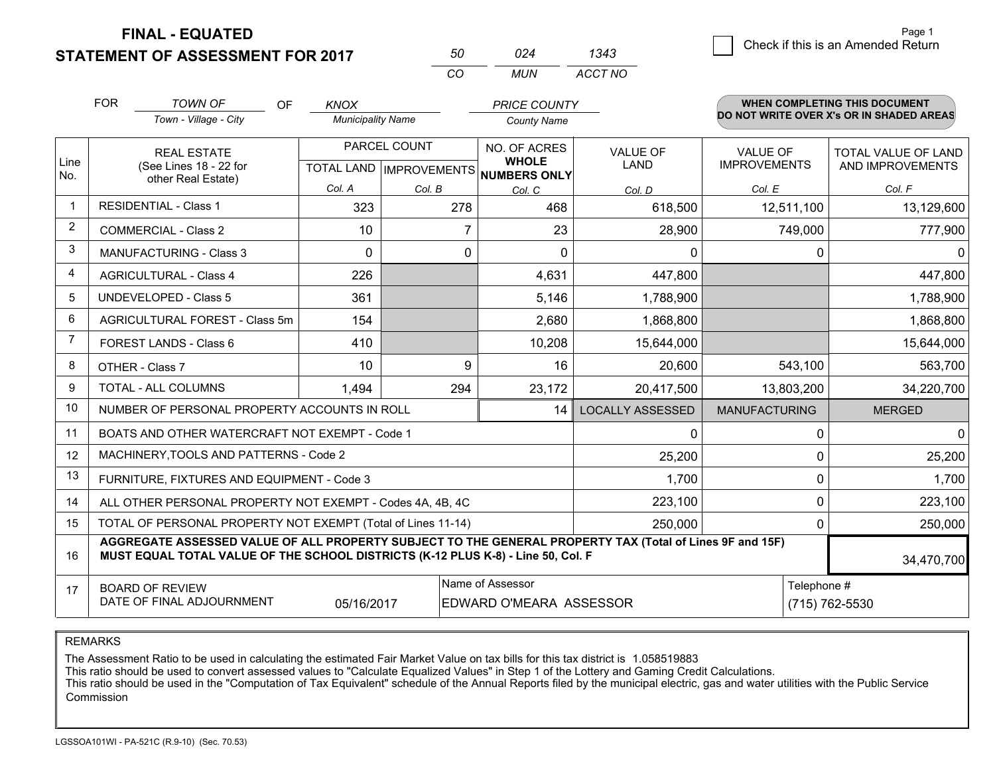**STATEMENT OF ASSESSMENT FOR 2017** 

| 50  | በ24 | 1343    |
|-----|-----|---------|
| rn. | MUN | ACCT NO |

|                | <b>FOR</b>                                                                                                                                                                                                 | <b>TOWN OF</b><br>OF                                      | <b>KNOX</b>              |                                      | <b>PRICE COUNTY</b> |                         |                      | <b>WHEN COMPLETING THIS DOCUMENT</b><br>DO NOT WRITE OVER X's OR IN SHADED AREAS |  |  |
|----------------|------------------------------------------------------------------------------------------------------------------------------------------------------------------------------------------------------------|-----------------------------------------------------------|--------------------------|--------------------------------------|---------------------|-------------------------|----------------------|----------------------------------------------------------------------------------|--|--|
|                |                                                                                                                                                                                                            | Town - Village - City                                     | <b>Municipality Name</b> |                                      |                     | <b>County Name</b>      |                      |                                                                                  |  |  |
|                |                                                                                                                                                                                                            | PARCEL COUNT<br><b>REAL ESTATE</b>                        |                          |                                      | NO. OF ACRES        | <b>VALUE OF</b>         | <b>VALUE OF</b>      | <b>TOTAL VALUE OF LAND</b>                                                       |  |  |
| Line<br>No.    |                                                                                                                                                                                                            | (See Lines 18 - 22 for<br>other Real Estate)              |                          | TOTAL LAND IMPROVEMENTS NUMBERS ONLY | <b>WHOLE</b>        | LAND                    | <b>IMPROVEMENTS</b>  | AND IMPROVEMENTS                                                                 |  |  |
|                |                                                                                                                                                                                                            |                                                           | Col. A                   | Col. B                               | Col. C              | Col. D                  | Col. E               | Col. F                                                                           |  |  |
| $\overline{1}$ | <b>RESIDENTIAL - Class 1</b>                                                                                                                                                                               |                                                           | 323                      | 278                                  | 468                 | 618,500                 | 12,511,100           | 13,129,600                                                                       |  |  |
| $\overline{2}$ |                                                                                                                                                                                                            | COMMERCIAL - Class 2                                      | 10                       | 7                                    | 23                  | 28,900                  | 749,000              | 777,900                                                                          |  |  |
| 3              |                                                                                                                                                                                                            | <b>MANUFACTURING - Class 3</b>                            | $\Omega$                 | 0                                    | 0                   | $\Omega$                | 0                    | 0                                                                                |  |  |
| 4              |                                                                                                                                                                                                            | <b>AGRICULTURAL - Class 4</b>                             | 226                      |                                      | 4,631               | 447,800                 |                      | 447,800                                                                          |  |  |
| 5              | UNDEVELOPED - Class 5                                                                                                                                                                                      |                                                           | 361                      |                                      | 5,146               | 1,788,900               |                      | 1,788,900                                                                        |  |  |
| 6              | AGRICULTURAL FOREST - Class 5m                                                                                                                                                                             |                                                           | 154                      |                                      | 2,680               | 1,868,800               |                      | 1,868,800                                                                        |  |  |
| 7              | FOREST LANDS - Class 6                                                                                                                                                                                     |                                                           | 410                      |                                      | 10,208              | 15,644,000              |                      | 15,644,000                                                                       |  |  |
| 8              |                                                                                                                                                                                                            | OTHER - Class 7                                           | 10                       | 9                                    | 16                  | 20,600                  | 543,100              | 563,700                                                                          |  |  |
| 9              |                                                                                                                                                                                                            | TOTAL - ALL COLUMNS<br>294<br>23,172<br>1.494             |                          | 20,417,500                           | 13,803,200          | 34,220,700              |                      |                                                                                  |  |  |
| 10             |                                                                                                                                                                                                            | NUMBER OF PERSONAL PROPERTY ACCOUNTS IN ROLL              |                          |                                      | 14                  | <b>LOCALLY ASSESSED</b> | <b>MANUFACTURING</b> | <b>MERGED</b>                                                                    |  |  |
| 11             |                                                                                                                                                                                                            | BOATS AND OTHER WATERCRAFT NOT EXEMPT - Code 1            |                          |                                      |                     | $\Omega$                | $\mathbf{0}$         | $\Omega$                                                                         |  |  |
| 12             |                                                                                                                                                                                                            | MACHINERY, TOOLS AND PATTERNS - Code 2                    |                          |                                      |                     | 25,200                  | 0                    | 25,200                                                                           |  |  |
| 13             |                                                                                                                                                                                                            | FURNITURE, FIXTURES AND EQUIPMENT - Code 3                |                          |                                      |                     | 1,700                   | 0                    | 1,700                                                                            |  |  |
| 14             |                                                                                                                                                                                                            | ALL OTHER PERSONAL PROPERTY NOT EXEMPT - Codes 4A, 4B, 4C |                          |                                      |                     | 223,100                 | 0                    | 223,100                                                                          |  |  |
| 15             | TOTAL OF PERSONAL PROPERTY NOT EXEMPT (Total of Lines 11-14)<br>250,000                                                                                                                                    |                                                           |                          |                                      |                     |                         | $\mathbf 0$          | 250,000                                                                          |  |  |
| 16             | AGGREGATE ASSESSED VALUE OF ALL PROPERTY SUBJECT TO THE GENERAL PROPERTY TAX (Total of Lines 9F and 15F)<br>MUST EQUAL TOTAL VALUE OF THE SCHOOL DISTRICTS (K-12 PLUS K-8) - Line 50, Col. F<br>34,470,700 |                                                           |                          |                                      |                     |                         |                      |                                                                                  |  |  |
| 17             | Name of Assessor<br><b>BOARD OF REVIEW</b>                                                                                                                                                                 |                                                           |                          |                                      |                     | Telephone #             |                      |                                                                                  |  |  |
|                | DATE OF FINAL ADJOURNMENT<br>05/16/2017<br>EDWARD O'MEARA ASSESSOR                                                                                                                                         |                                                           |                          |                                      |                     |                         |                      | (715) 762-5530                                                                   |  |  |

REMARKS

The Assessment Ratio to be used in calculating the estimated Fair Market Value on tax bills for this tax district is 1.058519883

This ratio should be used to convert assessed values to "Calculate Equalized Values" in Step 1 of the Lottery and Gaming Credit Calculations.<br>This ratio should be used in the "Computation of Tax Equivalent" schedule of the Commission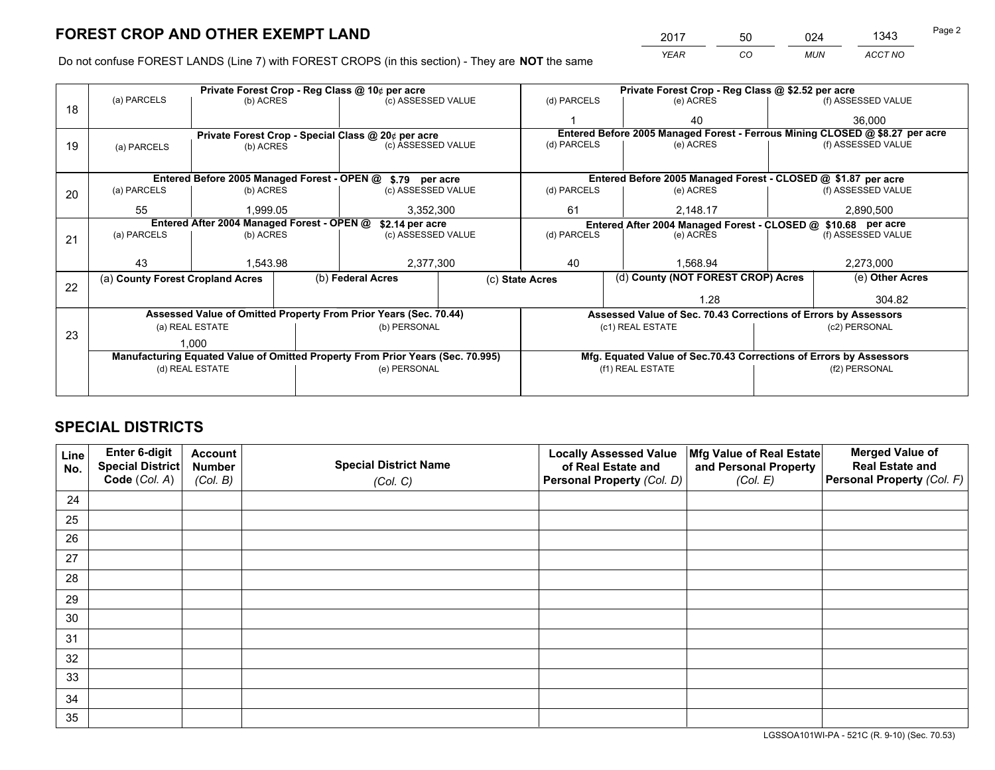*YEAR CO MUN ACCT NO* 2017 50 024 1343 Page 2

Do not confuse FOREST LANDS (Line 7) with FOREST CROPS (in this section) - They are **NOT** the same

|    |                                                                                |                 |  | Private Forest Crop - Reg Class @ 10¢ per acre                   |             |                                                                 | Private Forest Crop - Reg Class @ \$2.52 per acre |                                                                    |               |                                                                              |
|----|--------------------------------------------------------------------------------|-----------------|--|------------------------------------------------------------------|-------------|-----------------------------------------------------------------|---------------------------------------------------|--------------------------------------------------------------------|---------------|------------------------------------------------------------------------------|
| 18 | (a) PARCELS                                                                    | (b) ACRES       |  | (c) ASSESSED VALUE                                               |             | (d) PARCELS                                                     |                                                   | (e) ACRES                                                          |               | (f) ASSESSED VALUE                                                           |
|    |                                                                                |                 |  |                                                                  |             |                                                                 |                                                   | 40                                                                 |               | 36,000                                                                       |
|    |                                                                                |                 |  | Private Forest Crop - Special Class @ 20¢ per acre               |             |                                                                 |                                                   |                                                                    |               | Entered Before 2005 Managed Forest - Ferrous Mining CLOSED @ \$8.27 per acre |
| 19 | (a) PARCELS                                                                    | (b) ACRES       |  | (c) ASSESSED VALUE                                               |             | (d) PARCELS                                                     |                                                   | (e) ACRES                                                          |               | (f) ASSESSED VALUE                                                           |
|    |                                                                                |                 |  |                                                                  |             |                                                                 |                                                   |                                                                    |               |                                                                              |
|    |                                                                                |                 |  | Entered Before 2005 Managed Forest - OPEN @ \$.79 per acre       |             | Entered Before 2005 Managed Forest - CLOSED @ \$1.87 per acre   |                                                   |                                                                    |               |                                                                              |
| 20 | (a) PARCELS                                                                    | (b) ACRES       |  | (c) ASSESSED VALUE                                               |             | (d) PARCELS                                                     |                                                   | (e) ACRES                                                          |               | (f) ASSESSED VALUE                                                           |
|    | 55                                                                             | 1.999.05        |  | 3,352,300                                                        |             | 61                                                              |                                                   | 2.148.17                                                           | 2,890,500     |                                                                              |
|    | Entered After 2004 Managed Forest - OPEN @<br>\$2.14 per acre                  |                 |  |                                                                  |             |                                                                 |                                                   | Entered After 2004 Managed Forest - CLOSED @ \$10.68 per acre      |               |                                                                              |
| 21 | (a) PARCELS                                                                    | (b) ACRES       |  | (c) ASSESSED VALUE                                               | (d) PARCELS |                                                                 |                                                   | (e) ACRES                                                          |               | (f) ASSESSED VALUE                                                           |
|    |                                                                                |                 |  |                                                                  |             |                                                                 |                                                   |                                                                    |               |                                                                              |
|    | 43                                                                             | 1,543.98        |  | 2,377,300                                                        |             | 40                                                              |                                                   | 1.568.94                                                           |               | 2,273,000                                                                    |
|    | (a) County Forest Cropland Acres                                               |                 |  | (b) Federal Acres                                                |             | (d) County (NOT FOREST CROP) Acres<br>(c) State Acres           |                                                   |                                                                    |               | (e) Other Acres                                                              |
| 22 |                                                                                |                 |  |                                                                  |             |                                                                 | 1.28                                              |                                                                    |               | 304.82                                                                       |
|    |                                                                                |                 |  | Assessed Value of Omitted Property From Prior Years (Sec. 70.44) |             | Assessed Value of Sec. 70.43 Corrections of Errors by Assessors |                                                   |                                                                    |               |                                                                              |
|    |                                                                                | (a) REAL ESTATE |  | (b) PERSONAL                                                     |             |                                                                 |                                                   | (c1) REAL ESTATE                                                   |               | (c2) PERSONAL                                                                |
| 23 |                                                                                | 1.000           |  |                                                                  |             |                                                                 |                                                   |                                                                    |               |                                                                              |
|    | Manufacturing Equated Value of Omitted Property From Prior Years (Sec. 70.995) |                 |  |                                                                  |             |                                                                 |                                                   | Mfg. Equated Value of Sec.70.43 Corrections of Errors by Assessors |               |                                                                              |
|    | (d) REAL ESTATE                                                                |                 |  | (e) PERSONAL                                                     |             | (f1) REAL ESTATE                                                |                                                   |                                                                    | (f2) PERSONAL |                                                                              |
|    |                                                                                |                 |  |                                                                  |             |                                                                 |                                                   |                                                                    |               |                                                                              |

## **SPECIAL DISTRICTS**

| Line<br>No. | Enter 6-digit<br>Special District<br>Code (Col. A) | <b>Account</b><br><b>Number</b><br>(Col. B) | <b>Special District Name</b><br>(Col. C) | <b>Locally Assessed Value</b><br>of Real Estate and<br>Personal Property (Col. D) | Mfg Value of Real Estate<br>and Personal Property<br>(Col. E) | <b>Merged Value of</b><br><b>Real Estate and</b><br>Personal Property (Col. F) |
|-------------|----------------------------------------------------|---------------------------------------------|------------------------------------------|-----------------------------------------------------------------------------------|---------------------------------------------------------------|--------------------------------------------------------------------------------|
| 24          |                                                    |                                             |                                          |                                                                                   |                                                               |                                                                                |
| 25          |                                                    |                                             |                                          |                                                                                   |                                                               |                                                                                |
| 26          |                                                    |                                             |                                          |                                                                                   |                                                               |                                                                                |
| 27          |                                                    |                                             |                                          |                                                                                   |                                                               |                                                                                |
| 28          |                                                    |                                             |                                          |                                                                                   |                                                               |                                                                                |
| 29          |                                                    |                                             |                                          |                                                                                   |                                                               |                                                                                |
| 30          |                                                    |                                             |                                          |                                                                                   |                                                               |                                                                                |
| 31          |                                                    |                                             |                                          |                                                                                   |                                                               |                                                                                |
| 32          |                                                    |                                             |                                          |                                                                                   |                                                               |                                                                                |
| 33          |                                                    |                                             |                                          |                                                                                   |                                                               |                                                                                |
| 34          |                                                    |                                             |                                          |                                                                                   |                                                               |                                                                                |
| 35          |                                                    |                                             |                                          |                                                                                   |                                                               |                                                                                |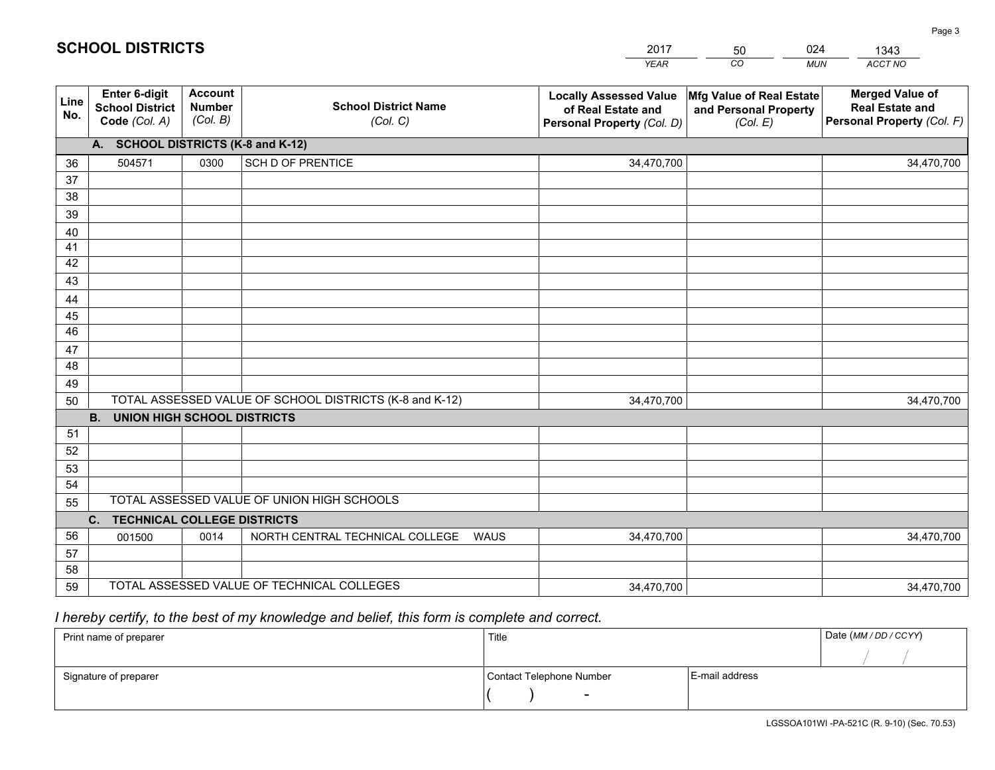|             |                                                          |                                             |                                                         | YEAR                                                                              | CO.<br><b>MUN</b>                                             | ACCT NO                                                                        |  |  |  |  |
|-------------|----------------------------------------------------------|---------------------------------------------|---------------------------------------------------------|-----------------------------------------------------------------------------------|---------------------------------------------------------------|--------------------------------------------------------------------------------|--|--|--|--|
| Line<br>No. | Enter 6-digit<br><b>School District</b><br>Code (Col. A) | <b>Account</b><br><b>Number</b><br>(Col. B) | <b>School District Name</b><br>(Col. C)                 | <b>Locally Assessed Value</b><br>of Real Estate and<br>Personal Property (Col. D) | Mfg Value of Real Estate<br>and Personal Property<br>(Col. E) | <b>Merged Value of</b><br><b>Real Estate and</b><br>Personal Property (Col. F) |  |  |  |  |
|             | A. SCHOOL DISTRICTS (K-8 and K-12)                       |                                             |                                                         |                                                                                   |                                                               |                                                                                |  |  |  |  |
| 36          | 504571                                                   | 0300                                        | <b>SCH D OF PRENTICE</b>                                | 34,470,700                                                                        |                                                               | 34,470,700                                                                     |  |  |  |  |
| 37          |                                                          |                                             |                                                         |                                                                                   |                                                               |                                                                                |  |  |  |  |
| 38          |                                                          |                                             |                                                         |                                                                                   |                                                               |                                                                                |  |  |  |  |
| 39          |                                                          |                                             |                                                         |                                                                                   |                                                               |                                                                                |  |  |  |  |
| 40          |                                                          |                                             |                                                         |                                                                                   |                                                               |                                                                                |  |  |  |  |
| 41<br>42    |                                                          |                                             |                                                         |                                                                                   |                                                               |                                                                                |  |  |  |  |
| 43          |                                                          |                                             |                                                         |                                                                                   |                                                               |                                                                                |  |  |  |  |
| 44          |                                                          |                                             |                                                         |                                                                                   |                                                               |                                                                                |  |  |  |  |
| 45          |                                                          |                                             |                                                         |                                                                                   |                                                               |                                                                                |  |  |  |  |
| 46          |                                                          |                                             |                                                         |                                                                                   |                                                               |                                                                                |  |  |  |  |
| 47          |                                                          |                                             |                                                         |                                                                                   |                                                               |                                                                                |  |  |  |  |
| 48          |                                                          |                                             |                                                         |                                                                                   |                                                               |                                                                                |  |  |  |  |
| 49          |                                                          |                                             |                                                         |                                                                                   |                                                               |                                                                                |  |  |  |  |
| 50          |                                                          |                                             | TOTAL ASSESSED VALUE OF SCHOOL DISTRICTS (K-8 and K-12) | 34,470,700                                                                        |                                                               | 34,470,700                                                                     |  |  |  |  |
|             | <b>B.</b><br>UNION HIGH SCHOOL DISTRICTS                 |                                             |                                                         |                                                                                   |                                                               |                                                                                |  |  |  |  |
| 51          |                                                          |                                             |                                                         |                                                                                   |                                                               |                                                                                |  |  |  |  |
| 52          |                                                          |                                             |                                                         |                                                                                   |                                                               |                                                                                |  |  |  |  |
| 53<br>54    |                                                          |                                             |                                                         |                                                                                   |                                                               |                                                                                |  |  |  |  |
| 55          |                                                          |                                             | TOTAL ASSESSED VALUE OF UNION HIGH SCHOOLS              |                                                                                   |                                                               |                                                                                |  |  |  |  |
|             | $C_{1}$<br><b>TECHNICAL COLLEGE DISTRICTS</b>            |                                             |                                                         |                                                                                   |                                                               |                                                                                |  |  |  |  |
| 56          | 001500                                                   | 0014                                        | NORTH CENTRAL TECHNICAL COLLEGE<br><b>WAUS</b>          | 34,470,700                                                                        |                                                               | 34,470,700                                                                     |  |  |  |  |
| 57          |                                                          |                                             |                                                         |                                                                                   |                                                               |                                                                                |  |  |  |  |
| 58          |                                                          |                                             |                                                         |                                                                                   |                                                               |                                                                                |  |  |  |  |
| 59          |                                                          |                                             | TOTAL ASSESSED VALUE OF TECHNICAL COLLEGES              | 34,470,700                                                                        |                                                               | 34,470,700                                                                     |  |  |  |  |

2017

50

024

 *I hereby certify, to the best of my knowledge and belief, this form is complete and correct.*

**SCHOOL DISTRICTS**

| Print name of preparer | Title                    |                | Date (MM / DD / CCYY) |
|------------------------|--------------------------|----------------|-----------------------|
|                        |                          |                |                       |
| Signature of preparer  | Contact Telephone Number | E-mail address |                       |
|                        | $\sim$                   |                |                       |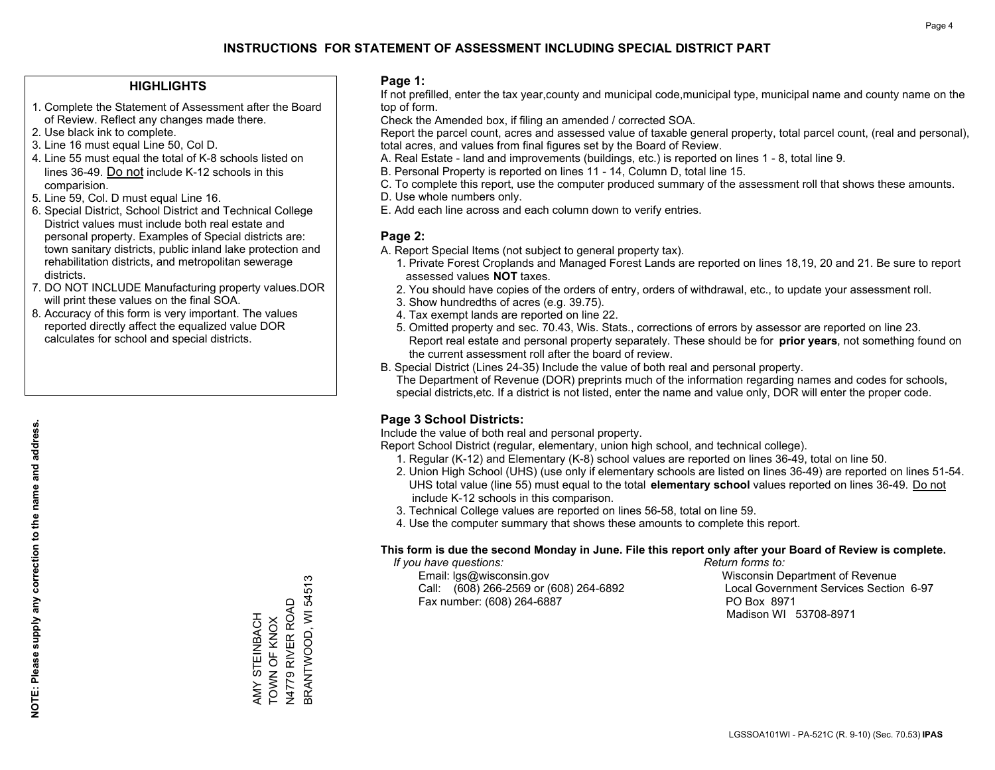#### **HIGHLIGHTS**

- 1. Complete the Statement of Assessment after the Board of Review. Reflect any changes made there.
- 2. Use black ink to complete.
- 3. Line 16 must equal Line 50, Col D.
- 4. Line 55 must equal the total of K-8 schools listed on lines 36-49. Do not include K-12 schools in this comparision.
- 5. Line 59, Col. D must equal Line 16.
- 6. Special District, School District and Technical College District values must include both real estate and personal property. Examples of Special districts are: town sanitary districts, public inland lake protection and rehabilitation districts, and metropolitan sewerage districts.
- 7. DO NOT INCLUDE Manufacturing property values.DOR will print these values on the final SOA.
- 8. Accuracy of this form is very important. The values reported directly affect the equalized value DOR calculates for school and special districts.

#### **Page 1:**

 If not prefilled, enter the tax year,county and municipal code,municipal type, municipal name and county name on the top of form.

Check the Amended box, if filing an amended / corrected SOA.

 Report the parcel count, acres and assessed value of taxable general property, total parcel count, (real and personal), total acres, and values from final figures set by the Board of Review.

- A. Real Estate land and improvements (buildings, etc.) is reported on lines 1 8, total line 9.
- B. Personal Property is reported on lines 11 14, Column D, total line 15.
- C. To complete this report, use the computer produced summary of the assessment roll that shows these amounts.
- D. Use whole numbers only.
- E. Add each line across and each column down to verify entries.

#### **Page 2:**

- A. Report Special Items (not subject to general property tax).
- 1. Private Forest Croplands and Managed Forest Lands are reported on lines 18,19, 20 and 21. Be sure to report assessed values **NOT** taxes.
- 2. You should have copies of the orders of entry, orders of withdrawal, etc., to update your assessment roll.
	- 3. Show hundredths of acres (e.g. 39.75).
- 4. Tax exempt lands are reported on line 22.
- 5. Omitted property and sec. 70.43, Wis. Stats., corrections of errors by assessor are reported on line 23. Report real estate and personal property separately. These should be for **prior years**, not something found on the current assessment roll after the board of review.
- B. Special District (Lines 24-35) Include the value of both real and personal property.
- The Department of Revenue (DOR) preprints much of the information regarding names and codes for schools, special districts,etc. If a district is not listed, enter the name and value only, DOR will enter the proper code.

## **Page 3 School Districts:**

Include the value of both real and personal property.

Report School District (regular, elementary, union high school, and technical college).

- 1. Regular (K-12) and Elementary (K-8) school values are reported on lines 36-49, total on line 50.
- 2. Union High School (UHS) (use only if elementary schools are listed on lines 36-49) are reported on lines 51-54. UHS total value (line 55) must equal to the total **elementary school** values reported on lines 36-49. Do notinclude K-12 schools in this comparison.
- 3. Technical College values are reported on lines 56-58, total on line 59.
- 4. Use the computer summary that shows these amounts to complete this report.

#### **This form is due the second Monday in June. File this report only after your Board of Review is complete.**

 *If you have questions: Return forms to:*

 Email: lgs@wisconsin.gov Wisconsin Department of RevenueCall:  $(608)$  266-2569 or  $(608)$  264-6892 Fax number: (608) 264-6887 PO Box 8971

Local Government Services Section 6-97

Madison WI 53708-8971

BRANTWOOD, WI 54513 BRANTWOOD, WI 54513 N4779 RIVER ROAD TOWN OF KNOX AMY STEINBACH AMY STEINBACH TOWN OF KNOX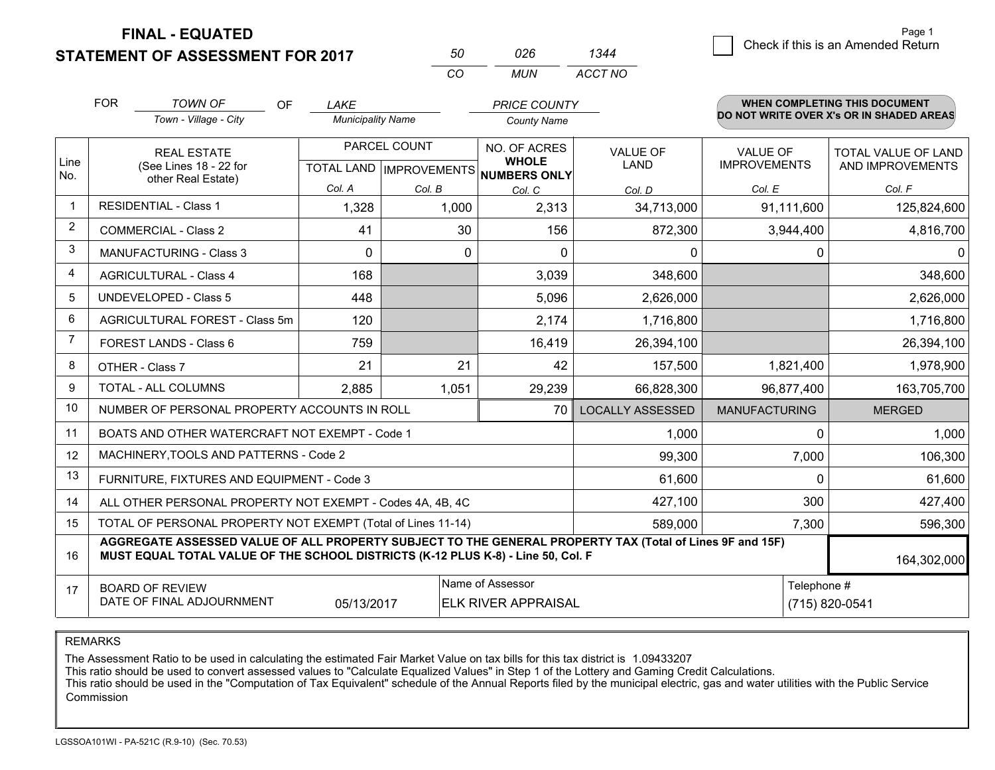**STATEMENT OF ASSESSMENT FOR 2017** 

| 50  | 026 | 1344    |
|-----|-----|---------|
| .CO | MUN | ACCT NO |

|                         | <b>FOR</b>                                                                                                                                                                                                  | <b>TOWN OF</b><br>OF                                         | LAKE                     |              | <b>PRICE COUNTY</b>                                  |                         |                      | <b>WHEN COMPLETING THIS DOCUMENT</b>     |  |
|-------------------------|-------------------------------------------------------------------------------------------------------------------------------------------------------------------------------------------------------------|--------------------------------------------------------------|--------------------------|--------------|------------------------------------------------------|-------------------------|----------------------|------------------------------------------|--|
|                         |                                                                                                                                                                                                             | Town - Village - City                                        | <b>Municipality Name</b> |              | <b>County Name</b>                                   |                         |                      | DO NOT WRITE OVER X's OR IN SHADED AREAS |  |
|                         |                                                                                                                                                                                                             | <b>REAL ESTATE</b>                                           |                          | PARCEL COUNT | NO. OF ACRES                                         | <b>VALUE OF</b>         | <b>VALUE OF</b>      | <b>TOTAL VALUE OF LAND</b>               |  |
| Line<br>No.             |                                                                                                                                                                                                             | (See Lines 18 - 22 for<br>other Real Estate)                 |                          |              | <b>WHOLE</b><br>TOTAL LAND IMPROVEMENTS NUMBERS ONLY | LAND                    | <b>IMPROVEMENTS</b>  | AND IMPROVEMENTS                         |  |
|                         |                                                                                                                                                                                                             |                                                              | Col. A                   | Col. B       | Col. C                                               | Col. D                  | Col. E               | Col. F                                   |  |
| $\mathbf 1$             | <b>RESIDENTIAL - Class 1</b>                                                                                                                                                                                |                                                              | 1,328                    | 1,000        | 2,313                                                | 34,713,000              | 91,111,600           | 125,824,600                              |  |
| $\overline{2}$          |                                                                                                                                                                                                             | <b>COMMERCIAL - Class 2</b>                                  | 41                       | 30           | 156                                                  | 872,300                 | 3,944,400            | 4,816,700                                |  |
| 3                       |                                                                                                                                                                                                             | <b>MANUFACTURING - Class 3</b>                               | $\Omega$                 | $\Omega$     | $\Omega$                                             | $\Omega$                | $\Omega$             | 0                                        |  |
| $\overline{\mathbf{4}}$ |                                                                                                                                                                                                             | <b>AGRICULTURAL - Class 4</b>                                | 168                      |              | 3,039                                                | 348,600                 |                      | 348,600                                  |  |
| 5                       | <b>UNDEVELOPED - Class 5</b>                                                                                                                                                                                |                                                              | 448                      |              | 5,096                                                | 2,626,000               |                      | 2,626,000                                |  |
| 6                       | AGRICULTURAL FOREST - Class 5m                                                                                                                                                                              |                                                              | 120                      |              | 2,174                                                | 1,716,800               |                      | 1,716,800                                |  |
| $\overline{7}$          | <b>FOREST LANDS - Class 6</b>                                                                                                                                                                               |                                                              | 759                      |              | 16,419                                               | 26,394,100              |                      | 26,394,100                               |  |
| 8                       |                                                                                                                                                                                                             | OTHER - Class 7                                              | 21                       | 21           | 42                                                   | 157,500                 | 1,821,400            | 1,978,900                                |  |
| 9                       |                                                                                                                                                                                                             | TOTAL - ALL COLUMNS<br>2,885<br>29,239<br>1,051              |                          | 66,828,300   | 96,877,400                                           | 163,705,700             |                      |                                          |  |
| 10                      |                                                                                                                                                                                                             | NUMBER OF PERSONAL PROPERTY ACCOUNTS IN ROLL                 |                          |              | 70                                                   | <b>LOCALLY ASSESSED</b> | <b>MANUFACTURING</b> | <b>MERGED</b>                            |  |
| 11                      |                                                                                                                                                                                                             | BOATS AND OTHER WATERCRAFT NOT EXEMPT - Code 1               |                          |              |                                                      | 1,000                   | $\Omega$             | 1,000                                    |  |
| 12                      |                                                                                                                                                                                                             | MACHINERY, TOOLS AND PATTERNS - Code 2                       |                          |              |                                                      | 99,300                  | 7,000                | 106,300                                  |  |
| 13                      |                                                                                                                                                                                                             | FURNITURE, FIXTURES AND EQUIPMENT - Code 3                   |                          |              |                                                      | 61,600                  | $\Omega$             | 61,600                                   |  |
| 14                      |                                                                                                                                                                                                             | ALL OTHER PERSONAL PROPERTY NOT EXEMPT - Codes 4A, 4B, 4C    |                          |              |                                                      | 427,100                 | 300                  | 427,400                                  |  |
| 15                      |                                                                                                                                                                                                             | TOTAL OF PERSONAL PROPERTY NOT EXEMPT (Total of Lines 11-14) |                          |              | 589,000                                              | 7,300                   | 596,300              |                                          |  |
| 16                      | AGGREGATE ASSESSED VALUE OF ALL PROPERTY SUBJECT TO THE GENERAL PROPERTY TAX (Total of Lines 9F and 15F)<br>MUST EQUAL TOTAL VALUE OF THE SCHOOL DISTRICTS (K-12 PLUS K-8) - Line 50, Col. F<br>164,302,000 |                                                              |                          |              |                                                      |                         |                      |                                          |  |
| 17                      | Name of Assessor<br><b>BOARD OF REVIEW</b>                                                                                                                                                                  |                                                              |                          |              |                                                      | Telephone #             |                      |                                          |  |
|                         |                                                                                                                                                                                                             | DATE OF FINAL ADJOURNMENT                                    | 05/13/2017               |              | <b>ELK RIVER APPRAISAL</b>                           |                         |                      | (715) 820-0541                           |  |

REMARKS

The Assessment Ratio to be used in calculating the estimated Fair Market Value on tax bills for this tax district is 1.09433207

This ratio should be used to convert assessed values to "Calculate Equalized Values" in Step 1 of the Lottery and Gaming Credit Calculations.

 This ratio should be used in the "Computation of Tax Equivalent" schedule of the Annual Reports filed by the municipal electric, gas and water utilities with the Public Service Commission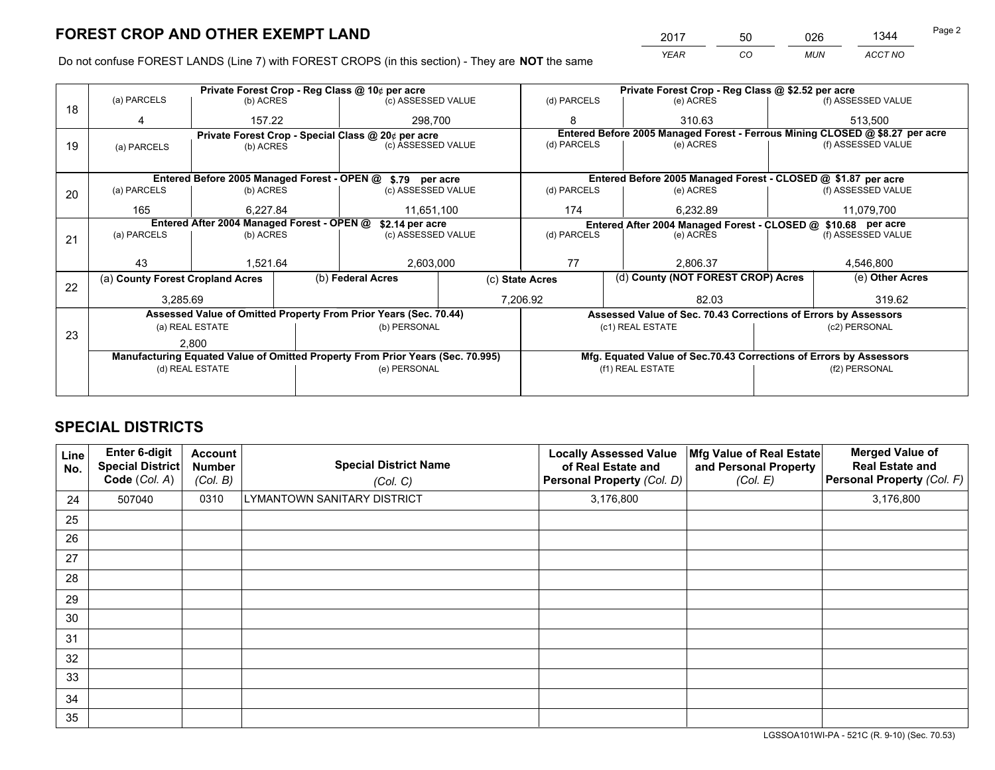*YEAR CO MUN ACCT NO* 2017 50 026 1344 Page 2

Do not confuse FOREST LANDS (Line 7) with FOREST CROPS (in this section) - They are **NOT** the same

|    |                                                               |                 |                                                                                | Private Forest Crop - Reg Class @ 10¢ per acre                   |            | Private Forest Crop - Reg Class @ \$2.52 per acre |                                    |                                                                    |               |                                                                              |
|----|---------------------------------------------------------------|-----------------|--------------------------------------------------------------------------------|------------------------------------------------------------------|------------|---------------------------------------------------|------------------------------------|--------------------------------------------------------------------|---------------|------------------------------------------------------------------------------|
| 18 | (a) PARCELS                                                   | (b) ACRES       |                                                                                | (c) ASSESSED VALUE                                               |            | (d) PARCELS                                       |                                    | (e) ACRES                                                          |               | (f) ASSESSED VALUE                                                           |
|    | 4                                                             | 157.22          |                                                                                | 298.700                                                          |            | 8                                                 |                                    | 310.63                                                             |               | 513.500                                                                      |
|    |                                                               |                 |                                                                                | Private Forest Crop - Special Class @ 20¢ per acre               |            |                                                   |                                    |                                                                    |               | Entered Before 2005 Managed Forest - Ferrous Mining CLOSED @ \$8.27 per acre |
| 19 | (a) PARCELS                                                   | (b) ACRES       |                                                                                | (c) ASSESSED VALUE                                               |            | (d) PARCELS                                       |                                    | (e) ACRES                                                          |               | (f) ASSESSED VALUE                                                           |
|    |                                                               |                 |                                                                                |                                                                  |            |                                                   |                                    |                                                                    |               |                                                                              |
|    |                                                               |                 |                                                                                | Entered Before 2005 Managed Forest - OPEN @ \$.79 per acre       |            |                                                   |                                    | Entered Before 2005 Managed Forest - CLOSED @ \$1.87 per acre      |               |                                                                              |
| 20 | (a) PARCELS                                                   | (b) ACRES       |                                                                                | (c) ASSESSED VALUE                                               |            | (d) PARCELS                                       |                                    | (e) ACRES                                                          |               | (f) ASSESSED VALUE                                                           |
|    | 165                                                           | 6.227.84        |                                                                                |                                                                  | 11,651,100 |                                                   |                                    | 6.232.89                                                           |               | 11,079,700                                                                   |
|    | Entered After 2004 Managed Forest - OPEN @<br>\$2.14 per acre |                 |                                                                                |                                                                  |            |                                                   |                                    | Entered After 2004 Managed Forest - CLOSED @ \$10.68 per acre      |               |                                                                              |
| 21 | (a) PARCELS                                                   | (b) ACRES       |                                                                                | (c) ASSESSED VALUE                                               |            | (d) PARCELS                                       |                                    | (e) ACRES                                                          |               | (f) ASSESSED VALUE                                                           |
|    |                                                               |                 |                                                                                |                                                                  |            |                                                   |                                    |                                                                    |               |                                                                              |
|    | 43                                                            | 1,521.64        |                                                                                | 2,603,000                                                        |            | 77<br>2.806.37                                    |                                    |                                                                    | 4,546,800     |                                                                              |
| 22 | (a) County Forest Cropland Acres                              |                 |                                                                                | (b) Federal Acres                                                |            | (c) State Acres                                   | (d) County (NOT FOREST CROP) Acres |                                                                    |               | (e) Other Acres                                                              |
|    | 3,285.69                                                      |                 |                                                                                |                                                                  |            | 7,206.92                                          |                                    | 82.03                                                              |               | 319.62                                                                       |
|    |                                                               |                 |                                                                                | Assessed Value of Omitted Property From Prior Years (Sec. 70.44) |            |                                                   |                                    | Assessed Value of Sec. 70.43 Corrections of Errors by Assessors    |               |                                                                              |
|    |                                                               | (a) REAL ESTATE |                                                                                | (b) PERSONAL                                                     |            |                                                   | (c1) REAL ESTATE                   |                                                                    |               | (c2) PERSONAL                                                                |
| 23 |                                                               | 2.800           |                                                                                |                                                                  |            |                                                   |                                    |                                                                    |               |                                                                              |
|    |                                                               |                 | Manufacturing Equated Value of Omitted Property From Prior Years (Sec. 70.995) |                                                                  |            |                                                   |                                    | Mfg. Equated Value of Sec.70.43 Corrections of Errors by Assessors |               |                                                                              |
|    | (d) REAL ESTATE                                               |                 |                                                                                | (e) PERSONAL                                                     |            | (f1) REAL ESTATE                                  |                                    |                                                                    | (f2) PERSONAL |                                                                              |
|    |                                                               |                 |                                                                                |                                                                  |            |                                                   |                                    |                                                                    |               |                                                                              |

## **SPECIAL DISTRICTS**

| Line<br>No. | Enter 6-digit<br>Special District<br>Code (Col. A) | <b>Account</b><br><b>Number</b><br>(Col. B) | <b>Special District Name</b><br>(Col. C) | <b>Locally Assessed Value</b><br>of Real Estate and<br>Personal Property (Col. D) | Mfg Value of Real Estate<br>and Personal Property<br>(Col. E) | <b>Merged Value of</b><br><b>Real Estate and</b><br>Personal Property (Col. F) |
|-------------|----------------------------------------------------|---------------------------------------------|------------------------------------------|-----------------------------------------------------------------------------------|---------------------------------------------------------------|--------------------------------------------------------------------------------|
| 24          | 507040                                             | 0310                                        | LYMANTOWN SANITARY DISTRICT              | 3,176,800                                                                         |                                                               | 3,176,800                                                                      |
| 25          |                                                    |                                             |                                          |                                                                                   |                                                               |                                                                                |
| 26          |                                                    |                                             |                                          |                                                                                   |                                                               |                                                                                |
| 27          |                                                    |                                             |                                          |                                                                                   |                                                               |                                                                                |
| 28          |                                                    |                                             |                                          |                                                                                   |                                                               |                                                                                |
| 29          |                                                    |                                             |                                          |                                                                                   |                                                               |                                                                                |
| 30          |                                                    |                                             |                                          |                                                                                   |                                                               |                                                                                |
| 31          |                                                    |                                             |                                          |                                                                                   |                                                               |                                                                                |
| 32          |                                                    |                                             |                                          |                                                                                   |                                                               |                                                                                |
| 33          |                                                    |                                             |                                          |                                                                                   |                                                               |                                                                                |
| 34          |                                                    |                                             |                                          |                                                                                   |                                                               |                                                                                |
| 35          |                                                    |                                             |                                          |                                                                                   |                                                               |                                                                                |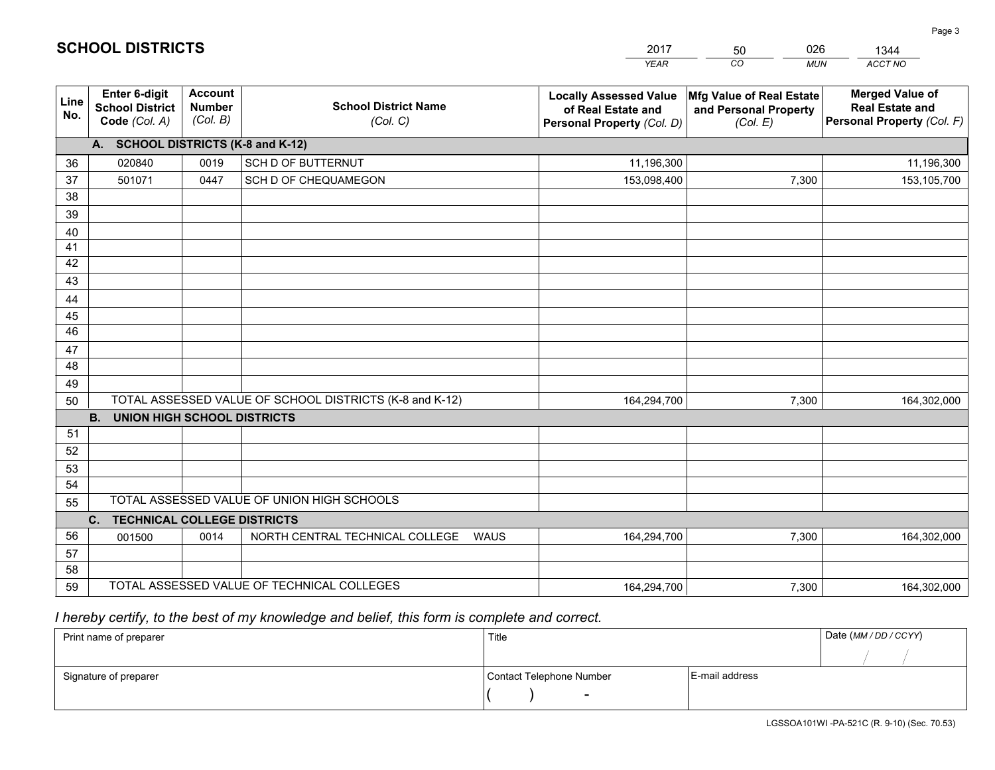|             |                                                                 |                                             |                                                         | <b>YEAR</b>                                                                       | CO<br><b>MUN</b>                                              | ACCT NO                                                                        |  |  |  |  |  |  |
|-------------|-----------------------------------------------------------------|---------------------------------------------|---------------------------------------------------------|-----------------------------------------------------------------------------------|---------------------------------------------------------------|--------------------------------------------------------------------------------|--|--|--|--|--|--|
| Line<br>No. | <b>Enter 6-digit</b><br><b>School District</b><br>Code (Col. A) | <b>Account</b><br><b>Number</b><br>(Col. B) | <b>School District Name</b><br>(Col. C)                 | <b>Locally Assessed Value</b><br>of Real Estate and<br>Personal Property (Col. D) | Mfg Value of Real Estate<br>and Personal Property<br>(Col. E) | <b>Merged Value of</b><br><b>Real Estate and</b><br>Personal Property (Col. F) |  |  |  |  |  |  |
|             | A. SCHOOL DISTRICTS (K-8 and K-12)                              |                                             |                                                         |                                                                                   |                                                               |                                                                                |  |  |  |  |  |  |
| 36          | 020840                                                          | 0019                                        | <b>SCH D OF BUTTERNUT</b>                               | 11,196,300                                                                        |                                                               | 11,196,300                                                                     |  |  |  |  |  |  |
| 37          | 501071                                                          | 0447                                        | SCH D OF CHEQUAMEGON                                    | 153,098,400                                                                       | 7,300                                                         | 153,105,700                                                                    |  |  |  |  |  |  |
| 38          |                                                                 |                                             |                                                         |                                                                                   |                                                               |                                                                                |  |  |  |  |  |  |
| 39          |                                                                 |                                             |                                                         |                                                                                   |                                                               |                                                                                |  |  |  |  |  |  |
| 40          |                                                                 |                                             |                                                         |                                                                                   |                                                               |                                                                                |  |  |  |  |  |  |
| 41<br>42    |                                                                 |                                             |                                                         |                                                                                   |                                                               |                                                                                |  |  |  |  |  |  |
| 43          |                                                                 |                                             |                                                         |                                                                                   |                                                               |                                                                                |  |  |  |  |  |  |
| 44          |                                                                 |                                             |                                                         |                                                                                   |                                                               |                                                                                |  |  |  |  |  |  |
| 45          |                                                                 |                                             |                                                         |                                                                                   |                                                               |                                                                                |  |  |  |  |  |  |
| 46          |                                                                 |                                             |                                                         |                                                                                   |                                                               |                                                                                |  |  |  |  |  |  |
| 47          |                                                                 |                                             |                                                         |                                                                                   |                                                               |                                                                                |  |  |  |  |  |  |
| 48          |                                                                 |                                             |                                                         |                                                                                   |                                                               |                                                                                |  |  |  |  |  |  |
| 49          |                                                                 |                                             |                                                         |                                                                                   |                                                               |                                                                                |  |  |  |  |  |  |
| 50          |                                                                 |                                             | TOTAL ASSESSED VALUE OF SCHOOL DISTRICTS (K-8 and K-12) | 164,294,700                                                                       | 7,300                                                         | 164,302,000                                                                    |  |  |  |  |  |  |
|             | <b>B.</b><br><b>UNION HIGH SCHOOL DISTRICTS</b>                 |                                             |                                                         |                                                                                   |                                                               |                                                                                |  |  |  |  |  |  |
| 51          |                                                                 |                                             |                                                         |                                                                                   |                                                               |                                                                                |  |  |  |  |  |  |
| 52          |                                                                 |                                             |                                                         |                                                                                   |                                                               |                                                                                |  |  |  |  |  |  |
| 53<br>54    |                                                                 |                                             |                                                         |                                                                                   |                                                               |                                                                                |  |  |  |  |  |  |
| 55          |                                                                 |                                             | TOTAL ASSESSED VALUE OF UNION HIGH SCHOOLS              |                                                                                   |                                                               |                                                                                |  |  |  |  |  |  |
|             | C.<br><b>TECHNICAL COLLEGE DISTRICTS</b>                        |                                             |                                                         |                                                                                   |                                                               |                                                                                |  |  |  |  |  |  |
| 56          | 001500                                                          | 0014                                        | NORTH CENTRAL TECHNICAL COLLEGE<br><b>WAUS</b>          | 164,294,700                                                                       | 7,300                                                         | 164,302,000                                                                    |  |  |  |  |  |  |
| 57          |                                                                 |                                             |                                                         |                                                                                   |                                                               |                                                                                |  |  |  |  |  |  |
| 58          |                                                                 |                                             |                                                         |                                                                                   |                                                               |                                                                                |  |  |  |  |  |  |
| 59          |                                                                 |                                             | TOTAL ASSESSED VALUE OF TECHNICAL COLLEGES              | 164,294,700                                                                       | 7,300                                                         | 164,302,000                                                                    |  |  |  |  |  |  |

 *I hereby certify, to the best of my knowledge and belief, this form is complete and correct.*

| Print name of preparer | Title                    |                | Date (MM/DD/CCYY) |
|------------------------|--------------------------|----------------|-------------------|
|                        |                          |                |                   |
| Signature of preparer  | Contact Telephone Number | E-mail address |                   |
|                        | $\overline{\phantom{0}}$ |                |                   |

| <b>SCHOOL DISTRICTS</b> |  |  |  |  |  |  |  |
|-------------------------|--|--|--|--|--|--|--|
|-------------------------|--|--|--|--|--|--|--|

201750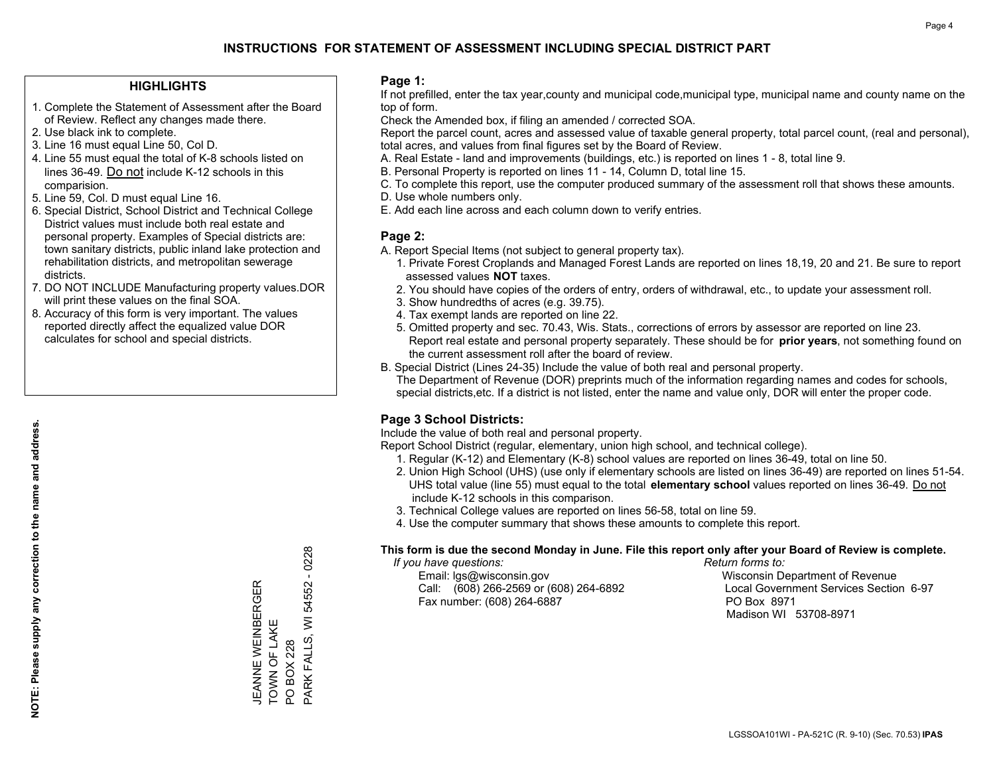#### **HIGHLIGHTS**

- 1. Complete the Statement of Assessment after the Board of Review. Reflect any changes made there.
- 2. Use black ink to complete.
- 3. Line 16 must equal Line 50, Col D.
- 4. Line 55 must equal the total of K-8 schools listed on lines 36-49. Do not include K-12 schools in this comparision.
- 5. Line 59, Col. D must equal Line 16.
- 6. Special District, School District and Technical College District values must include both real estate and personal property. Examples of Special districts are: town sanitary districts, public inland lake protection and rehabilitation districts, and metropolitan sewerage districts.
- 7. DO NOT INCLUDE Manufacturing property values.DOR will print these values on the final SOA.
- 8. Accuracy of this form is very important. The values reported directly affect the equalized value DOR calculates for school and special districts.

#### **Page 1:**

 If not prefilled, enter the tax year,county and municipal code,municipal type, municipal name and county name on the top of form.

Check the Amended box, if filing an amended / corrected SOA.

 Report the parcel count, acres and assessed value of taxable general property, total parcel count, (real and personal), total acres, and values from final figures set by the Board of Review.

- A. Real Estate land and improvements (buildings, etc.) is reported on lines 1 8, total line 9.
- B. Personal Property is reported on lines 11 14, Column D, total line 15.
- C. To complete this report, use the computer produced summary of the assessment roll that shows these amounts.
- D. Use whole numbers only.
- E. Add each line across and each column down to verify entries.

#### **Page 2:**

- A. Report Special Items (not subject to general property tax).
- 1. Private Forest Croplands and Managed Forest Lands are reported on lines 18,19, 20 and 21. Be sure to report assessed values **NOT** taxes.
- 2. You should have copies of the orders of entry, orders of withdrawal, etc., to update your assessment roll.
	- 3. Show hundredths of acres (e.g. 39.75).
- 4. Tax exempt lands are reported on line 22.
- 5. Omitted property and sec. 70.43, Wis. Stats., corrections of errors by assessor are reported on line 23. Report real estate and personal property separately. These should be for **prior years**, not something found on the current assessment roll after the board of review.
- B. Special District (Lines 24-35) Include the value of both real and personal property.
- The Department of Revenue (DOR) preprints much of the information regarding names and codes for schools, special districts,etc. If a district is not listed, enter the name and value only, DOR will enter the proper code.

## **Page 3 School Districts:**

Include the value of both real and personal property.

Report School District (regular, elementary, union high school, and technical college).

- 1. Regular (K-12) and Elementary (K-8) school values are reported on lines 36-49, total on line 50.
- 2. Union High School (UHS) (use only if elementary schools are listed on lines 36-49) are reported on lines 51-54. UHS total value (line 55) must equal to the total **elementary school** values reported on lines 36-49. Do notinclude K-12 schools in this comparison.
- 3. Technical College values are reported on lines 56-58, total on line 59.
- 4. Use the computer summary that shows these amounts to complete this report.

#### **This form is due the second Monday in June. File this report only after your Board of Review is complete.**

 *If you have questions: Return forms to:*

 Email: lgs@wisconsin.gov Wisconsin Department of RevenueCall:  $(608)$  266-2569 or  $(608)$  264-6892 Fax number: (608) 264-6887 PO Box 8971

Local Government Services Section 6-97 Madison WI 53708-8971

 $-0228$ PARK FALLS, WI 54552 - 0228 **JEANNE WEINBERGER** 54552 JEANNE WEINBERGER PARK FALLS, WI TOWN OF LAKE TOWN OF LAKE **PO BOX 228** PO BOX 228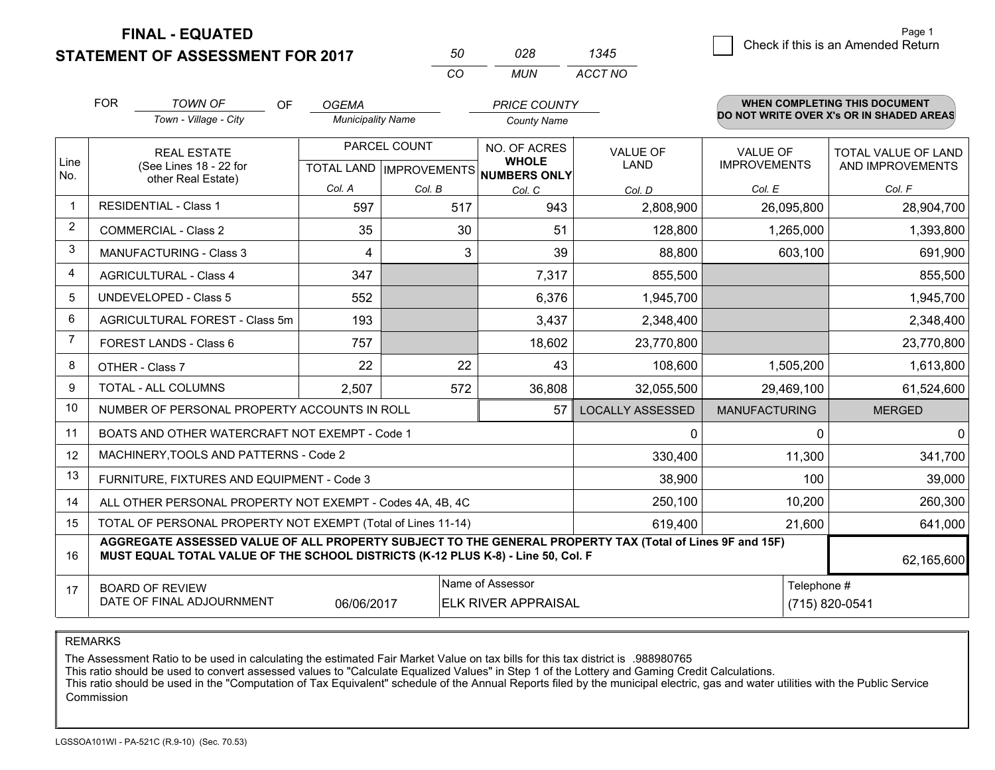**STATEMENT OF ASSESSMENT FOR 2017** 

| 50. | 028. | 1345    |
|-----|------|---------|
| CO. | MUN  | ACCT NO |

|                | <b>FOR</b>                                 | <b>TOWN OF</b><br><b>OF</b>                                                                                                                                                                  | <b>OGEMA</b>             |              | <b>PRICE COUNTY</b>                                  |                         |                      | WHEN COMPLETING THIS DOCUMENT            |
|----------------|--------------------------------------------|----------------------------------------------------------------------------------------------------------------------------------------------------------------------------------------------|--------------------------|--------------|------------------------------------------------------|-------------------------|----------------------|------------------------------------------|
|                |                                            | Town - Village - City                                                                                                                                                                        | <b>Municipality Name</b> |              | <b>County Name</b>                                   |                         |                      | DO NOT WRITE OVER X's OR IN SHADED AREAS |
|                |                                            | <b>REAL ESTATE</b>                                                                                                                                                                           |                          | PARCEL COUNT | NO. OF ACRES                                         | <b>VALUE OF</b>         | <b>VALUE OF</b>      | TOTAL VALUE OF LAND                      |
| Line<br>No.    |                                            | (See Lines 18 - 22 for<br>other Real Estate)                                                                                                                                                 |                          |              | <b>WHOLE</b><br>TOTAL LAND IMPROVEMENTS NUMBERS ONLY | <b>LAND</b>             | <b>IMPROVEMENTS</b>  | AND IMPROVEMENTS                         |
|                |                                            |                                                                                                                                                                                              | Col. A                   | Col. B       | Col. C                                               | Col. D                  | Col. E               | Col. F                                   |
| $\mathbf{1}$   |                                            | <b>RESIDENTIAL - Class 1</b>                                                                                                                                                                 | 597                      | 517          | 943                                                  | 2,808,900               | 26,095,800           | 28,904,700                               |
| $\overline{2}$ |                                            | <b>COMMERCIAL - Class 2</b>                                                                                                                                                                  | 35                       | 30           | 51                                                   | 128,800                 | 1,265,000            | 1,393,800                                |
| 3              |                                            | <b>MANUFACTURING - Class 3</b>                                                                                                                                                               | 4                        | 3            | 39                                                   | 88,800                  | 603,100              | 691,900                                  |
| 4              |                                            | <b>AGRICULTURAL - Class 4</b>                                                                                                                                                                | 347                      |              | 7,317                                                | 855,500                 |                      | 855,500                                  |
| 5              |                                            | <b>UNDEVELOPED - Class 5</b>                                                                                                                                                                 | 552                      |              | 6,376                                                | 1,945,700               |                      | 1,945,700                                |
| 6              |                                            | AGRICULTURAL FOREST - Class 5m                                                                                                                                                               | 193                      |              | 3,437                                                | 2,348,400               |                      | 2,348,400                                |
| 7              |                                            | FOREST LANDS - Class 6                                                                                                                                                                       | 757                      |              | 18,602                                               | 23,770,800              |                      | 23,770,800                               |
| 8              |                                            | OTHER - Class 7                                                                                                                                                                              | 22                       | 22           | 43                                                   | 108,600                 | 1,505,200            | 1,613,800                                |
| 9              |                                            | TOTAL - ALL COLUMNS                                                                                                                                                                          | 2,507                    | 572          | 36,808                                               | 32,055,500              | 29,469,100           | 61,524,600                               |
| 10             |                                            | NUMBER OF PERSONAL PROPERTY ACCOUNTS IN ROLL                                                                                                                                                 |                          |              | 57                                                   | <b>LOCALLY ASSESSED</b> | <b>MANUFACTURING</b> | <b>MERGED</b>                            |
| 11             |                                            | BOATS AND OTHER WATERCRAFT NOT EXEMPT - Code 1                                                                                                                                               |                          |              |                                                      | 0                       | 0                    | $\mathbf{0}$                             |
| 12             |                                            | MACHINERY, TOOLS AND PATTERNS - Code 2                                                                                                                                                       |                          |              |                                                      | 330,400                 | 11,300               | 341,700                                  |
| 13             |                                            | FURNITURE, FIXTURES AND EQUIPMENT - Code 3                                                                                                                                                   |                          |              |                                                      | 38,900                  | 100                  | 39,000                                   |
| 14             |                                            | ALL OTHER PERSONAL PROPERTY NOT EXEMPT - Codes 4A, 4B, 4C                                                                                                                                    |                          |              |                                                      | 250,100                 | 10,200               | 260,300                                  |
| 15             |                                            | TOTAL OF PERSONAL PROPERTY NOT EXEMPT (Total of Lines 11-14)                                                                                                                                 |                          |              |                                                      | 619,400                 | 21,600               | 641,000                                  |
| 16             |                                            | AGGREGATE ASSESSED VALUE OF ALL PROPERTY SUBJECT TO THE GENERAL PROPERTY TAX (Total of Lines 9F and 15F)<br>MUST EQUAL TOTAL VALUE OF THE SCHOOL DISTRICTS (K-12 PLUS K-8) - Line 50, Col. F |                          |              |                                                      |                         |                      | 62,165,600                               |
| 17             | Name of Assessor<br><b>BOARD OF REVIEW</b> |                                                                                                                                                                                              |                          |              |                                                      | Telephone #             |                      |                                          |
|                |                                            | DATE OF FINAL ADJOURNMENT                                                                                                                                                                    | 06/06/2017               |              | <b>ELK RIVER APPRAISAL</b>                           |                         |                      | (715) 820-0541                           |

REMARKS

The Assessment Ratio to be used in calculating the estimated Fair Market Value on tax bills for this tax district is .988980765

This ratio should be used to convert assessed values to "Calculate Equalized Values" in Step 1 of the Lottery and Gaming Credit Calculations.<br>This ratio should be used in the "Computation of Tax Equivalent" schedule of the Commission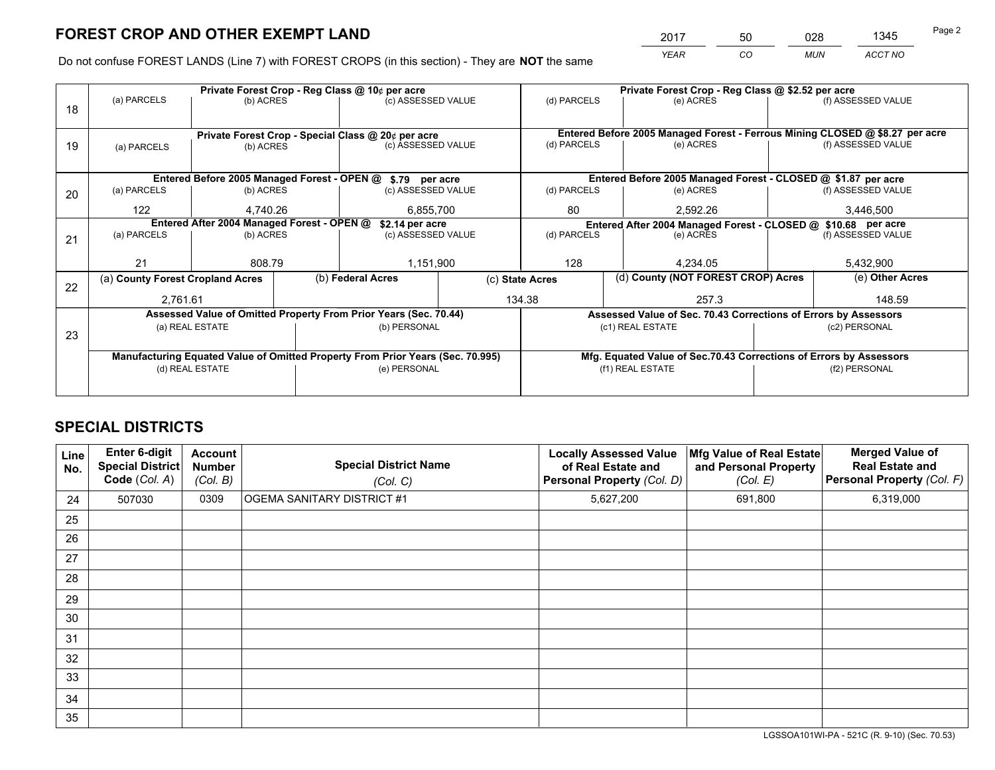*YEAR CO MUN ACCT NO* <sup>2017</sup> <sup>50</sup> <sup>028</sup> <sup>1345</sup>

Do not confuse FOREST LANDS (Line 7) with FOREST CROPS (in this section) - They are **NOT** the same

|    |                                                               |                 |  | Private Forest Crop - Reg Class @ 10¢ per acre                                 |             | Private Forest Crop - Reg Class @ \$2.52 per acre |                                                               |                                                                    |                    |                                                                              |
|----|---------------------------------------------------------------|-----------------|--|--------------------------------------------------------------------------------|-------------|---------------------------------------------------|---------------------------------------------------------------|--------------------------------------------------------------------|--------------------|------------------------------------------------------------------------------|
| 18 | (a) PARCELS                                                   | (b) ACRES       |  | (c) ASSESSED VALUE                                                             |             | (d) PARCELS                                       |                                                               | (e) ACRES                                                          |                    | (f) ASSESSED VALUE                                                           |
|    |                                                               |                 |  |                                                                                |             |                                                   |                                                               |                                                                    |                    |                                                                              |
|    |                                                               |                 |  | Private Forest Crop - Special Class @ 20¢ per acre                             |             |                                                   |                                                               |                                                                    |                    | Entered Before 2005 Managed Forest - Ferrous Mining CLOSED @ \$8.27 per acre |
| 19 | (a) PARCELS                                                   | (b) ACRES       |  | (c) ASSESSED VALUE                                                             |             | (d) PARCELS                                       |                                                               | (e) ACRES                                                          |                    | (f) ASSESSED VALUE                                                           |
|    |                                                               |                 |  |                                                                                |             |                                                   |                                                               |                                                                    |                    |                                                                              |
|    |                                                               |                 |  | Entered Before 2005 Managed Forest - OPEN @ \$.79 per acre                     |             |                                                   | Entered Before 2005 Managed Forest - CLOSED @ \$1.87 per acre |                                                                    |                    |                                                                              |
| 20 | (a) PARCELS                                                   | (b) ACRES       |  | (c) ASSESSED VALUE                                                             |             | (d) PARCELS                                       |                                                               | (e) ACRES                                                          |                    | (f) ASSESSED VALUE                                                           |
|    | 122<br>4.740.26<br>6,855,700                                  |                 |  | 80                                                                             |             | 2.592.26                                          | 3,446,500                                                     |                                                                    |                    |                                                                              |
|    | Entered After 2004 Managed Forest - OPEN @<br>\$2.14 per acre |                 |  |                                                                                |             |                                                   | Entered After 2004 Managed Forest - CLOSED @ \$10.68 per acre |                                                                    |                    |                                                                              |
| 21 | (a) PARCELS                                                   | (b) ACRES       |  | (c) ASSESSED VALUE                                                             | (d) PARCELS |                                                   | (e) ACRES                                                     |                                                                    | (f) ASSESSED VALUE |                                                                              |
|    |                                                               |                 |  |                                                                                |             |                                                   |                                                               |                                                                    |                    |                                                                              |
|    | 21                                                            | 808.79          |  | 1,151,900                                                                      |             | 128<br>4.234.05                                   |                                                               |                                                                    | 5,432,900          |                                                                              |
|    | (a) County Forest Cropland Acres                              |                 |  | (b) Federal Acres                                                              |             | (c) State Acres                                   |                                                               | (d) County (NOT FOREST CROP) Acres                                 | (e) Other Acres    |                                                                              |
| 22 | 2,761.61                                                      |                 |  |                                                                                |             | 134.38                                            |                                                               | 257.3                                                              |                    | 148.59                                                                       |
|    |                                                               |                 |  |                                                                                |             |                                                   |                                                               |                                                                    |                    |                                                                              |
|    |                                                               |                 |  | Assessed Value of Omitted Property From Prior Years (Sec. 70.44)               |             |                                                   |                                                               | Assessed Value of Sec. 70.43 Corrections of Errors by Assessors    |                    |                                                                              |
| 23 |                                                               | (a) REAL ESTATE |  | (b) PERSONAL                                                                   |             |                                                   |                                                               | (c1) REAL ESTATE                                                   |                    | (c2) PERSONAL                                                                |
|    |                                                               |                 |  |                                                                                |             |                                                   |                                                               |                                                                    |                    |                                                                              |
|    |                                                               |                 |  | Manufacturing Equated Value of Omitted Property From Prior Years (Sec. 70.995) |             |                                                   |                                                               | Mfg. Equated Value of Sec.70.43 Corrections of Errors by Assessors |                    |                                                                              |
|    |                                                               | (d) REAL ESTATE |  | (e) PERSONAL                                                                   |             | (f1) REAL ESTATE                                  |                                                               |                                                                    | (f2) PERSONAL      |                                                                              |
|    |                                                               |                 |  |                                                                                |             |                                                   |                                                               |                                                                    |                    |                                                                              |

## **SPECIAL DISTRICTS**

| Line<br>No. | Enter 6-digit<br><b>Special District</b><br>Code (Col. A) | <b>Account</b><br><b>Number</b><br>(Col. B) | <b>Special District Name</b><br>(Col. C) | <b>Locally Assessed Value</b><br>of Real Estate and<br><b>Personal Property (Col. D)</b> | Mfg Value of Real Estate<br>and Personal Property<br>(Col. E) | <b>Merged Value of</b><br><b>Real Estate and</b><br>Personal Property (Col. F) |
|-------------|-----------------------------------------------------------|---------------------------------------------|------------------------------------------|------------------------------------------------------------------------------------------|---------------------------------------------------------------|--------------------------------------------------------------------------------|
| 24          | 507030                                                    | 0309                                        | <b>OGEMA SANITARY DISTRICT #1</b>        | 5,627,200                                                                                | 691,800                                                       | 6,319,000                                                                      |
| 25          |                                                           |                                             |                                          |                                                                                          |                                                               |                                                                                |
| 26          |                                                           |                                             |                                          |                                                                                          |                                                               |                                                                                |
| 27          |                                                           |                                             |                                          |                                                                                          |                                                               |                                                                                |
| 28          |                                                           |                                             |                                          |                                                                                          |                                                               |                                                                                |
| 29          |                                                           |                                             |                                          |                                                                                          |                                                               |                                                                                |
| 30          |                                                           |                                             |                                          |                                                                                          |                                                               |                                                                                |
| 31          |                                                           |                                             |                                          |                                                                                          |                                                               |                                                                                |
| 32          |                                                           |                                             |                                          |                                                                                          |                                                               |                                                                                |
| 33          |                                                           |                                             |                                          |                                                                                          |                                                               |                                                                                |
| 34          |                                                           |                                             |                                          |                                                                                          |                                                               |                                                                                |
| 35          |                                                           |                                             |                                          |                                                                                          |                                                               |                                                                                |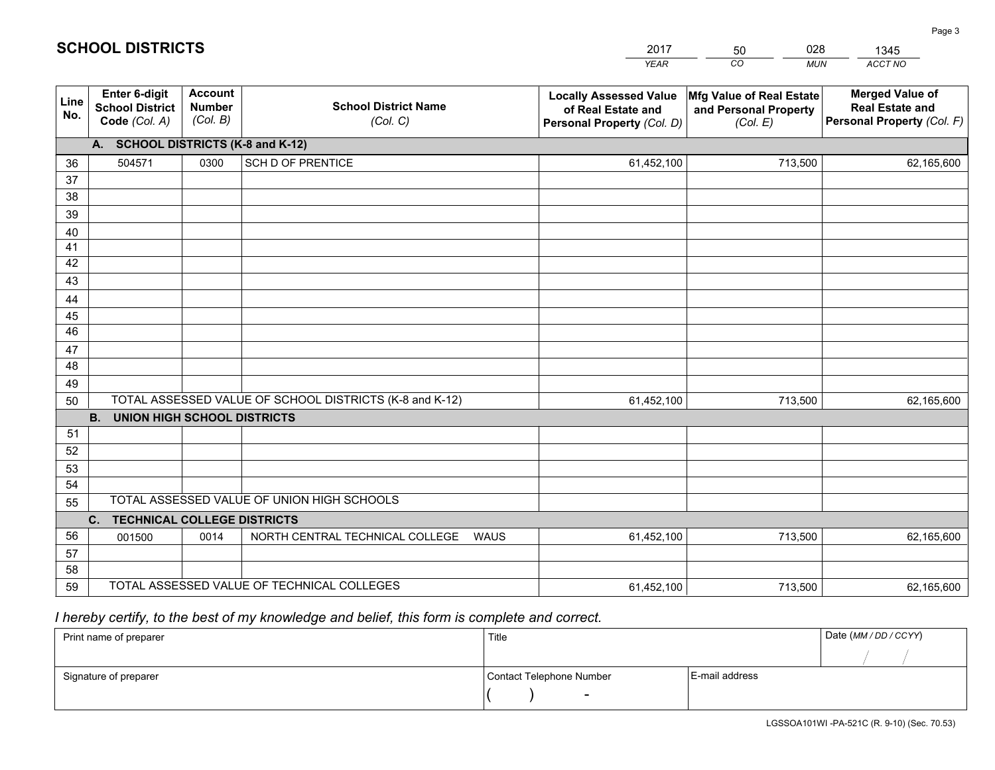|             |                                                                 |                                             |                                                         | <b>YEAR</b>                                                                       | CO<br><b>MUN</b>                                              | ACCT NO                                                                        |
|-------------|-----------------------------------------------------------------|---------------------------------------------|---------------------------------------------------------|-----------------------------------------------------------------------------------|---------------------------------------------------------------|--------------------------------------------------------------------------------|
| Line<br>No. | <b>Enter 6-digit</b><br><b>School District</b><br>Code (Col. A) | <b>Account</b><br><b>Number</b><br>(Col. B) | <b>School District Name</b><br>(Col. C)                 | <b>Locally Assessed Value</b><br>of Real Estate and<br>Personal Property (Col. D) | Mfg Value of Real Estate<br>and Personal Property<br>(Col. E) | <b>Merged Value of</b><br><b>Real Estate and</b><br>Personal Property (Col. F) |
|             | A. SCHOOL DISTRICTS (K-8 and K-12)                              |                                             |                                                         |                                                                                   |                                                               |                                                                                |
| 36          | 504571                                                          | 0300                                        | <b>SCH D OF PRENTICE</b>                                | 61,452,100                                                                        | 713,500                                                       | 62,165,600                                                                     |
| 37          |                                                                 |                                             |                                                         |                                                                                   |                                                               |                                                                                |
| 38          |                                                                 |                                             |                                                         |                                                                                   |                                                               |                                                                                |
| 39          |                                                                 |                                             |                                                         |                                                                                   |                                                               |                                                                                |
| 40          |                                                                 |                                             |                                                         |                                                                                   |                                                               |                                                                                |
| 41<br>42    |                                                                 |                                             |                                                         |                                                                                   |                                                               |                                                                                |
| 43          |                                                                 |                                             |                                                         |                                                                                   |                                                               |                                                                                |
|             |                                                                 |                                             |                                                         |                                                                                   |                                                               |                                                                                |
| 44<br>45    |                                                                 |                                             |                                                         |                                                                                   |                                                               |                                                                                |
| 46          |                                                                 |                                             |                                                         |                                                                                   |                                                               |                                                                                |
| 47          |                                                                 |                                             |                                                         |                                                                                   |                                                               |                                                                                |
| 48          |                                                                 |                                             |                                                         |                                                                                   |                                                               |                                                                                |
| 49          |                                                                 |                                             |                                                         |                                                                                   |                                                               |                                                                                |
| 50          |                                                                 |                                             | TOTAL ASSESSED VALUE OF SCHOOL DISTRICTS (K-8 and K-12) | 61,452,100                                                                        | 713,500                                                       | 62,165,600                                                                     |
|             | <b>B.</b><br>UNION HIGH SCHOOL DISTRICTS                        |                                             |                                                         |                                                                                   |                                                               |                                                                                |
| 51          |                                                                 |                                             |                                                         |                                                                                   |                                                               |                                                                                |
| 52          |                                                                 |                                             |                                                         |                                                                                   |                                                               |                                                                                |
| 53          |                                                                 |                                             |                                                         |                                                                                   |                                                               |                                                                                |
| 54          |                                                                 |                                             |                                                         |                                                                                   |                                                               |                                                                                |
| 55          |                                                                 |                                             | TOTAL ASSESSED VALUE OF UNION HIGH SCHOOLS              |                                                                                   |                                                               |                                                                                |
|             | C.<br><b>TECHNICAL COLLEGE DISTRICTS</b>                        |                                             |                                                         |                                                                                   |                                                               |                                                                                |
| 56          | 001500                                                          | 0014                                        | NORTH CENTRAL TECHNICAL COLLEGE<br><b>WAUS</b>          | 61,452,100                                                                        | 713,500                                                       | 62,165,600                                                                     |
| 57<br>58    |                                                                 |                                             |                                                         |                                                                                   |                                                               |                                                                                |
| 59          |                                                                 |                                             | TOTAL ASSESSED VALUE OF TECHNICAL COLLEGES              | 61,452,100                                                                        | 713,500                                                       | 62,165,600                                                                     |
|             |                                                                 |                                             |                                                         |                                                                                   |                                                               |                                                                                |

2017

50

028

 *I hereby certify, to the best of my knowledge and belief, this form is complete and correct.*

**SCHOOL DISTRICTS**

| Print name of preparer | Title                    |                | Date (MM/DD/CCYY) |
|------------------------|--------------------------|----------------|-------------------|
|                        |                          |                |                   |
| Signature of preparer  | Contact Telephone Number | E-mail address |                   |
|                        | $\overline{\phantom{0}}$ |                |                   |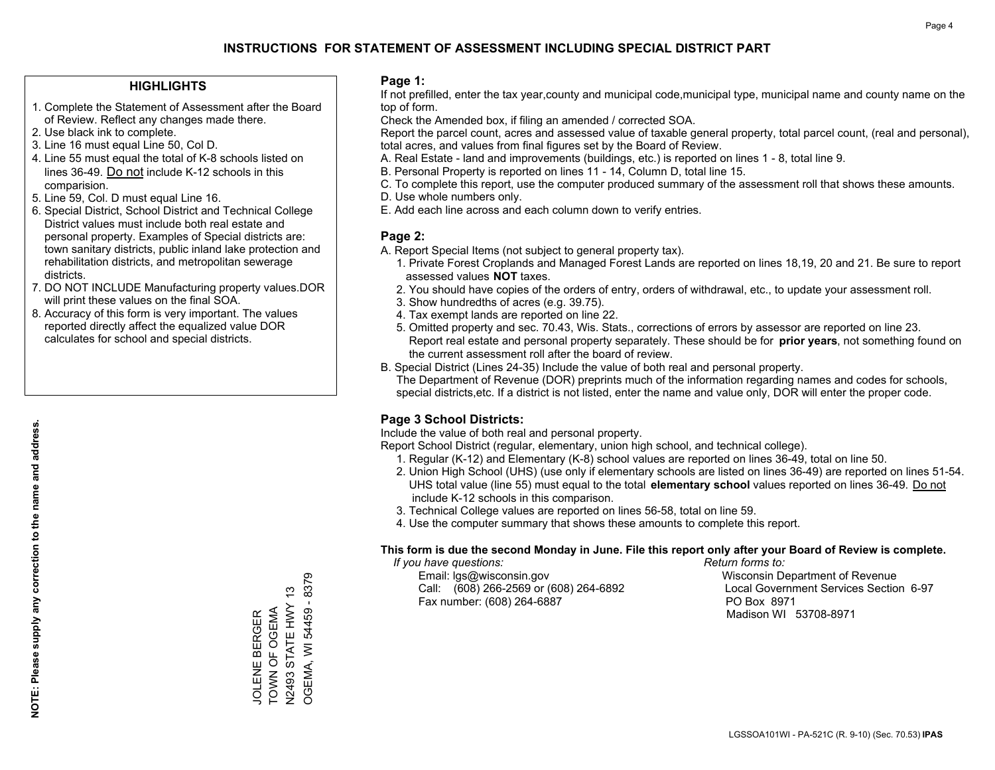#### **HIGHLIGHTS**

- 1. Complete the Statement of Assessment after the Board of Review. Reflect any changes made there.
- 2. Use black ink to complete.
- 3. Line 16 must equal Line 50, Col D.
- 4. Line 55 must equal the total of K-8 schools listed on lines 36-49. Do not include K-12 schools in this comparision.
- 5. Line 59, Col. D must equal Line 16.
- 6. Special District, School District and Technical College District values must include both real estate and personal property. Examples of Special districts are: town sanitary districts, public inland lake protection and rehabilitation districts, and metropolitan sewerage districts.
- 7. DO NOT INCLUDE Manufacturing property values.DOR will print these values on the final SOA.
- 8. Accuracy of this form is very important. The values reported directly affect the equalized value DOR calculates for school and special districts.

#### **Page 1:**

 If not prefilled, enter the tax year,county and municipal code,municipal type, municipal name and county name on the top of form.

Check the Amended box, if filing an amended / corrected SOA.

 Report the parcel count, acres and assessed value of taxable general property, total parcel count, (real and personal), total acres, and values from final figures set by the Board of Review.

- A. Real Estate land and improvements (buildings, etc.) is reported on lines 1 8, total line 9.
- B. Personal Property is reported on lines 11 14, Column D, total line 15.
- C. To complete this report, use the computer produced summary of the assessment roll that shows these amounts.
- D. Use whole numbers only.
- E. Add each line across and each column down to verify entries.

#### **Page 2:**

- A. Report Special Items (not subject to general property tax).
- 1. Private Forest Croplands and Managed Forest Lands are reported on lines 18,19, 20 and 21. Be sure to report assessed values **NOT** taxes.
- 2. You should have copies of the orders of entry, orders of withdrawal, etc., to update your assessment roll.
	- 3. Show hundredths of acres (e.g. 39.75).
- 4. Tax exempt lands are reported on line 22.
- 5. Omitted property and sec. 70.43, Wis. Stats., corrections of errors by assessor are reported on line 23. Report real estate and personal property separately. These should be for **prior years**, not something found on the current assessment roll after the board of review.
- B. Special District (Lines 24-35) Include the value of both real and personal property.
- The Department of Revenue (DOR) preprints much of the information regarding names and codes for schools, special districts,etc. If a district is not listed, enter the name and value only, DOR will enter the proper code.

## **Page 3 School Districts:**

Include the value of both real and personal property.

Report School District (regular, elementary, union high school, and technical college).

- 1. Regular (K-12) and Elementary (K-8) school values are reported on lines 36-49, total on line 50.
- 2. Union High School (UHS) (use only if elementary schools are listed on lines 36-49) are reported on lines 51-54. UHS total value (line 55) must equal to the total **elementary school** values reported on lines 36-49. Do notinclude K-12 schools in this comparison.
- 3. Technical College values are reported on lines 56-58, total on line 59.
- 4. Use the computer summary that shows these amounts to complete this report.

#### **This form is due the second Monday in June. File this report only after your Board of Review is complete.**

 *If you have questions: Return forms to:*

 Email: lgs@wisconsin.gov Wisconsin Department of RevenueCall:  $(608)$  266-2569 or  $(608)$  264-6892 Fax number: (608) 264-6887 PO Box 8971

Local Government Services Section 6-97 Madison WI 53708-8971

**NOTE: Please supply any correction to the name and address.**

NOTE: Please supply any correction to the name and address.

OGEMA, WI 54459 - 8379 OGEMA, WI 54459 - 8379 N2493 STATE HWY 13 N2493 STATE HWY 13 JOLENE BERGER<br>TOWN OF OGEMA TOWN OF OGEMA JOLENE BERGER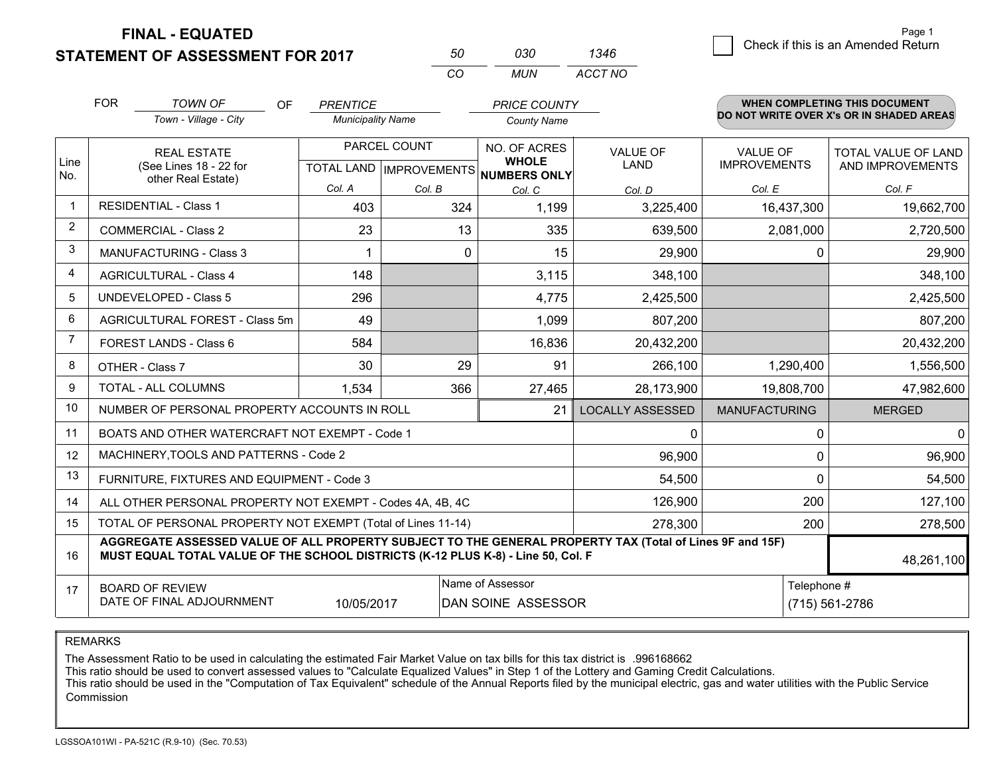**STATEMENT OF ASSESSMENT FOR 2017** 

| 50       | กจก  | 1346    |
|----------|------|---------|
| $\cdots$ | MUN. | ACCT NO |

|                | <b>FOR</b>         | <b>TOWN OF</b><br>OF<br>Town - Village - City                                                                                                                                                | <b>PRENTICE</b><br><b>Municipality Name</b> |          | <b>PRICE COUNTY</b><br><b>County Name</b>     |                               |                               | <b>WHEN COMPLETING THIS DOCUMENT</b><br>DO NOT WRITE OVER X's OR IN SHADED AREAS |
|----------------|--------------------|----------------------------------------------------------------------------------------------------------------------------------------------------------------------------------------------|---------------------------------------------|----------|-----------------------------------------------|-------------------------------|-------------------------------|----------------------------------------------------------------------------------|
| Line           | <b>REAL ESTATE</b> |                                                                                                                                                                                              | PARCEL COUNT                                |          | NO. OF ACRES<br><b>WHOLE</b>                  | <b>VALUE OF</b>               | <b>VALUE OF</b>               | TOTAL VALUE OF LAND                                                              |
| No.            |                    | (See Lines 18 - 22 for<br>other Real Estate)                                                                                                                                                 | Col. A                                      | Col. B   | TOTAL LAND MPROVEMENTS NUMBERS ONLY<br>Col. C | <b>LAND</b><br>Col. D         | <b>IMPROVEMENTS</b><br>Col. E | AND IMPROVEMENTS<br>Col. F                                                       |
|                |                    | <b>RESIDENTIAL - Class 1</b>                                                                                                                                                                 | 403                                         | 324      | 1,199                                         | 3,225,400                     | 16,437,300                    | 19,662,700                                                                       |
| 2              |                    | <b>COMMERCIAL - Class 2</b>                                                                                                                                                                  | 23                                          | 13       | 335                                           | 639,500                       | 2,081,000                     | 2,720,500                                                                        |
| 3              |                    | <b>MANUFACTURING - Class 3</b>                                                                                                                                                               |                                             | $\Omega$ | 15                                            | 29,900                        | $\Omega$                      | 29,900                                                                           |
| 4              |                    | <b>AGRICULTURAL - Class 4</b>                                                                                                                                                                | 148                                         |          | 3,115                                         | 348,100                       |                               | 348,100                                                                          |
| 5              |                    | <b>UNDEVELOPED - Class 5</b>                                                                                                                                                                 | 296                                         |          | 4,775                                         | 2,425,500                     |                               | 2,425,500                                                                        |
| 6              |                    | AGRICULTURAL FOREST - Class 5m                                                                                                                                                               | 49                                          |          | 1,099                                         | 807,200                       |                               | 807,200                                                                          |
| $\overline{7}$ |                    | FOREST LANDS - Class 6                                                                                                                                                                       | 584                                         |          | 16,836                                        | 20,432,200                    |                               | 20,432,200                                                                       |
| 8              |                    | OTHER - Class 7                                                                                                                                                                              | 30                                          | 29       | 91                                            | 266,100                       | 1,290,400                     | 1,556,500                                                                        |
| 9              |                    | TOTAL - ALL COLUMNS                                                                                                                                                                          | 1,534                                       | 366      | 27,465                                        | 28,173,900                    | 19,808,700                    | 47,982,600                                                                       |
| 10             |                    | NUMBER OF PERSONAL PROPERTY ACCOUNTS IN ROLL                                                                                                                                                 |                                             |          | 21                                            | <b>LOCALLY ASSESSED</b>       | <b>MANUFACTURING</b>          | <b>MERGED</b>                                                                    |
| 11             |                    | BOATS AND OTHER WATERCRAFT NOT EXEMPT - Code 1                                                                                                                                               |                                             |          |                                               | 0                             | 0                             | $\mathbf{0}$                                                                     |
| 12             |                    | MACHINERY, TOOLS AND PATTERNS - Code 2                                                                                                                                                       |                                             |          |                                               | 96,900                        | 0                             | 96,900                                                                           |
| 13             |                    | FURNITURE, FIXTURES AND EQUIPMENT - Code 3                                                                                                                                                   |                                             |          |                                               | 54,500                        | $\Omega$                      | 54,500                                                                           |
| 14             |                    | ALL OTHER PERSONAL PROPERTY NOT EXEMPT - Codes 4A, 4B, 4C                                                                                                                                    |                                             |          |                                               | 126,900                       | 200                           | 127,100                                                                          |
| 15             |                    | TOTAL OF PERSONAL PROPERTY NOT EXEMPT (Total of Lines 11-14)                                                                                                                                 |                                             |          |                                               | 278,300                       | 200                           | 278,500                                                                          |
| 16             |                    | AGGREGATE ASSESSED VALUE OF ALL PROPERTY SUBJECT TO THE GENERAL PROPERTY TAX (Total of Lines 9F and 15F)<br>MUST EQUAL TOTAL VALUE OF THE SCHOOL DISTRICTS (K-12 PLUS K-8) - Line 50, Col. F |                                             |          |                                               |                               |                               | 48,261,100                                                                       |
| 17             |                    | <b>BOARD OF REVIEW</b><br>DATE OF FINAL ADJOURNMENT                                                                                                                                          | 10/05/2017                                  |          | Name of Assessor<br>DAN SOINE ASSESSOR        | Telephone #<br>(715) 561-2786 |                               |                                                                                  |

REMARKS

The Assessment Ratio to be used in calculating the estimated Fair Market Value on tax bills for this tax district is .996168662

This ratio should be used to convert assessed values to "Calculate Equalized Values" in Step 1 of the Lottery and Gaming Credit Calculations.<br>This ratio should be used in the "Computation of Tax Equivalent" schedule of the Commission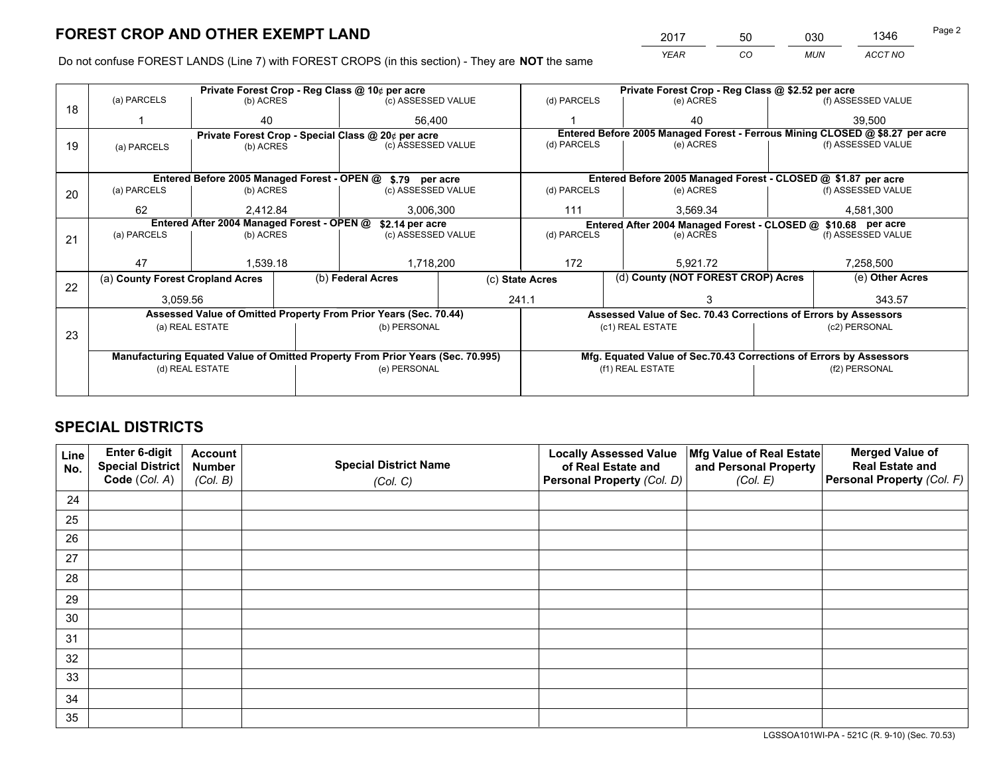*YEAR CO MUN ACCT NO* 2017 50 030 1346

Do not confuse FOREST LANDS (Line 7) with FOREST CROPS (in this section) - They are **NOT** the same

|    |                                                               |                 |  | Private Forest Crop - Reg Class @ 10¢ per acre                                 |  | Private Forest Crop - Reg Class @ \$2.52 per acre                            |                                                                 |           |                    |                                                                    |
|----|---------------------------------------------------------------|-----------------|--|--------------------------------------------------------------------------------|--|------------------------------------------------------------------------------|-----------------------------------------------------------------|-----------|--------------------|--------------------------------------------------------------------|
| 18 | (a) PARCELS                                                   | (b) ACRES       |  | (c) ASSESSED VALUE                                                             |  | (d) PARCELS                                                                  |                                                                 | (e) ACRES |                    | (f) ASSESSED VALUE                                                 |
|    |                                                               | 40              |  | 56.400                                                                         |  |                                                                              |                                                                 | 40        |                    | 39,500                                                             |
|    |                                                               |                 |  | Private Forest Crop - Special Class @ 20¢ per acre                             |  | Entered Before 2005 Managed Forest - Ferrous Mining CLOSED @ \$8.27 per acre |                                                                 |           |                    |                                                                    |
| 19 | (a) PARCELS                                                   | (b) ACRES       |  | (c) ASSESSED VALUE                                                             |  | (d) PARCELS<br>(e) ACRES                                                     |                                                                 |           | (f) ASSESSED VALUE |                                                                    |
|    |                                                               |                 |  |                                                                                |  |                                                                              |                                                                 |           |                    |                                                                    |
|    |                                                               |                 |  | Entered Before 2005 Managed Forest - OPEN @ \$.79 per acre                     |  |                                                                              |                                                                 |           |                    | Entered Before 2005 Managed Forest - CLOSED @ \$1.87 per acre      |
| 20 | (a) PARCELS                                                   | (b) ACRES       |  | (c) ASSESSED VALUE                                                             |  | (d) PARCELS                                                                  |                                                                 | (e) ACRES |                    | (f) ASSESSED VALUE                                                 |
|    | 62                                                            | 2.412.84        |  | 3.006.300                                                                      |  | 111<br>3.569.34                                                              |                                                                 |           |                    | 4.581.300                                                          |
|    | Entered After 2004 Managed Forest - OPEN @<br>\$2.14 per acre |                 |  |                                                                                |  |                                                                              |                                                                 |           |                    | Entered After 2004 Managed Forest - CLOSED @ \$10.68 per acre      |
| 21 | (a) PARCELS                                                   | (b) ACRES       |  | (c) ASSESSED VALUE                                                             |  | (d) PARCELS                                                                  |                                                                 | (e) ACRES |                    | (f) ASSESSED VALUE                                                 |
|    |                                                               |                 |  |                                                                                |  |                                                                              |                                                                 |           |                    |                                                                    |
|    | 47                                                            | 1.539.18        |  | 1,718,200                                                                      |  | 172<br>5,921.72                                                              |                                                                 |           | 7,258,500          |                                                                    |
| 22 | (a) County Forest Cropland Acres                              |                 |  | (b) Federal Acres                                                              |  | (c) State Acres                                                              | (d) County (NOT FOREST CROP) Acres                              |           |                    | (e) Other Acres                                                    |
|    | 3,059.56                                                      |                 |  |                                                                                |  | 241.1                                                                        |                                                                 |           |                    | 343.57                                                             |
|    |                                                               |                 |  | Assessed Value of Omitted Property From Prior Years (Sec. 70.44)               |  |                                                                              | Assessed Value of Sec. 70.43 Corrections of Errors by Assessors |           |                    |                                                                    |
|    |                                                               | (a) REAL ESTATE |  | (b) PERSONAL                                                                   |  |                                                                              | (c1) REAL ESTATE                                                |           |                    | (c2) PERSONAL                                                      |
| 23 |                                                               |                 |  |                                                                                |  |                                                                              |                                                                 |           |                    |                                                                    |
|    |                                                               |                 |  | Manufacturing Equated Value of Omitted Property From Prior Years (Sec. 70.995) |  |                                                                              |                                                                 |           |                    | Mfg. Equated Value of Sec.70.43 Corrections of Errors by Assessors |
|    |                                                               | (d) REAL ESTATE |  | (e) PERSONAL                                                                   |  | (f1) REAL ESTATE                                                             |                                                                 |           | (f2) PERSONAL      |                                                                    |
|    |                                                               |                 |  |                                                                                |  |                                                                              |                                                                 |           |                    |                                                                    |

## **SPECIAL DISTRICTS**

| Line<br>No. | Enter 6-digit<br>Special District<br>Code (Col. A) | <b>Account</b><br><b>Number</b><br>(Col. B) | <b>Special District Name</b><br>(Col. C) | <b>Locally Assessed Value</b><br>of Real Estate and<br>Personal Property (Col. D) | Mfg Value of Real Estate<br>and Personal Property<br>(Col. E) | <b>Merged Value of</b><br><b>Real Estate and</b><br>Personal Property (Col. F) |
|-------------|----------------------------------------------------|---------------------------------------------|------------------------------------------|-----------------------------------------------------------------------------------|---------------------------------------------------------------|--------------------------------------------------------------------------------|
| 24          |                                                    |                                             |                                          |                                                                                   |                                                               |                                                                                |
| 25          |                                                    |                                             |                                          |                                                                                   |                                                               |                                                                                |
| 26          |                                                    |                                             |                                          |                                                                                   |                                                               |                                                                                |
| 27          |                                                    |                                             |                                          |                                                                                   |                                                               |                                                                                |
| 28          |                                                    |                                             |                                          |                                                                                   |                                                               |                                                                                |
| 29          |                                                    |                                             |                                          |                                                                                   |                                                               |                                                                                |
| 30          |                                                    |                                             |                                          |                                                                                   |                                                               |                                                                                |
| 31          |                                                    |                                             |                                          |                                                                                   |                                                               |                                                                                |
| 32          |                                                    |                                             |                                          |                                                                                   |                                                               |                                                                                |
| 33          |                                                    |                                             |                                          |                                                                                   |                                                               |                                                                                |
| 34          |                                                    |                                             |                                          |                                                                                   |                                                               |                                                                                |
| 35          |                                                    |                                             |                                          |                                                                                   |                                                               |                                                                                |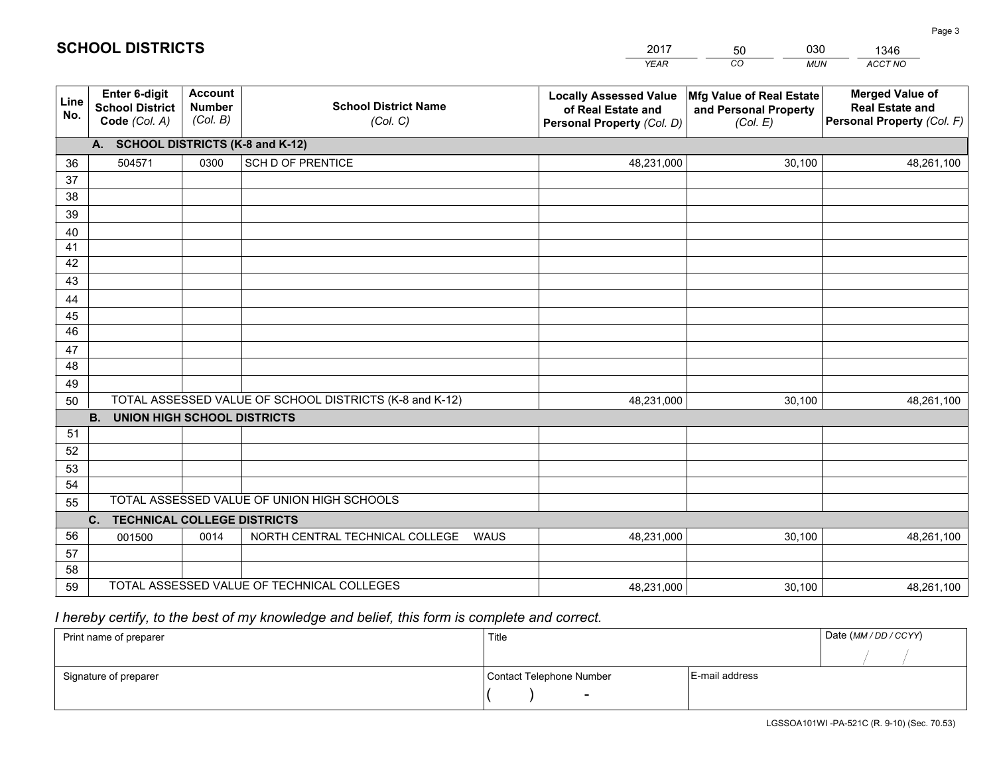|                 |                                                                 |                                             |                                                         | <b>YEAR</b>                                                                       | CO<br><b>MUN</b>                                              | ACCT NO                                                                        |
|-----------------|-----------------------------------------------------------------|---------------------------------------------|---------------------------------------------------------|-----------------------------------------------------------------------------------|---------------------------------------------------------------|--------------------------------------------------------------------------------|
| Line<br>No.     | <b>Enter 6-digit</b><br><b>School District</b><br>Code (Col. A) | <b>Account</b><br><b>Number</b><br>(Col. B) | <b>School District Name</b><br>(Col. C)                 | <b>Locally Assessed Value</b><br>of Real Estate and<br>Personal Property (Col. D) | Mfg Value of Real Estate<br>and Personal Property<br>(Col. E) | <b>Merged Value of</b><br><b>Real Estate and</b><br>Personal Property (Col. F) |
|                 | A. SCHOOL DISTRICTS (K-8 and K-12)                              |                                             |                                                         |                                                                                   |                                                               |                                                                                |
| 36              | 504571                                                          | 0300                                        | SCH D OF PRENTICE                                       | 48,231,000                                                                        | 30,100                                                        | 48,261,100                                                                     |
| 37              |                                                                 |                                             |                                                         |                                                                                   |                                                               |                                                                                |
| 38              |                                                                 |                                             |                                                         |                                                                                   |                                                               |                                                                                |
| 39              |                                                                 |                                             |                                                         |                                                                                   |                                                               |                                                                                |
| 40              |                                                                 |                                             |                                                         |                                                                                   |                                                               |                                                                                |
| 41<br>42        |                                                                 |                                             |                                                         |                                                                                   |                                                               |                                                                                |
| 43              |                                                                 |                                             |                                                         |                                                                                   |                                                               |                                                                                |
|                 |                                                                 |                                             |                                                         |                                                                                   |                                                               |                                                                                |
| 44<br>45        |                                                                 |                                             |                                                         |                                                                                   |                                                               |                                                                                |
| $\overline{46}$ |                                                                 |                                             |                                                         |                                                                                   |                                                               |                                                                                |
| 47              |                                                                 |                                             |                                                         |                                                                                   |                                                               |                                                                                |
| 48              |                                                                 |                                             |                                                         |                                                                                   |                                                               |                                                                                |
| 49              |                                                                 |                                             |                                                         |                                                                                   |                                                               |                                                                                |
| 50              |                                                                 |                                             | TOTAL ASSESSED VALUE OF SCHOOL DISTRICTS (K-8 and K-12) | 48,231,000                                                                        | 30,100                                                        | 48,261,100                                                                     |
|                 | <b>B.</b><br><b>UNION HIGH SCHOOL DISTRICTS</b>                 |                                             |                                                         |                                                                                   |                                                               |                                                                                |
| 51              |                                                                 |                                             |                                                         |                                                                                   |                                                               |                                                                                |
| 52              |                                                                 |                                             |                                                         |                                                                                   |                                                               |                                                                                |
| 53              |                                                                 |                                             |                                                         |                                                                                   |                                                               |                                                                                |
| 54              |                                                                 |                                             |                                                         |                                                                                   |                                                               |                                                                                |
| 55              |                                                                 |                                             | TOTAL ASSESSED VALUE OF UNION HIGH SCHOOLS              |                                                                                   |                                                               |                                                                                |
|                 | C.<br><b>TECHNICAL COLLEGE DISTRICTS</b>                        |                                             |                                                         |                                                                                   |                                                               |                                                                                |
| 56              | 001500                                                          | 0014                                        | NORTH CENTRAL TECHNICAL COLLEGE<br>WAUS                 | 48,231,000                                                                        | 30,100                                                        | 48,261,100                                                                     |
| 57              |                                                                 |                                             |                                                         |                                                                                   |                                                               |                                                                                |
| 58<br>59        |                                                                 |                                             | TOTAL ASSESSED VALUE OF TECHNICAL COLLEGES              |                                                                                   |                                                               |                                                                                |
|                 |                                                                 |                                             |                                                         | 48,231,000                                                                        | 30,100                                                        | 48,261,100                                                                     |

 *I hereby certify, to the best of my knowledge and belief, this form is complete and correct.*

| Print name of preparer | Title                    |                | Date (MM/DD/CCYY) |
|------------------------|--------------------------|----------------|-------------------|
|                        |                          |                |                   |
| Signature of preparer  | Contact Telephone Number | E-mail address |                   |
|                        | $\overline{\phantom{0}}$ |                |                   |

| <b>SCHOOL DISTRICTS</b> |  |
|-------------------------|--|
|-------------------------|--|

201750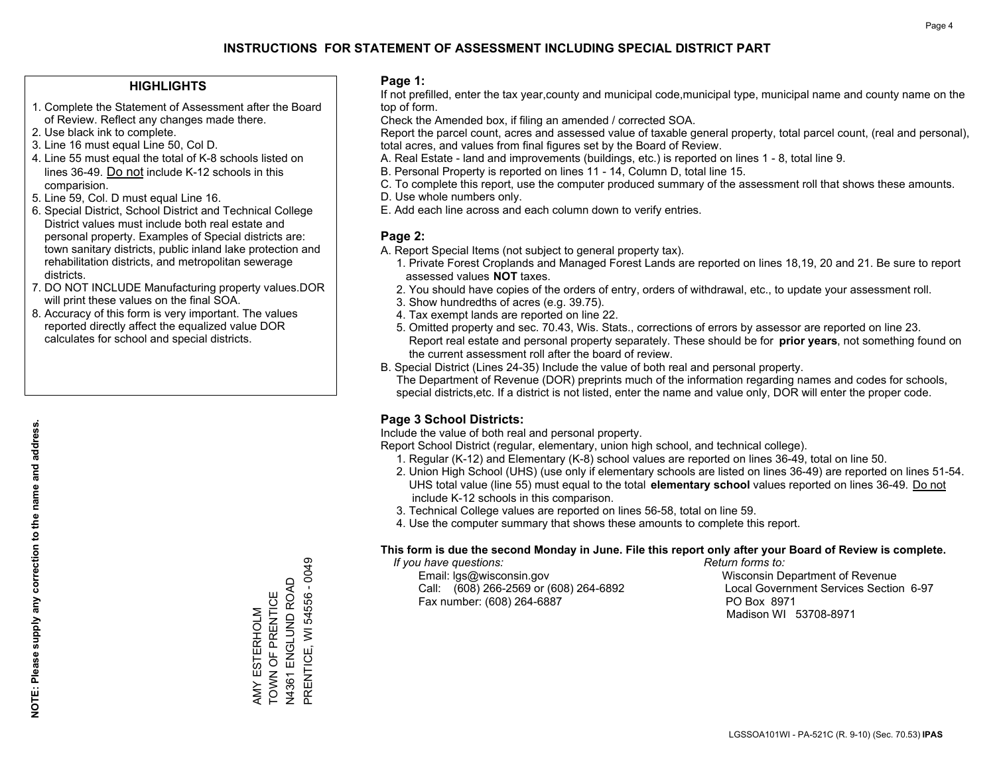#### **HIGHLIGHTS**

- 1. Complete the Statement of Assessment after the Board of Review. Reflect any changes made there.
- 2. Use black ink to complete.
- 3. Line 16 must equal Line 50, Col D.
- 4. Line 55 must equal the total of K-8 schools listed on lines 36-49. Do not include K-12 schools in this comparision.
- 5. Line 59, Col. D must equal Line 16.
- 6. Special District, School District and Technical College District values must include both real estate and personal property. Examples of Special districts are: town sanitary districts, public inland lake protection and rehabilitation districts, and metropolitan sewerage districts.
- 7. DO NOT INCLUDE Manufacturing property values.DOR will print these values on the final SOA.
- 8. Accuracy of this form is very important. The values reported directly affect the equalized value DOR calculates for school and special districts.

#### **Page 1:**

 If not prefilled, enter the tax year,county and municipal code,municipal type, municipal name and county name on the top of form.

Check the Amended box, if filing an amended / corrected SOA.

 Report the parcel count, acres and assessed value of taxable general property, total parcel count, (real and personal), total acres, and values from final figures set by the Board of Review.

- A. Real Estate land and improvements (buildings, etc.) is reported on lines 1 8, total line 9.
- B. Personal Property is reported on lines 11 14, Column D, total line 15.
- C. To complete this report, use the computer produced summary of the assessment roll that shows these amounts.
- D. Use whole numbers only.
- E. Add each line across and each column down to verify entries.

### **Page 2:**

- A. Report Special Items (not subject to general property tax).
- 1. Private Forest Croplands and Managed Forest Lands are reported on lines 18,19, 20 and 21. Be sure to report assessed values **NOT** taxes.
- 2. You should have copies of the orders of entry, orders of withdrawal, etc., to update your assessment roll.
	- 3. Show hundredths of acres (e.g. 39.75).
- 4. Tax exempt lands are reported on line 22.
- 5. Omitted property and sec. 70.43, Wis. Stats., corrections of errors by assessor are reported on line 23. Report real estate and personal property separately. These should be for **prior years**, not something found on the current assessment roll after the board of review.
- B. Special District (Lines 24-35) Include the value of both real and personal property.

 The Department of Revenue (DOR) preprints much of the information regarding names and codes for schools, special districts,etc. If a district is not listed, enter the name and value only, DOR will enter the proper code.

## **Page 3 School Districts:**

Include the value of both real and personal property.

Report School District (regular, elementary, union high school, and technical college).

- 1. Regular (K-12) and Elementary (K-8) school values are reported on lines 36-49, total on line 50.
- 2. Union High School (UHS) (use only if elementary schools are listed on lines 36-49) are reported on lines 51-54. UHS total value (line 55) must equal to the total **elementary school** values reported on lines 36-49. Do notinclude K-12 schools in this comparison.
- 3. Technical College values are reported on lines 56-58, total on line 59.
- 4. Use the computer summary that shows these amounts to complete this report.

#### **This form is due the second Monday in June. File this report only after your Board of Review is complete.**

 *If you have questions: Return forms to:*

 Email: lgs@wisconsin.gov Wisconsin Department of RevenueCall:  $(608)$  266-2569 or  $(608)$  264-6892 Fax number: (608) 264-6887 PO Box 8971

Local Government Services Section 6-97 Madison WI 53708-8971

AMY ESTERHOLM TOWN OF PRENTICE N4361 ENGLUND ROAD PRENTICE, WI 54556 - 0049

TOWN OF PRENTICE AMY ESTERHOLM

N4361 ENGLUND ROAD<br>PRENTICE, WI 54556 - 0049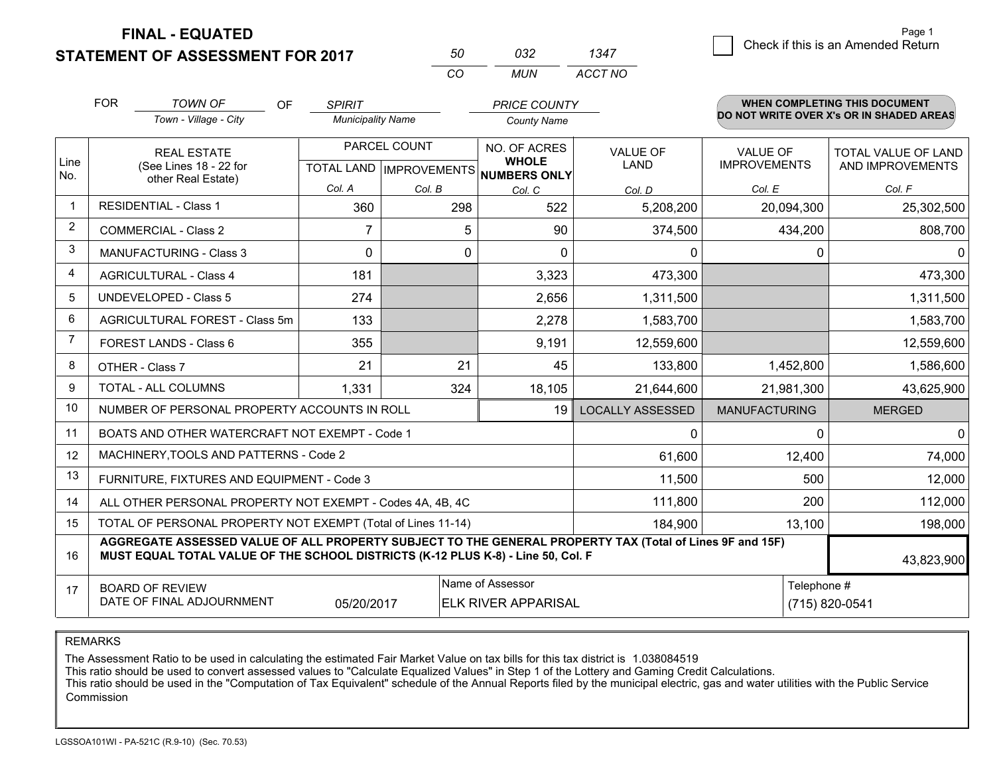**STATEMENT OF ASSESSMENT FOR 2017** 

| 50 | กาว   | 1347    |
|----|-------|---------|
| rn | MI IN | ACCT NO |

| <b>FOR</b>     |                                                                                                                                                                                              | <b>TOWN OF</b><br>OF<br><b>SPIRIT</b><br><b>PRICE COUNTY</b><br>Town - Village - City<br><b>Municipality Name</b><br><b>County Name</b> |                |                           |                                                |                               |                              | <b>WHEN COMPLETING THIS DOCUMENT</b><br>DO NOT WRITE OVER X's OR IN SHADED AREAS |                                        |                     |
|----------------|----------------------------------------------------------------------------------------------------------------------------------------------------------------------------------------------|-----------------------------------------------------------------------------------------------------------------------------------------|----------------|---------------------------|------------------------------------------------|-------------------------------|------------------------------|----------------------------------------------------------------------------------|----------------------------------------|---------------------|
| Line           | <b>REAL ESTATE</b><br>(See Lines 18 - 22 for<br>other Real Estate)                                                                                                                           |                                                                                                                                         |                |                           |                                                | PARCEL COUNT                  | NO. OF ACRES<br><b>WHOLE</b> | <b>VALUE OF</b><br>LAND                                                          | <b>VALUE OF</b><br><b>IMPROVEMENTS</b> | TOTAL VALUE OF LAND |
| No.            |                                                                                                                                                                                              |                                                                                                                                         |                | TOTAL LAND   IMPROVEMENTS | <b>NUMBERS ONLY</b>                            |                               |                              | AND IMPROVEMENTS                                                                 |                                        |                     |
|                |                                                                                                                                                                                              | <b>RESIDENTIAL - Class 1</b>                                                                                                            | Col. A<br>360  | Col. B<br>298             | Col. C<br>522                                  | Col. D<br>5,208,200           | Col. E<br>20,094,300         | Col. F<br>25,302,500                                                             |                                        |                     |
| 2              |                                                                                                                                                                                              |                                                                                                                                         |                |                           |                                                |                               |                              |                                                                                  |                                        |                     |
| 3              |                                                                                                                                                                                              | <b>COMMERCIAL - Class 2</b>                                                                                                             | $\overline{7}$ | 5                         | 90                                             | 374,500                       | 434,200                      | 808,700                                                                          |                                        |                     |
|                |                                                                                                                                                                                              | <b>MANUFACTURING - Class 3</b>                                                                                                          | $\Omega$       | 0                         | $\Omega$                                       | $\Omega$                      | $\mathbf{0}$                 |                                                                                  |                                        |                     |
| 4              |                                                                                                                                                                                              | <b>AGRICULTURAL - Class 4</b>                                                                                                           | 181            |                           | 3,323                                          | 473,300                       |                              | 473,300                                                                          |                                        |                     |
| 5              |                                                                                                                                                                                              | <b>UNDEVELOPED - Class 5</b>                                                                                                            | 274            |                           | 2,656                                          | 1,311,500                     |                              | 1,311,500                                                                        |                                        |                     |
| 6              |                                                                                                                                                                                              | AGRICULTURAL FOREST - Class 5m                                                                                                          | 133            |                           | 2,278                                          | 1,583,700                     |                              | 1,583,700                                                                        |                                        |                     |
| $\overline{7}$ |                                                                                                                                                                                              | FOREST LANDS - Class 6                                                                                                                  | 355            |                           | 9,191                                          | 12,559,600                    |                              | 12,559,600                                                                       |                                        |                     |
| 8              |                                                                                                                                                                                              | OTHER - Class 7                                                                                                                         | 21             | 21                        | 45                                             | 133,800                       | 1,452,800                    | 1,586,600                                                                        |                                        |                     |
| 9              |                                                                                                                                                                                              | <b>TOTAL - ALL COLUMNS</b>                                                                                                              | 1,331          | 324                       | 18,105                                         | 21,644,600                    | 21,981,300                   | 43,625,900                                                                       |                                        |                     |
| 10             |                                                                                                                                                                                              | NUMBER OF PERSONAL PROPERTY ACCOUNTS IN ROLL                                                                                            |                |                           | 19                                             | <b>LOCALLY ASSESSED</b>       | <b>MANUFACTURING</b>         | <b>MERGED</b>                                                                    |                                        |                     |
| 11             |                                                                                                                                                                                              | BOATS AND OTHER WATERCRAFT NOT EXEMPT - Code 1                                                                                          |                |                           |                                                | $\mathbf{0}$                  | $\mathbf{0}$                 | $\Omega$                                                                         |                                        |                     |
| 12             |                                                                                                                                                                                              | MACHINERY, TOOLS AND PATTERNS - Code 2                                                                                                  |                |                           |                                                | 61,600                        | 12,400                       | 74,000                                                                           |                                        |                     |
| 13             |                                                                                                                                                                                              | FURNITURE, FIXTURES AND EQUIPMENT - Code 3                                                                                              |                |                           |                                                | 11,500                        | 500                          | 12,000                                                                           |                                        |                     |
| 14             | 111,800<br>200<br>ALL OTHER PERSONAL PROPERTY NOT EXEMPT - Codes 4A, 4B, 4C                                                                                                                  |                                                                                                                                         |                |                           |                                                |                               |                              | 112,000                                                                          |                                        |                     |
| 15             | TOTAL OF PERSONAL PROPERTY NOT EXEMPT (Total of Lines 11-14)<br>184,900<br>13,100                                                                                                            |                                                                                                                                         |                |                           |                                                |                               | 198,000                      |                                                                                  |                                        |                     |
| 16             | AGGREGATE ASSESSED VALUE OF ALL PROPERTY SUBJECT TO THE GENERAL PROPERTY TAX (Total of Lines 9F and 15F)<br>MUST EQUAL TOTAL VALUE OF THE SCHOOL DISTRICTS (K-12 PLUS K-8) - Line 50, Col. F |                                                                                                                                         |                |                           |                                                |                               |                              | 43,823,900                                                                       |                                        |                     |
| 17             |                                                                                                                                                                                              | <b>BOARD OF REVIEW</b><br>DATE OF FINAL ADJOURNMENT                                                                                     | 05/20/2017     |                           | Name of Assessor<br><b>ELK RIVER APPARISAL</b> | Telephone #<br>(715) 820-0541 |                              |                                                                                  |                                        |                     |

REMARKS

The Assessment Ratio to be used in calculating the estimated Fair Market Value on tax bills for this tax district is 1.038084519

This ratio should be used to convert assessed values to "Calculate Equalized Values" in Step 1 of the Lottery and Gaming Credit Calculations.<br>This ratio should be used in the "Computation of Tax Equivalent" schedule of the Commission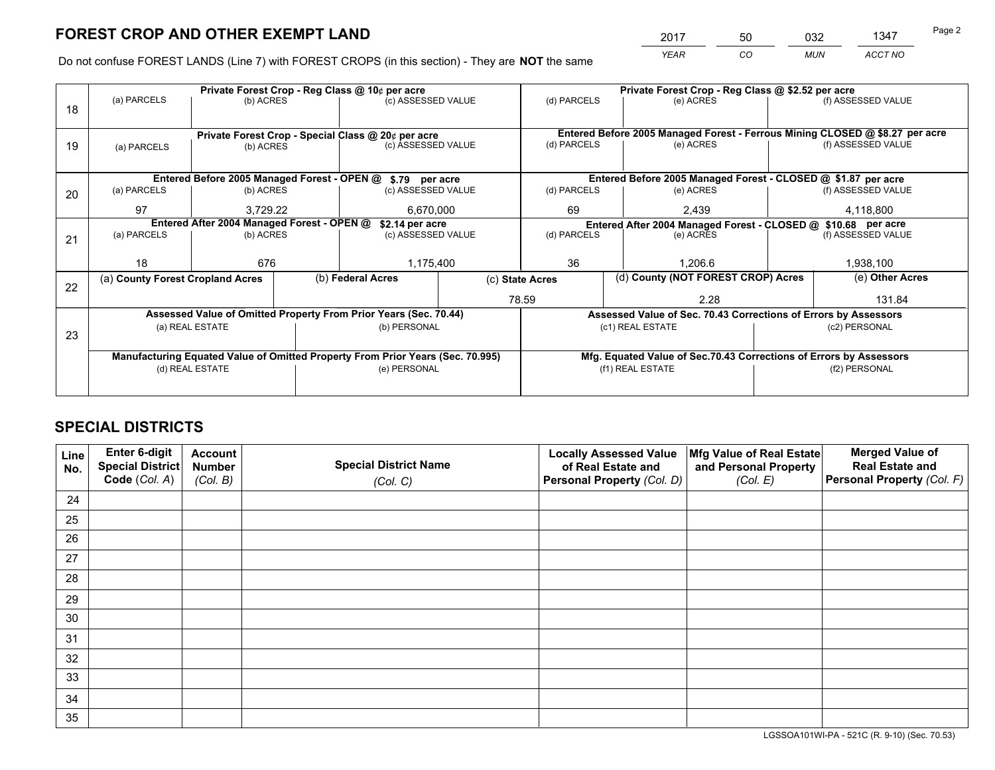*YEAR CO MUN ACCT NO* 2017 50 032 1347

Do not confuse FOREST LANDS (Line 7) with FOREST CROPS (in this section) - They are **NOT** the same

|    |                                  |                                            |  | Private Forest Crop - Reg Class @ 10¢ per acre                                 |  | Private Forest Crop - Reg Class @ \$2.52 per acre             |                                                                              |                                                                    |               |                    |
|----|----------------------------------|--------------------------------------------|--|--------------------------------------------------------------------------------|--|---------------------------------------------------------------|------------------------------------------------------------------------------|--------------------------------------------------------------------|---------------|--------------------|
| 18 | (a) PARCELS                      | (b) ACRES                                  |  | (c) ASSESSED VALUE                                                             |  | (d) PARCELS                                                   |                                                                              | (e) ACRES                                                          |               | (f) ASSESSED VALUE |
|    |                                  |                                            |  |                                                                                |  |                                                               |                                                                              |                                                                    |               |                    |
|    |                                  |                                            |  | Private Forest Crop - Special Class @ 20¢ per acre                             |  |                                                               | Entered Before 2005 Managed Forest - Ferrous Mining CLOSED @ \$8.27 per acre |                                                                    |               |                    |
| 19 | (a) PARCELS                      | (b) ACRES                                  |  | (c) ASSESSED VALUE                                                             |  | (d) PARCELS                                                   |                                                                              | (e) ACRES                                                          |               | (f) ASSESSED VALUE |
|    |                                  |                                            |  |                                                                                |  |                                                               |                                                                              |                                                                    |               |                    |
|    |                                  |                                            |  | Entered Before 2005 Managed Forest - OPEN @ \$.79 per acre                     |  |                                                               |                                                                              | Entered Before 2005 Managed Forest - CLOSED @ \$1.87 per acre      |               |                    |
| 20 | (a) PARCELS                      | (b) ACRES                                  |  | (c) ASSESSED VALUE                                                             |  | (d) PARCELS                                                   |                                                                              | (e) ACRES                                                          |               | (f) ASSESSED VALUE |
|    | 97                               | 3.729.22                                   |  | 6.670.000                                                                      |  | 69                                                            |                                                                              | 2,439                                                              |               | 4,118,800          |
|    |                                  | Entered After 2004 Managed Forest - OPEN @ |  | \$2.14 per acre                                                                |  | Entered After 2004 Managed Forest - CLOSED @ \$10.68 per acre |                                                                              |                                                                    |               |                    |
| 21 | (a) PARCELS                      | (b) ACRES                                  |  | (c) ASSESSED VALUE                                                             |  | (d) PARCELS                                                   |                                                                              | (e) ACRES                                                          |               | (f) ASSESSED VALUE |
|    |                                  |                                            |  |                                                                                |  |                                                               |                                                                              |                                                                    |               |                    |
|    | 18                               | 676                                        |  | 1,175,400                                                                      |  | 36                                                            |                                                                              | 1.206.6                                                            |               | 1,938,100          |
| 22 | (a) County Forest Cropland Acres |                                            |  | (b) Federal Acres                                                              |  | (c) State Acres                                               |                                                                              | (d) County (NOT FOREST CROP) Acres                                 |               | (e) Other Acres    |
|    |                                  |                                            |  |                                                                                |  | 78.59<br>2.28                                                 |                                                                              | 131.84                                                             |               |                    |
|    |                                  |                                            |  | Assessed Value of Omitted Property From Prior Years (Sec. 70.44)               |  |                                                               |                                                                              | Assessed Value of Sec. 70.43 Corrections of Errors by Assessors    |               |                    |
| 23 |                                  | (a) REAL ESTATE                            |  | (b) PERSONAL                                                                   |  |                                                               |                                                                              | (c1) REAL ESTATE                                                   | (c2) PERSONAL |                    |
|    |                                  |                                            |  |                                                                                |  |                                                               |                                                                              |                                                                    |               |                    |
|    |                                  |                                            |  | Manufacturing Equated Value of Omitted Property From Prior Years (Sec. 70.995) |  |                                                               |                                                                              | Mfg. Equated Value of Sec.70.43 Corrections of Errors by Assessors |               |                    |
|    | (d) REAL ESTATE                  |                                            |  | (e) PERSONAL                                                                   |  |                                                               |                                                                              | (f1) REAL ESTATE                                                   | (f2) PERSONAL |                    |
|    |                                  |                                            |  |                                                                                |  |                                                               |                                                                              |                                                                    |               |                    |

## **SPECIAL DISTRICTS**

| Line<br>No. | Enter 6-digit<br>Special District<br>Code (Col. A) | <b>Account</b><br><b>Number</b> | <b>Special District Name</b> | <b>Locally Assessed Value</b><br>of Real Estate and | Mfg Value of Real Estate<br>and Personal Property | <b>Merged Value of</b><br><b>Real Estate and</b><br>Personal Property (Col. F) |
|-------------|----------------------------------------------------|---------------------------------|------------------------------|-----------------------------------------------------|---------------------------------------------------|--------------------------------------------------------------------------------|
|             |                                                    | (Col. B)                        | (Col. C)                     | Personal Property (Col. D)                          | (Col. E)                                          |                                                                                |
| 24          |                                                    |                                 |                              |                                                     |                                                   |                                                                                |
| 25          |                                                    |                                 |                              |                                                     |                                                   |                                                                                |
| 26          |                                                    |                                 |                              |                                                     |                                                   |                                                                                |
| 27          |                                                    |                                 |                              |                                                     |                                                   |                                                                                |
| 28          |                                                    |                                 |                              |                                                     |                                                   |                                                                                |
| 29          |                                                    |                                 |                              |                                                     |                                                   |                                                                                |
| 30          |                                                    |                                 |                              |                                                     |                                                   |                                                                                |
| 31          |                                                    |                                 |                              |                                                     |                                                   |                                                                                |
| 32          |                                                    |                                 |                              |                                                     |                                                   |                                                                                |
| 33          |                                                    |                                 |                              |                                                     |                                                   |                                                                                |
| 34          |                                                    |                                 |                              |                                                     |                                                   |                                                                                |
| 35          |                                                    |                                 |                              |                                                     |                                                   |                                                                                |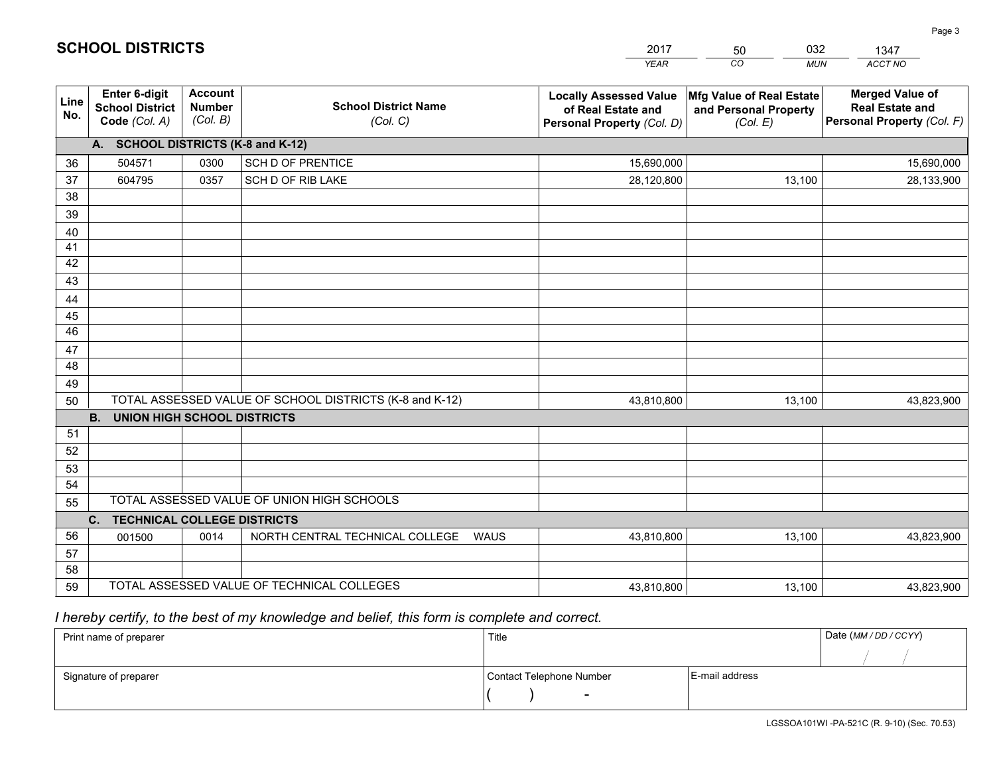|             |                                                                 |                                             |                                                         | <b>YEAR</b>                                                                       | CO.<br><b>MUN</b>                                             | ACCT NO                                                                        |
|-------------|-----------------------------------------------------------------|---------------------------------------------|---------------------------------------------------------|-----------------------------------------------------------------------------------|---------------------------------------------------------------|--------------------------------------------------------------------------------|
| Line<br>No. | <b>Enter 6-digit</b><br><b>School District</b><br>Code (Col. A) | <b>Account</b><br><b>Number</b><br>(Col. B) | <b>School District Name</b><br>(Col. C)                 | <b>Locally Assessed Value</b><br>of Real Estate and<br>Personal Property (Col. D) | Mfg Value of Real Estate<br>and Personal Property<br>(Col. E) | <b>Merged Value of</b><br><b>Real Estate and</b><br>Personal Property (Col. F) |
|             | A. SCHOOL DISTRICTS (K-8 and K-12)                              |                                             |                                                         |                                                                                   |                                                               |                                                                                |
| 36          | 504571                                                          | 0300                                        | SCH D OF PRENTICE                                       | 15,690,000                                                                        |                                                               | 15,690,000                                                                     |
| 37          | 604795                                                          | 0357                                        | SCH D OF RIB LAKE                                       | 28,120,800                                                                        | 13,100                                                        | 28,133,900                                                                     |
| 38          |                                                                 |                                             |                                                         |                                                                                   |                                                               |                                                                                |
| 39          |                                                                 |                                             |                                                         |                                                                                   |                                                               |                                                                                |
| 40          |                                                                 |                                             |                                                         |                                                                                   |                                                               |                                                                                |
| 41<br>42    |                                                                 |                                             |                                                         |                                                                                   |                                                               |                                                                                |
| 43          |                                                                 |                                             |                                                         |                                                                                   |                                                               |                                                                                |
| 44          |                                                                 |                                             |                                                         |                                                                                   |                                                               |                                                                                |
| 45          |                                                                 |                                             |                                                         |                                                                                   |                                                               |                                                                                |
| 46          |                                                                 |                                             |                                                         |                                                                                   |                                                               |                                                                                |
| 47          |                                                                 |                                             |                                                         |                                                                                   |                                                               |                                                                                |
| 48          |                                                                 |                                             |                                                         |                                                                                   |                                                               |                                                                                |
| 49          |                                                                 |                                             |                                                         |                                                                                   |                                                               |                                                                                |
| 50          |                                                                 |                                             | TOTAL ASSESSED VALUE OF SCHOOL DISTRICTS (K-8 and K-12) | 43,810,800                                                                        | 13,100                                                        | 43,823,900                                                                     |
|             | <b>B. UNION HIGH SCHOOL DISTRICTS</b>                           |                                             |                                                         |                                                                                   |                                                               |                                                                                |
| 51          |                                                                 |                                             |                                                         |                                                                                   |                                                               |                                                                                |
| 52          |                                                                 |                                             |                                                         |                                                                                   |                                                               |                                                                                |
| 53<br>54    |                                                                 |                                             |                                                         |                                                                                   |                                                               |                                                                                |
| 55          |                                                                 |                                             | TOTAL ASSESSED VALUE OF UNION HIGH SCHOOLS              |                                                                                   |                                                               |                                                                                |
|             | C.<br><b>TECHNICAL COLLEGE DISTRICTS</b>                        |                                             |                                                         |                                                                                   |                                                               |                                                                                |
| 56          | 001500                                                          | 0014                                        | NORTH CENTRAL TECHNICAL COLLEGE<br><b>WAUS</b>          | 43,810,800                                                                        | 13,100                                                        | 43,823,900                                                                     |
| 57          |                                                                 |                                             |                                                         |                                                                                   |                                                               |                                                                                |
| 58          |                                                                 |                                             |                                                         |                                                                                   |                                                               |                                                                                |
| 59          |                                                                 |                                             | TOTAL ASSESSED VALUE OF TECHNICAL COLLEGES              | 43,810,800                                                                        | 13,100                                                        | 43,823,900                                                                     |

2017

50

032

 *I hereby certify, to the best of my knowledge and belief, this form is complete and correct.*

**SCHOOL DISTRICTS**

| Print name of preparer | Title                    |                | Date (MM / DD / CCYY) |
|------------------------|--------------------------|----------------|-----------------------|
|                        |                          |                |                       |
| Signature of preparer  | Contact Telephone Number | E-mail address |                       |
|                        | $\sim$                   |                |                       |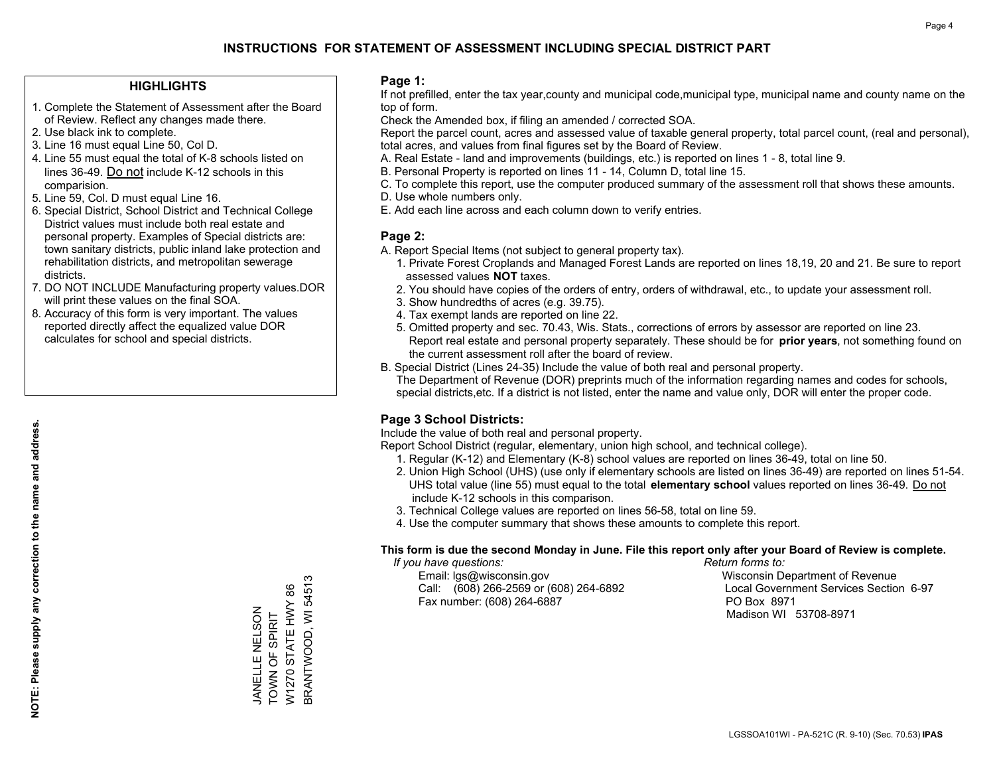#### **HIGHLIGHTS**

- 1. Complete the Statement of Assessment after the Board of Review. Reflect any changes made there.
- 2. Use black ink to complete.

**NOTE: Please supply any correction to the name and address.**

NOTE: Please supply any correction to the name and address.

- 3. Line 16 must equal Line 50, Col D.
- 4. Line 55 must equal the total of K-8 schools listed on lines 36-49. Do not include K-12 schools in this comparision.
- 5. Line 59, Col. D must equal Line 16.
- 6. Special District, School District and Technical College District values must include both real estate and personal property. Examples of Special districts are: town sanitary districts, public inland lake protection and rehabilitation districts, and metropolitan sewerage districts.
- 7. DO NOT INCLUDE Manufacturing property values.DOR will print these values on the final SOA.
- 8. Accuracy of this form is very important. The values reported directly affect the equalized value DOR calculates for school and special districts.

#### **Page 1:**

 If not prefilled, enter the tax year,county and municipal code,municipal type, municipal name and county name on the top of form.

Check the Amended box, if filing an amended / corrected SOA.

 Report the parcel count, acres and assessed value of taxable general property, total parcel count, (real and personal), total acres, and values from final figures set by the Board of Review.

- A. Real Estate land and improvements (buildings, etc.) is reported on lines 1 8, total line 9.
- B. Personal Property is reported on lines 11 14, Column D, total line 15.
- C. To complete this report, use the computer produced summary of the assessment roll that shows these amounts.
- D. Use whole numbers only.
- E. Add each line across and each column down to verify entries.

### **Page 2:**

- A. Report Special Items (not subject to general property tax).
- 1. Private Forest Croplands and Managed Forest Lands are reported on lines 18,19, 20 and 21. Be sure to report assessed values **NOT** taxes.
- 2. You should have copies of the orders of entry, orders of withdrawal, etc., to update your assessment roll.
	- 3. Show hundredths of acres (e.g. 39.75).
- 4. Tax exempt lands are reported on line 22.
- 5. Omitted property and sec. 70.43, Wis. Stats., corrections of errors by assessor are reported on line 23. Report real estate and personal property separately. These should be for **prior years**, not something found on the current assessment roll after the board of review.
- B. Special District (Lines 24-35) Include the value of both real and personal property.

 The Department of Revenue (DOR) preprints much of the information regarding names and codes for schools, special districts,etc. If a district is not listed, enter the name and value only, DOR will enter the proper code.

## **Page 3 School Districts:**

Include the value of both real and personal property.

Report School District (regular, elementary, union high school, and technical college).

- 1. Regular (K-12) and Elementary (K-8) school values are reported on lines 36-49, total on line 50.
- 2. Union High School (UHS) (use only if elementary schools are listed on lines 36-49) are reported on lines 51-54. UHS total value (line 55) must equal to the total **elementary school** values reported on lines 36-49. Do notinclude K-12 schools in this comparison.
- 3. Technical College values are reported on lines 56-58, total on line 59.
- 4. Use the computer summary that shows these amounts to complete this report.

#### **This form is due the second Monday in June. File this report only after your Board of Review is complete.**

 *If you have questions: Return forms to:*

 Email: lgs@wisconsin.gov Wisconsin Department of RevenueCall:  $(608)$  266-2569 or  $(608)$  264-6892 Fax number: (608) 264-6887 PO Box 8971

Local Government Services Section 6-97 Madison WI 53708-8971

BRANTWOOD, WI 54513 BRANTWOOD, WI 54513 W1270 STATE HWY 86 W1270 STATE HWY 86 JANELLE NELSON<br>TOWN OF SPIRIT JANELLE NELSON TOWN OF SPIRIT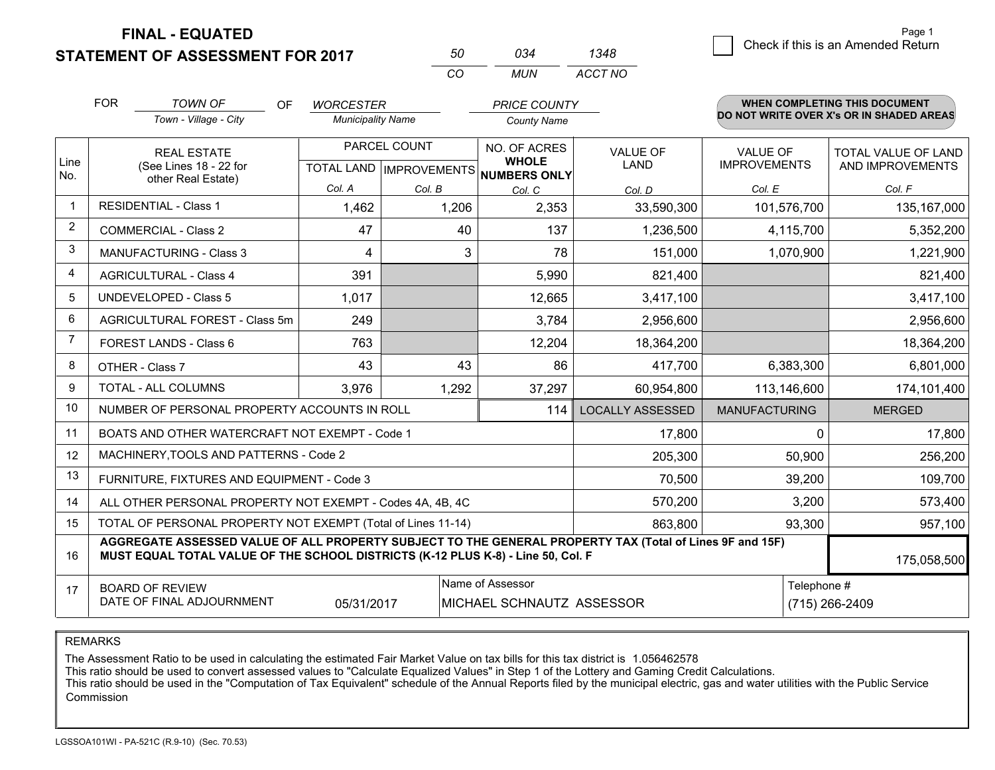**STATEMENT OF ASSESSMENT FOR 2017** 

| 50. | กจ⊿   | 1348    |
|-----|-------|---------|
| CO. | MI IN | ACCT NO |

|                | <b>FOR</b>                                                                                                                                                                                   | <b>TOWN OF</b><br>0F<br><b>WORCESTER</b><br><b>PRICE COUNTY</b> |                          |              |                                                      |                         | <b>WHEN COMPLETING THIS DOCUMENT</b>     |                            |  |
|----------------|----------------------------------------------------------------------------------------------------------------------------------------------------------------------------------------------|-----------------------------------------------------------------|--------------------------|--------------|------------------------------------------------------|-------------------------|------------------------------------------|----------------------------|--|
|                |                                                                                                                                                                                              | Town - Village - City                                           | <b>Municipality Name</b> |              | <b>County Name</b>                                   |                         | DO NOT WRITE OVER X's OR IN SHADED AREAS |                            |  |
|                | <b>REAL ESTATE</b>                                                                                                                                                                           |                                                                 |                          | PARCEL COUNT | NO. OF ACRES                                         | <b>VALUE OF</b>         | <b>VALUE OF</b>                          | <b>TOTAL VALUE OF LAND</b> |  |
| Line<br>No.    |                                                                                                                                                                                              | (See Lines 18 - 22 for<br>other Real Estate)                    |                          |              | <b>WHOLE</b><br>TOTAL LAND IMPROVEMENTS NUMBERS ONLY | <b>LAND</b>             | <b>IMPROVEMENTS</b>                      | AND IMPROVEMENTS           |  |
|                |                                                                                                                                                                                              |                                                                 | Col. A                   | Col. B       | Col. C                                               | Col. D                  | Col. E                                   | Col. F                     |  |
| $\mathbf 1$    |                                                                                                                                                                                              | <b>RESIDENTIAL - Class 1</b>                                    | 1,462                    | 1,206        | 2,353                                                | 33,590,300              | 101,576,700                              | 135, 167, 000              |  |
| 2              |                                                                                                                                                                                              | <b>COMMERCIAL - Class 2</b>                                     | 47                       | 40           | 137                                                  | 1,236,500               | 4,115,700                                | 5,352,200                  |  |
| 3              |                                                                                                                                                                                              | <b>MANUFACTURING - Class 3</b>                                  | 4                        | 3            | 78                                                   | 151,000                 | 1,070,900                                | 1,221,900                  |  |
| $\overline{4}$ |                                                                                                                                                                                              | <b>AGRICULTURAL - Class 4</b>                                   | 391                      |              | 5,990                                                | 821,400                 |                                          | 821,400                    |  |
| 5              |                                                                                                                                                                                              | UNDEVELOPED - Class 5                                           | 1,017                    |              | 12,665                                               | 3,417,100               |                                          | 3,417,100                  |  |
| 6              |                                                                                                                                                                                              | AGRICULTURAL FOREST - Class 5m<br>249                           |                          |              | 3,784<br>2,956,600                                   |                         |                                          | 2,956,600                  |  |
| $\overline{7}$ |                                                                                                                                                                                              | FOREST LANDS - Class 6                                          | 763                      |              | 12,204                                               | 18,364,200              |                                          | 18,364,200                 |  |
| 8              |                                                                                                                                                                                              | OTHER - Class 7                                                 | 43                       | 43           | 86                                                   | 417,700                 | 6,383,300                                | 6,801,000                  |  |
| $\mathbf{Q}$   |                                                                                                                                                                                              | TOTAL - ALL COLUMNS                                             | 3,976<br>1,292           |              | 37,297                                               | 60,954,800              | 113,146,600                              | 174,101,400                |  |
| 10             |                                                                                                                                                                                              | NUMBER OF PERSONAL PROPERTY ACCOUNTS IN ROLL                    |                          |              | 114                                                  | <b>LOCALLY ASSESSED</b> | <b>MANUFACTURING</b>                     | <b>MERGED</b>              |  |
| 11             |                                                                                                                                                                                              | BOATS AND OTHER WATERCRAFT NOT EXEMPT - Code 1                  |                          |              |                                                      | 17,800                  | 0                                        | 17,800                     |  |
| 12             |                                                                                                                                                                                              | MACHINERY, TOOLS AND PATTERNS - Code 2                          |                          |              |                                                      | 205,300                 | 50,900                                   | 256,200                    |  |
| 13             |                                                                                                                                                                                              | FURNITURE, FIXTURES AND EQUIPMENT - Code 3                      |                          |              |                                                      | 70,500                  | 39,200                                   | 109,700                    |  |
| 14             |                                                                                                                                                                                              | ALL OTHER PERSONAL PROPERTY NOT EXEMPT - Codes 4A, 4B, 4C       |                          |              |                                                      | 570,200                 | 3,200                                    | 573,400                    |  |
| 15             | TOTAL OF PERSONAL PROPERTY NOT EXEMPT (Total of Lines 11-14)<br>863,800<br>93,300                                                                                                            |                                                                 |                          |              |                                                      |                         | 957,100                                  |                            |  |
| 16             | AGGREGATE ASSESSED VALUE OF ALL PROPERTY SUBJECT TO THE GENERAL PROPERTY TAX (Total of Lines 9F and 15F)<br>MUST EQUAL TOTAL VALUE OF THE SCHOOL DISTRICTS (K-12 PLUS K-8) - Line 50, Col. F |                                                                 |                          |              |                                                      |                         |                                          | 175,058,500                |  |
| 17             |                                                                                                                                                                                              | <b>BOARD OF REVIEW</b>                                          |                          |              | Name of Assessor                                     |                         | Telephone #                              |                            |  |
|                |                                                                                                                                                                                              | DATE OF FINAL ADJOURNMENT                                       | 05/31/2017               |              | MICHAEL SCHNAUTZ ASSESSOR                            |                         |                                          | (715) 266-2409             |  |

REMARKS

The Assessment Ratio to be used in calculating the estimated Fair Market Value on tax bills for this tax district is 1.056462578

This ratio should be used to convert assessed values to "Calculate Equalized Values" in Step 1 of the Lottery and Gaming Credit Calculations.<br>This ratio should be used in the "Computation of Tax Equivalent" schedule of the Commission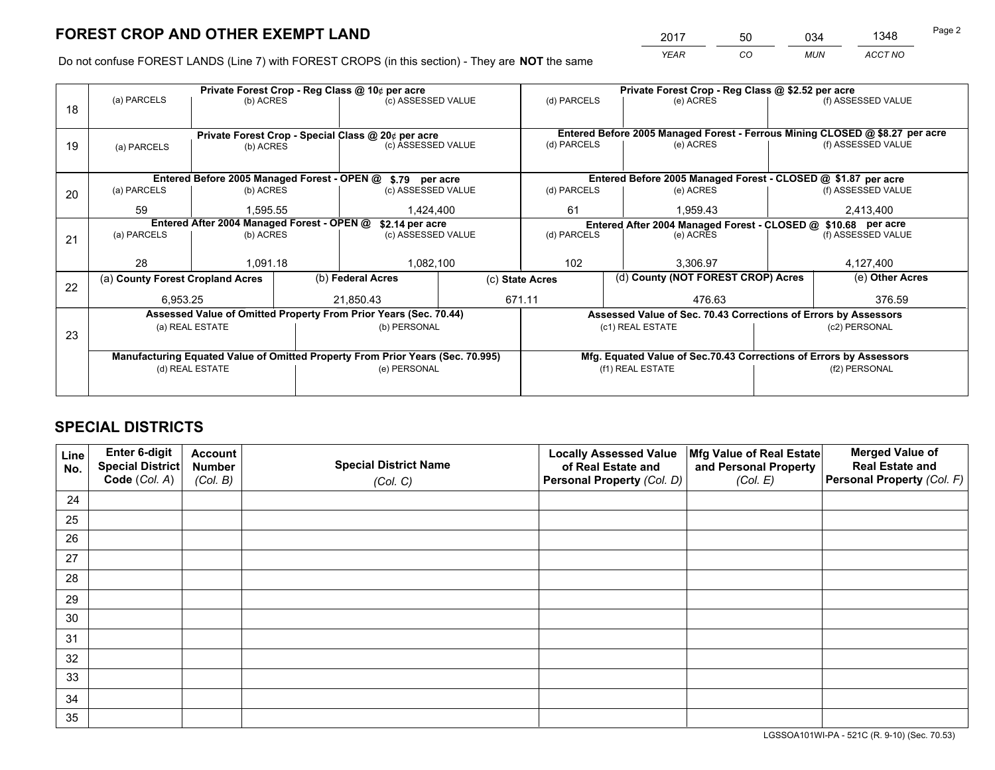*YEAR CO MUN ACCT NO* <sup>2017</sup> <sup>50</sup> <sup>034</sup> <sup>1348</sup>

Do not confuse FOREST LANDS (Line 7) with FOREST CROPS (in this section) - They are **NOT** the same

|    |                                  |                                            |  | Private Forest Crop - Reg Class @ 10¢ per acre                                 |                                                                              | Private Forest Crop - Reg Class @ \$2.52 per acre             |                                                                    |                                                                 |               |                    |  |
|----|----------------------------------|--------------------------------------------|--|--------------------------------------------------------------------------------|------------------------------------------------------------------------------|---------------------------------------------------------------|--------------------------------------------------------------------|-----------------------------------------------------------------|---------------|--------------------|--|
| 18 | (a) PARCELS                      | (b) ACRES                                  |  | (c) ASSESSED VALUE                                                             |                                                                              | (d) PARCELS                                                   |                                                                    | (e) ACRES                                                       |               | (f) ASSESSED VALUE |  |
|    |                                  |                                            |  |                                                                                |                                                                              |                                                               |                                                                    |                                                                 |               |                    |  |
|    |                                  |                                            |  | Private Forest Crop - Special Class @ 20¢ per acre                             | Entered Before 2005 Managed Forest - Ferrous Mining CLOSED @ \$8.27 per acre |                                                               |                                                                    |                                                                 |               |                    |  |
| 19 | (a) PARCELS                      | (b) ACRES                                  |  | (c) ASSESSED VALUE                                                             |                                                                              | (d) PARCELS                                                   |                                                                    | (e) ACRES                                                       |               | (f) ASSESSED VALUE |  |
|    |                                  |                                            |  |                                                                                |                                                                              |                                                               |                                                                    |                                                                 |               |                    |  |
|    |                                  |                                            |  | Entered Before 2005 Managed Forest - OPEN @ \$.79 per acre                     |                                                                              |                                                               |                                                                    | Entered Before 2005 Managed Forest - CLOSED @ \$1.87 per acre   |               |                    |  |
| 20 | (a) PARCELS                      | (b) ACRES                                  |  | (c) ASSESSED VALUE                                                             |                                                                              | (d) PARCELS                                                   |                                                                    | (e) ACRES                                                       |               | (f) ASSESSED VALUE |  |
|    | 59                               | 1.595.55                                   |  | 1.424.400                                                                      |                                                                              | 61                                                            |                                                                    | 1.959.43                                                        |               | 2,413,400          |  |
|    |                                  | Entered After 2004 Managed Forest - OPEN @ |  | \$2.14 per acre                                                                |                                                                              | Entered After 2004 Managed Forest - CLOSED @ \$10.68 per acre |                                                                    |                                                                 |               |                    |  |
| 21 | (a) PARCELS                      | (b) ACRES                                  |  | (c) ASSESSED VALUE                                                             |                                                                              | (d) PARCELS                                                   |                                                                    | (e) ACRES                                                       |               | (f) ASSESSED VALUE |  |
|    |                                  |                                            |  |                                                                                |                                                                              |                                                               |                                                                    |                                                                 |               |                    |  |
|    | 28                               | 1,091.18                                   |  | 1,082,100                                                                      |                                                                              | 102                                                           |                                                                    | 3.306.97                                                        |               | 4,127,400          |  |
| 22 | (a) County Forest Cropland Acres |                                            |  | (b) Federal Acres                                                              |                                                                              | (c) State Acres                                               |                                                                    | (d) County (NOT FOREST CROP) Acres                              |               | (e) Other Acres    |  |
|    | 6,953.25                         |                                            |  | 21,850.43                                                                      |                                                                              | 671.11<br>476.63                                              |                                                                    | 376.59                                                          |               |                    |  |
|    |                                  |                                            |  | Assessed Value of Omitted Property From Prior Years (Sec. 70.44)               |                                                                              |                                                               |                                                                    | Assessed Value of Sec. 70.43 Corrections of Errors by Assessors |               |                    |  |
| 23 |                                  | (a) REAL ESTATE                            |  | (b) PERSONAL                                                                   |                                                                              | (c1) REAL ESTATE                                              |                                                                    |                                                                 | (c2) PERSONAL |                    |  |
|    |                                  |                                            |  |                                                                                |                                                                              |                                                               |                                                                    |                                                                 |               |                    |  |
|    |                                  |                                            |  | Manufacturing Equated Value of Omitted Property From Prior Years (Sec. 70.995) |                                                                              |                                                               | Mfg. Equated Value of Sec.70.43 Corrections of Errors by Assessors |                                                                 |               |                    |  |
|    | (d) REAL ESTATE                  |                                            |  | (e) PERSONAL                                                                   |                                                                              |                                                               |                                                                    | (f1) REAL ESTATE                                                | (f2) PERSONAL |                    |  |
|    |                                  |                                            |  |                                                                                |                                                                              |                                                               |                                                                    |                                                                 |               |                    |  |

## **SPECIAL DISTRICTS**

| Line<br>No. | Enter 6-digit<br><b>Special District</b> | <b>Account</b><br><b>Number</b> | <b>Special District Name</b> | <b>Locally Assessed Value</b><br>of Real Estate and | Mfg Value of Real Estate<br>and Personal Property | <b>Merged Value of</b><br><b>Real Estate and</b> |
|-------------|------------------------------------------|---------------------------------|------------------------------|-----------------------------------------------------|---------------------------------------------------|--------------------------------------------------|
|             | Code (Col. A)                            | (Col. B)                        | (Col. C)                     | Personal Property (Col. D)                          | (Col. E)                                          | Personal Property (Col. F)                       |
| 24          |                                          |                                 |                              |                                                     |                                                   |                                                  |
| 25          |                                          |                                 |                              |                                                     |                                                   |                                                  |
| 26          |                                          |                                 |                              |                                                     |                                                   |                                                  |
| 27          |                                          |                                 |                              |                                                     |                                                   |                                                  |
| 28          |                                          |                                 |                              |                                                     |                                                   |                                                  |
| 29          |                                          |                                 |                              |                                                     |                                                   |                                                  |
| 30          |                                          |                                 |                              |                                                     |                                                   |                                                  |
| 31          |                                          |                                 |                              |                                                     |                                                   |                                                  |
| 32          |                                          |                                 |                              |                                                     |                                                   |                                                  |
| 33          |                                          |                                 |                              |                                                     |                                                   |                                                  |
| 34          |                                          |                                 |                              |                                                     |                                                   |                                                  |
| 35          |                                          |                                 |                              |                                                     |                                                   |                                                  |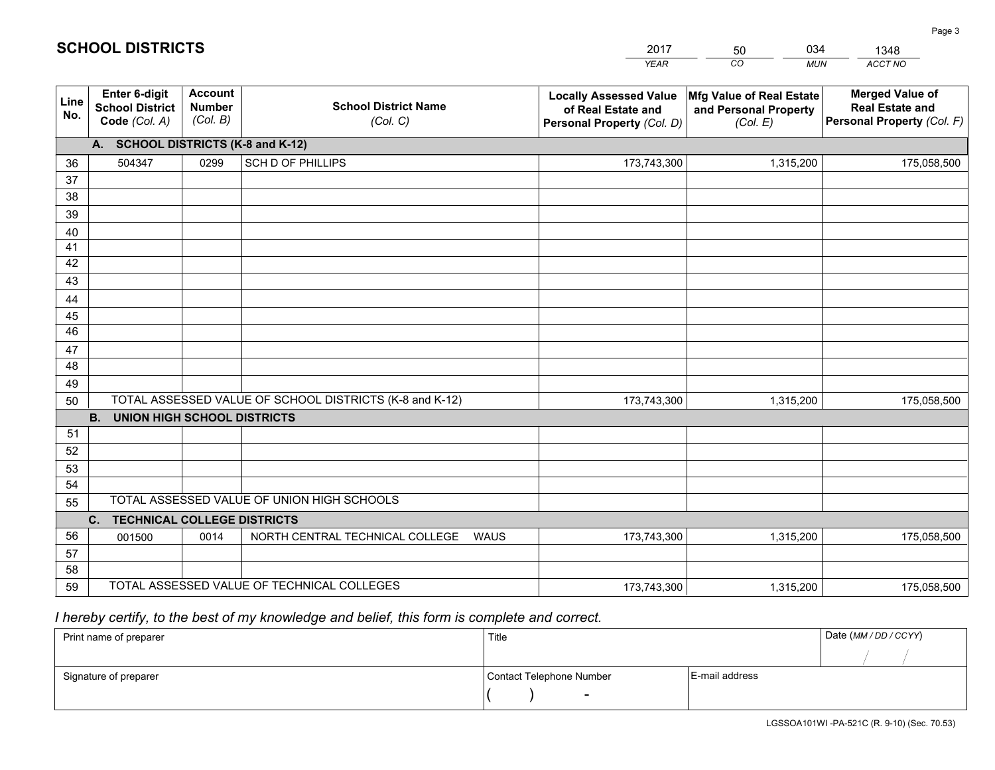|             |                                                                 |                                             |                                                         | <b>YEAR</b>                                                                       | CO<br><b>MUN</b>                                              | ACCT NO                                                                        |  |  |
|-------------|-----------------------------------------------------------------|---------------------------------------------|---------------------------------------------------------|-----------------------------------------------------------------------------------|---------------------------------------------------------------|--------------------------------------------------------------------------------|--|--|
| Line<br>No. | <b>Enter 6-digit</b><br><b>School District</b><br>Code (Col. A) | <b>Account</b><br><b>Number</b><br>(Col. B) | <b>School District Name</b><br>(Col. C)                 | <b>Locally Assessed Value</b><br>of Real Estate and<br>Personal Property (Col. D) | Mfg Value of Real Estate<br>and Personal Property<br>(Col. E) | <b>Merged Value of</b><br><b>Real Estate and</b><br>Personal Property (Col. F) |  |  |
|             | A. SCHOOL DISTRICTS (K-8 and K-12)                              |                                             |                                                         |                                                                                   |                                                               |                                                                                |  |  |
| 36          | 504347                                                          | 0299                                        | <b>SCH D OF PHILLIPS</b>                                | 173,743,300                                                                       | 1,315,200                                                     | 175,058,500                                                                    |  |  |
| 37          |                                                                 |                                             |                                                         |                                                                                   |                                                               |                                                                                |  |  |
| 38          |                                                                 |                                             |                                                         |                                                                                   |                                                               |                                                                                |  |  |
| 39          |                                                                 |                                             |                                                         |                                                                                   |                                                               |                                                                                |  |  |
| 40          |                                                                 |                                             |                                                         |                                                                                   |                                                               |                                                                                |  |  |
| 41<br>42    |                                                                 |                                             |                                                         |                                                                                   |                                                               |                                                                                |  |  |
| 43          |                                                                 |                                             |                                                         |                                                                                   |                                                               |                                                                                |  |  |
|             |                                                                 |                                             |                                                         |                                                                                   |                                                               |                                                                                |  |  |
| 44<br>45    |                                                                 |                                             |                                                         |                                                                                   |                                                               |                                                                                |  |  |
| 46          |                                                                 |                                             |                                                         |                                                                                   |                                                               |                                                                                |  |  |
| 47          |                                                                 |                                             |                                                         |                                                                                   |                                                               |                                                                                |  |  |
| 48          |                                                                 |                                             |                                                         |                                                                                   |                                                               |                                                                                |  |  |
| 49          |                                                                 |                                             |                                                         |                                                                                   |                                                               |                                                                                |  |  |
| 50          |                                                                 |                                             | TOTAL ASSESSED VALUE OF SCHOOL DISTRICTS (K-8 and K-12) | 173,743,300                                                                       | 1,315,200                                                     | 175,058,500                                                                    |  |  |
|             | <b>B.</b><br>UNION HIGH SCHOOL DISTRICTS                        |                                             |                                                         |                                                                                   |                                                               |                                                                                |  |  |
| 51          |                                                                 |                                             |                                                         |                                                                                   |                                                               |                                                                                |  |  |
| 52          |                                                                 |                                             |                                                         |                                                                                   |                                                               |                                                                                |  |  |
| 53          |                                                                 |                                             |                                                         |                                                                                   |                                                               |                                                                                |  |  |
| 54          |                                                                 |                                             |                                                         |                                                                                   |                                                               |                                                                                |  |  |
| 55          | TOTAL ASSESSED VALUE OF UNION HIGH SCHOOLS                      |                                             |                                                         |                                                                                   |                                                               |                                                                                |  |  |
|             | C.<br><b>TECHNICAL COLLEGE DISTRICTS</b>                        |                                             |                                                         |                                                                                   |                                                               |                                                                                |  |  |
| 56          | 001500                                                          | 0014                                        | NORTH CENTRAL TECHNICAL COLLEGE<br>WAUS                 | 173,743,300                                                                       | 1,315,200                                                     | 175,058,500                                                                    |  |  |
| 57<br>58    |                                                                 |                                             |                                                         |                                                                                   |                                                               |                                                                                |  |  |
| 59          |                                                                 |                                             | TOTAL ASSESSED VALUE OF TECHNICAL COLLEGES              | 173,743,300                                                                       | 1,315,200                                                     | 175,058,500                                                                    |  |  |
|             |                                                                 |                                             |                                                         |                                                                                   |                                                               |                                                                                |  |  |

2017

50

034

 *I hereby certify, to the best of my knowledge and belief, this form is complete and correct.*

**SCHOOL DISTRICTS**

| Print name of preparer | Title                    |                | Date (MM / DD / CCYY) |
|------------------------|--------------------------|----------------|-----------------------|
|                        |                          |                |                       |
| Signature of preparer  | Contact Telephone Number | E-mail address |                       |
|                        | -                        |                |                       |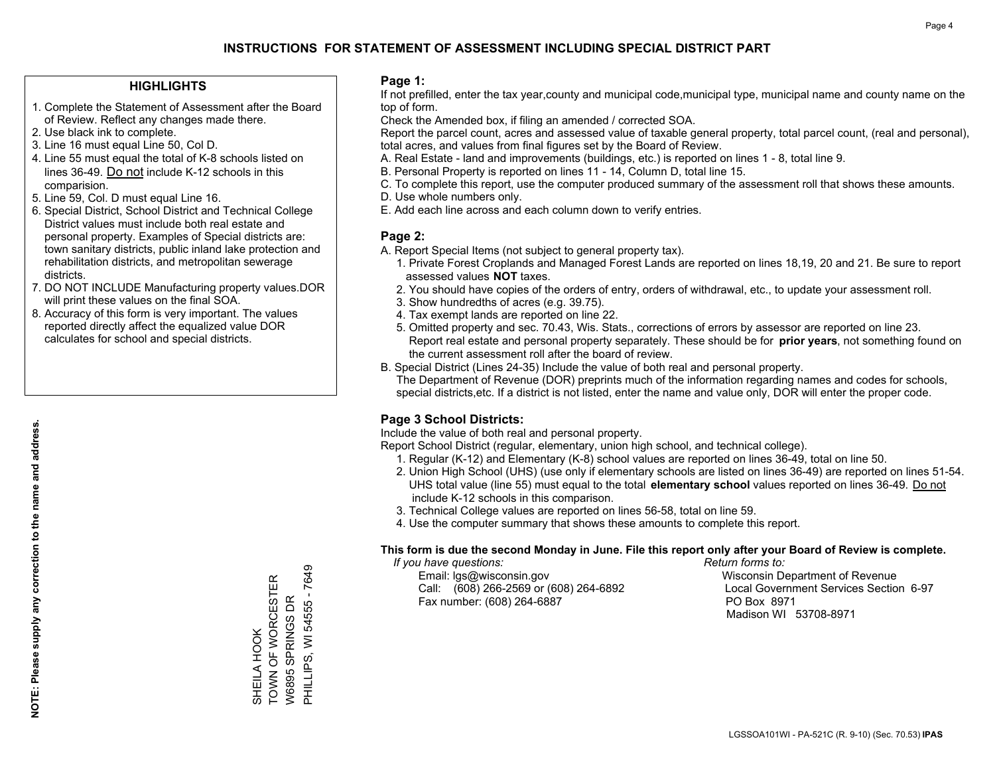#### **HIGHLIGHTS**

- 1. Complete the Statement of Assessment after the Board of Review. Reflect any changes made there.
- 2. Use black ink to complete.
- 3. Line 16 must equal Line 50, Col D.
- 4. Line 55 must equal the total of K-8 schools listed on lines 36-49. Do not include K-12 schools in this comparision.
- 5. Line 59, Col. D must equal Line 16.
- 6. Special District, School District and Technical College District values must include both real estate and personal property. Examples of Special districts are: town sanitary districts, public inland lake protection and rehabilitation districts, and metropolitan sewerage districts.
- 7. DO NOT INCLUDE Manufacturing property values.DOR will print these values on the final SOA.

SHEILA HOOK

SHEILA HOOK

TOWN OF WORCESTER W6895 SPRINGS DR PHILLIPS, WI 54555 - 7649

TOWN OF WORCESTER W6895 SPRINGS DR

PHILLIPS, WI 54555 - 7649

 8. Accuracy of this form is very important. The values reported directly affect the equalized value DOR calculates for school and special districts.

#### **Page 1:**

 If not prefilled, enter the tax year,county and municipal code,municipal type, municipal name and county name on the top of form.

Check the Amended box, if filing an amended / corrected SOA.

 Report the parcel count, acres and assessed value of taxable general property, total parcel count, (real and personal), total acres, and values from final figures set by the Board of Review.

- A. Real Estate land and improvements (buildings, etc.) is reported on lines 1 8, total line 9.
- B. Personal Property is reported on lines 11 14, Column D, total line 15.
- C. To complete this report, use the computer produced summary of the assessment roll that shows these amounts.
- D. Use whole numbers only.
- E. Add each line across and each column down to verify entries.

#### **Page 2:**

- A. Report Special Items (not subject to general property tax).
- 1. Private Forest Croplands and Managed Forest Lands are reported on lines 18,19, 20 and 21. Be sure to report assessed values **NOT** taxes.
- 2. You should have copies of the orders of entry, orders of withdrawal, etc., to update your assessment roll.
	- 3. Show hundredths of acres (e.g. 39.75).
- 4. Tax exempt lands are reported on line 22.
- 5. Omitted property and sec. 70.43, Wis. Stats., corrections of errors by assessor are reported on line 23. Report real estate and personal property separately. These should be for **prior years**, not something found on the current assessment roll after the board of review.
- B. Special District (Lines 24-35) Include the value of both real and personal property.
- The Department of Revenue (DOR) preprints much of the information regarding names and codes for schools, special districts,etc. If a district is not listed, enter the name and value only, DOR will enter the proper code.

## **Page 3 School Districts:**

Include the value of both real and personal property.

Report School District (regular, elementary, union high school, and technical college).

- 1. Regular (K-12) and Elementary (K-8) school values are reported on lines 36-49, total on line 50.
- 2. Union High School (UHS) (use only if elementary schools are listed on lines 36-49) are reported on lines 51-54. UHS total value (line 55) must equal to the total **elementary school** values reported on lines 36-49. Do notinclude K-12 schools in this comparison.
- 3. Technical College values are reported on lines 56-58, total on line 59.
- 4. Use the computer summary that shows these amounts to complete this report.

#### **This form is due the second Monday in June. File this report only after your Board of Review is complete.**

 *If you have questions: Return forms to:*

 Email: lgs@wisconsin.gov Wisconsin Department of RevenueCall:  $(608)$  266-2569 or  $(608)$  264-6892 Fax number: (608) 264-6887 PO Box 8971

Local Government Services Section 6-97 Madison WI 53708-8971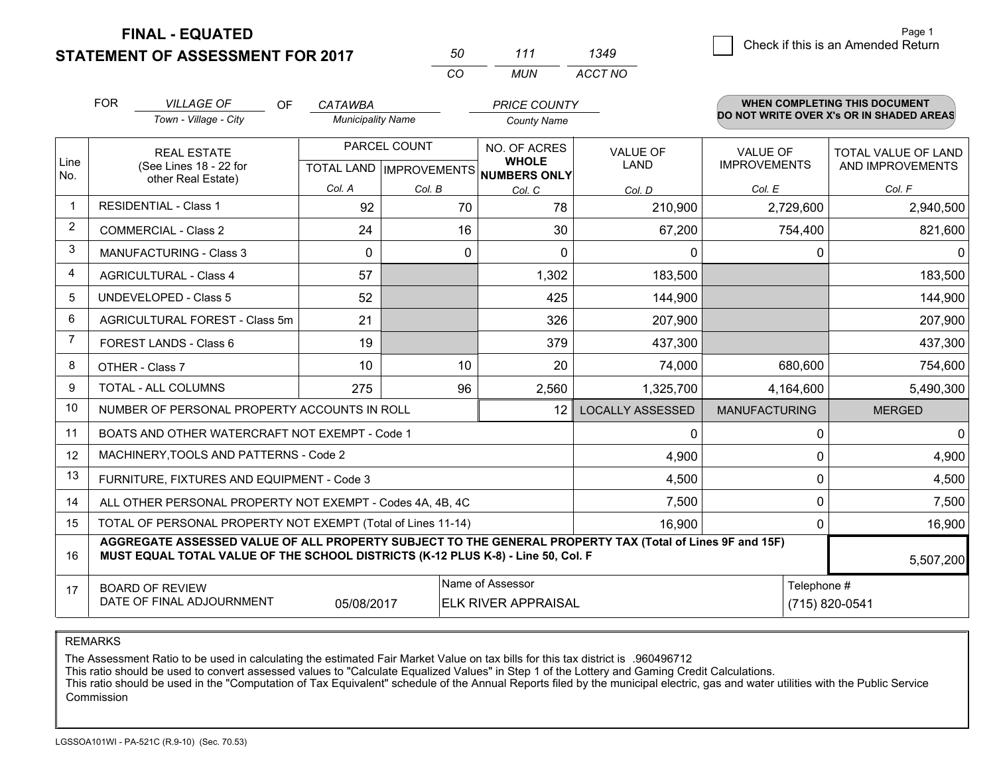**STATEMENT OF ASSESSMENT FOR 2017** 

| 50  | 111   | 1349    |
|-----|-------|---------|
| CO. | MI IN | ACCT NO |

|             | <b>FOR</b>                                                                                                                                                                                                | <b>VILLAGE OF</b><br>OF                                   | <b>CATAWBA</b>           |              | <b>PRICE COUNTY</b>                                      |                         |                                          | WHEN COMPLETING THIS DOCUMENT |
|-------------|-----------------------------------------------------------------------------------------------------------------------------------------------------------------------------------------------------------|-----------------------------------------------------------|--------------------------|--------------|----------------------------------------------------------|-------------------------|------------------------------------------|-------------------------------|
|             |                                                                                                                                                                                                           | Town - Village - City                                     | <b>Municipality Name</b> |              | <b>County Name</b>                                       |                         | DO NOT WRITE OVER X's OR IN SHADED AREAS |                               |
|             |                                                                                                                                                                                                           | <b>REAL ESTATE</b>                                        |                          | PARCEL COUNT | NO. OF ACRES                                             | <b>VALUE OF</b>         | <b>VALUE OF</b>                          | TOTAL VALUE OF LAND           |
| Line<br>No. |                                                                                                                                                                                                           | (See Lines 18 - 22 for<br>other Real Estate)              |                          |              | <b>WHOLE</b><br>TOTAL LAND   IMPROVEMENTS   NUMBERS ONLY | <b>LAND</b>             | <b>IMPROVEMENTS</b>                      | AND IMPROVEMENTS              |
|             |                                                                                                                                                                                                           |                                                           | Col. A                   | Col. B       | Col. C                                                   | Col. D                  | Col. E                                   | Col. F                        |
| -1          |                                                                                                                                                                                                           | <b>RESIDENTIAL - Class 1</b>                              | 92                       | 70           | 78                                                       | 210,900                 | 2,729,600                                | 2,940,500                     |
| 2           |                                                                                                                                                                                                           | <b>COMMERCIAL - Class 2</b>                               | 24                       | 16           | 30                                                       | 67,200                  | 754,400                                  | 821,600                       |
| 3           |                                                                                                                                                                                                           | MANUFACTURING - Class 3                                   | $\mathbf 0$              | 0            | $\Omega$                                                 | 0                       |                                          | $\mathbf 0$<br>$\Omega$       |
| 4           |                                                                                                                                                                                                           | <b>AGRICULTURAL - Class 4</b>                             | 57                       |              | 1,302                                                    | 183,500                 |                                          | 183,500                       |
| 5           |                                                                                                                                                                                                           | <b>UNDEVELOPED - Class 5</b>                              | 52                       |              | 425                                                      | 144,900                 |                                          | 144,900                       |
| 6           |                                                                                                                                                                                                           | AGRICULTURAL FOREST - Class 5m                            | 21                       |              | 326                                                      | 207,900                 |                                          | 207,900                       |
| 7           |                                                                                                                                                                                                           | FOREST LANDS - Class 6                                    | 19                       |              | 379                                                      | 437,300                 |                                          | 437,300                       |
| 8           |                                                                                                                                                                                                           | OTHER - Class 7                                           | 10                       | 10           | 20                                                       | 74,000                  | 680,600                                  | 754,600                       |
| 9           | TOTAL - ALL COLUMNS                                                                                                                                                                                       |                                                           | 275                      | 96           | 2,560                                                    | 1,325,700               | 4,164,600                                | 5,490,300                     |
| 10          |                                                                                                                                                                                                           | NUMBER OF PERSONAL PROPERTY ACCOUNTS IN ROLL              |                          |              | 12                                                       | <b>LOCALLY ASSESSED</b> | <b>MANUFACTURING</b>                     | <b>MERGED</b>                 |
| 11          |                                                                                                                                                                                                           | BOATS AND OTHER WATERCRAFT NOT EXEMPT - Code 1            |                          |              |                                                          | 0                       |                                          | $\Omega$<br>0                 |
| 12          |                                                                                                                                                                                                           | MACHINERY, TOOLS AND PATTERNS - Code 2                    |                          |              |                                                          | 4,900                   |                                          | 4,900<br>$\mathbf 0$          |
| 13          |                                                                                                                                                                                                           | FURNITURE, FIXTURES AND EQUIPMENT - Code 3                |                          |              |                                                          | 4,500                   |                                          | 0<br>4,500                    |
| 14          |                                                                                                                                                                                                           | ALL OTHER PERSONAL PROPERTY NOT EXEMPT - Codes 4A, 4B, 4C |                          |              | 7,500                                                    |                         | $\mathbf 0$<br>7,500                     |                               |
| 15          | TOTAL OF PERSONAL PROPERTY NOT EXEMPT (Total of Lines 11-14)                                                                                                                                              |                                                           |                          |              |                                                          | 16,900                  |                                          | $\mathbf 0$<br>16,900         |
| 16          | AGGREGATE ASSESSED VALUE OF ALL PROPERTY SUBJECT TO THE GENERAL PROPERTY TAX (Total of Lines 9F and 15F)<br>MUST EQUAL TOTAL VALUE OF THE SCHOOL DISTRICTS (K-12 PLUS K-8) - Line 50, Col. F<br>5,507,200 |                                                           |                          |              |                                                          |                         |                                          |                               |
| 17          |                                                                                                                                                                                                           | <b>BOARD OF REVIEW</b>                                    |                          |              | Name of Assessor                                         |                         |                                          | Telephone #                   |
|             | DATE OF FINAL ADJOURNMENT<br>05/08/2017<br><b>ELK RIVER APPRAISAL</b>                                                                                                                                     |                                                           |                          |              |                                                          |                         |                                          | (715) 820-0541                |

REMARKS

The Assessment Ratio to be used in calculating the estimated Fair Market Value on tax bills for this tax district is .960496712<br>This ratio should be used to convert assessed values to "Calculate Equalized Values" in Step 1 Commission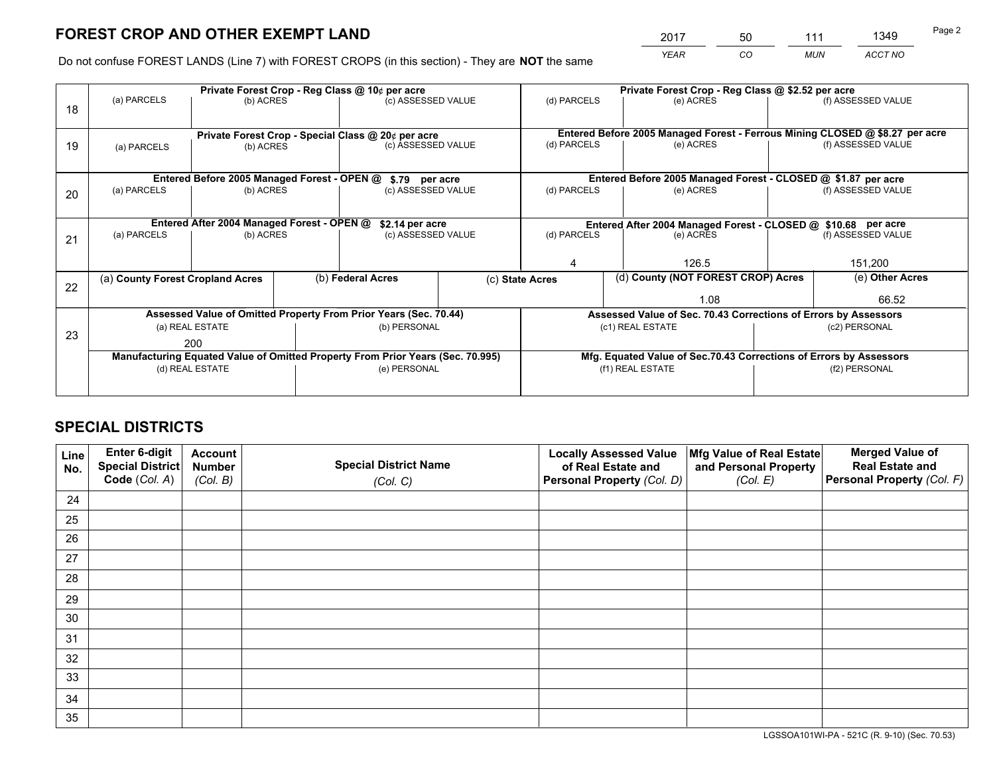*YEAR CO MUN ACCT NO* <sup>2017</sup> <sup>50</sup> <sup>111</sup> <sup>1349</sup>

Do not confuse FOREST LANDS (Line 7) with FOREST CROPS (in this section) - They are **NOT** the same

|    | Private Forest Crop - Reg Class @ 10¢ per acre                                 |                                                    |  |                                                                  |                 |                                                                 | Private Forest Crop - Reg Class @ \$2.52 per acre                            |               |                                                                    |  |
|----|--------------------------------------------------------------------------------|----------------------------------------------------|--|------------------------------------------------------------------|-----------------|-----------------------------------------------------------------|------------------------------------------------------------------------------|---------------|--------------------------------------------------------------------|--|
| 18 | (a) PARCELS                                                                    | (b) ACRES                                          |  | (c) ASSESSED VALUE                                               |                 | (d) PARCELS                                                     | (e) ACRES                                                                    |               | (f) ASSESSED VALUE                                                 |  |
|    |                                                                                | Private Forest Crop - Special Class @ 20¢ per acre |  |                                                                  |                 |                                                                 | Entered Before 2005 Managed Forest - Ferrous Mining CLOSED @ \$8.27 per acre |               |                                                                    |  |
| 19 | (a) PARCELS                                                                    | (b) ACRES                                          |  | (c) ASSESSED VALUE                                               |                 | (d) PARCELS                                                     | (e) ACRES                                                                    |               | (f) ASSESSED VALUE                                                 |  |
|    |                                                                                | Entered Before 2005 Managed Forest - OPEN @        |  | \$.79 per acre                                                   |                 |                                                                 | Entered Before 2005 Managed Forest - CLOSED @ \$1.87 per acre                |               |                                                                    |  |
|    | (a) PARCELS                                                                    | (b) ACRES                                          |  | (c) ASSESSED VALUE                                               |                 | (d) PARCELS                                                     | (e) ACRES                                                                    |               | (f) ASSESSED VALUE                                                 |  |
| 20 |                                                                                |                                                    |  |                                                                  |                 |                                                                 |                                                                              |               |                                                                    |  |
|    | Entered After 2004 Managed Forest - OPEN @                                     |                                                    |  | \$2.14 per acre                                                  |                 | Entered After 2004 Managed Forest - CLOSED @ \$10.68 per acre   |                                                                              |               |                                                                    |  |
| 21 | (a) PARCELS                                                                    | (b) ACRES                                          |  | (c) ASSESSED VALUE                                               | (d) PARCELS     |                                                                 | (e) ACRES                                                                    |               |                                                                    |  |
|    |                                                                                |                                                    |  |                                                                  |                 |                                                                 |                                                                              |               |                                                                    |  |
|    |                                                                                |                                                    |  |                                                                  |                 |                                                                 | 126.5                                                                        |               | 151,200                                                            |  |
|    | (a) County Forest Cropland Acres                                               |                                                    |  | (b) Federal Acres                                                | (c) State Acres |                                                                 | (d) County (NOT FOREST CROP) Acres                                           |               | (e) Other Acres                                                    |  |
| 22 |                                                                                |                                                    |  |                                                                  |                 |                                                                 | 1.08                                                                         |               | 66.52                                                              |  |
|    |                                                                                |                                                    |  | Assessed Value of Omitted Property From Prior Years (Sec. 70.44) |                 | Assessed Value of Sec. 70.43 Corrections of Errors by Assessors |                                                                              |               |                                                                    |  |
|    |                                                                                | (a) REAL ESTATE                                    |  | (b) PERSONAL                                                     |                 | (c1) REAL ESTATE                                                |                                                                              | (c2) PERSONAL |                                                                    |  |
| 23 | 200                                                                            |                                                    |  |                                                                  |                 |                                                                 |                                                                              |               |                                                                    |  |
|    | Manufacturing Equated Value of Omitted Property From Prior Years (Sec. 70.995) |                                                    |  |                                                                  |                 |                                                                 |                                                                              |               | Mfg. Equated Value of Sec.70.43 Corrections of Errors by Assessors |  |
|    | (d) REAL ESTATE                                                                |                                                    |  | (e) PERSONAL                                                     |                 |                                                                 | (f1) REAL ESTATE                                                             | (f2) PERSONAL |                                                                    |  |
|    |                                                                                |                                                    |  |                                                                  |                 |                                                                 |                                                                              |               |                                                                    |  |

## **SPECIAL DISTRICTS**

| Line<br>No. | Enter 6-digit<br>Special District<br>Code (Col. A) | <b>Account</b><br><b>Number</b> | <b>Special District Name</b> | <b>Locally Assessed Value</b><br>of Real Estate and | Mfg Value of Real Estate<br>and Personal Property | <b>Merged Value of</b><br><b>Real Estate and</b><br>Personal Property (Col. F) |
|-------------|----------------------------------------------------|---------------------------------|------------------------------|-----------------------------------------------------|---------------------------------------------------|--------------------------------------------------------------------------------|
|             |                                                    | (Col. B)                        | (Col. C)                     | Personal Property (Col. D)                          | (Col. E)                                          |                                                                                |
| 24          |                                                    |                                 |                              |                                                     |                                                   |                                                                                |
| 25          |                                                    |                                 |                              |                                                     |                                                   |                                                                                |
| 26          |                                                    |                                 |                              |                                                     |                                                   |                                                                                |
| 27          |                                                    |                                 |                              |                                                     |                                                   |                                                                                |
| 28          |                                                    |                                 |                              |                                                     |                                                   |                                                                                |
| 29          |                                                    |                                 |                              |                                                     |                                                   |                                                                                |
| 30          |                                                    |                                 |                              |                                                     |                                                   |                                                                                |
| 31          |                                                    |                                 |                              |                                                     |                                                   |                                                                                |
| 32          |                                                    |                                 |                              |                                                     |                                                   |                                                                                |
| 33          |                                                    |                                 |                              |                                                     |                                                   |                                                                                |
| 34          |                                                    |                                 |                              |                                                     |                                                   |                                                                                |
| 35          |                                                    |                                 |                              |                                                     |                                                   |                                                                                |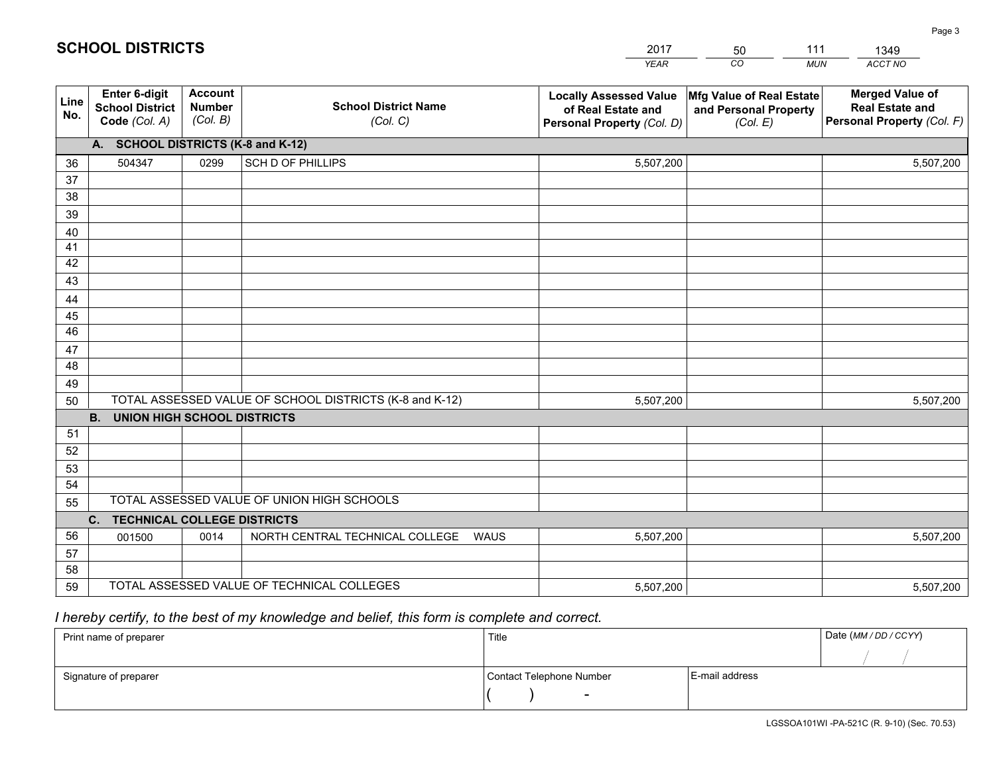|             |                                                          |                                             |                                                         | <b>YEAR</b>                                                                       | CO<br><b>MUN</b>                                              | ACCT NO                                                                        |
|-------------|----------------------------------------------------------|---------------------------------------------|---------------------------------------------------------|-----------------------------------------------------------------------------------|---------------------------------------------------------------|--------------------------------------------------------------------------------|
| Line<br>No. | Enter 6-digit<br><b>School District</b><br>Code (Col. A) | <b>Account</b><br><b>Number</b><br>(Col. B) | <b>School District Name</b><br>(Col. C)                 | <b>Locally Assessed Value</b><br>of Real Estate and<br>Personal Property (Col. D) | Mfg Value of Real Estate<br>and Personal Property<br>(Col. E) | <b>Merged Value of</b><br><b>Real Estate and</b><br>Personal Property (Col. F) |
|             | A. SCHOOL DISTRICTS (K-8 and K-12)                       |                                             |                                                         |                                                                                   |                                                               |                                                                                |
| 36          | 504347                                                   | 0299                                        | <b>SCH D OF PHILLIPS</b>                                | 5,507,200                                                                         |                                                               | 5,507,200                                                                      |
| 37          |                                                          |                                             |                                                         |                                                                                   |                                                               |                                                                                |
| 38          |                                                          |                                             |                                                         |                                                                                   |                                                               |                                                                                |
| 39          |                                                          |                                             |                                                         |                                                                                   |                                                               |                                                                                |
| 40          |                                                          |                                             |                                                         |                                                                                   |                                                               |                                                                                |
| 41          |                                                          |                                             |                                                         |                                                                                   |                                                               |                                                                                |
| 42<br>43    |                                                          |                                             |                                                         |                                                                                   |                                                               |                                                                                |
|             |                                                          |                                             |                                                         |                                                                                   |                                                               |                                                                                |
| 44<br>45    |                                                          |                                             |                                                         |                                                                                   |                                                               |                                                                                |
| 46          |                                                          |                                             |                                                         |                                                                                   |                                                               |                                                                                |
| 47          |                                                          |                                             |                                                         |                                                                                   |                                                               |                                                                                |
| 48          |                                                          |                                             |                                                         |                                                                                   |                                                               |                                                                                |
| 49          |                                                          |                                             |                                                         |                                                                                   |                                                               |                                                                                |
| 50          |                                                          |                                             | TOTAL ASSESSED VALUE OF SCHOOL DISTRICTS (K-8 and K-12) | 5,507,200                                                                         |                                                               | 5,507,200                                                                      |
|             | <b>B.</b><br><b>UNION HIGH SCHOOL DISTRICTS</b>          |                                             |                                                         |                                                                                   |                                                               |                                                                                |
| 51          |                                                          |                                             |                                                         |                                                                                   |                                                               |                                                                                |
| 52          |                                                          |                                             |                                                         |                                                                                   |                                                               |                                                                                |
| 53          |                                                          |                                             |                                                         |                                                                                   |                                                               |                                                                                |
| 54          |                                                          |                                             |                                                         |                                                                                   |                                                               |                                                                                |
| 55          |                                                          |                                             | TOTAL ASSESSED VALUE OF UNION HIGH SCHOOLS              |                                                                                   |                                                               |                                                                                |
|             | $C_{1}$<br><b>TECHNICAL COLLEGE DISTRICTS</b>            |                                             |                                                         |                                                                                   |                                                               |                                                                                |
| 56          | 001500                                                   | 0014                                        | NORTH CENTRAL TECHNICAL COLLEGE<br><b>WAUS</b>          | 5,507,200                                                                         |                                                               | 5,507,200                                                                      |
| 57          |                                                          |                                             |                                                         |                                                                                   |                                                               |                                                                                |
| 58          |                                                          |                                             |                                                         |                                                                                   |                                                               |                                                                                |
| 59          |                                                          |                                             | TOTAL ASSESSED VALUE OF TECHNICAL COLLEGES              | 5,507,200                                                                         |                                                               | 5,507,200                                                                      |

2017

50

111

 *I hereby certify, to the best of my knowledge and belief, this form is complete and correct.*

**SCHOOL DISTRICTS**

| Print name of preparer | Title                    |                | Date (MM / DD / CCYY) |
|------------------------|--------------------------|----------------|-----------------------|
|                        |                          |                |                       |
| Signature of preparer  | Contact Telephone Number | E-mail address |                       |
|                        | $\sim$                   |                |                       |

Page 3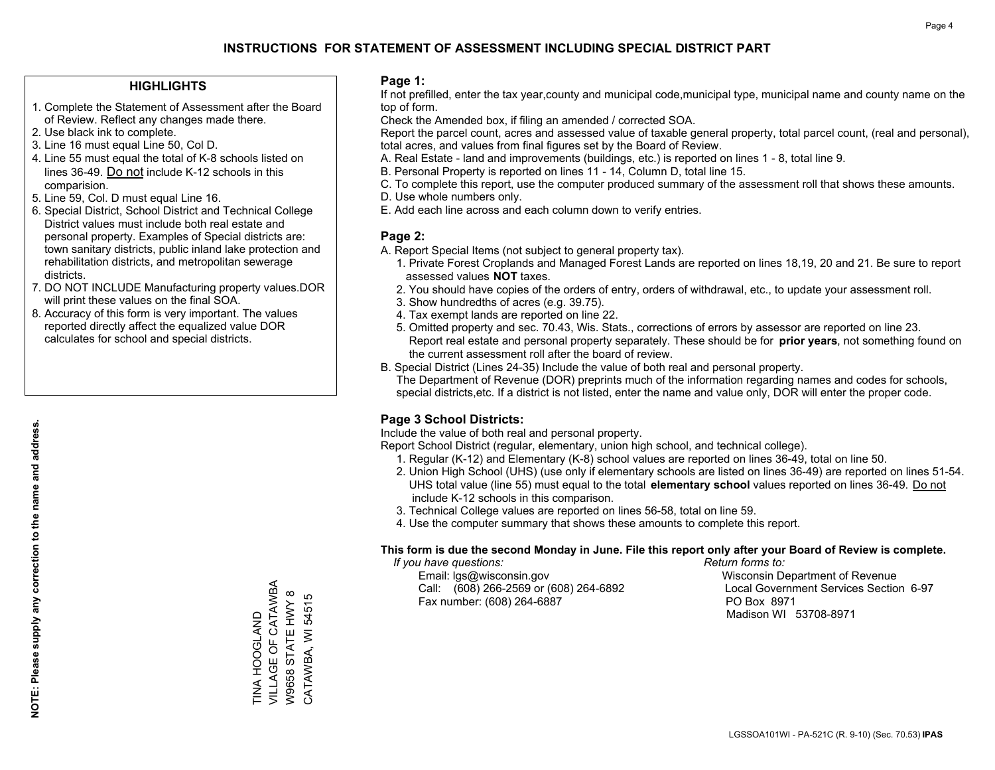#### **HIGHLIGHTS**

- 1. Complete the Statement of Assessment after the Board of Review. Reflect any changes made there.
- 2. Use black ink to complete.
- 3. Line 16 must equal Line 50, Col D.
- 4. Line 55 must equal the total of K-8 schools listed on lines 36-49. Do not include K-12 schools in this comparision.
- 5. Line 59, Col. D must equal Line 16.
- 6. Special District, School District and Technical College District values must include both real estate and personal property. Examples of Special districts are: town sanitary districts, public inland lake protection and rehabilitation districts, and metropolitan sewerage districts.
- 7. DO NOT INCLUDE Manufacturing property values.DOR will print these values on the final SOA.

TINA HOOGLAND VILLAGE OF CATAWBA W9658 STATE HWY 8 CATAWBA, WI 54515

**TINA HOOGLAND** 

VILLAGE OF CATAWBA W9658 STATE HWY 8 CATAWBA, WI 54515

 8. Accuracy of this form is very important. The values reported directly affect the equalized value DOR calculates for school and special districts.

#### **Page 1:**

 If not prefilled, enter the tax year,county and municipal code,municipal type, municipal name and county name on the top of form.

Check the Amended box, if filing an amended / corrected SOA.

 Report the parcel count, acres and assessed value of taxable general property, total parcel count, (real and personal), total acres, and values from final figures set by the Board of Review.

- A. Real Estate land and improvements (buildings, etc.) is reported on lines 1 8, total line 9.
- B. Personal Property is reported on lines 11 14, Column D, total line 15.
- C. To complete this report, use the computer produced summary of the assessment roll that shows these amounts.
- D. Use whole numbers only.
- E. Add each line across and each column down to verify entries.

### **Page 2:**

- A. Report Special Items (not subject to general property tax).
- 1. Private Forest Croplands and Managed Forest Lands are reported on lines 18,19, 20 and 21. Be sure to report assessed values **NOT** taxes.
- 2. You should have copies of the orders of entry, orders of withdrawal, etc., to update your assessment roll.
	- 3. Show hundredths of acres (e.g. 39.75).
- 4. Tax exempt lands are reported on line 22.
- 5. Omitted property and sec. 70.43, Wis. Stats., corrections of errors by assessor are reported on line 23. Report real estate and personal property separately. These should be for **prior years**, not something found on the current assessment roll after the board of review.
- B. Special District (Lines 24-35) Include the value of both real and personal property.

 The Department of Revenue (DOR) preprints much of the information regarding names and codes for schools, special districts,etc. If a district is not listed, enter the name and value only, DOR will enter the proper code.

## **Page 3 School Districts:**

Include the value of both real and personal property.

Report School District (regular, elementary, union high school, and technical college).

- 1. Regular (K-12) and Elementary (K-8) school values are reported on lines 36-49, total on line 50.
- 2. Union High School (UHS) (use only if elementary schools are listed on lines 36-49) are reported on lines 51-54. UHS total value (line 55) must equal to the total **elementary school** values reported on lines 36-49. Do notinclude K-12 schools in this comparison.
- 3. Technical College values are reported on lines 56-58, total on line 59.
- 4. Use the computer summary that shows these amounts to complete this report.

#### **This form is due the second Monday in June. File this report only after your Board of Review is complete.**

 *If you have questions: Return forms to:*

 Email: lgs@wisconsin.gov Wisconsin Department of RevenueCall:  $(608)$  266-2569 or  $(608)$  264-6892 Fax number: (608) 264-6887 PO Box 8971

Local Government Services Section 6-97 Madison WI 53708-8971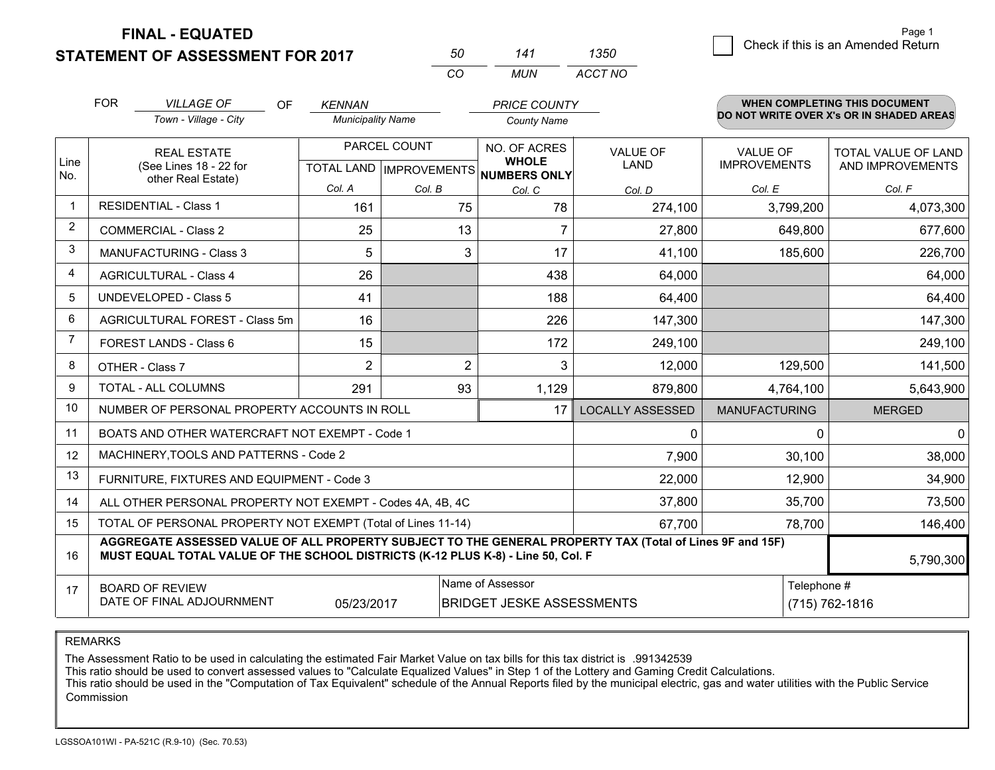**FINAL - EQUATED**

**STATEMENT OF ASSESSMENT FOR 2017** 

| 50  | 141 | 1350    |
|-----|-----|---------|
| CO. | MUN | ACCT NO |

|             | <b>FOR</b>                                                                                                                                                                                   | <b>VILLAGE OF</b><br><b>OF</b>                            | <b>KENNAN</b>                                    |                | <b>PRICE COUNTY</b>                          |                                |                                        | <b>WHEN COMPLETING THIS DOCUMENT</b>           |
|-------------|----------------------------------------------------------------------------------------------------------------------------------------------------------------------------------------------|-----------------------------------------------------------|--------------------------------------------------|----------------|----------------------------------------------|--------------------------------|----------------------------------------|------------------------------------------------|
|             |                                                                                                                                                                                              | Town - Village - City                                     | <b>Municipality Name</b>                         |                | <b>County Name</b>                           |                                |                                        | DO NOT WRITE OVER X's OR IN SHADED AREAS       |
| Line<br>No. |                                                                                                                                                                                              | <b>REAL ESTATE</b><br>(See Lines 18 - 22 for              | PARCEL COUNT<br><b>TOTAL LAND   IMPROVEMENTS</b> |                | NO. OF ACRES<br><b>WHOLE</b><br>NUMBERS ONLY | <b>VALUE OF</b><br><b>LAND</b> | <b>VALUE OF</b><br><b>IMPROVEMENTS</b> | <b>TOTAL VALUE OF LAND</b><br>AND IMPROVEMENTS |
|             |                                                                                                                                                                                              | other Real Estate)                                        | Col. A                                           | Col. B         | Col. C                                       | Col. D                         | Col. E                                 | Col. F                                         |
| $\mathbf 1$ |                                                                                                                                                                                              | <b>RESIDENTIAL - Class 1</b>                              | 161                                              | 75             | 78                                           | 274,100                        | 3,799,200                              | 4,073,300                                      |
| 2           |                                                                                                                                                                                              | <b>COMMERCIAL - Class 2</b>                               | 25                                               | 13             |                                              | 27,800                         | 649,800                                | 677,600                                        |
| 3           |                                                                                                                                                                                              | <b>MANUFACTURING - Class 3</b>                            | 5                                                | 3              | 17                                           | 41,100                         | 185,600                                | 226,700                                        |
| 4           |                                                                                                                                                                                              | <b>AGRICULTURAL - Class 4</b>                             | 26                                               |                | 438                                          | 64,000                         |                                        | 64,000                                         |
| 5           |                                                                                                                                                                                              | <b>UNDEVELOPED - Class 5</b>                              | 41                                               |                | 188                                          | 64,400                         |                                        | 64,400                                         |
| 6           |                                                                                                                                                                                              | AGRICULTURAL FOREST - Class 5m                            | 16                                               |                | 226                                          | 147,300                        |                                        | 147,300                                        |
| 7           |                                                                                                                                                                                              | FOREST LANDS - Class 6                                    | 15                                               |                | 172                                          | 249,100                        |                                        | 249,100                                        |
| 8           |                                                                                                                                                                                              | OTHER - Class 7                                           | $\overline{2}$                                   | $\overline{2}$ | 3                                            | 12,000                         | 129,500                                | 141,500                                        |
| 9           |                                                                                                                                                                                              | TOTAL - ALL COLUMNS                                       | 291                                              | 93             | 1,129                                        | 879,800                        | 4,764,100                              | 5,643,900                                      |
| 10          |                                                                                                                                                                                              | NUMBER OF PERSONAL PROPERTY ACCOUNTS IN ROLL              |                                                  |                | 17                                           | <b>LOCALLY ASSESSED</b>        | <b>MANUFACTURING</b>                   | <b>MERGED</b>                                  |
| 11          |                                                                                                                                                                                              | BOATS AND OTHER WATERCRAFT NOT EXEMPT - Code 1            |                                                  |                |                                              | $\Omega$                       | $\Omega$                               | 0                                              |
| 12          |                                                                                                                                                                                              | MACHINERY, TOOLS AND PATTERNS - Code 2                    |                                                  |                |                                              | 7,900                          | 30,100                                 | 38,000                                         |
| 13          |                                                                                                                                                                                              | FURNITURE, FIXTURES AND EQUIPMENT - Code 3                |                                                  |                |                                              | 22,000                         | 12,900                                 | 34,900                                         |
| 14          |                                                                                                                                                                                              | ALL OTHER PERSONAL PROPERTY NOT EXEMPT - Codes 4A, 4B, 4C |                                                  |                |                                              | 37,800                         | 35,700                                 | 73,500                                         |
| 15          | TOTAL OF PERSONAL PROPERTY NOT EXEMPT (Total of Lines 11-14)<br>67,700<br>78,700                                                                                                             |                                                           |                                                  |                |                                              |                                |                                        | 146,400                                        |
| 16          | AGGREGATE ASSESSED VALUE OF ALL PROPERTY SUBJECT TO THE GENERAL PROPERTY TAX (Total of Lines 9F and 15F)<br>MUST EQUAL TOTAL VALUE OF THE SCHOOL DISTRICTS (K-12 PLUS K-8) - Line 50, Col. F |                                                           |                                                  |                |                                              |                                |                                        | 5,790,300                                      |
| 17          |                                                                                                                                                                                              | <b>BOARD OF REVIEW</b>                                    |                                                  |                | Name of Assessor                             |                                | Telephone #                            |                                                |
|             |                                                                                                                                                                                              | DATE OF FINAL ADJOURNMENT                                 | 05/23/2017                                       |                | <b>BRIDGET JESKE ASSESSMENTS</b>             |                                |                                        | (715) 762-1816                                 |

REMARKS

The Assessment Ratio to be used in calculating the estimated Fair Market Value on tax bills for this tax district is .991342539<br>This ratio should be used to convert assessed values to "Calculate Equalized Values" in Step 1 Commission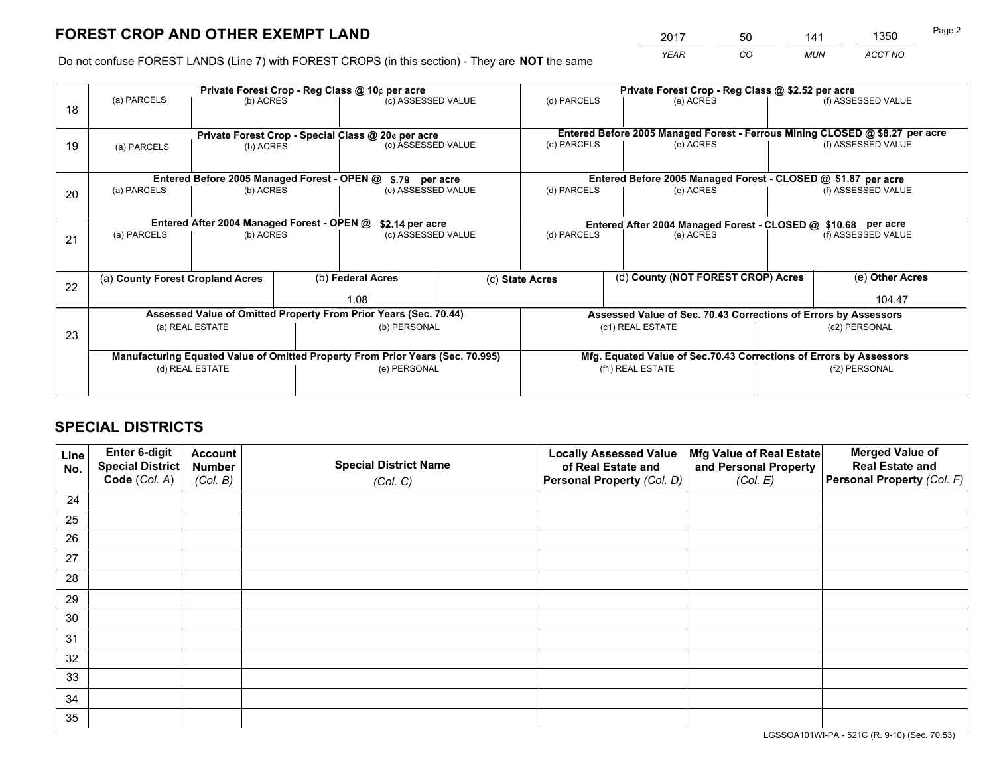*YEAR CO MUN ACCT NO* 2017 50 141 1350

Do not confuse FOREST LANDS (Line 7) with FOREST CROPS (in this section) - They are **NOT** the same

|    |                                                                                |                                             |  | Private Forest Crop - Reg Class @ 10¢ per acre                   |  | Private Forest Crop - Reg Class @ \$2.52 per acre             |                  |                                                                    |                                                                              |                    |
|----|--------------------------------------------------------------------------------|---------------------------------------------|--|------------------------------------------------------------------|--|---------------------------------------------------------------|------------------|--------------------------------------------------------------------|------------------------------------------------------------------------------|--------------------|
| 18 | (a) PARCELS                                                                    | (b) ACRES                                   |  | (c) ASSESSED VALUE                                               |  | (d) PARCELS                                                   |                  | (e) ACRES                                                          |                                                                              | (f) ASSESSED VALUE |
|    |                                                                                |                                             |  | Private Forest Crop - Special Class @ 20¢ per acre               |  |                                                               |                  |                                                                    | Entered Before 2005 Managed Forest - Ferrous Mining CLOSED @ \$8.27 per acre |                    |
| 19 | (a) PARCELS                                                                    | (b) ACRES                                   |  | (c) ASSESSED VALUE                                               |  | (d) PARCELS                                                   |                  | (e) ACRES                                                          |                                                                              | (f) ASSESSED VALUE |
|    |                                                                                |                                             |  |                                                                  |  |                                                               |                  |                                                                    |                                                                              |                    |
|    |                                                                                | Entered Before 2005 Managed Forest - OPEN @ |  | \$.79 per acre                                                   |  |                                                               |                  | Entered Before 2005 Managed Forest - CLOSED @ \$1.87 per acre      |                                                                              |                    |
| 20 | (a) PARCELS                                                                    | (b) ACRES                                   |  | (c) ASSESSED VALUE                                               |  | (d) PARCELS                                                   |                  | (e) ACRES                                                          |                                                                              | (f) ASSESSED VALUE |
|    | Entered After 2004 Managed Forest - OPEN @<br>\$2.14 per acre                  |                                             |  |                                                                  |  | Entered After 2004 Managed Forest - CLOSED @ \$10.68 per acre |                  |                                                                    |                                                                              |                    |
| 21 | (a) PARCELS                                                                    | (b) ACRES                                   |  | (c) ASSESSED VALUE                                               |  | (d) PARCELS<br>(e) ACRES                                      |                  |                                                                    | (f) ASSESSED VALUE                                                           |                    |
|    |                                                                                |                                             |  |                                                                  |  |                                                               |                  |                                                                    |                                                                              |                    |
|    | (a) County Forest Cropland Acres                                               |                                             |  | (b) Federal Acres                                                |  | (d) County (NOT FOREST CROP) Acres<br>(c) State Acres         |                  |                                                                    |                                                                              | (e) Other Acres    |
| 22 |                                                                                |                                             |  | 1.08                                                             |  |                                                               |                  |                                                                    |                                                                              | 104.47             |
|    |                                                                                |                                             |  | Assessed Value of Omitted Property From Prior Years (Sec. 70.44) |  |                                                               |                  | Assessed Value of Sec. 70.43 Corrections of Errors by Assessors    |                                                                              |                    |
| 23 |                                                                                | (a) REAL ESTATE                             |  | (b) PERSONAL                                                     |  |                                                               | (c1) REAL ESTATE |                                                                    | (c2) PERSONAL                                                                |                    |
|    |                                                                                |                                             |  |                                                                  |  |                                                               |                  |                                                                    |                                                                              |                    |
|    | Manufacturing Equated Value of Omitted Property From Prior Years (Sec. 70.995) |                                             |  |                                                                  |  |                                                               |                  | Mfg. Equated Value of Sec.70.43 Corrections of Errors by Assessors |                                                                              |                    |
|    |                                                                                | (d) REAL ESTATE                             |  | (e) PERSONAL                                                     |  |                                                               | (f1) REAL ESTATE |                                                                    | (f2) PERSONAL                                                                |                    |
|    |                                                                                |                                             |  |                                                                  |  |                                                               |                  |                                                                    |                                                                              |                    |

# **SPECIAL DISTRICTS**

| Line<br>No. | Enter 6-digit<br>Special District<br>Code (Col. A) | <b>Account</b><br><b>Number</b> | <b>Special District Name</b> | <b>Locally Assessed Value</b><br>of Real Estate and | Mfg Value of Real Estate<br>and Personal Property | <b>Merged Value of</b><br><b>Real Estate and</b><br>Personal Property (Col. F) |
|-------------|----------------------------------------------------|---------------------------------|------------------------------|-----------------------------------------------------|---------------------------------------------------|--------------------------------------------------------------------------------|
|             |                                                    | (Col. B)                        | (Col. C)                     | Personal Property (Col. D)                          | (Col. E)                                          |                                                                                |
| 24          |                                                    |                                 |                              |                                                     |                                                   |                                                                                |
| 25          |                                                    |                                 |                              |                                                     |                                                   |                                                                                |
| 26          |                                                    |                                 |                              |                                                     |                                                   |                                                                                |
| 27          |                                                    |                                 |                              |                                                     |                                                   |                                                                                |
| 28          |                                                    |                                 |                              |                                                     |                                                   |                                                                                |
| 29          |                                                    |                                 |                              |                                                     |                                                   |                                                                                |
| 30          |                                                    |                                 |                              |                                                     |                                                   |                                                                                |
| 31          |                                                    |                                 |                              |                                                     |                                                   |                                                                                |
| 32          |                                                    |                                 |                              |                                                     |                                                   |                                                                                |
| 33          |                                                    |                                 |                              |                                                     |                                                   |                                                                                |
| 34          |                                                    |                                 |                              |                                                     |                                                   |                                                                                |
| 35          |                                                    |                                 |                              |                                                     |                                                   |                                                                                |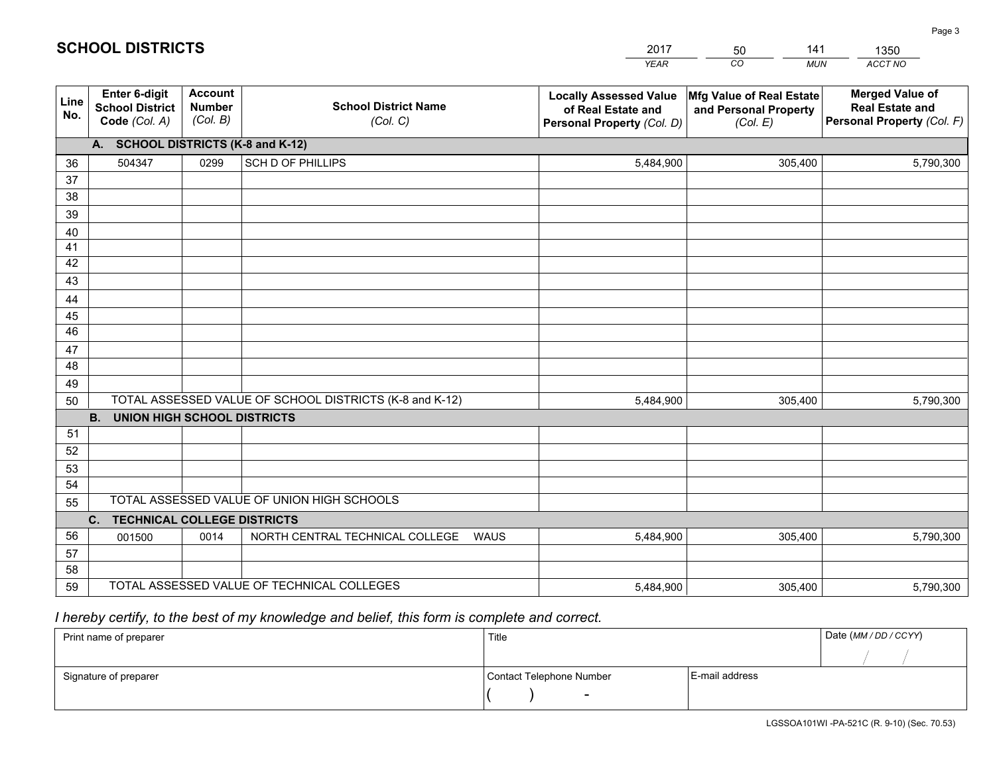|             |                                                                 |                                             |                                                         | <b>YEAR</b>                                                                       | CO<br><b>MUN</b>                                              | ACCT NO                                                                        |
|-------------|-----------------------------------------------------------------|---------------------------------------------|---------------------------------------------------------|-----------------------------------------------------------------------------------|---------------------------------------------------------------|--------------------------------------------------------------------------------|
| Line<br>No. | <b>Enter 6-digit</b><br><b>School District</b><br>Code (Col. A) | <b>Account</b><br><b>Number</b><br>(Col. B) | <b>School District Name</b><br>(Col. C)                 | <b>Locally Assessed Value</b><br>of Real Estate and<br>Personal Property (Col. D) | Mfg Value of Real Estate<br>and Personal Property<br>(Col. E) | <b>Merged Value of</b><br><b>Real Estate and</b><br>Personal Property (Col. F) |
|             | A. SCHOOL DISTRICTS (K-8 and K-12)                              |                                             |                                                         |                                                                                   |                                                               |                                                                                |
| 36          | 504347                                                          | 0299                                        | <b>SCH D OF PHILLIPS</b>                                | 5,484,900                                                                         | 305,400                                                       | 5,790,300                                                                      |
| 37          |                                                                 |                                             |                                                         |                                                                                   |                                                               |                                                                                |
| 38          |                                                                 |                                             |                                                         |                                                                                   |                                                               |                                                                                |
| 39          |                                                                 |                                             |                                                         |                                                                                   |                                                               |                                                                                |
| 40          |                                                                 |                                             |                                                         |                                                                                   |                                                               |                                                                                |
| 41<br>42    |                                                                 |                                             |                                                         |                                                                                   |                                                               |                                                                                |
| 43          |                                                                 |                                             |                                                         |                                                                                   |                                                               |                                                                                |
| 44          |                                                                 |                                             |                                                         |                                                                                   |                                                               |                                                                                |
| 45          |                                                                 |                                             |                                                         |                                                                                   |                                                               |                                                                                |
| 46          |                                                                 |                                             |                                                         |                                                                                   |                                                               |                                                                                |
| 47          |                                                                 |                                             |                                                         |                                                                                   |                                                               |                                                                                |
| 48          |                                                                 |                                             |                                                         |                                                                                   |                                                               |                                                                                |
| 49          |                                                                 |                                             |                                                         |                                                                                   |                                                               |                                                                                |
| 50          |                                                                 |                                             | TOTAL ASSESSED VALUE OF SCHOOL DISTRICTS (K-8 and K-12) | 5,484,900                                                                         | 305,400                                                       | 5,790,300                                                                      |
|             | <b>B. UNION HIGH SCHOOL DISTRICTS</b>                           |                                             |                                                         |                                                                                   |                                                               |                                                                                |
| 51<br>52    |                                                                 |                                             |                                                         |                                                                                   |                                                               |                                                                                |
| 53          |                                                                 |                                             |                                                         |                                                                                   |                                                               |                                                                                |
| 54          |                                                                 |                                             |                                                         |                                                                                   |                                                               |                                                                                |
| 55          |                                                                 |                                             | TOTAL ASSESSED VALUE OF UNION HIGH SCHOOLS              |                                                                                   |                                                               |                                                                                |
|             | C.<br><b>TECHNICAL COLLEGE DISTRICTS</b>                        |                                             |                                                         |                                                                                   |                                                               |                                                                                |
| 56          | 001500                                                          | 0014                                        | NORTH CENTRAL TECHNICAL COLLEGE<br><b>WAUS</b>          | 5,484,900                                                                         | 305,400                                                       | 5,790,300                                                                      |
| 57          |                                                                 |                                             |                                                         |                                                                                   |                                                               |                                                                                |
| 58          |                                                                 |                                             |                                                         |                                                                                   |                                                               |                                                                                |
| 59          |                                                                 |                                             | TOTAL ASSESSED VALUE OF TECHNICAL COLLEGES              | 5,484,900                                                                         | 305,400                                                       | 5,790,300                                                                      |

50

141

 *I hereby certify, to the best of my knowledge and belief, this form is complete and correct.*

**SCHOOL DISTRICTS**

| Print name of preparer | Title                    |                | Date (MM / DD / CCYY) |
|------------------------|--------------------------|----------------|-----------------------|
|                        |                          |                |                       |
| Signature of preparer  | Contact Telephone Number | E-mail address |                       |
|                        | $\sim$                   |                |                       |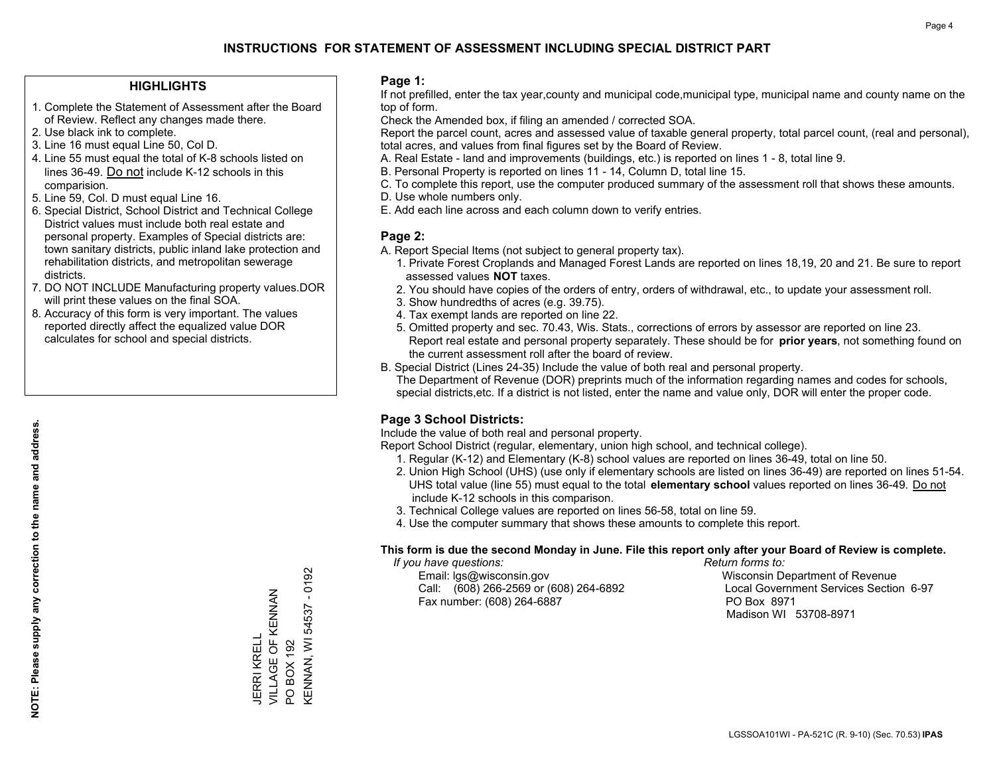## **HIGHLIGHTS**

- 1. Complete the Statement of Assessment after the Board of Review. Reflect any changes made there.
- 2. Use black ink to complete.
- 3. Line 16 must equal Line 50, Col D.
- 4. Line 55 must equal the total of K-8 schools listed on lines 36-49. Do not include K-12 schools in this comparision.
- 5. Line 59, Col. D must equal Line 16.
- 6. Special District, School District and Technical College District values must include both real estate and personal property. Examples of Special districts are: town sanitary districts, public inland lake protection and rehabilitation districts, and metropolitan sewerage districts.
- 7. DO NOT INCLUDE Manufacturing property values.DOR will print these values on the final SOA.
- 8. Accuracy of this form is very important. The values reported directly affect the equalized value DOR calculates for school and special districts.

### **Page 1:**

 If not prefilled, enter the tax year,county and municipal code,municipal type, municipal name and county name on the top of form.

Check the Amended box, if filing an amended / corrected SOA.

 Report the parcel count, acres and assessed value of taxable general property, total parcel count, (real and personal), total acres, and values from final figures set by the Board of Review.

- A. Real Estate land and improvements (buildings, etc.) is reported on lines 1 8, total line 9.
- B. Personal Property is reported on lines 11 14, Column D, total line 15.
- C. To complete this report, use the computer produced summary of the assessment roll that shows these amounts.
- D. Use whole numbers only.
- E. Add each line across and each column down to verify entries.

## **Page 2:**

- A. Report Special Items (not subject to general property tax).
- 1. Private Forest Croplands and Managed Forest Lands are reported on lines 18,19, 20 and 21. Be sure to report assessed values **NOT** taxes.
- 2. You should have copies of the orders of entry, orders of withdrawal, etc., to update your assessment roll.
	- 3. Show hundredths of acres (e.g. 39.75).
- 4. Tax exempt lands are reported on line 22.
- 5. Omitted property and sec. 70.43, Wis. Stats., corrections of errors by assessor are reported on line 23. Report real estate and personal property separately. These should be for **prior years**, not something found on the current assessment roll after the board of review.
- B. Special District (Lines 24-35) Include the value of both real and personal property.

 The Department of Revenue (DOR) preprints much of the information regarding names and codes for schools, special districts,etc. If a district is not listed, enter the name and value only, DOR will enter the proper code.

# **Page 3 School Districts:**

Include the value of both real and personal property.

Report School District (regular, elementary, union high school, and technical college).

- 1. Regular (K-12) and Elementary (K-8) school values are reported on lines 36-49, total on line 50.
- 2. Union High School (UHS) (use only if elementary schools are listed on lines 36-49) are reported on lines 51-54. UHS total value (line 55) must equal to the total **elementary school** values reported on lines 36-49. Do notinclude K-12 schools in this comparison.
- 3. Technical College values are reported on lines 56-58, total on line 59.
- 4. Use the computer summary that shows these amounts to complete this report.

#### **This form is due the second Monday in June. File this report only after your Board of Review is complete.**

 *If you have questions: Return forms to:*

 Email: lgs@wisconsin.gov Wisconsin Department of RevenueCall:  $(608)$  266-2569 or  $(608)$  264-6892 Fax number: (608) 264-6887 PO Box 8971

Local Government Services Section 6-97 Madison WI 53708-8971

 $-0192$ KENNAN, WI 54537 - 0192 VILLAGE OF KENNAN JERRI KRELL<br>VILLAGE OF KENNAN **KENNAN, WI 54537** JERRI KRELL BOX 192 PO BOX 192  $\overline{S}$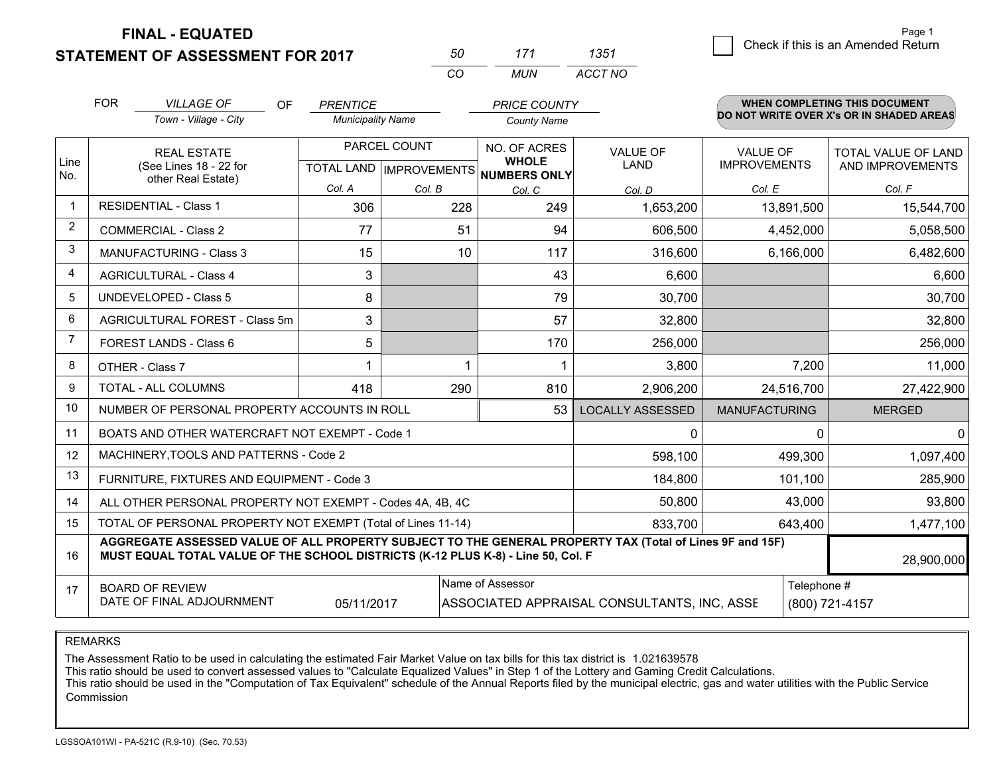**STATEMENT OF ASSESSMENT FOR 2017 FINAL - EQUATED**

| 50 | 171 | 1351    |
|----|-----|---------|
| CO | MUN | ACCT NO |

|                | <b>FOR</b>                                                                                                                                                                                   | <b>VILLAGE OF</b><br><b>OF</b>                               | <b>PRENTICE</b>          |               | <b>PRICE COUNTY</b>                 |                                             |                                        | <b>WHEN COMPLETING THIS DOCUMENT</b>           |
|----------------|----------------------------------------------------------------------------------------------------------------------------------------------------------------------------------------------|--------------------------------------------------------------|--------------------------|---------------|-------------------------------------|---------------------------------------------|----------------------------------------|------------------------------------------------|
|                |                                                                                                                                                                                              | Town - Village - City                                        | <b>Municipality Name</b> |               | <b>County Name</b>                  |                                             |                                        | DO NOT WRITE OVER X's OR IN SHADED AREAS       |
| Line           | <b>REAL ESTATE</b><br>(See Lines 18 - 22 for<br>other Real Estate)                                                                                                                           |                                                              | PARCEL COUNT             |               | NO. OF ACRES<br><b>WHOLE</b>        | <b>VALUE OF</b><br><b>LAND</b>              | <b>VALUE OF</b><br><b>IMPROVEMENTS</b> | <b>TOTAL VALUE OF LAND</b><br>AND IMPROVEMENTS |
| No.            |                                                                                                                                                                                              |                                                              |                          |               | TOTAL LAND MPROVEMENTS NUMBERS ONLY |                                             |                                        |                                                |
| $\mathbf{1}$   |                                                                                                                                                                                              | <b>RESIDENTIAL - Class 1</b>                                 | Col. A<br>306            | Col. B<br>228 | Col. C<br>249                       | Col. D<br>1,653,200                         | Col. E<br>13,891,500                   | Col. F<br>15,544,700                           |
| $\overline{2}$ |                                                                                                                                                                                              | <b>COMMERCIAL - Class 2</b>                                  | 77                       | 51            | 94                                  |                                             |                                        |                                                |
| 3              |                                                                                                                                                                                              |                                                              |                          |               |                                     | 606,500                                     | 4,452,000                              | 5,058,500                                      |
|                |                                                                                                                                                                                              | <b>MANUFACTURING - Class 3</b>                               | 15                       | 10            | 117                                 | 316,600                                     | 6,166,000                              | 6,482,600                                      |
| 4              |                                                                                                                                                                                              | <b>AGRICULTURAL - Class 4</b>                                | 3                        |               | 43                                  | 6,600                                       |                                        | 6,600                                          |
| 5              |                                                                                                                                                                                              | <b>UNDEVELOPED - Class 5</b>                                 | 8                        |               | 79                                  | 30,700                                      |                                        | 30,700                                         |
| 6              |                                                                                                                                                                                              | AGRICULTURAL FOREST - Class 5m                               | 3                        |               | 57                                  | 32,800                                      |                                        | 32,800                                         |
| 7              |                                                                                                                                                                                              | FOREST LANDS - Class 6                                       | 5                        |               | 170                                 | 256,000                                     |                                        | 256,000                                        |
| 8              |                                                                                                                                                                                              | OTHER - Class 7                                              |                          |               |                                     | 3,800                                       |                                        | 11,000<br>7,200                                |
| 9              |                                                                                                                                                                                              | TOTAL - ALL COLUMNS                                          | 418                      | 290           | 810                                 | 2,906,200                                   | 24,516,700                             | 27,422,900                                     |
| 10             |                                                                                                                                                                                              | NUMBER OF PERSONAL PROPERTY ACCOUNTS IN ROLL                 |                          |               | 53                                  | <b>LOCALLY ASSESSED</b>                     | <b>MANUFACTURING</b>                   | <b>MERGED</b>                                  |
| 11             |                                                                                                                                                                                              | BOATS AND OTHER WATERCRAFT NOT EXEMPT - Code 1               |                          |               |                                     | 0                                           |                                        | $\mathbf 0$<br>0                               |
| 12             |                                                                                                                                                                                              | MACHINERY, TOOLS AND PATTERNS - Code 2                       |                          |               |                                     | 598,100                                     | 499,300                                | 1,097,400                                      |
| 13             |                                                                                                                                                                                              | FURNITURE, FIXTURES AND EQUIPMENT - Code 3                   |                          |               |                                     | 184,800                                     | 101,100                                | 285,900                                        |
| 14             |                                                                                                                                                                                              | ALL OTHER PERSONAL PROPERTY NOT EXEMPT - Codes 4A, 4B, 4C    |                          |               |                                     | 50,800                                      | 43,000                                 | 93,800                                         |
| 15             |                                                                                                                                                                                              | TOTAL OF PERSONAL PROPERTY NOT EXEMPT (Total of Lines 11-14) |                          |               |                                     | 833,700                                     | 643,400                                | 1,477,100                                      |
| 16             | AGGREGATE ASSESSED VALUE OF ALL PROPERTY SUBJECT TO THE GENERAL PROPERTY TAX (Total of Lines 9F and 15F)<br>MUST EQUAL TOTAL VALUE OF THE SCHOOL DISTRICTS (K-12 PLUS K-8) - Line 50, Col. F |                                                              |                          |               |                                     |                                             |                                        | 28,900,000                                     |
| 17             |                                                                                                                                                                                              | <b>BOARD OF REVIEW</b>                                       |                          |               | Name of Assessor                    |                                             |                                        | Telephone #                                    |
|                |                                                                                                                                                                                              | DATE OF FINAL ADJOURNMENT                                    | 05/11/2017               |               |                                     | ASSOCIATED APPRAISAL CONSULTANTS, INC. ASSE |                                        | (800) 721-4157                                 |

REMARKS

The Assessment Ratio to be used in calculating the estimated Fair Market Value on tax bills for this tax district is 1.021639578

This ratio should be used to convert assessed values to "Calculate Equalized Values" in Step 1 of the Lottery and Gaming Credit Calculations.<br>This ratio should be used in the "Computation of Tax Equivalent" schedule of the Commission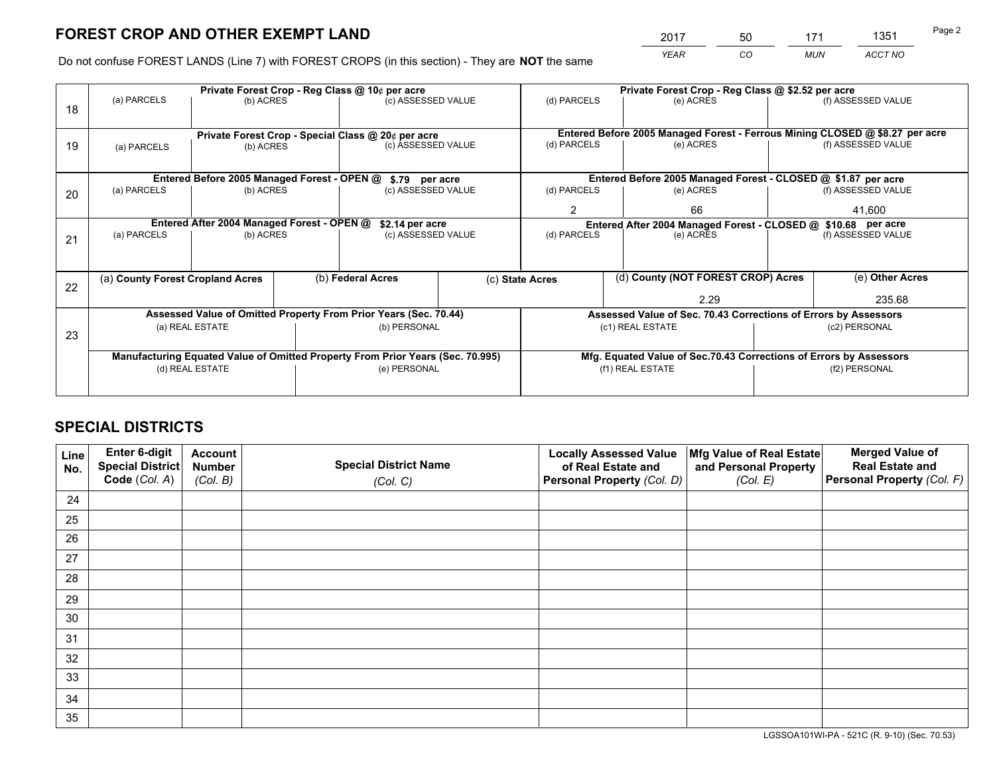*YEAR CO MUN ACCT NO* 2017 50 171 1351 50

Do not confuse FOREST LANDS (Line 7) with FOREST CROPS (in this section) - They are **NOT** the same

|    |                                                               |                                             |  | Private Forest Crop - Reg Class @ 10¢ per acre                                 |  |                                                               | Private Forest Crop - Reg Class @ \$2.52 per acre                  |  |                    |                                                                              |  |
|----|---------------------------------------------------------------|---------------------------------------------|--|--------------------------------------------------------------------------------|--|---------------------------------------------------------------|--------------------------------------------------------------------|--|--------------------|------------------------------------------------------------------------------|--|
| 18 | (a) PARCELS                                                   | (b) ACRES                                   |  | (c) ASSESSED VALUE                                                             |  | (d) PARCELS                                                   | (e) ACRES                                                          |  |                    | (f) ASSESSED VALUE                                                           |  |
|    |                                                               |                                             |  |                                                                                |  |                                                               |                                                                    |  |                    | Entered Before 2005 Managed Forest - Ferrous Mining CLOSED @ \$8.27 per acre |  |
| 19 | (a) PARCELS                                                   | (b) ACRES                                   |  | Private Forest Crop - Special Class @ 20¢ per acre<br>(c) ASSESSED VALUE       |  | (d) PARCELS                                                   | (e) ACRES                                                          |  |                    | (f) ASSESSED VALUE                                                           |  |
|    |                                                               |                                             |  |                                                                                |  |                                                               |                                                                    |  |                    |                                                                              |  |
|    |                                                               | Entered Before 2005 Managed Forest - OPEN @ |  | \$.79 per acre                                                                 |  |                                                               | Entered Before 2005 Managed Forest - CLOSED @ \$1.87 per acre      |  |                    |                                                                              |  |
| 20 | (a) PARCELS                                                   | (b) ACRES                                   |  | (c) ASSESSED VALUE                                                             |  | (d) PARCELS                                                   | (e) ACRES                                                          |  |                    | (f) ASSESSED VALUE                                                           |  |
|    |                                                               |                                             |  |                                                                                |  | 2                                                             | 66                                                                 |  |                    | 41,600                                                                       |  |
|    | Entered After 2004 Managed Forest - OPEN @<br>\$2.14 per acre |                                             |  |                                                                                |  | Entered After 2004 Managed Forest - CLOSED @ \$10.68 per acre |                                                                    |  |                    |                                                                              |  |
| 21 | (a) PARCELS                                                   | (b) ACRES                                   |  | (c) ASSESSED VALUE                                                             |  | (d) PARCELS<br>(e) ACRES                                      |                                                                    |  | (f) ASSESSED VALUE |                                                                              |  |
|    |                                                               |                                             |  |                                                                                |  |                                                               |                                                                    |  |                    |                                                                              |  |
| 22 | (a) County Forest Cropland Acres                              |                                             |  | (b) Federal Acres                                                              |  | (d) County (NOT FOREST CROP) Acres<br>(c) State Acres         |                                                                    |  |                    | (e) Other Acres                                                              |  |
|    |                                                               |                                             |  |                                                                                |  |                                                               | 2.29                                                               |  |                    | 235.68                                                                       |  |
|    |                                                               |                                             |  | Assessed Value of Omitted Property From Prior Years (Sec. 70.44)               |  |                                                               | Assessed Value of Sec. 70.43 Corrections of Errors by Assessors    |  |                    |                                                                              |  |
|    |                                                               | (a) REAL ESTATE                             |  | (b) PERSONAL                                                                   |  |                                                               | (c1) REAL ESTATE                                                   |  |                    | (c2) PERSONAL                                                                |  |
| 23 |                                                               |                                             |  |                                                                                |  |                                                               |                                                                    |  |                    |                                                                              |  |
|    |                                                               |                                             |  | Manufacturing Equated Value of Omitted Property From Prior Years (Sec. 70.995) |  |                                                               | Mfg. Equated Value of Sec.70.43 Corrections of Errors by Assessors |  |                    |                                                                              |  |
|    |                                                               | (d) REAL ESTATE                             |  | (e) PERSONAL                                                                   |  | (f1) REAL ESTATE                                              |                                                                    |  | (f2) PERSONAL      |                                                                              |  |
|    |                                                               |                                             |  |                                                                                |  |                                                               |                                                                    |  |                    |                                                                              |  |

# **SPECIAL DISTRICTS**

| Line<br>No. | Enter 6-digit<br><b>Special District</b> | <b>Account</b><br><b>Number</b> | <b>Special District Name</b> | <b>Locally Assessed Value</b><br>of Real Estate and | Mfg Value of Real Estate<br>and Personal Property | <b>Merged Value of</b><br><b>Real Estate and</b> |
|-------------|------------------------------------------|---------------------------------|------------------------------|-----------------------------------------------------|---------------------------------------------------|--------------------------------------------------|
|             | Code (Col. A)                            | (Col. B)                        | (Col. C)                     | Personal Property (Col. D)                          | (Col. E)                                          | Personal Property (Col. F)                       |
| 24          |                                          |                                 |                              |                                                     |                                                   |                                                  |
| 25          |                                          |                                 |                              |                                                     |                                                   |                                                  |
| 26          |                                          |                                 |                              |                                                     |                                                   |                                                  |
| 27          |                                          |                                 |                              |                                                     |                                                   |                                                  |
| 28          |                                          |                                 |                              |                                                     |                                                   |                                                  |
| 29          |                                          |                                 |                              |                                                     |                                                   |                                                  |
| 30          |                                          |                                 |                              |                                                     |                                                   |                                                  |
| 31          |                                          |                                 |                              |                                                     |                                                   |                                                  |
| 32          |                                          |                                 |                              |                                                     |                                                   |                                                  |
| 33          |                                          |                                 |                              |                                                     |                                                   |                                                  |
| 34          |                                          |                                 |                              |                                                     |                                                   |                                                  |
| 35          |                                          |                                 |                              |                                                     |                                                   |                                                  |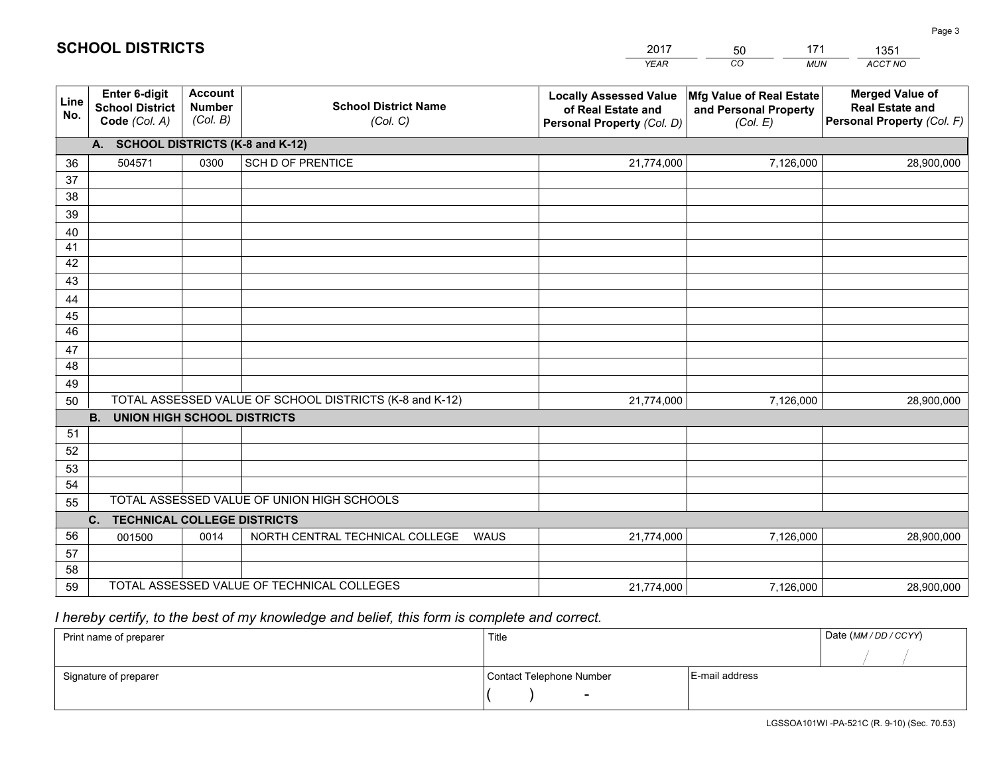|             |                                                          |                                             |                                                         | YEAR                                                                              | CO.<br><b>MUN</b>                                             | ACCT NO                                                                        |
|-------------|----------------------------------------------------------|---------------------------------------------|---------------------------------------------------------|-----------------------------------------------------------------------------------|---------------------------------------------------------------|--------------------------------------------------------------------------------|
| Line<br>No. | Enter 6-digit<br><b>School District</b><br>Code (Col. A) | <b>Account</b><br><b>Number</b><br>(Col. B) | <b>School District Name</b><br>(Col. C)                 | <b>Locally Assessed Value</b><br>of Real Estate and<br>Personal Property (Col. D) | Mfg Value of Real Estate<br>and Personal Property<br>(Col. E) | <b>Merged Value of</b><br><b>Real Estate and</b><br>Personal Property (Col. F) |
|             | A. SCHOOL DISTRICTS (K-8 and K-12)                       |                                             |                                                         |                                                                                   |                                                               |                                                                                |
| 36          | 504571                                                   | 0300                                        | <b>SCH D OF PRENTICE</b>                                | 21,774,000                                                                        | 7,126,000                                                     | 28,900,000                                                                     |
| 37          |                                                          |                                             |                                                         |                                                                                   |                                                               |                                                                                |
| 38          |                                                          |                                             |                                                         |                                                                                   |                                                               |                                                                                |
| 39          |                                                          |                                             |                                                         |                                                                                   |                                                               |                                                                                |
| 40          |                                                          |                                             |                                                         |                                                                                   |                                                               |                                                                                |
| 41<br>42    |                                                          |                                             |                                                         |                                                                                   |                                                               |                                                                                |
| 43          |                                                          |                                             |                                                         |                                                                                   |                                                               |                                                                                |
| 44          |                                                          |                                             |                                                         |                                                                                   |                                                               |                                                                                |
| 45          |                                                          |                                             |                                                         |                                                                                   |                                                               |                                                                                |
| 46          |                                                          |                                             |                                                         |                                                                                   |                                                               |                                                                                |
| 47          |                                                          |                                             |                                                         |                                                                                   |                                                               |                                                                                |
| 48          |                                                          |                                             |                                                         |                                                                                   |                                                               |                                                                                |
| 49          |                                                          |                                             |                                                         |                                                                                   |                                                               |                                                                                |
| 50          |                                                          |                                             | TOTAL ASSESSED VALUE OF SCHOOL DISTRICTS (K-8 and K-12) | 21,774,000                                                                        | 7,126,000                                                     | 28,900,000                                                                     |
|             | <b>B. UNION HIGH SCHOOL DISTRICTS</b>                    |                                             |                                                         |                                                                                   |                                                               |                                                                                |
| 51          |                                                          |                                             |                                                         |                                                                                   |                                                               |                                                                                |
| 52          |                                                          |                                             |                                                         |                                                                                   |                                                               |                                                                                |
| 53<br>54    |                                                          |                                             |                                                         |                                                                                   |                                                               |                                                                                |
| 55          |                                                          |                                             | TOTAL ASSESSED VALUE OF UNION HIGH SCHOOLS              |                                                                                   |                                                               |                                                                                |
|             | $C_{1}$<br><b>TECHNICAL COLLEGE DISTRICTS</b>            |                                             |                                                         |                                                                                   |                                                               |                                                                                |
| 56          | 001500                                                   | 0014                                        | NORTH CENTRAL TECHNICAL COLLEGE<br><b>WAUS</b>          | 21,774,000                                                                        | 7,126,000                                                     | 28,900,000                                                                     |
| 57          |                                                          |                                             |                                                         |                                                                                   |                                                               |                                                                                |
| 58          |                                                          |                                             |                                                         |                                                                                   |                                                               |                                                                                |
| 59          |                                                          |                                             | TOTAL ASSESSED VALUE OF TECHNICAL COLLEGES              | 21,774,000                                                                        | 7,126,000                                                     | 28,900,000                                                                     |

50

171

 *I hereby certify, to the best of my knowledge and belief, this form is complete and correct.*

**SCHOOL DISTRICTS**

| Print name of preparer | Title                    |                | Date (MM / DD / CCYY) |
|------------------------|--------------------------|----------------|-----------------------|
|                        |                          |                |                       |
| Signature of preparer  | Contact Telephone Number | E-mail address |                       |
|                        | $\overline{\phantom{0}}$ |                |                       |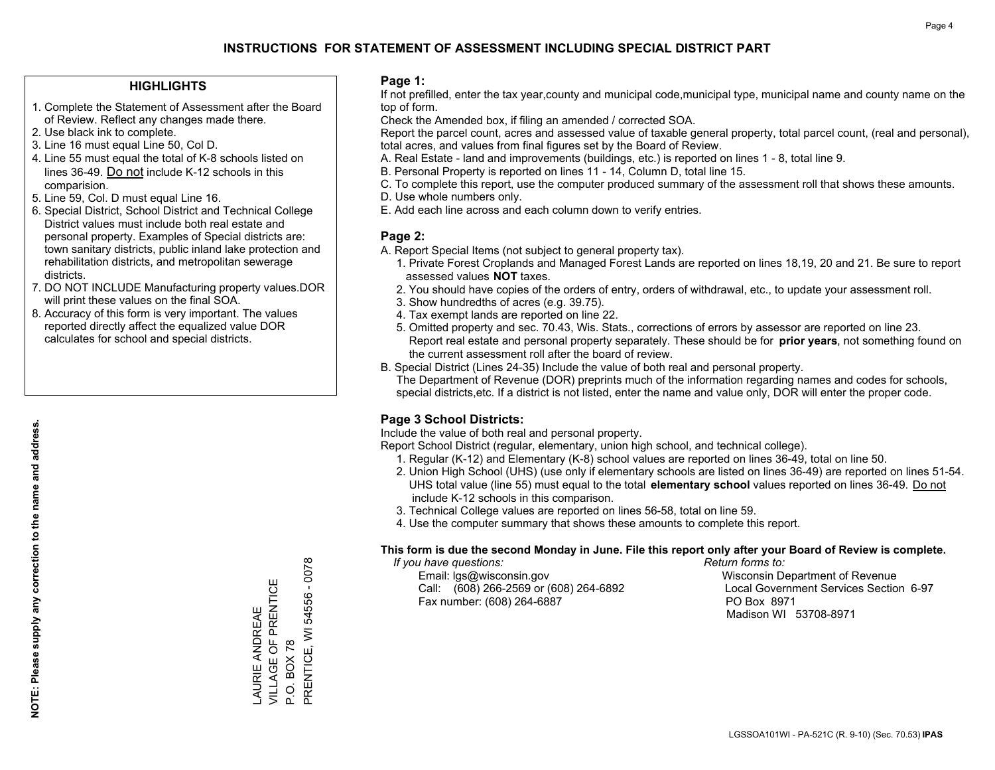## **HIGHLIGHTS**

- 1. Complete the Statement of Assessment after the Board of Review. Reflect any changes made there.
- 2. Use black ink to complete.
- 3. Line 16 must equal Line 50, Col D.
- 4. Line 55 must equal the total of K-8 schools listed on lines 36-49. Do not include K-12 schools in this comparision.
- 5. Line 59, Col. D must equal Line 16.
- 6. Special District, School District and Technical College District values must include both real estate and personal property. Examples of Special districts are: town sanitary districts, public inland lake protection and rehabilitation districts, and metropolitan sewerage districts.
- 7. DO NOT INCLUDE Manufacturing property values.DOR will print these values on the final SOA.
- 8. Accuracy of this form is very important. The values reported directly affect the equalized value DOR calculates for school and special districts.

### **Page 1:**

 If not prefilled, enter the tax year,county and municipal code,municipal type, municipal name and county name on the top of form.

Check the Amended box, if filing an amended / corrected SOA.

 Report the parcel count, acres and assessed value of taxable general property, total parcel count, (real and personal), total acres, and values from final figures set by the Board of Review.

- A. Real Estate land and improvements (buildings, etc.) is reported on lines 1 8, total line 9.
- B. Personal Property is reported on lines 11 14, Column D, total line 15.
- C. To complete this report, use the computer produced summary of the assessment roll that shows these amounts.
- D. Use whole numbers only.
- E. Add each line across and each column down to verify entries.

## **Page 2:**

- A. Report Special Items (not subject to general property tax).
- 1. Private Forest Croplands and Managed Forest Lands are reported on lines 18,19, 20 and 21. Be sure to report assessed values **NOT** taxes.
- 2. You should have copies of the orders of entry, orders of withdrawal, etc., to update your assessment roll.
	- 3. Show hundredths of acres (e.g. 39.75).
- 4. Tax exempt lands are reported on line 22.
- 5. Omitted property and sec. 70.43, Wis. Stats., corrections of errors by assessor are reported on line 23. Report real estate and personal property separately. These should be for **prior years**, not something found on the current assessment roll after the board of review.
- B. Special District (Lines 24-35) Include the value of both real and personal property.

 The Department of Revenue (DOR) preprints much of the information regarding names and codes for schools, special districts,etc. If a district is not listed, enter the name and value only, DOR will enter the proper code.

# **Page 3 School Districts:**

Include the value of both real and personal property.

Report School District (regular, elementary, union high school, and technical college).

- 1. Regular (K-12) and Elementary (K-8) school values are reported on lines 36-49, total on line 50.
- 2. Union High School (UHS) (use only if elementary schools are listed on lines 36-49) are reported on lines 51-54. UHS total value (line 55) must equal to the total **elementary school** values reported on lines 36-49. Do notinclude K-12 schools in this comparison.
- 3. Technical College values are reported on lines 56-58, total on line 59.
- 4. Use the computer summary that shows these amounts to complete this report.

#### **This form is due the second Monday in June. File this report only after your Board of Review is complete.**

 *If you have questions: Return forms to:*

 Email: lgs@wisconsin.gov Wisconsin Department of RevenueCall:  $(608)$  266-2569 or  $(608)$  264-6892 Fax number: (608) 264-6887 PO Box 8971

Local Government Services Section 6-97 Madison WI 53708-8971

LAURIE ANDREAE VILLAGE OF PRENTICE

LAURIE ANDREAE<br>VILLAGE OF PRENTICE

P.O. BOX 78

P.O. BOX 78

PRENTICE, WI 54556 - 0078

PRENTICE, WI 54556

0078

T,

# **NOTE: Please supply any correction to the name and address.** NOTE: Please supply any correction to the name and address.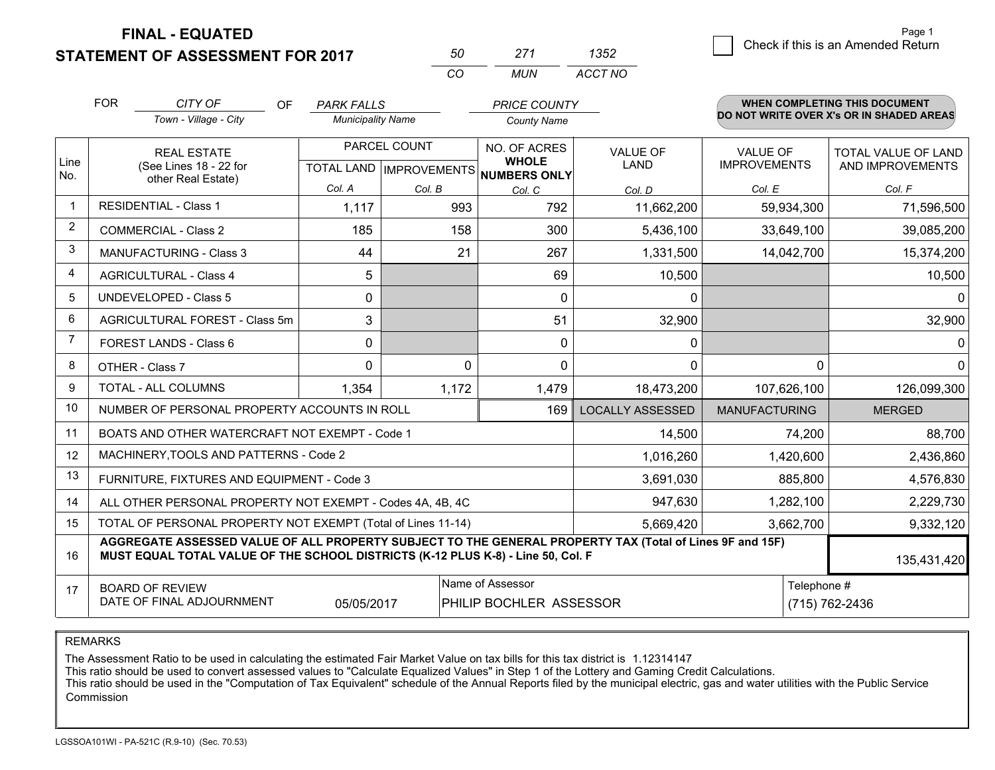**FINAL - EQUATED**

**STATEMENT OF ASSESSMENT FOR 2017** 

| 50  | 271  | 1352    |
|-----|------|---------|
| ΓO. | MUN. | ACCT NO |

|                | <b>FOR</b>                                                                           | CITY OF<br>OF                                                                                                                                                                                | <b>PARK FALLS</b>        |              | <b>PRICE COUNTY</b>                                  |                         |                      | <b>WHEN COMPLETING THIS DOCUMENT</b>     |
|----------------|--------------------------------------------------------------------------------------|----------------------------------------------------------------------------------------------------------------------------------------------------------------------------------------------|--------------------------|--------------|------------------------------------------------------|-------------------------|----------------------|------------------------------------------|
|                |                                                                                      | Town - Village - City                                                                                                                                                                        | <b>Municipality Name</b> |              | <b>County Name</b>                                   |                         |                      | DO NOT WRITE OVER X's OR IN SHADED AREAS |
|                |                                                                                      | <b>REAL ESTATE</b>                                                                                                                                                                           |                          | PARCEL COUNT | NO. OF ACRES                                         | <b>VALUE OF</b>         | <b>VALUE OF</b>      | <b>TOTAL VALUE OF LAND</b>               |
| Line<br>No.    |                                                                                      | (See Lines 18 - 22 for<br>other Real Estate)                                                                                                                                                 |                          |              | <b>WHOLE</b><br>TOTAL LAND IMPROVEMENTS NUMBERS ONLY | <b>LAND</b>             | <b>IMPROVEMENTS</b>  | AND IMPROVEMENTS                         |
|                |                                                                                      |                                                                                                                                                                                              | Col. A                   | Col. B       | Col. C                                               | Col. D                  | Col. E               | Col. F                                   |
| $\mathbf 1$    |                                                                                      | <b>RESIDENTIAL - Class 1</b>                                                                                                                                                                 | 1,117                    | 993          | 792                                                  | 11,662,200              | 59,934,300           | 71,596,500                               |
| $\overline{2}$ |                                                                                      | <b>COMMERCIAL - Class 2</b>                                                                                                                                                                  | 185                      | 158          | 300                                                  | 5,436,100               | 33,649,100           | 39,085,200                               |
| 3              |                                                                                      | <b>MANUFACTURING - Class 3</b>                                                                                                                                                               | 44                       | 21           | 267                                                  | 1,331,500               | 14,042,700           | 15,374,200                               |
| 4              |                                                                                      | <b>AGRICULTURAL - Class 4</b>                                                                                                                                                                | 5                        |              | 69                                                   | 10,500                  |                      | 10,500                                   |
| 5              |                                                                                      | <b>UNDEVELOPED - Class 5</b>                                                                                                                                                                 | 0                        |              | $\Omega$                                             | $\mathbf{0}$            |                      | $\mathbf{0}$                             |
| 6              |                                                                                      | AGRICULTURAL FOREST - Class 5m                                                                                                                                                               | 3                        |              | 51                                                   | 32,900                  |                      | 32,900                                   |
| 7              |                                                                                      | FOREST LANDS - Class 6                                                                                                                                                                       | 0                        |              | 0                                                    | 0                       |                      | 0                                        |
| 8              |                                                                                      | OTHER - Class 7                                                                                                                                                                              | $\Omega$                 | $\Omega$     | $\Omega$                                             | $\Omega$                | $\Omega$             | $\mathbf{0}$                             |
| 9              |                                                                                      | TOTAL - ALL COLUMNS                                                                                                                                                                          | 1,354                    | 1,172        | 1,479                                                | 18,473,200              | 107,626,100          | 126,099,300                              |
| 10             |                                                                                      | NUMBER OF PERSONAL PROPERTY ACCOUNTS IN ROLL                                                                                                                                                 |                          |              | 169                                                  | <b>LOCALLY ASSESSED</b> | <b>MANUFACTURING</b> | <b>MERGED</b>                            |
| 11             |                                                                                      | BOATS AND OTHER WATERCRAFT NOT EXEMPT - Code 1                                                                                                                                               |                          |              |                                                      | 14,500                  | 74,200               | 88,700                                   |
| 12             |                                                                                      | MACHINERY, TOOLS AND PATTERNS - Code 2                                                                                                                                                       |                          |              |                                                      | 1,016,260               | 1,420,600            | 2,436,860                                |
| 13             |                                                                                      | FURNITURE, FIXTURES AND EQUIPMENT - Code 3                                                                                                                                                   |                          |              |                                                      | 3,691,030               | 885,800              | 4,576,830                                |
| 14             |                                                                                      | ALL OTHER PERSONAL PROPERTY NOT EXEMPT - Codes 4A, 4B, 4C                                                                                                                                    |                          |              |                                                      | 947,630                 | 1,282,100            | 2,229,730                                |
| 15             | TOTAL OF PERSONAL PROPERTY NOT EXEMPT (Total of Lines 11-14)<br>5,669,420            |                                                                                                                                                                                              |                          |              |                                                      |                         | 3,662,700            | 9,332,120                                |
| 16             |                                                                                      | AGGREGATE ASSESSED VALUE OF ALL PROPERTY SUBJECT TO THE GENERAL PROPERTY TAX (Total of Lines 9F and 15F)<br>MUST EQUAL TOTAL VALUE OF THE SCHOOL DISTRICTS (K-12 PLUS K-8) - Line 50, Col. F |                          |              |                                                      |                         |                      | 135,431,420                              |
| 17             |                                                                                      | <b>BOARD OF REVIEW</b>                                                                                                                                                                       |                          |              | Name of Assessor                                     |                         | Telephone #          |                                          |
|                | DATE OF FINAL ADJOURNMENT<br>(715) 762-2436<br>05/05/2017<br>PHILIP BOCHLER ASSESSOR |                                                                                                                                                                                              |                          |              |                                                      |                         |                      |                                          |

REMARKS

The Assessment Ratio to be used in calculating the estimated Fair Market Value on tax bills for this tax district is 1.12314147<br>This ratio should be used to convert assessed values to "Calculate Equalized Values" in Step 1 Commission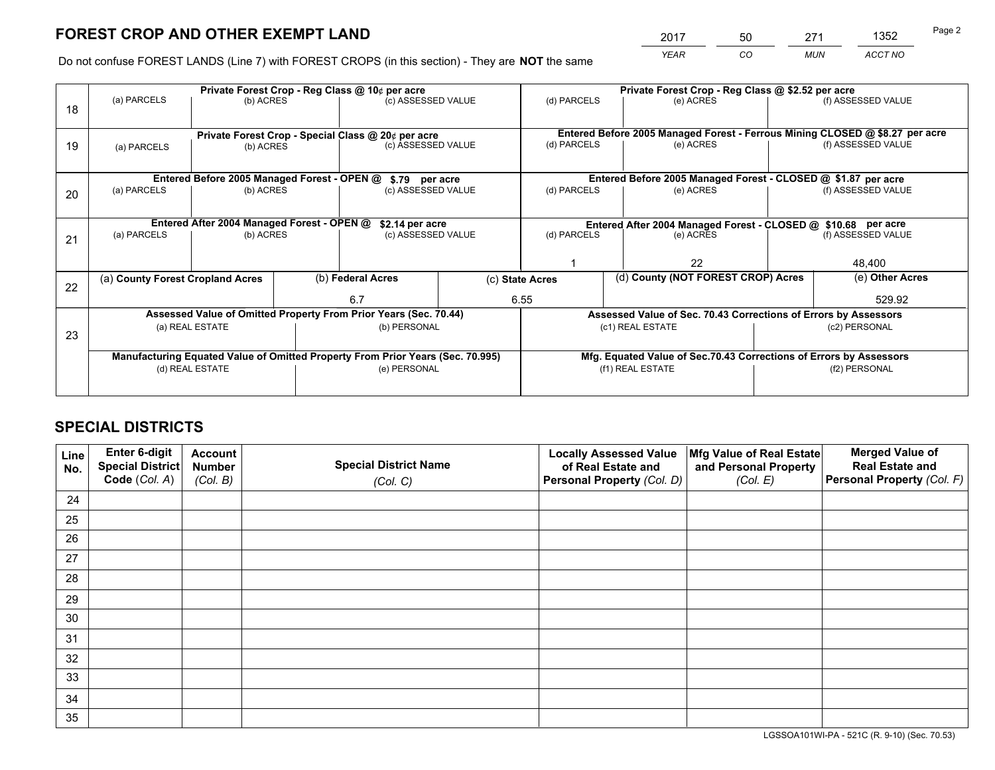*YEAR CO MUN ACCT NO* 2017 50 271 1352

Do not confuse FOREST LANDS (Line 7) with FOREST CROPS (in this section) - They are **NOT** the same

|    | Private Forest Crop - Reg Class @ 10¢ per acre                                 |                                             |  |                                                                  |  |                                                                              | Private Forest Crop - Reg Class @ \$2.52 per acre               |        |                    |  |
|----|--------------------------------------------------------------------------------|---------------------------------------------|--|------------------------------------------------------------------|--|------------------------------------------------------------------------------|-----------------------------------------------------------------|--------|--------------------|--|
| 18 | (a) PARCELS                                                                    | (b) ACRES                                   |  | (c) ASSESSED VALUE                                               |  | (d) PARCELS                                                                  | (e) ACRES                                                       |        | (f) ASSESSED VALUE |  |
|    | Private Forest Crop - Special Class @ 20¢ per acre                             |                                             |  |                                                                  |  | Entered Before 2005 Managed Forest - Ferrous Mining CLOSED @ \$8.27 per acre |                                                                 |        |                    |  |
| 19 | (b) ACRES<br>(a) PARCELS                                                       |                                             |  | (c) ASSESSED VALUE                                               |  | (d) PARCELS                                                                  | (e) ACRES                                                       |        | (f) ASSESSED VALUE |  |
|    |                                                                                | Entered Before 2005 Managed Forest - OPEN @ |  | \$.79 per acre                                                   |  |                                                                              | Entered Before 2005 Managed Forest - CLOSED @ \$1.87 per acre   |        |                    |  |
|    | (a) PARCELS                                                                    | (b) ACRES                                   |  | (c) ASSESSED VALUE                                               |  | (d) PARCELS                                                                  | (e) ACRES                                                       |        | (f) ASSESSED VALUE |  |
| 20 |                                                                                |                                             |  |                                                                  |  |                                                                              |                                                                 |        |                    |  |
|    | Entered After 2004 Managed Forest - OPEN @<br>\$2.14 per acre                  |                                             |  |                                                                  |  | Entered After 2004 Managed Forest - CLOSED @ \$10.68 per acre                |                                                                 |        |                    |  |
| 21 | (a) PARCELS                                                                    | (b) ACRES                                   |  | (c) ASSESSED VALUE                                               |  | (d) PARCELS<br>(e) ACRES                                                     |                                                                 |        | (f) ASSESSED VALUE |  |
|    |                                                                                |                                             |  |                                                                  |  |                                                                              |                                                                 |        |                    |  |
|    |                                                                                |                                             |  |                                                                  |  | 22                                                                           |                                                                 | 48,400 |                    |  |
| 22 | (a) County Forest Cropland Acres                                               |                                             |  | (b) Federal Acres                                                |  | (d) County (NOT FOREST CROP) Acres<br>(c) State Acres                        |                                                                 |        | (e) Other Acres    |  |
|    |                                                                                |                                             |  | 6.7                                                              |  | 6.55                                                                         |                                                                 | 529.92 |                    |  |
|    |                                                                                |                                             |  | Assessed Value of Omitted Property From Prior Years (Sec. 70.44) |  |                                                                              | Assessed Value of Sec. 70.43 Corrections of Errors by Assessors |        |                    |  |
|    |                                                                                | (a) REAL ESTATE                             |  | (b) PERSONAL                                                     |  |                                                                              | (c1) REAL ESTATE                                                |        | (c2) PERSONAL      |  |
| 23 |                                                                                |                                             |  |                                                                  |  |                                                                              |                                                                 |        |                    |  |
|    | Manufacturing Equated Value of Omitted Property From Prior Years (Sec. 70.995) |                                             |  |                                                                  |  | Mfg. Equated Value of Sec.70.43 Corrections of Errors by Assessors           |                                                                 |        |                    |  |
|    |                                                                                | (d) REAL ESTATE                             |  | (e) PERSONAL                                                     |  | (f1) REAL ESTATE                                                             |                                                                 |        | (f2) PERSONAL      |  |
|    |                                                                                |                                             |  |                                                                  |  |                                                                              |                                                                 |        |                    |  |

# **SPECIAL DISTRICTS**

| Line<br>No. | Enter 6-digit<br>Special District<br>Code (Col. A) | <b>Account</b><br><b>Number</b> | <b>Special District Name</b> | <b>Locally Assessed Value</b><br>of Real Estate and | Mfg Value of Real Estate<br>and Personal Property | <b>Merged Value of</b><br><b>Real Estate and</b><br>Personal Property (Col. F) |
|-------------|----------------------------------------------------|---------------------------------|------------------------------|-----------------------------------------------------|---------------------------------------------------|--------------------------------------------------------------------------------|
|             |                                                    | (Col. B)                        | (Col. C)                     | Personal Property (Col. D)                          | (Col. E)                                          |                                                                                |
| 24          |                                                    |                                 |                              |                                                     |                                                   |                                                                                |
| 25          |                                                    |                                 |                              |                                                     |                                                   |                                                                                |
| 26          |                                                    |                                 |                              |                                                     |                                                   |                                                                                |
| 27          |                                                    |                                 |                              |                                                     |                                                   |                                                                                |
| 28          |                                                    |                                 |                              |                                                     |                                                   |                                                                                |
| 29          |                                                    |                                 |                              |                                                     |                                                   |                                                                                |
| 30          |                                                    |                                 |                              |                                                     |                                                   |                                                                                |
| 31          |                                                    |                                 |                              |                                                     |                                                   |                                                                                |
| 32          |                                                    |                                 |                              |                                                     |                                                   |                                                                                |
| 33          |                                                    |                                 |                              |                                                     |                                                   |                                                                                |
| 34          |                                                    |                                 |                              |                                                     |                                                   |                                                                                |
| 35          |                                                    |                                 |                              |                                                     |                                                   |                                                                                |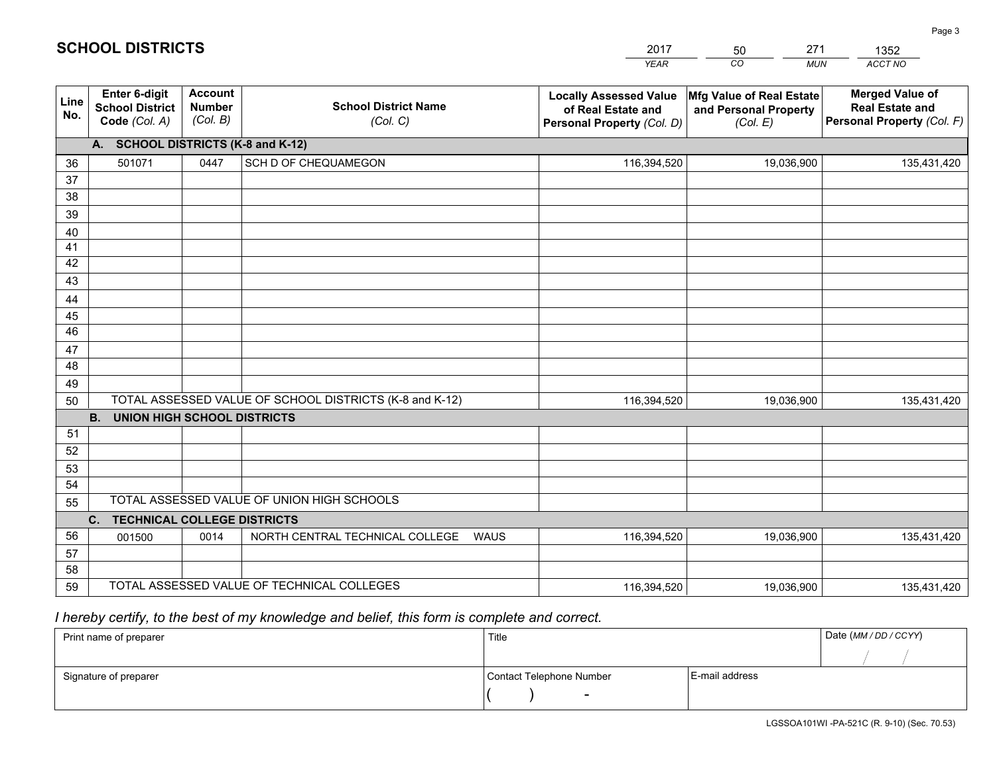|             |                                                                 |                                             |                                                         | <b>YEAR</b>                                                                       | CO<br><b>MUN</b>                                              | <b>ACCT NO</b>                                                                 |
|-------------|-----------------------------------------------------------------|---------------------------------------------|---------------------------------------------------------|-----------------------------------------------------------------------------------|---------------------------------------------------------------|--------------------------------------------------------------------------------|
| Line<br>No. | <b>Enter 6-digit</b><br><b>School District</b><br>Code (Col. A) | <b>Account</b><br><b>Number</b><br>(Col. B) | <b>School District Name</b><br>(Col. C)                 | <b>Locally Assessed Value</b><br>of Real Estate and<br>Personal Property (Col. D) | Mfg Value of Real Estate<br>and Personal Property<br>(Col. E) | <b>Merged Value of</b><br><b>Real Estate and</b><br>Personal Property (Col. F) |
|             | A. SCHOOL DISTRICTS (K-8 and K-12)                              |                                             |                                                         |                                                                                   |                                                               |                                                                                |
| 36          | 501071                                                          | 0447                                        | SCH D OF CHEQUAMEGON                                    | 116,394,520                                                                       | 19,036,900                                                    | 135,431,420                                                                    |
| 37          |                                                                 |                                             |                                                         |                                                                                   |                                                               |                                                                                |
| 38          |                                                                 |                                             |                                                         |                                                                                   |                                                               |                                                                                |
| 39          |                                                                 |                                             |                                                         |                                                                                   |                                                               |                                                                                |
| 40          |                                                                 |                                             |                                                         |                                                                                   |                                                               |                                                                                |
| 41          |                                                                 |                                             |                                                         |                                                                                   |                                                               |                                                                                |
| 42          |                                                                 |                                             |                                                         |                                                                                   |                                                               |                                                                                |
| 43          |                                                                 |                                             |                                                         |                                                                                   |                                                               |                                                                                |
| 44          |                                                                 |                                             |                                                         |                                                                                   |                                                               |                                                                                |
| 45<br>46    |                                                                 |                                             |                                                         |                                                                                   |                                                               |                                                                                |
| 47          |                                                                 |                                             |                                                         |                                                                                   |                                                               |                                                                                |
| 48          |                                                                 |                                             |                                                         |                                                                                   |                                                               |                                                                                |
| 49          |                                                                 |                                             |                                                         |                                                                                   |                                                               |                                                                                |
| 50          |                                                                 |                                             | TOTAL ASSESSED VALUE OF SCHOOL DISTRICTS (K-8 and K-12) | 116,394,520                                                                       | 19,036,900                                                    | 135,431,420                                                                    |
|             | <b>B.</b><br><b>UNION HIGH SCHOOL DISTRICTS</b>                 |                                             |                                                         |                                                                                   |                                                               |                                                                                |
| 51          |                                                                 |                                             |                                                         |                                                                                   |                                                               |                                                                                |
| 52          |                                                                 |                                             |                                                         |                                                                                   |                                                               |                                                                                |
| 53          |                                                                 |                                             |                                                         |                                                                                   |                                                               |                                                                                |
| 54          |                                                                 |                                             |                                                         |                                                                                   |                                                               |                                                                                |
| 55          |                                                                 |                                             | TOTAL ASSESSED VALUE OF UNION HIGH SCHOOLS              |                                                                                   |                                                               |                                                                                |
|             | C.<br><b>TECHNICAL COLLEGE DISTRICTS</b>                        |                                             |                                                         |                                                                                   |                                                               |                                                                                |
| 56          | 001500                                                          | 0014                                        | NORTH CENTRAL TECHNICAL COLLEGE<br><b>WAUS</b>          | 116,394,520                                                                       | 19,036,900                                                    | 135,431,420                                                                    |
| 57          |                                                                 |                                             |                                                         |                                                                                   |                                                               |                                                                                |
| 58          |                                                                 |                                             |                                                         |                                                                                   |                                                               |                                                                                |
| 59          |                                                                 |                                             | TOTAL ASSESSED VALUE OF TECHNICAL COLLEGES              | 116,394,520                                                                       | 19,036,900                                                    | 135,431,420                                                                    |

50

271

# *I hereby certify, to the best of my knowledge and belief, this form is complete and correct.*

**SCHOOL DISTRICTS**

| Print name of preparer | Title                    |                | Date (MM / DD / CCYY) |
|------------------------|--------------------------|----------------|-----------------------|
|                        |                          |                |                       |
| Signature of preparer  | Contact Telephone Number | E-mail address |                       |
|                        | $\overline{\phantom{0}}$ |                |                       |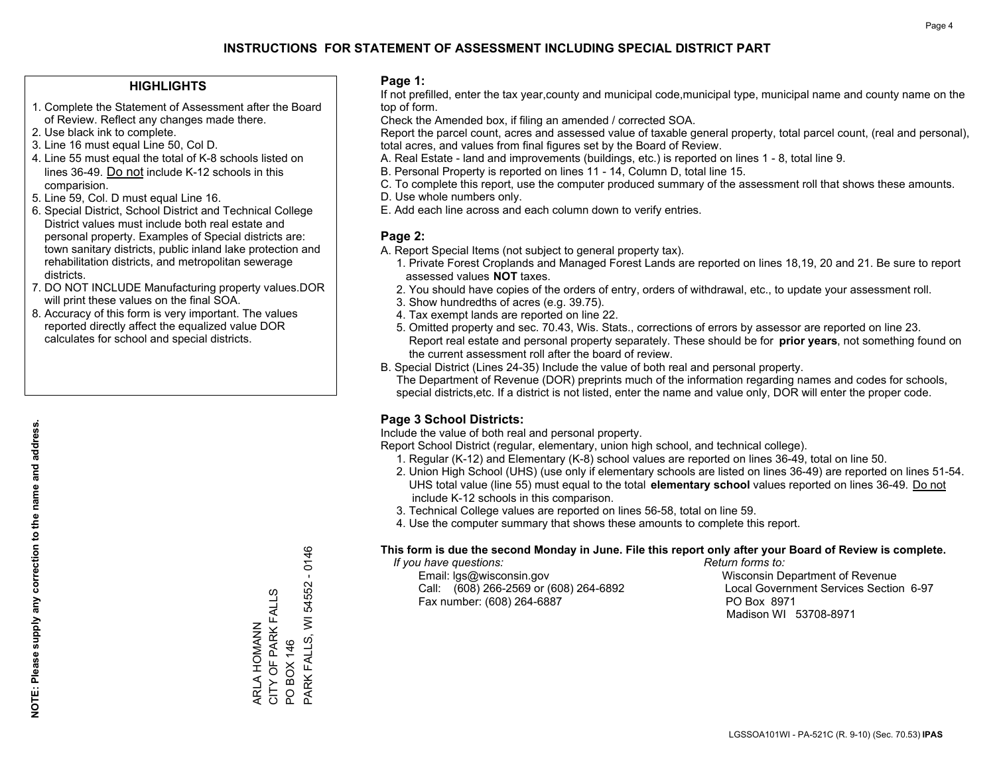## **HIGHLIGHTS**

- 1. Complete the Statement of Assessment after the Board of Review. Reflect any changes made there.
- 2. Use black ink to complete.
- 3. Line 16 must equal Line 50, Col D.
- 4. Line 55 must equal the total of K-8 schools listed on lines 36-49. Do not include K-12 schools in this comparision.
- 5. Line 59, Col. D must equal Line 16.
- 6. Special District, School District and Technical College District values must include both real estate and personal property. Examples of Special districts are: town sanitary districts, public inland lake protection and rehabilitation districts, and metropolitan sewerage districts.
- 7. DO NOT INCLUDE Manufacturing property values.DOR will print these values on the final SOA.

ARLA HOMANN CITY OF PARK FALLS

ARLA HOMANN<br>CITY OF PARK FALLS

PO BOX 146

PARK FALLS, WI 54552 - 0146

PARK FALLS, WI PO BOX 146

54552

 $-0146$ 

 8. Accuracy of this form is very important. The values reported directly affect the equalized value DOR calculates for school and special districts.

### **Page 1:**

 If not prefilled, enter the tax year,county and municipal code,municipal type, municipal name and county name on the top of form.

Check the Amended box, if filing an amended / corrected SOA.

 Report the parcel count, acres and assessed value of taxable general property, total parcel count, (real and personal), total acres, and values from final figures set by the Board of Review.

- A. Real Estate land and improvements (buildings, etc.) is reported on lines 1 8, total line 9.
- B. Personal Property is reported on lines 11 14, Column D, total line 15.
- C. To complete this report, use the computer produced summary of the assessment roll that shows these amounts.
- D. Use whole numbers only.
- E. Add each line across and each column down to verify entries.

### **Page 2:**

- A. Report Special Items (not subject to general property tax).
- 1. Private Forest Croplands and Managed Forest Lands are reported on lines 18,19, 20 and 21. Be sure to report assessed values **NOT** taxes.
- 2. You should have copies of the orders of entry, orders of withdrawal, etc., to update your assessment roll.
	- 3. Show hundredths of acres (e.g. 39.75).
- 4. Tax exempt lands are reported on line 22.
- 5. Omitted property and sec. 70.43, Wis. Stats., corrections of errors by assessor are reported on line 23. Report real estate and personal property separately. These should be for **prior years**, not something found on the current assessment roll after the board of review.
- B. Special District (Lines 24-35) Include the value of both real and personal property.
- The Department of Revenue (DOR) preprints much of the information regarding names and codes for schools, special districts,etc. If a district is not listed, enter the name and value only, DOR will enter the proper code.

# **Page 3 School Districts:**

Include the value of both real and personal property.

Report School District (regular, elementary, union high school, and technical college).

- 1. Regular (K-12) and Elementary (K-8) school values are reported on lines 36-49, total on line 50.
- 2. Union High School (UHS) (use only if elementary schools are listed on lines 36-49) are reported on lines 51-54. UHS total value (line 55) must equal to the total **elementary school** values reported on lines 36-49. Do notinclude K-12 schools in this comparison.
- 3. Technical College values are reported on lines 56-58, total on line 59.
- 4. Use the computer summary that shows these amounts to complete this report.

#### **This form is due the second Monday in June. File this report only after your Board of Review is complete.**

 *If you have questions: Return forms to:*

 Email: lgs@wisconsin.gov Wisconsin Department of RevenueCall:  $(608)$  266-2569 or  $(608)$  264-6892 Fax number: (608) 264-6887 PO Box 8971

Local Government Services Section 6-97 Madison WI 53708-8971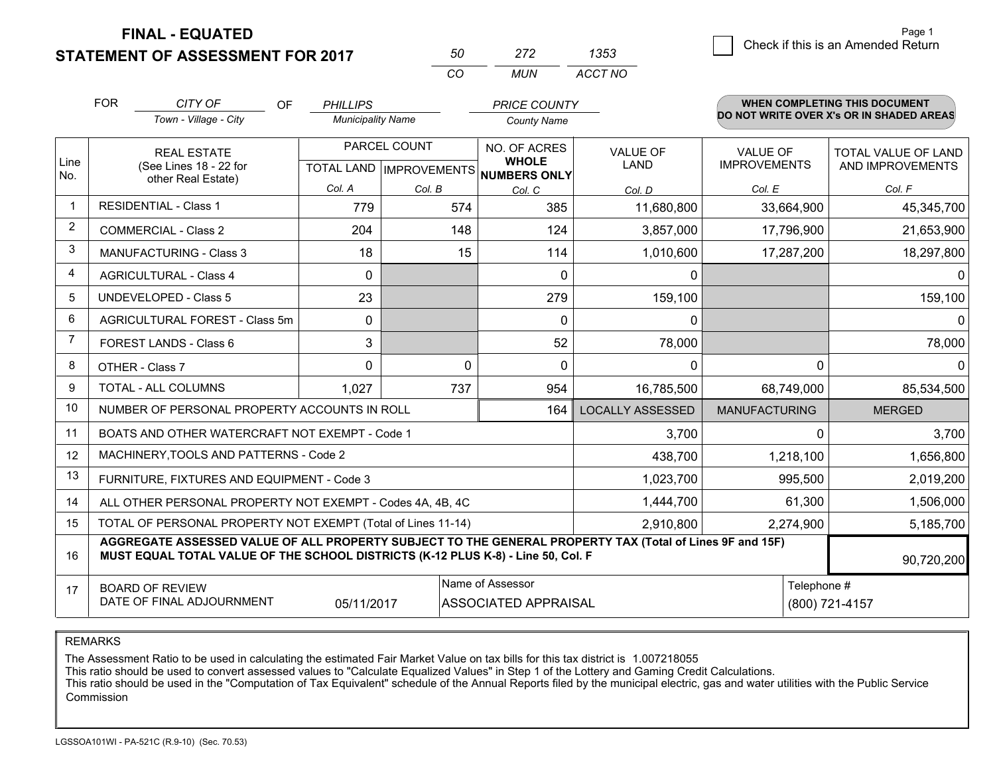**FINAL - EQUATED**

**STATEMENT OF ASSESSMENT FOR 2017** 

| 50 | ンパン   | 1353    |
|----|-------|---------|
| rη | MI IN | ACCT NO |

|                | <b>FOR</b>                                                                                                           | CITY OF<br>OF<br>Town - Village - City                                                                                                                                                       | <b>PHILLIPS</b><br><b>Municipality Name</b> |                                           | <b>PRICE COUNTY</b><br><b>County Name</b> |                         |                                        | WHEN COMPLETING THIS DOCUMENT<br>DO NOT WRITE OVER X's OR IN SHADED AREAS |
|----------------|----------------------------------------------------------------------------------------------------------------------|----------------------------------------------------------------------------------------------------------------------------------------------------------------------------------------------|---------------------------------------------|-------------------------------------------|-------------------------------------------|-------------------------|----------------------------------------|---------------------------------------------------------------------------|
| Line           | <b>REAL ESTATE</b><br>(See Lines 18 - 22 for                                                                         |                                                                                                                                                                                              |                                             | PARCEL COUNT<br>TOTAL LAND   IMPROVEMENTS | NO. OF ACRES<br><b>WHOLE</b>              | <b>VALUE OF</b><br>LAND | <b>VALUE OF</b><br><b>IMPROVEMENTS</b> | TOTAL VALUE OF LAND<br>AND IMPROVEMENTS                                   |
| No.            |                                                                                                                      | other Real Estate)                                                                                                                                                                           | Col. A                                      | Col. B                                    | NUMBERS ONLY<br>Col. C                    | Col. D                  | Col. E                                 | Col. F                                                                    |
| -1             |                                                                                                                      | <b>RESIDENTIAL - Class 1</b>                                                                                                                                                                 | 779                                         | 574                                       | 385                                       | 11,680,800              | 33,664,900                             | 45,345,700                                                                |
| 2              |                                                                                                                      | <b>COMMERCIAL - Class 2</b>                                                                                                                                                                  | 204                                         | 148                                       | 124                                       | 3,857,000               | 17,796,900                             | 21,653,900                                                                |
| 3              |                                                                                                                      | <b>MANUFACTURING - Class 3</b>                                                                                                                                                               | 18                                          | 15                                        | 114                                       | 1,010,600               | 17,287,200                             | 18,297,800                                                                |
| 4              |                                                                                                                      | <b>AGRICULTURAL - Class 4</b>                                                                                                                                                                | 0                                           |                                           | $\mathbf{0}$                              | $\mathbf 0$             |                                        | $\Omega$                                                                  |
| 5              |                                                                                                                      | UNDEVELOPED - Class 5                                                                                                                                                                        | 23                                          |                                           | 279                                       | 159,100                 |                                        | 159,100                                                                   |
| 6              | AGRICULTURAL FOREST - Class 5m                                                                                       |                                                                                                                                                                                              | $\mathbf 0$                                 |                                           | $\Omega$                                  | $\mathbf 0$             |                                        | $\Omega$                                                                  |
| $\overline{7}$ |                                                                                                                      | FOREST LANDS - Class 6                                                                                                                                                                       | 3                                           |                                           | 52                                        | 78,000                  |                                        | 78,000                                                                    |
| 8              |                                                                                                                      | OTHER - Class 7                                                                                                                                                                              | $\Omega$                                    |                                           | $\Omega$<br>$\Omega$                      | $\Omega$                | $\Omega$                               | 0                                                                         |
| 9              |                                                                                                                      | TOTAL - ALL COLUMNS                                                                                                                                                                          | 1,027                                       | 737                                       | 954                                       | 16,785,500              | 68,749,000                             | 85,534,500                                                                |
| 10             |                                                                                                                      | NUMBER OF PERSONAL PROPERTY ACCOUNTS IN ROLL                                                                                                                                                 |                                             |                                           | 164                                       | <b>LOCALLY ASSESSED</b> | <b>MANUFACTURING</b>                   | <b>MERGED</b>                                                             |
| 11             |                                                                                                                      | BOATS AND OTHER WATERCRAFT NOT EXEMPT - Code 1                                                                                                                                               |                                             |                                           |                                           | 3,700                   | 0                                      | 3,700                                                                     |
| 12             |                                                                                                                      | MACHINERY, TOOLS AND PATTERNS - Code 2                                                                                                                                                       |                                             |                                           |                                           | 438,700                 | 1,218,100                              | 1,656,800                                                                 |
| 13             |                                                                                                                      | FURNITURE, FIXTURES AND EQUIPMENT - Code 3                                                                                                                                                   |                                             |                                           |                                           | 1,023,700               | 995,500                                | 2,019,200                                                                 |
| 14             |                                                                                                                      | ALL OTHER PERSONAL PROPERTY NOT EXEMPT - Codes 4A, 4B, 4C                                                                                                                                    |                                             |                                           |                                           | 1,444,700               | 61,300                                 | 1,506,000                                                                 |
| 15             |                                                                                                                      | TOTAL OF PERSONAL PROPERTY NOT EXEMPT (Total of Lines 11-14)                                                                                                                                 |                                             |                                           | 2,910,800                                 | 2,274,900               | 5,185,700                              |                                                                           |
| 16             |                                                                                                                      | AGGREGATE ASSESSED VALUE OF ALL PROPERTY SUBJECT TO THE GENERAL PROPERTY TAX (Total of Lines 9F and 15F)<br>MUST EQUAL TOTAL VALUE OF THE SCHOOL DISTRICTS (K-12 PLUS K-8) - Line 50, Col. F |                                             |                                           |                                           |                         |                                        | 90,720,200                                                                |
| 17             | Name of Assessor<br><b>BOARD OF REVIEW</b><br>DATE OF FINAL ADJOURNMENT<br>05/11/2017<br><b>ASSOCIATED APPRAISAL</b> |                                                                                                                                                                                              |                                             |                                           |                                           | Telephone #             | (800) 721-4157                         |                                                                           |

REMARKS

The Assessment Ratio to be used in calculating the estimated Fair Market Value on tax bills for this tax district is 1.007218055<br>This ratio should be used to convert assessed values to "Calculate Equalized Values" in Step Commission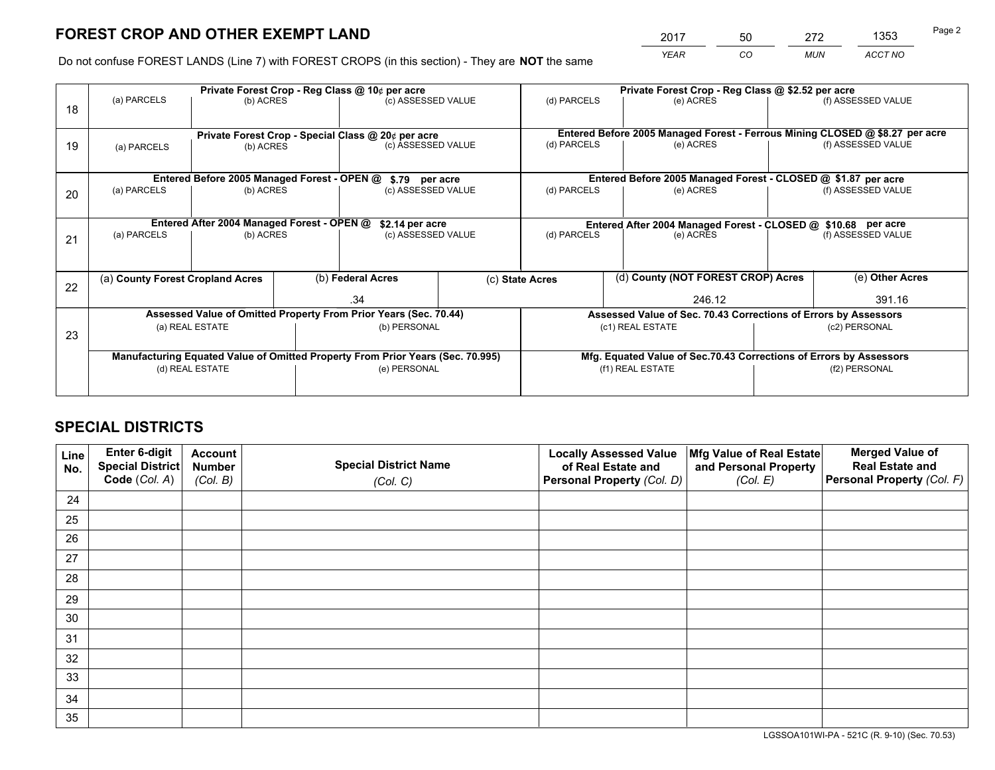*YEAR CO MUN ACCT NO* 2017 50 272 1353<br>————————————————————

Do not confuse FOREST LANDS (Line 7) with FOREST CROPS (in this section) - They are **NOT** the same

|    | Private Forest Crop - Reg Class @ 10¢ per acre                                 |                                             |                   |                                                                  |                    |                                                               | Private Forest Crop - Reg Class @ \$2.52 per acre                            |                 |                    |  |
|----|--------------------------------------------------------------------------------|---------------------------------------------|-------------------|------------------------------------------------------------------|--------------------|---------------------------------------------------------------|------------------------------------------------------------------------------|-----------------|--------------------|--|
| 18 | (a) PARCELS                                                                    | (b) ACRES                                   |                   | (c) ASSESSED VALUE                                               |                    | (d) PARCELS                                                   | (e) ACRES                                                                    |                 | (f) ASSESSED VALUE |  |
|    | Private Forest Crop - Special Class @ 20¢ per acre                             |                                             |                   |                                                                  |                    |                                                               | Entered Before 2005 Managed Forest - Ferrous Mining CLOSED @ \$8.27 per acre |                 |                    |  |
| 19 | (b) ACRES<br>(a) PARCELS                                                       |                                             |                   | (c) ASSESSED VALUE                                               |                    | (d) PARCELS                                                   | (e) ACRES                                                                    |                 | (f) ASSESSED VALUE |  |
|    |                                                                                | Entered Before 2005 Managed Forest - OPEN @ |                   | \$.79 per acre                                                   |                    |                                                               | Entered Before 2005 Managed Forest - CLOSED @ \$1.87 per acre                |                 |                    |  |
| 20 | (a) PARCELS<br>(b) ACRES                                                       |                                             |                   |                                                                  | (c) ASSESSED VALUE |                                                               | (d) PARCELS<br>(e) ACRES                                                     |                 | (f) ASSESSED VALUE |  |
|    |                                                                                | Entered After 2004 Managed Forest - OPEN @  |                   | \$2.14 per acre                                                  |                    | Entered After 2004 Managed Forest - CLOSED @ \$10.68 per acre |                                                                              |                 |                    |  |
| 21 | (a) PARCELS                                                                    | (b) ACRES                                   |                   | (c) ASSESSED VALUE                                               |                    | (d) PARCELS                                                   | (e) ACRES                                                                    |                 | (f) ASSESSED VALUE |  |
| 22 | (a) County Forest Cropland Acres                                               |                                             | (b) Federal Acres |                                                                  | (c) State Acres    | (d) County (NOT FOREST CROP) Acres                            |                                                                              | (e) Other Acres |                    |  |
|    |                                                                                |                                             |                   | .34                                                              |                    | 246.12                                                        |                                                                              |                 | 391.16             |  |
|    |                                                                                |                                             |                   | Assessed Value of Omitted Property From Prior Years (Sec. 70.44) |                    |                                                               | Assessed Value of Sec. 70.43 Corrections of Errors by Assessors              |                 |                    |  |
| 23 | (a) REAL ESTATE                                                                |                                             |                   | (b) PERSONAL                                                     |                    | (c1) REAL ESTATE                                              |                                                                              |                 | (c2) PERSONAL      |  |
|    | Manufacturing Equated Value of Omitted Property From Prior Years (Sec. 70.995) |                                             |                   |                                                                  |                    |                                                               | Mfg. Equated Value of Sec.70.43 Corrections of Errors by Assessors           |                 |                    |  |
|    | (d) REAL ESTATE                                                                |                                             |                   | (e) PERSONAL                                                     |                    | (f1) REAL ESTATE                                              |                                                                              | (f2) PERSONAL   |                    |  |
|    |                                                                                |                                             |                   |                                                                  |                    |                                                               |                                                                              |                 |                    |  |

# **SPECIAL DISTRICTS**

| Line<br>No. | Enter 6-digit<br>Special District<br>Code (Col. A) | <b>Account</b><br><b>Number</b> | <b>Special District Name</b> | <b>Locally Assessed Value</b><br>of Real Estate and | Mfg Value of Real Estate<br>and Personal Property | <b>Merged Value of</b><br><b>Real Estate and</b><br>Personal Property (Col. F) |
|-------------|----------------------------------------------------|---------------------------------|------------------------------|-----------------------------------------------------|---------------------------------------------------|--------------------------------------------------------------------------------|
|             |                                                    | (Col. B)                        | (Col. C)                     | Personal Property (Col. D)                          | (Col. E)                                          |                                                                                |
| 24          |                                                    |                                 |                              |                                                     |                                                   |                                                                                |
| 25          |                                                    |                                 |                              |                                                     |                                                   |                                                                                |
| 26          |                                                    |                                 |                              |                                                     |                                                   |                                                                                |
| 27          |                                                    |                                 |                              |                                                     |                                                   |                                                                                |
| 28          |                                                    |                                 |                              |                                                     |                                                   |                                                                                |
| 29          |                                                    |                                 |                              |                                                     |                                                   |                                                                                |
| 30          |                                                    |                                 |                              |                                                     |                                                   |                                                                                |
| 31          |                                                    |                                 |                              |                                                     |                                                   |                                                                                |
| 32          |                                                    |                                 |                              |                                                     |                                                   |                                                                                |
| 33          |                                                    |                                 |                              |                                                     |                                                   |                                                                                |
| 34          |                                                    |                                 |                              |                                                     |                                                   |                                                                                |
| 35          |                                                    |                                 |                              |                                                     |                                                   |                                                                                |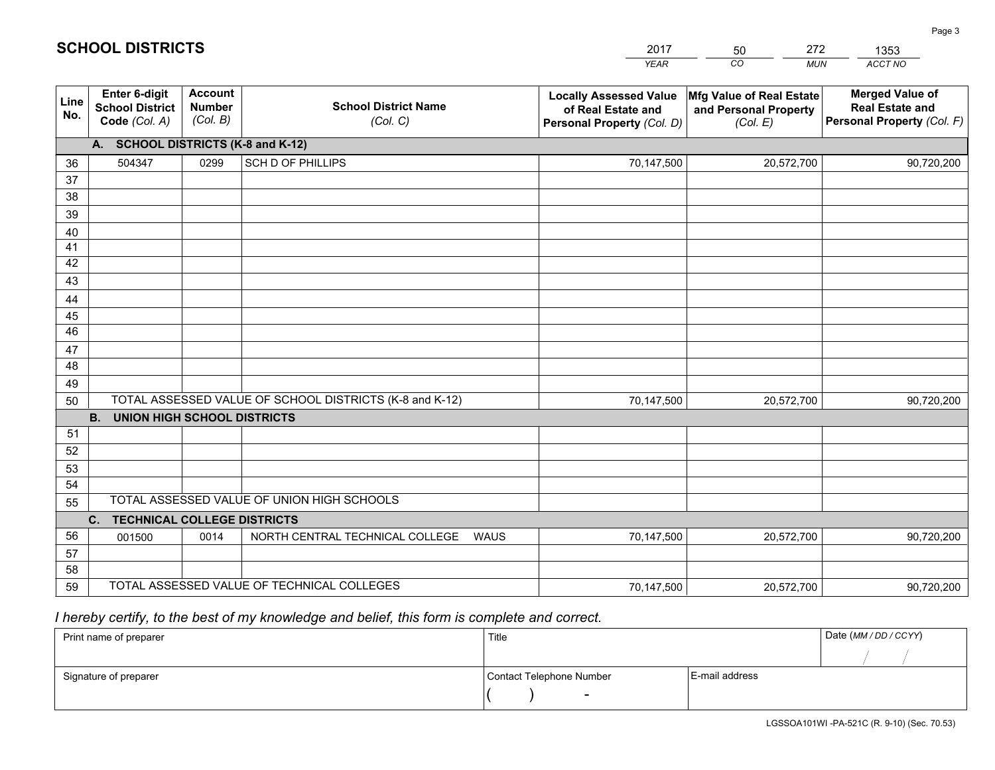|             |                                                                 |                                             |                                                         | <b>YEAR</b>                                                                       | CO<br><b>MUN</b>                                              | ACCT NO                                                                        |
|-------------|-----------------------------------------------------------------|---------------------------------------------|---------------------------------------------------------|-----------------------------------------------------------------------------------|---------------------------------------------------------------|--------------------------------------------------------------------------------|
| Line<br>No. | <b>Enter 6-digit</b><br><b>School District</b><br>Code (Col. A) | <b>Account</b><br><b>Number</b><br>(Col. B) | <b>School District Name</b><br>(Col. C)                 | <b>Locally Assessed Value</b><br>of Real Estate and<br>Personal Property (Col. D) | Mfg Value of Real Estate<br>and Personal Property<br>(Col. E) | <b>Merged Value of</b><br><b>Real Estate and</b><br>Personal Property (Col. F) |
|             | A. SCHOOL DISTRICTS (K-8 and K-12)                              |                                             |                                                         |                                                                                   |                                                               |                                                                                |
| 36          | 504347                                                          | 0299                                        | SCH D OF PHILLIPS                                       | 70,147,500                                                                        | 20,572,700                                                    | 90,720,200                                                                     |
| 37          |                                                                 |                                             |                                                         |                                                                                   |                                                               |                                                                                |
| 38          |                                                                 |                                             |                                                         |                                                                                   |                                                               |                                                                                |
| 39          |                                                                 |                                             |                                                         |                                                                                   |                                                               |                                                                                |
| 40          |                                                                 |                                             |                                                         |                                                                                   |                                                               |                                                                                |
| 41<br>42    |                                                                 |                                             |                                                         |                                                                                   |                                                               |                                                                                |
| 43          |                                                                 |                                             |                                                         |                                                                                   |                                                               |                                                                                |
| 44          |                                                                 |                                             |                                                         |                                                                                   |                                                               |                                                                                |
| 45          |                                                                 |                                             |                                                         |                                                                                   |                                                               |                                                                                |
| 46          |                                                                 |                                             |                                                         |                                                                                   |                                                               |                                                                                |
| 47          |                                                                 |                                             |                                                         |                                                                                   |                                                               |                                                                                |
| 48          |                                                                 |                                             |                                                         |                                                                                   |                                                               |                                                                                |
| 49          |                                                                 |                                             |                                                         |                                                                                   |                                                               |                                                                                |
| 50          |                                                                 |                                             | TOTAL ASSESSED VALUE OF SCHOOL DISTRICTS (K-8 and K-12) | 70,147,500                                                                        | 20,572,700                                                    | 90,720,200                                                                     |
|             | <b>B. UNION HIGH SCHOOL DISTRICTS</b>                           |                                             |                                                         |                                                                                   |                                                               |                                                                                |
| 51          |                                                                 |                                             |                                                         |                                                                                   |                                                               |                                                                                |
| 52          |                                                                 |                                             |                                                         |                                                                                   |                                                               |                                                                                |
| 53<br>54    |                                                                 |                                             |                                                         |                                                                                   |                                                               |                                                                                |
| 55          |                                                                 |                                             | TOTAL ASSESSED VALUE OF UNION HIGH SCHOOLS              |                                                                                   |                                                               |                                                                                |
|             | C.<br><b>TECHNICAL COLLEGE DISTRICTS</b>                        |                                             |                                                         |                                                                                   |                                                               |                                                                                |
| 56          | 001500                                                          | 0014                                        | NORTH CENTRAL TECHNICAL COLLEGE<br><b>WAUS</b>          | 70,147,500                                                                        | 20,572,700                                                    | 90,720,200                                                                     |
| 57          |                                                                 |                                             |                                                         |                                                                                   |                                                               |                                                                                |
| 58          |                                                                 |                                             |                                                         |                                                                                   |                                                               |                                                                                |
| 59          |                                                                 |                                             | TOTAL ASSESSED VALUE OF TECHNICAL COLLEGES              | 70,147,500                                                                        | 20,572,700                                                    | 90,720,200                                                                     |

50

272

 *I hereby certify, to the best of my knowledge and belief, this form is complete and correct.*

**SCHOOL DISTRICTS**

| Print name of preparer | Title                    |                | Date (MM / DD / CCYY) |
|------------------------|--------------------------|----------------|-----------------------|
|                        |                          |                |                       |
| Signature of preparer  | Contact Telephone Number | E-mail address |                       |
|                        | $\overline{\phantom{0}}$ |                |                       |